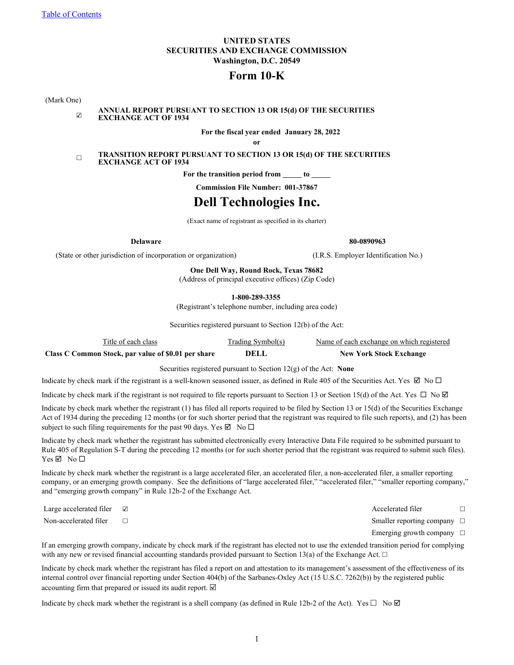#### **UNITED STATES SECURITIES AND EXCHANGE COMMISSION Washington, D.C. 20549**

## **Form 10-K**

(Mark One)

#### ☑ **ANNUAL REPORT PURSUANT TO SECTION 13 OR 15(d) OF THE SECURITIES EXCHANGE ACT OF 1934**

**For the fiscal year ended January 28, 2022**

**or**

#### ☐ **TRANSITION REPORT PURSUANT TO SECTION 13 OR 15(d) OF THE SECURITIES EXCHANGE ACT OF 1934**

For the transition period from <u>section</u> to \_

**Commission File Number: 001-37867**

# **Dell Technologies Inc.**

(Exact name of registrant as specified in its charter)

**Delaware 80-0890963**

(State or other jurisdiction of incorporation or organization) (I.R.S. Employer Identification No.)

**One Dell Way, Round Rock, Texas 78682**

(Address of principal executive offices) (Zip Code)

**1-800-289-3355**

(Registrant's telephone number, including area code)

Securities registered pursuant to Section 12(b) of the Act:

| Title of each class                                 | Trading Symbol(s) | Name of each exchange on which registered |
|-----------------------------------------------------|-------------------|-------------------------------------------|
| Class C Common Stock, par value of \$0.01 per share | DELL              | <b>New York Stock Exchange</b>            |

Securities registered pursuant to Section 12(g) of the Act: **None**

Indicate by check mark if the registrant is a well-known seasoned issuer, as defined in Rule 405 of the Securities Act. Yes  $\boxtimes$  No  $\Box$ 

Indicate by check mark if the registrant is not required to file reports pursuant to Section 13 or Section 15(d) of the Act. Yes  $\Box$  No  $\Box$ 

Indicate by check mark whether the registrant (1) has filed all reports required to be filed by Section 13 or 15(d) of the Securities Exchange Act of 1934 during the preceding 12 months (or for such shorter period that the registrant was required to file such reports), and (2) has been subject to such filing requirements for the past 90 days. Yes  $\boxtimes$  No  $\square$ 

Indicate by check mark whether the registrant has submitted electronically every Interactive Data File required to be submitted pursuant to Rule 405 of Regulation S-T during the preceding 12 months (or for such shorter period that the registrant was required to submit such files).  $Yes$  Ø No □

Indicate by check mark whether the registrant is a large accelerated filer, an accelerated filer, a non-accelerated filer, a smaller reporting company, or an emerging growth company. See the definitions of "large accelerated filer," "accelerated filer," "smaller reporting company," and "emerging growth company" in Rule 12b-2 of the Exchange Act.

Large accelerated filer ☑  $\Box$ 

Non-accelerated filer <del>□</del> □

Emerging growth company  $\Box$ 

If an emerging growth company, indicate by check mark if the registrant has elected not to use the extended transition period for complying with any new or revised financial accounting standards provided pursuant to Section 13(a) of the Exchange Act.  $\Box$ 

Indicate by check mark whether the registrant has filed a report on and attestation to its management's assessment of the effectiveness of its internal control over financial reporting under Section 404(b) of the Sarbanes-Oxley Act (15 U.S.C. 7262(b)) by the registered public accounting firm that prepared or issued its audit report.  $\Box$ 

Indicate by check mark whether the registrant is a shell company (as defined in Rule 12b-2 of the Act). Yes  $\square$  No  $\boxtimes$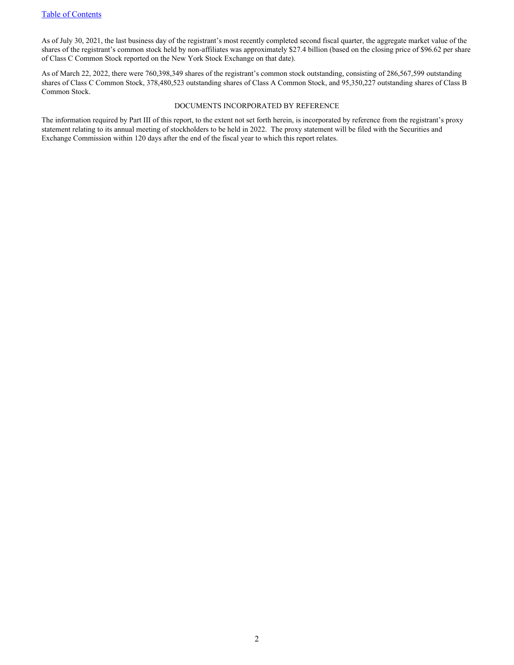As of July 30, 2021, the last business day of the registrant's most recently completed second fiscal quarter, the aggregate market value of the shares of the registrant's common stock held by non-affiliates was approximately \$27.4 billion (based on the closing price of \$96.62 per share of Class C Common Stock reported on the New York Stock Exchange on that date).

As of March 22, 2022, there were 760,398,349 shares of the registrant's common stock outstanding, consisting of 286,567,599 outstanding shares of Class C Common Stock, 378,480,523 outstanding shares of Class A Common Stock, and 95,350,227 outstanding shares of Class B Common Stock.

#### DOCUMENTS INCORPORATED BY REFERENCE

The information required by Part III of this report, to the extent not set forth herein, is incorporated by reference from the registrant's proxy statement relating to its annual meeting of stockholders to be held in 2022. The proxy statement will be filed with the Securities and Exchange Commission within 120 days after the end of the fiscal year to which this report relates.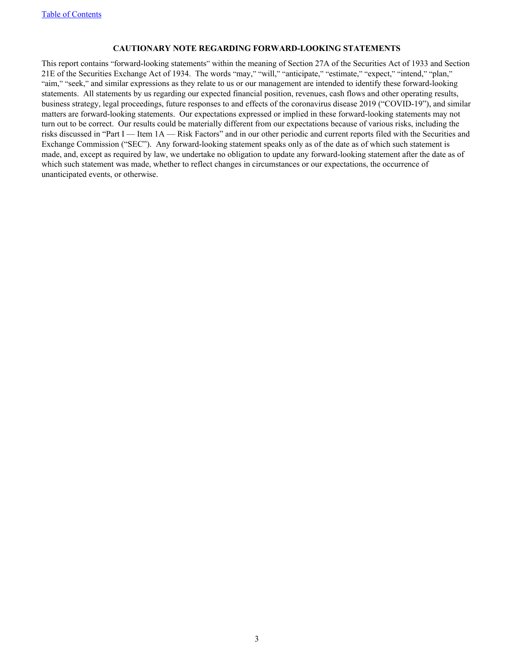#### **CAUTIONARY NOTE REGARDING FORWARD-LOOKING STATEMENTS**

This report contains "forward-looking statements" within the meaning of Section 27A of the Securities Act of 1933 and Section 21E of the Securities Exchange Act of 1934. The words "may," "will," "anticipate," "estimate," "expect," "intend," "plan," "aim," "seek," and similar expressions as they relate to us or our management are intended to identify these forward-looking statements. All statements by us regarding our expected financial position, revenues, cash flows and other operating results, business strategy, legal proceedings, future responses to and effects of the coronavirus disease 2019 ("COVID-19"), and similar matters are forward-looking statements. Our expectations expressed or implied in these forward-looking statements may not turn out to be correct. Our results could be materially different from our expectations because of various risks, including the risks discussed in "Part I — Item 1A — Risk Factors" and in our other periodic and current reports filed with the Securities and Exchange Commission ("SEC"). Any forward-looking statement speaks only as of the date as of which such statement is made, and, except as required by law, we undertake no obligation to update any forward-looking statement after the date as of which such statement was made, whether to reflect changes in circumstances or our expectations, the occurrence of unanticipated events, or otherwise.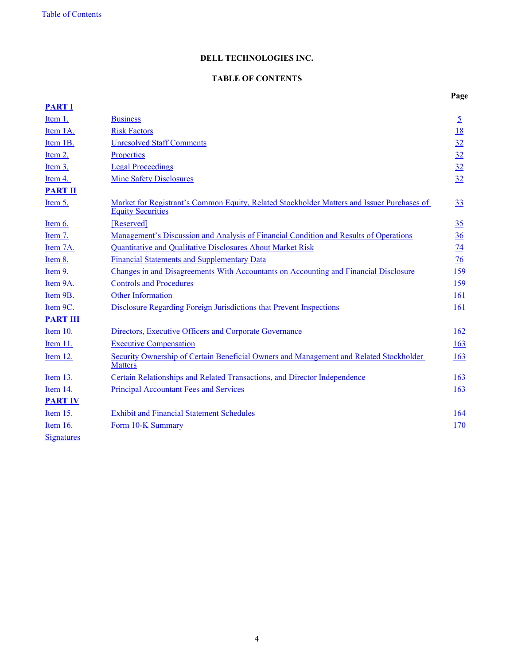## **DELL TECHNOLOGIES INC.**

### **TABLE OF CONTENTS**

<span id="page-3-0"></span>

| <b>PART I</b>     |                                                                                                                        |                 |
|-------------------|------------------------------------------------------------------------------------------------------------------------|-----------------|
| Item 1.           | <b>Business</b>                                                                                                        | $\overline{5}$  |
| Item 1A.          | <b>Risk Factors</b>                                                                                                    | <u>18</u>       |
| Item 1B.          | <b>Unresolved Staff Comments</b>                                                                                       | 32              |
| Item 2.           | Properties                                                                                                             | 32              |
| Item 3.           | <b>Legal Proceedings</b>                                                                                               | 32              |
| Item 4.           | <b>Mine Safety Disclosures</b>                                                                                         | 32              |
| <b>PART II</b>    |                                                                                                                        |                 |
| Item 5.           | Market for Registrant's Common Equity, Related Stockholder Matters and Issuer Purchases of<br><b>Equity Securities</b> | 33              |
| Item $6.$         | [Reserved]                                                                                                             | 35              |
| Item 7.           | Management's Discussion and Analysis of Financial Condition and Results of Operations                                  | 36              |
| Item 7A.          | Quantitative and Qualitative Disclosures About Market Risk                                                             | $\overline{14}$ |
| Item 8.           | <b>Financial Statements and Supplementary Data</b>                                                                     | $\overline{16}$ |
| Item 9.           | Changes in and Disagreements With Accountants on Accounting and Financial Disclosure                                   | 159             |
| Item 9A.          | <b>Controls and Procedures</b>                                                                                         | 159             |
| Item 9B.          | Other Information                                                                                                      | 161             |
| Item 9C.          | Disclosure Regarding Foreign Jurisdictions that Prevent Inspections                                                    | 161             |
| <b>PART III</b>   |                                                                                                                        |                 |
| Item 10.          | Directors, Executive Officers and Corporate Governance                                                                 | <u>162</u>      |
| Item 11.          | <b>Executive Compensation</b>                                                                                          | 163             |
| Item 12.          | Security Ownership of Certain Beneficial Owners and Management and Related Stockholder<br><b>Matters</b>               | 163             |
| Item $13$ .       | <b>Certain Relationships and Related Transactions, and Director Independence</b>                                       | 163             |
| Item 14.          | <b>Principal Accountant Fees and Services</b>                                                                          | 163             |
| <b>PART IV</b>    |                                                                                                                        |                 |
| Item 15.          | <b>Exhibit and Financial Statement Schedules</b>                                                                       | <b>164</b>      |
| Item 16.          | Form 10-K Summary                                                                                                      | 170             |
| <b>Signatures</b> |                                                                                                                        |                 |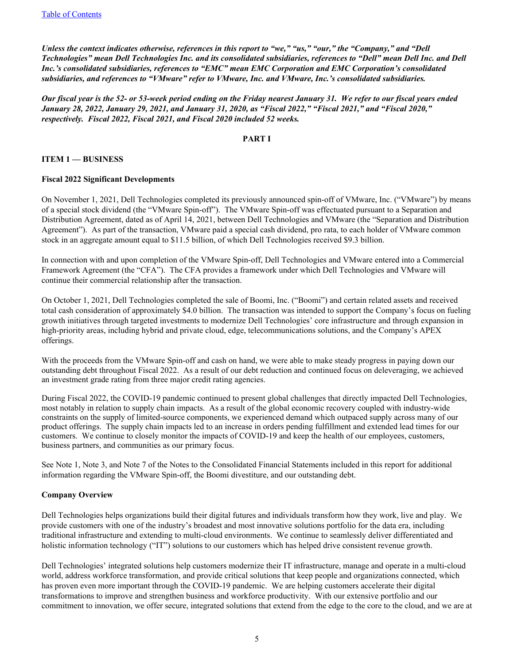<span id="page-4-0"></span>*Unless the context indicates otherwise, references in this report to "we," "us," "our," the "Company," and "Dell Technologies" mean Dell Technologies Inc. and its consolidated subsidiaries, references to "Dell" mean Dell Inc. and Dell Inc.'s consolidated subsidiaries, references to "EMC" mean EMC Corporation and EMC Corporation's consolidated subsidiaries, and references to "VMware" refer to VMware, Inc. and VMware, Inc.'s consolidated subsidiaries.*

*Our fiscal year is the 52- or 53-week period ending on the Friday nearest January 31. We refer to our fiscal years ended January 28, 2022, January 29, 2021, and January 31, 2020, as "Fiscal 2022," "Fiscal 2021," and "Fiscal 2020," respectively. Fiscal 2022, Fiscal 2021, and Fiscal 2020 included 52 weeks.* 

#### **PART I**

#### **ITEM 1 — BUSINESS**

#### **Fiscal 2022 Significant Developments**

On November 1, 2021, Dell Technologies completed its previously announced spin-off of VMware, Inc. ("VMware") by means of a special stock dividend (the "VMware Spin-off"). The VMware Spin-off was effectuated pursuant to a Separation and Distribution Agreement, dated as of April 14, 2021, between Dell Technologies and VMware (the "Separation and Distribution Agreement"). As part of the transaction, VMware paid a special cash dividend, pro rata, to each holder of VMware common stock in an aggregate amount equal to \$11.5 billion, of which Dell Technologies received \$9.3 billion.

In connection with and upon completion of the VMware Spin-off, Dell Technologies and VMware entered into a Commercial Framework Agreement (the "CFA"). The CFA provides a framework under which Dell Technologies and VMware will continue their commercial relationship after the transaction.

On October 1, 2021, Dell Technologies completed the sale of Boomi, Inc. ("Boomi") and certain related assets and received total cash consideration of approximately \$4.0 billion. The transaction was intended to support the Company's focus on fueling growth initiatives through targeted investments to modernize Dell Technologies' core infrastructure and through expansion in high-priority areas, including hybrid and private cloud, edge, telecommunications solutions, and the Company's APEX offerings.

With the proceeds from the VMware Spin-off and cash on hand, we were able to make steady progress in paying down our outstanding debt throughout Fiscal 2022. As a result of our debt reduction and continued focus on deleveraging, we achieved an investment grade rating from three major credit rating agencies.

During Fiscal 2022, the COVID-19 pandemic continued to present global challenges that directly impacted Dell Technologies, most notably in relation to supply chain impacts. As a result of the global economic recovery coupled with industry-wide constraints on the supply of limited-source components, we experienced demand which outpaced supply across many of our product offerings. The supply chain impacts led to an increase in orders pending fulfillment and extended lead times for our customers. We continue to closely monitor the impacts of COVID-19 and keep the health of our employees, customers, business partners, and communities as our primary focus.

See Note 1, Note 3, and Note 7 of the Notes to the Consolidated Financial Statements included in this report for additional information regarding the VMware Spin-off, the Boomi divestiture, and our outstanding debt.

#### **Company Overview**

Dell Technologies helps organizations build their digital futures and individuals transform how they work, live and play. We provide customers with one of the industry's broadest and most innovative solutions portfolio for the data era, including traditional infrastructure and extending to multi-cloud environments. We continue to seamlessly deliver differentiated and holistic information technology ("IT") solutions to our customers which has helped drive consistent revenue growth.

Dell Technologies' integrated solutions help customers modernize their IT infrastructure, manage and operate in a multi-cloud world, address workforce transformation, and provide critical solutions that keep people and organizations connected, which has proven even more important through the COVID-19 pandemic. We are helping customers accelerate their digital transformations to improve and strengthen business and workforce productivity. With our extensive portfolio and our commitment to innovation, we offer secure, integrated solutions that extend from the edge to the core to the cloud, and we are at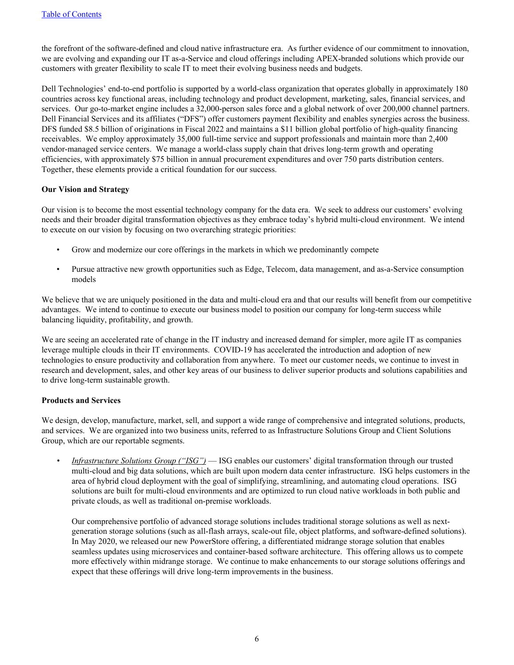the forefront of the software-defined and cloud native infrastructure era. As further evidence of our commitment to innovation, we are evolving and expanding our IT as-a-Service and cloud offerings including APEX-branded solutions which provide our customers with greater flexibility to scale IT to meet their evolving business needs and budgets.

Dell Technologies' end-to-end portfolio is supported by a world-class organization that operates globally in approximately 180 countries across key functional areas, including technology and product development, marketing, sales, financial services, and services. Our go-to-market engine includes a 32,000-person sales force and a global network of over 200,000 channel partners. Dell Financial Services and its affiliates ("DFS") offer customers payment flexibility and enables synergies across the business. DFS funded \$8.5 billion of originations in Fiscal 2022 and maintains a \$11 billion global portfolio of high-quality financing receivables. We employ approximately 35,000 full-time service and support professionals and maintain more than 2,400 vendor-managed service centers. We manage a world-class supply chain that drives long-term growth and operating efficiencies, with approximately \$75 billion in annual procurement expenditures and over 750 parts distribution centers. Together, these elements provide a critical foundation for our success.

#### **Our Vision and Strategy**

Our vision is to become the most essential technology company for the data era. We seek to address our customers' evolving needs and their broader digital transformation objectives as they embrace today's hybrid multi-cloud environment. We intend to execute on our vision by focusing on two overarching strategic priorities:

- Grow and modernize our core offerings in the markets in which we predominantly compete
- Pursue attractive new growth opportunities such as Edge, Telecom, data management, and as-a-Service consumption models

We believe that we are uniquely positioned in the data and multi-cloud era and that our results will benefit from our competitive advantages. We intend to continue to execute our business model to position our company for long-term success while balancing liquidity, profitability, and growth.

We are seeing an accelerated rate of change in the IT industry and increased demand for simpler, more agile IT as companies leverage multiple clouds in their IT environments. COVID-19 has accelerated the introduction and adoption of new technologies to ensure productivity and collaboration from anywhere. To meet our customer needs, we continue to invest in research and development, sales, and other key areas of our business to deliver superior products and solutions capabilities and to drive long-term sustainable growth.

#### **Products and Services**

We design, develop, manufacture, market, sell, and support a wide range of comprehensive and integrated solutions, products, and services. We are organized into two business units, referred to as Infrastructure Solutions Group and Client Solutions Group, which are our reportable segments.

*• Infrastructure Solutions Group ("ISG")* — ISG enables our customers' digital transformation through our trusted multi-cloud and big data solutions, which are built upon modern data center infrastructure. ISG helps customers in the area of hybrid cloud deployment with the goal of simplifying, streamlining, and automating cloud operations. ISG solutions are built for multi-cloud environments and are optimized to run cloud native workloads in both public and private clouds, as well as traditional on-premise workloads.

Our comprehensive portfolio of advanced storage solutions includes traditional storage solutions as well as nextgeneration storage solutions (such as all-flash arrays, scale-out file, object platforms, and software-defined solutions). In May 2020, we released our new PowerStore offering, a differentiated midrange storage solution that enables seamless updates using microservices and container-based software architecture. This offering allows us to compete more effectively within midrange storage. We continue to make enhancements to our storage solutions offerings and expect that these offerings will drive long-term improvements in the business.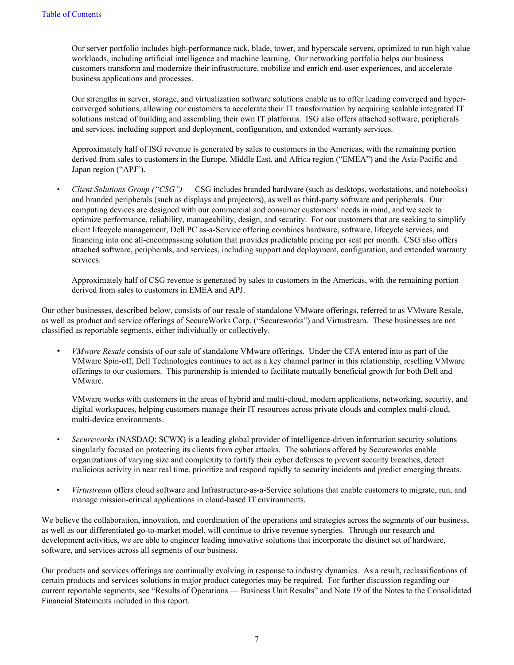Our server portfolio includes high-performance rack, blade, tower, and hyperscale servers, optimized to run high value workloads, including artificial intelligence and machine learning. Our networking portfolio helps our business customers transform and modernize their infrastructure, mobilize and enrich end-user experiences, and accelerate business applications and processes.

Our strengths in server, storage, and virtualization software solutions enable us to offer leading converged and hyperconverged solutions, allowing our customers to accelerate their IT transformation by acquiring scalable integrated IT solutions instead of building and assembling their own IT platforms. ISG also offers attached software, peripherals and services, including support and deployment, configuration, and extended warranty services.

Approximately half of ISG revenue is generated by sales to customers in the Americas, with the remaining portion derived from sales to customers in the Europe, Middle East, and Africa region ("EMEA") and the Asia-Pacific and Japan region ("APJ").

*• Client Solutions Group ("CSG")* — CSG includes branded hardware (such as desktops, workstations, and notebooks) and branded peripherals (such as displays and projectors), as well as third-party software and peripherals. Our computing devices are designed with our commercial and consumer customers' needs in mind, and we seek to optimize performance, reliability, manageability, design, and security. For our customers that are seeking to simplify client lifecycle management, Dell PC as-a-Service offering combines hardware, software, lifecycle services, and financing into one all-encompassing solution that provides predictable pricing per seat per month. CSG also offers attached software, peripherals, and services, including support and deployment, configuration, and extended warranty services.

Approximately half of CSG revenue is generated by sales to customers in the Americas, with the remaining portion derived from sales to customers in EMEA and APJ.

Our other businesses, described below, consists of our resale of standalone VMware offerings, referred to as VMware Resale, as well as product and service offerings of SecureWorks Corp. ("Secureworks") and Virtustream. These businesses are not classified as reportable segments, either individually or collectively.

*• VMware Resale* consists of our sale of standalone VMware offerings. Under the CFA entered into as part of the VMware Spin-off, Dell Technologies continues to act as a key channel partner in this relationship, reselling VMware offerings to our customers. This partnership is intended to facilitate mutually beneficial growth for both Dell and VMware.

VMware works with customers in the areas of hybrid and multi-cloud, modern applications, networking, security, and digital workspaces, helping customers manage their IT resources across private clouds and complex multi-cloud, multi-device environments.

- *• Secureworks* (NASDAQ: SCWX) is a leading global provider of intelligence-driven information security solutions singularly focused on protecting its clients from cyber attacks. The solutions offered by Secureworks enable organizations of varying size and complexity to fortify their cyber defenses to prevent security breaches, detect malicious activity in near real time, prioritize and respond rapidly to security incidents and predict emerging threats.
- *Virtustream* offers cloud software and Infrastructure-as-a-Service solutions that enable customers to migrate, run, and manage mission-critical applications in cloud-based IT environments.

We believe the collaboration, innovation, and coordination of the operations and strategies across the segments of our business, as well as our differentiated go-to-market model, will continue to drive revenue synergies. Through our research and development activities, we are able to engineer leading innovative solutions that incorporate the distinct set of hardware, software, and services across all segments of our business.

Our products and services offerings are continually evolving in response to industry dynamics. As a result, reclassifications of certain products and services solutions in major product categories may be required. For further discussion regarding our current reportable segments, see "Results of Operations — Business Unit Results" and Note 19 of the Notes to the Consolidated Financial Statements included in this report.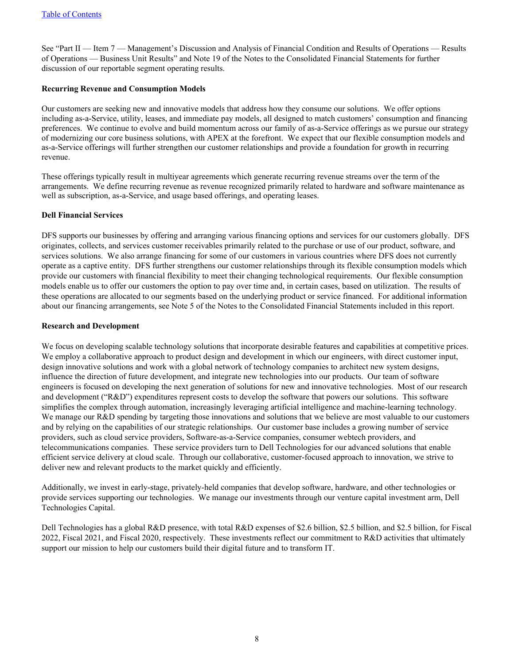See "Part II — Item 7 — Management's Discussion and Analysis of Financial Condition and Results of Operations — Results of Operations — Business Unit Results" and Note 19 of the Notes to the Consolidated Financial Statements for further discussion of our reportable segment operating results.

#### **Recurring Revenue and Consumption Models**

Our customers are seeking new and innovative models that address how they consume our solutions. We offer options including as-a-Service, utility, leases, and immediate pay models, all designed to match customers' consumption and financing preferences. We continue to evolve and build momentum across our family of as-a-Service offerings as we pursue our strategy of modernizing our core business solutions, with APEX at the forefront. We expect that our flexible consumption models and as-a-Service offerings will further strengthen our customer relationships and provide a foundation for growth in recurring revenue.

These offerings typically result in multiyear agreements which generate recurring revenue streams over the term of the arrangements. We define recurring revenue as revenue recognized primarily related to hardware and software maintenance as well as subscription, as-a-Service, and usage based offerings, and operating leases.

#### **Dell Financial Services**

DFS supports our businesses by offering and arranging various financing options and services for our customers globally. DFS originates, collects, and services customer receivables primarily related to the purchase or use of our product, software, and services solutions. We also arrange financing for some of our customers in various countries where DFS does not currently operate as a captive entity. DFS further strengthens our customer relationships through its flexible consumption models which provide our customers with financial flexibility to meet their changing technological requirements. Our flexible consumption models enable us to offer our customers the option to pay over time and, in certain cases, based on utilization. The results of these operations are allocated to our segments based on the underlying product or service financed. For additional information about our financing arrangements, see Note 5 of the Notes to the Consolidated Financial Statements included in this report.

#### **Research and Development**

We focus on developing scalable technology solutions that incorporate desirable features and capabilities at competitive prices. We employ a collaborative approach to product design and development in which our engineers, with direct customer input, design innovative solutions and work with a global network of technology companies to architect new system designs, influence the direction of future development, and integrate new technologies into our products. Our team of software engineers is focused on developing the next generation of solutions for new and innovative technologies. Most of our research and development ("R&D") expenditures represent costs to develop the software that powers our solutions. This software simplifies the complex through automation, increasingly leveraging artificial intelligence and machine-learning technology. We manage our R&D spending by targeting those innovations and solutions that we believe are most valuable to our customers and by relying on the capabilities of our strategic relationships. Our customer base includes a growing number of service providers, such as cloud service providers, Software-as-a-Service companies, consumer webtech providers, and telecommunications companies. These service providers turn to Dell Technologies for our advanced solutions that enable efficient service delivery at cloud scale. Through our collaborative, customer-focused approach to innovation, we strive to deliver new and relevant products to the market quickly and efficiently.

Additionally, we invest in early-stage, privately-held companies that develop software, hardware, and other technologies or provide services supporting our technologies. We manage our investments through our venture capital investment arm, Dell Technologies Capital.

Dell Technologies has a global R&D presence, with total R&D expenses of \$2.6 billion, \$2.5 billion, and \$2.5 billion, for Fiscal 2022, Fiscal 2021, and Fiscal 2020, respectively. These investments reflect our commitment to R&D activities that ultimately support our mission to help our customers build their digital future and to transform IT.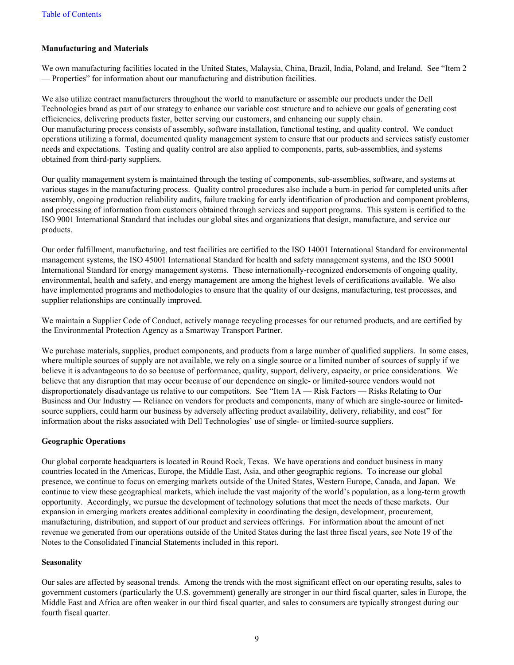#### **Manufacturing and Materials**

We own manufacturing facilities located in the United States, Malaysia, China, Brazil, India, Poland, and Ireland. See "Item 2 — Properties" for information about our manufacturing and distribution facilities.

We also utilize contract manufacturers throughout the world to manufacture or assemble our products under the Dell Technologies brand as part of our strategy to enhance our variable cost structure and to achieve our goals of generating cost efficiencies, delivering products faster, better serving our customers, and enhancing our supply chain. Our manufacturing process consists of assembly, software installation, functional testing, and quality control. We conduct operations utilizing a formal, documented quality management system to ensure that our products and services satisfy customer needs and expectations. Testing and quality control are also applied to components, parts, sub-assemblies, and systems obtained from third-party suppliers.

Our quality management system is maintained through the testing of components, sub-assemblies, software, and systems at various stages in the manufacturing process. Quality control procedures also include a burn-in period for completed units after assembly, ongoing production reliability audits, failure tracking for early identification of production and component problems, and processing of information from customers obtained through services and support programs. This system is certified to the ISO 9001 International Standard that includes our global sites and organizations that design, manufacture, and service our products.

Our order fulfillment, manufacturing, and test facilities are certified to the ISO 14001 International Standard for environmental management systems, the ISO 45001 International Standard for health and safety management systems, and the ISO 50001 International Standard for energy management systems. These internationally-recognized endorsements of ongoing quality, environmental, health and safety, and energy management are among the highest levels of certifications available. We also have implemented programs and methodologies to ensure that the quality of our designs, manufacturing, test processes, and supplier relationships are continually improved.

We maintain a Supplier Code of Conduct, actively manage recycling processes for our returned products, and are certified by the Environmental Protection Agency as a Smartway Transport Partner.

We purchase materials, supplies, product components, and products from a large number of qualified suppliers. In some cases, where multiple sources of supply are not available, we rely on a single source or a limited number of sources of supply if we believe it is advantageous to do so because of performance, quality, support, delivery, capacity, or price considerations. We believe that any disruption that may occur because of our dependence on single- or limited-source vendors would not disproportionately disadvantage us relative to our competitors. See "Item 1A — Risk Factors — Risks Relating to Our Business and Our Industry — Reliance on vendors for products and components, many of which are single-source or limitedsource suppliers, could harm our business by adversely affecting product availability, delivery, reliability, and cost" for information about the risks associated with Dell Technologies' use of single- or limited-source suppliers.

#### **Geographic Operations**

Our global corporate headquarters is located in Round Rock, Texas. We have operations and conduct business in many countries located in the Americas, Europe, the Middle East, Asia, and other geographic regions. To increase our global presence, we continue to focus on emerging markets outside of the United States, Western Europe, Canada, and Japan. We continue to view these geographical markets, which include the vast majority of the world's population, as a long-term growth opportunity. Accordingly, we pursue the development of technology solutions that meet the needs of these markets. Our expansion in emerging markets creates additional complexity in coordinating the design, development, procurement, manufacturing, distribution, and support of our product and services offerings. For information about the amount of net revenue we generated from our operations outside of the United States during the last three fiscal years, see Note 19 of the Notes to the Consolidated Financial Statements included in this report.

#### **Seasonality**

Our sales are affected by seasonal trends. Among the trends with the most significant effect on our operating results, sales to government customers (particularly the U.S. government) generally are stronger in our third fiscal quarter, sales in Europe, the Middle East and Africa are often weaker in our third fiscal quarter, and sales to consumers are typically strongest during our fourth fiscal quarter.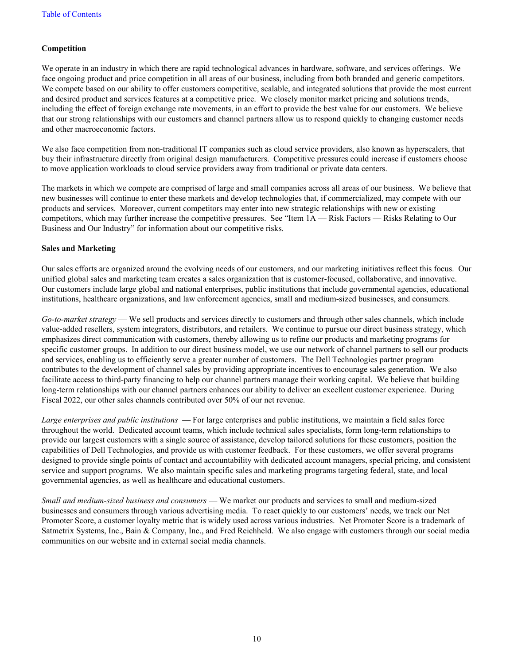#### **Competition**

We operate in an industry in which there are rapid technological advances in hardware, software, and services offerings. We face ongoing product and price competition in all areas of our business, including from both branded and generic competitors. We compete based on our ability to offer customers competitive, scalable, and integrated solutions that provide the most current and desired product and services features at a competitive price. We closely monitor market pricing and solutions trends, including the effect of foreign exchange rate movements, in an effort to provide the best value for our customers. We believe that our strong relationships with our customers and channel partners allow us to respond quickly to changing customer needs and other macroeconomic factors.

We also face competition from non-traditional IT companies such as cloud service providers, also known as hyperscalers, that buy their infrastructure directly from original design manufacturers. Competitive pressures could increase if customers choose to move application workloads to cloud service providers away from traditional or private data centers.

The markets in which we compete are comprised of large and small companies across all areas of our business. We believe that new businesses will continue to enter these markets and develop technologies that, if commercialized, may compete with our products and services. Moreover, current competitors may enter into new strategic relationships with new or existing competitors, which may further increase the competitive pressures. See "Item 1A — Risk Factors — Risks Relating to Our Business and Our Industry" for information about our competitive risks.

#### **Sales and Marketing**

Our sales efforts are organized around the evolving needs of our customers, and our marketing initiatives reflect this focus. Our unified global sales and marketing team creates a sales organization that is customer-focused, collaborative, and innovative. Our customers include large global and national enterprises, public institutions that include governmental agencies, educational institutions, healthcare organizations, and law enforcement agencies, small and medium-sized businesses, and consumers.

*Go-to-market strategy* — We sell products and services directly to customers and through other sales channels, which include value-added resellers, system integrators, distributors, and retailers. We continue to pursue our direct business strategy, which emphasizes direct communication with customers, thereby allowing us to refine our products and marketing programs for specific customer groups. In addition to our direct business model, we use our network of channel partners to sell our products and services, enabling us to efficiently serve a greater number of customers. The Dell Technologies partner program contributes to the development of channel sales by providing appropriate incentives to encourage sales generation. We also facilitate access to third-party financing to help our channel partners manage their working capital. We believe that building long-term relationships with our channel partners enhances our ability to deliver an excellent customer experience. During Fiscal 2022, our other sales channels contributed over 50% of our net revenue.

*Large enterprises and public institutions* — For large enterprises and public institutions, we maintain a field sales force throughout the world. Dedicated account teams, which include technical sales specialists, form long-term relationships to provide our largest customers with a single source of assistance, develop tailored solutions for these customers, position the capabilities of Dell Technologies, and provide us with customer feedback. For these customers, we offer several programs designed to provide single points of contact and accountability with dedicated account managers, special pricing, and consistent service and support programs. We also maintain specific sales and marketing programs targeting federal, state, and local governmental agencies, as well as healthcare and educational customers.

*Small and medium-sized business and consumers* — We market our products and services to small and medium-sized businesses and consumers through various advertising media. To react quickly to our customers' needs, we track our Net Promoter Score, a customer loyalty metric that is widely used across various industries. Net Promoter Score is a trademark of Satmetrix Systems, Inc., Bain & Company, Inc., and Fred Reichheld. We also engage with customers through our social media communities on our website and in external social media channels.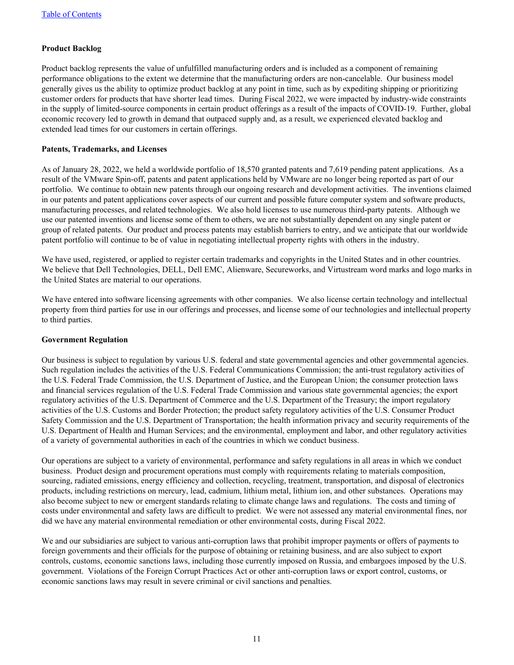#### **Product Backlog**

Product backlog represents the value of unfulfilled manufacturing orders and is included as a component of remaining performance obligations to the extent we determine that the manufacturing orders are non-cancelable. Our business model generally gives us the ability to optimize product backlog at any point in time, such as by expediting shipping or prioritizing customer orders for products that have shorter lead times. During Fiscal 2022, we were impacted by industry-wide constraints in the supply of limited-source components in certain product offerings as a result of the impacts of COVID-19. Further, global economic recovery led to growth in demand that outpaced supply and, as a result, we experienced elevated backlog and extended lead times for our customers in certain offerings.

#### **Patents, Trademarks, and Licenses**

As of January 28, 2022, we held a worldwide portfolio of 18,570 granted patents and 7,619 pending patent applications. As a result of the VMware Spin-off, patents and patent applications held by VMware are no longer being reported as part of our portfolio. We continue to obtain new patents through our ongoing research and development activities. The inventions claimed in our patents and patent applications cover aspects of our current and possible future computer system and software products, manufacturing processes, and related technologies. We also hold licenses to use numerous third-party patents. Although we use our patented inventions and license some of them to others, we are not substantially dependent on any single patent or group of related patents. Our product and process patents may establish barriers to entry, and we anticipate that our worldwide patent portfolio will continue to be of value in negotiating intellectual property rights with others in the industry.

We have used, registered, or applied to register certain trademarks and copyrights in the United States and in other countries. We believe that Dell Technologies, DELL, Dell EMC, Alienware, Secureworks, and Virtustream word marks and logo marks in the United States are material to our operations.

We have entered into software licensing agreements with other companies. We also license certain technology and intellectual property from third parties for use in our offerings and processes, and license some of our technologies and intellectual property to third parties.

#### **Government Regulation**

Our business is subject to regulation by various U.S. federal and state governmental agencies and other governmental agencies. Such regulation includes the activities of the U.S. Federal Communications Commission; the anti-trust regulatory activities of the U.S. Federal Trade Commission, the U.S. Department of Justice, and the European Union; the consumer protection laws and financial services regulation of the U.S. Federal Trade Commission and various state governmental agencies; the export regulatory activities of the U.S. Department of Commerce and the U.S. Department of the Treasury; the import regulatory activities of the U.S. Customs and Border Protection; the product safety regulatory activities of the U.S. Consumer Product Safety Commission and the U.S. Department of Transportation; the health information privacy and security requirements of the U.S. Department of Health and Human Services; and the environmental, employment and labor, and other regulatory activities of a variety of governmental authorities in each of the countries in which we conduct business.

Our operations are subject to a variety of environmental, performance and safety regulations in all areas in which we conduct business. Product design and procurement operations must comply with requirements relating to materials composition, sourcing, radiated emissions, energy efficiency and collection, recycling, treatment, transportation, and disposal of electronics products, including restrictions on mercury, lead, cadmium, lithium metal, lithium ion, and other substances. Operations may also become subject to new or emergent standards relating to climate change laws and regulations. The costs and timing of costs under environmental and safety laws are difficult to predict. We were not assessed any material environmental fines, nor did we have any material environmental remediation or other environmental costs, during Fiscal 2022.

We and our subsidiaries are subject to various anti-corruption laws that prohibit improper payments or offers of payments to foreign governments and their officials for the purpose of obtaining or retaining business, and are also subject to export controls, customs, economic sanctions laws, including those currently imposed on Russia, and embargoes imposed by the U.S. government. Violations of the Foreign Corrupt Practices Act or other anti-corruption laws or export control, customs, or economic sanctions laws may result in severe criminal or civil sanctions and penalties.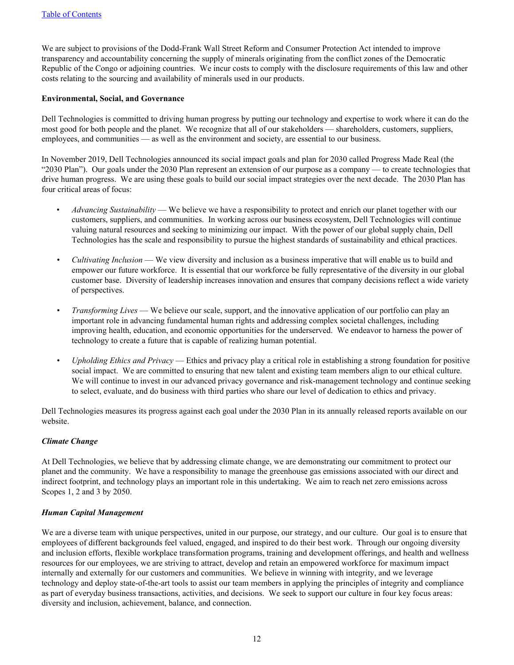We are subject to provisions of the Dodd-Frank Wall Street Reform and Consumer Protection Act intended to improve transparency and accountability concerning the supply of minerals originating from the conflict zones of the Democratic Republic of the Congo or adjoining countries. We incur costs to comply with the disclosure requirements of this law and other costs relating to the sourcing and availability of minerals used in our products.

#### **Environmental, Social, and Governance**

Dell Technologies is committed to driving human progress by putting our technology and expertise to work where it can do the most good for both people and the planet. We recognize that all of our stakeholders — shareholders, customers, suppliers, employees, and communities — as well as the environment and society, are essential to our business.

In November 2019, Dell Technologies announced its social impact goals and plan for 2030 called Progress Made Real (the "2030 Plan"). Our goals under the 2030 Plan represent an extension of our purpose as a company — to create technologies that drive human progress. We are using these goals to build our social impact strategies over the next decade. The 2030 Plan has four critical areas of focus:

- *Advancing Sustainability* We believe we have a responsibility to protect and enrich our planet together with our customers, suppliers, and communities. In working across our business ecosystem, Dell Technologies will continue valuing natural resources and seeking to minimizing our impact. With the power of our global supply chain, Dell Technologies has the scale and responsibility to pursue the highest standards of sustainability and ethical practices.
- *Cultivating Inclusion* We view diversity and inclusion as a business imperative that will enable us to build and empower our future workforce. It is essential that our workforce be fully representative of the diversity in our global customer base. Diversity of leadership increases innovation and ensures that company decisions reflect a wide variety of perspectives.
- *<i>Transforming Lives* We believe our scale, support, and the innovative application of our portfolio can play an important role in advancing fundamental human rights and addressing complex societal challenges, including improving health, education, and economic opportunities for the underserved. We endeavor to harness the power of technology to create a future that is capable of realizing human potential.
- *• Upholding Ethics and Privacy*  Ethics and privacy play a critical role in establishing a strong foundation for positive social impact. We are committed to ensuring that new talent and existing team members align to our ethical culture. We will continue to invest in our advanced privacy governance and risk-management technology and continue seeking to select, evaluate, and do business with third parties who share our level of dedication to ethics and privacy.

Dell Technologies measures its progress against each goal under the 2030 Plan in its annually released reports available on our website.

#### *Climate Change*

At Dell Technologies, we believe that by addressing climate change, we are demonstrating our commitment to protect our planet and the community. We have a responsibility to manage the greenhouse gas emissions associated with our direct and indirect footprint, and technology plays an important role in this undertaking. We aim to reach net zero emissions across Scopes 1, 2 and 3 by 2050.

#### *Human Capital Management*

We are a diverse team with unique perspectives, united in our purpose, our strategy, and our culture. Our goal is to ensure that employees of different backgrounds feel valued, engaged, and inspired to do their best work. Through our ongoing diversity and inclusion efforts, flexible workplace transformation programs, training and development offerings, and health and wellness resources for our employees, we are striving to attract, develop and retain an empowered workforce for maximum impact internally and externally for our customers and communities. We believe in winning with integrity, and we leverage technology and deploy state-of-the-art tools to assist our team members in applying the principles of integrity and compliance as part of everyday business transactions, activities, and decisions. We seek to support our culture in four key focus areas: diversity and inclusion, achievement, balance, and connection.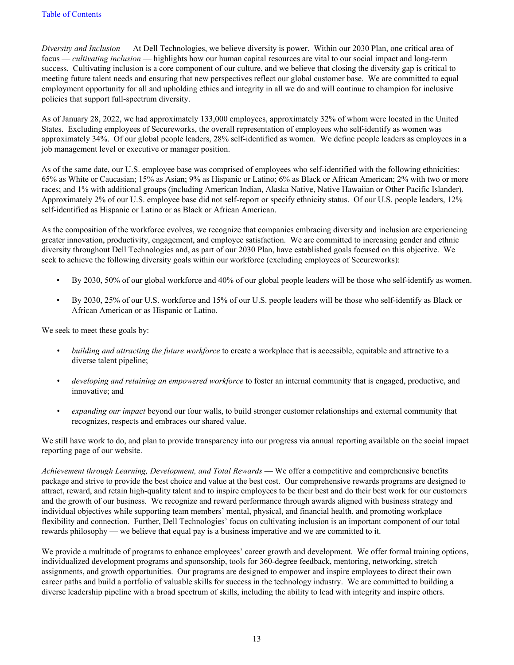*Diversity and Inclusion* — At Dell Technologies, we believe diversity is power. Within our 2030 Plan, one critical area of focus — *cultivating inclusion* — highlights how our human capital resources are vital to our social impact and long-term success. Cultivating inclusion is a core component of our culture, and we believe that closing the diversity gap is critical to meeting future talent needs and ensuring that new perspectives reflect our global customer base. We are committed to equal employment opportunity for all and upholding ethics and integrity in all we do and will continue to champion for inclusive policies that support full-spectrum diversity.

As of January 28, 2022, we had approximately 133,000 employees, approximately 32% of whom were located in the United States. Excluding employees of Secureworks, the overall representation of employees who self-identify as women was approximately 34%. Of our global people leaders, 28% self-identified as women. We define people leaders as employees in a job management level or executive or manager position.

As of the same date, our U.S. employee base was comprised of employees who self-identified with the following ethnicities: 65% as White or Caucasian; 15% as Asian; 9% as Hispanic or Latino; 6% as Black or African American; 2% with two or more races; and 1% with additional groups (including American Indian, Alaska Native, Native Hawaiian or Other Pacific Islander). Approximately 2% of our U.S. employee base did not self-report or specify ethnicity status. Of our U.S. people leaders, 12% self-identified as Hispanic or Latino or as Black or African American.

As the composition of the workforce evolves, we recognize that companies embracing diversity and inclusion are experiencing greater innovation, productivity, engagement, and employee satisfaction. We are committed to increasing gender and ethnic diversity throughout Dell Technologies and, as part of our 2030 Plan, have established goals focused on this objective. We seek to achieve the following diversity goals within our workforce (excluding employees of Secureworks):

- By 2030, 50% of our global workforce and 40% of our global people leaders will be those who self-identify as women.
- By 2030, 25% of our U.S. workforce and 15% of our U.S. people leaders will be those who self-identify as Black or African American or as Hispanic or Latino.

We seek to meet these goals by:

- *• building and attracting the future workforce* to create a workplace that is accessible, equitable and attractive to a diverse talent pipeline;
- *• developing and retaining an empowered workforce* to foster an internal community that is engaged, productive, and innovative; and
- *• expanding our impact* beyond our four walls, to build stronger customer relationships and external community that recognizes, respects and embraces our shared value.

We still have work to do, and plan to provide transparency into our progress via annual reporting available on the social impact reporting page of our website.

*Achievement through Learning, Development, and Total Rewards* — We offer a competitive and comprehensive benefits package and strive to provide the best choice and value at the best cost. Our comprehensive rewards programs are designed to attract, reward, and retain high-quality talent and to inspire employees to be their best and do their best work for our customers and the growth of our business. We recognize and reward performance through awards aligned with business strategy and individual objectives while supporting team members' mental, physical, and financial health, and promoting workplace flexibility and connection. Further, Dell Technologies' focus on cultivating inclusion is an important component of our total rewards philosophy — we believe that equal pay is a business imperative and we are committed to it.

We provide a multitude of programs to enhance employees' career growth and development. We offer formal training options, individualized development programs and sponsorship, tools for 360-degree feedback, mentoring, networking, stretch assignments, and growth opportunities. Our programs are designed to empower and inspire employees to direct their own career paths and build a portfolio of valuable skills for success in the technology industry. We are committed to building a diverse leadership pipeline with a broad spectrum of skills, including the ability to lead with integrity and inspire others.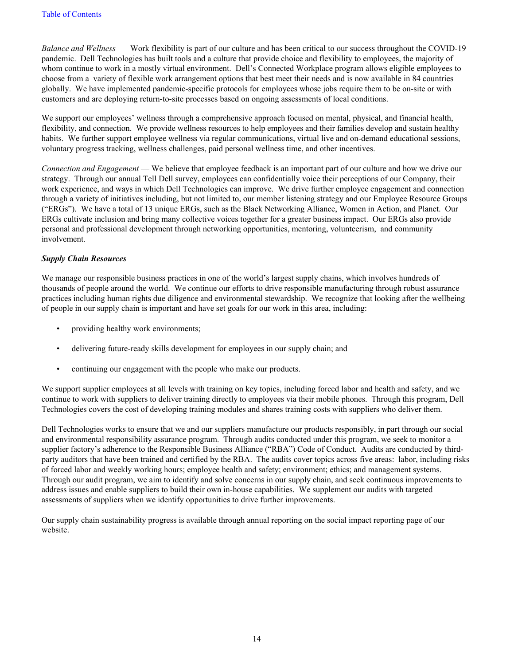*Balance and Wellness* — Work flexibility is part of our culture and has been critical to our success throughout the COVID-19 pandemic. Dell Technologies has built tools and a culture that provide choice and flexibility to employees, the majority of whom continue to work in a mostly virtual environment. Dell's Connected Workplace program allows eligible employees to choose from a variety of flexible work arrangement options that best meet their needs and is now available in 84 countries globally. We have implemented pandemic-specific protocols for employees whose jobs require them to be on-site or with customers and are deploying return-to-site processes based on ongoing assessments of local conditions.

We support our employees' wellness through a comprehensive approach focused on mental, physical, and financial health, flexibility, and connection. We provide wellness resources to help employees and their families develop and sustain healthy habits. We further support employee wellness via regular communications, virtual live and on-demand educational sessions, voluntary progress tracking, wellness challenges, paid personal wellness time, and other incentives.

*Connection and Engagement* — We believe that employee feedback is an important part of our culture and how we drive our strategy. Through our annual Tell Dell survey, employees can confidentially voice their perceptions of our Company, their work experience, and ways in which Dell Technologies can improve. We drive further employee engagement and connection through a variety of initiatives including, but not limited to, our member listening strategy and our Employee Resource Groups ("ERGs"). We have a total of 13 unique ERGs, such as the Black Networking Alliance, Women in Action, and Planet. Our ERGs cultivate inclusion and bring many collective voices together for a greater business impact. Our ERGs also provide personal and professional development through networking opportunities, mentoring, volunteerism, and community involvement.

#### *Supply Chain Resources*

We manage our responsible business practices in one of the world's largest supply chains, which involves hundreds of thousands of people around the world. We continue our efforts to drive responsible manufacturing through robust assurance practices including human rights due diligence and environmental stewardship. We recognize that looking after the wellbeing of people in our supply chain is important and have set goals for our work in this area, including:

- providing healthy work environments;
- delivering future-ready skills development for employees in our supply chain; and
- continuing our engagement with the people who make our products.

We support supplier employees at all levels with training on key topics, including forced labor and health and safety, and we continue to work with suppliers to deliver training directly to employees via their mobile phones. Through this program, Dell Technologies covers the cost of developing training modules and shares training costs with suppliers who deliver them.

Dell Technologies works to ensure that we and our suppliers manufacture our products responsibly, in part through our social and environmental responsibility assurance program. Through audits conducted under this program, we seek to monitor a supplier factory's adherence to the Responsible Business Alliance ("RBA") Code of Conduct. Audits are conducted by thirdparty auditors that have been trained and certified by the RBA. The audits cover topics across five areas: labor, including risks of forced labor and weekly working hours; employee health and safety; environment; ethics; and management systems. Through our audit program, we aim to identify and solve concerns in our supply chain, and seek continuous improvements to address issues and enable suppliers to build their own in-house capabilities. We supplement our audits with targeted assessments of suppliers when we identify opportunities to drive further improvements.

Our supply chain sustainability progress is available through annual reporting on the social impact reporting page of our website.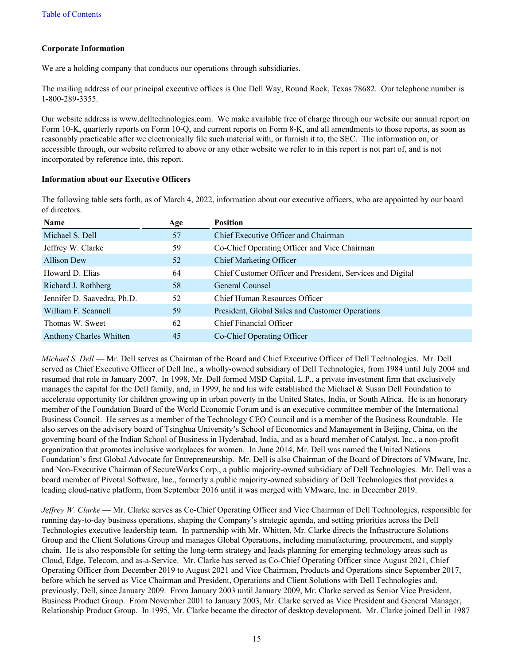#### **Corporate Information**

We are a holding company that conducts our operations through subsidiaries.

The mailing address of our principal executive offices is One Dell Way, Round Rock, Texas 78682. Our telephone number is 1-800-289-3355.

Our website address is www.delltechnologies.com. We make available free of charge through our website our annual report on Form 10-K, quarterly reports on Form 10-Q, and current reports on Form 8-K, and all amendments to those reports, as soon as reasonably practicable after we electronically file such material with, or furnish it to, the SEC. The information on, or accessible through, our website referred to above or any other website we refer to in this report is not part of, and is not incorporated by reference into, this report.

#### **Information about our Executive Officers**

The following table sets forth, as of March 4, 2022, information about our executive officers, who are appointed by our board of directors.

| Name                           | Age | <b>Position</b>                                            |
|--------------------------------|-----|------------------------------------------------------------|
| Michael S. Dell                | 57  | Chief Executive Officer and Chairman                       |
| Jeffrey W. Clarke              | 59  | Co-Chief Operating Officer and Vice Chairman               |
| <b>Allison Dew</b>             | 52  | <b>Chief Marketing Officer</b>                             |
| Howard D. Elias                | 64  | Chief Customer Officer and President, Services and Digital |
| Richard J. Rothberg            | 58  | General Counsel                                            |
| Jennifer D. Saavedra, Ph.D.    | 52  | Chief Human Resources Officer                              |
| William F. Scannell            | 59  | President, Global Sales and Customer Operations            |
| Thomas W. Sweet                | 62  | Chief Financial Officer                                    |
| <b>Anthony Charles Whitten</b> | 45  | Co-Chief Operating Officer                                 |
|                                |     |                                                            |

*Michael S. Dell* — Mr. Dell serves as Chairman of the Board and Chief Executive Officer of Dell Technologies. Mr. Dell served as Chief Executive Officer of Dell Inc., a wholly-owned subsidiary of Dell Technologies, from 1984 until July 2004 and resumed that role in January 2007. In 1998, Mr. Dell formed MSD Capital, L.P., a private investment firm that exclusively manages the capital for the Dell family, and, in 1999, he and his wife established the Michael  $\&$  Susan Dell Foundation to accelerate opportunity for children growing up in urban poverty in the United States, India, or South Africa. He is an honorary member of the Foundation Board of the World Economic Forum and is an executive committee member of the International Business Council. He serves as a member of the Technology CEO Council and is a member of the Business Roundtable. He also serves on the advisory board of Tsinghua University's School of Economics and Management in Beijing, China, on the governing board of the Indian School of Business in Hyderabad, India, and as a board member of Catalyst, Inc., a non-profit organization that promotes inclusive workplaces for women. In June 2014, Mr. Dell was named the United Nations Foundation's first Global Advocate for Entrepreneurship. Mr. Dell is also Chairman of the Board of Directors of VMware, Inc. and Non-Executive Chairman of SecureWorks Corp., a public majority-owned subsidiary of Dell Technologies. Mr. Dell was a board member of Pivotal Software, Inc., formerly a public majority-owned subsidiary of Dell Technologies that provides a leading cloud-native platform, from September 2016 until it was merged with VMware, Inc. in December 2019.

*Jeffrey W. Clarke* — Mr. Clarke serves as Co-Chief Operating Officer and Vice Chairman of Dell Technologies, responsible for running day-to-day business operations, shaping the Company's strategic agenda, and setting priorities across the Dell Technologies executive leadership team. In partnership with Mr. Whitten, Mr. Clarke directs the Infrastructure Solutions Group and the Client Solutions Group and manages Global Operations, including manufacturing, procurement, and supply chain. He is also responsible for setting the long-term strategy and leads planning for emerging technology areas such as Cloud, Edge, Telecom, and as-a-Service. Mr. Clarke has served as Co-Chief Operating Officer since August 2021, Chief Operating Officer from December 2019 to August 2021 and Vice Chairman, Products and Operations since September 2017, before which he served as Vice Chairman and President, Operations and Client Solutions with Dell Technologies and, previously, Dell, since January 2009. From January 2003 until January 2009, Mr. Clarke served as Senior Vice President, Business Product Group. From November 2001 to January 2003, Mr. Clarke served as Vice President and General Manager, Relationship Product Group. In 1995, Mr. Clarke became the director of desktop development. Mr. Clarke joined Dell in 1987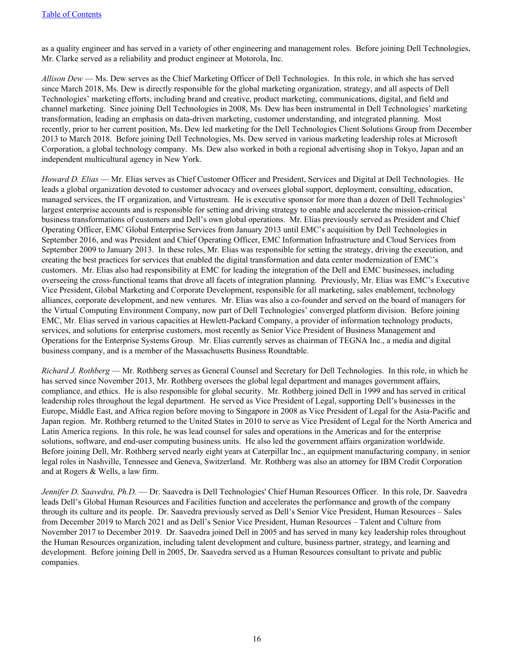as a quality engineer and has served in a variety of other engineering and management roles. Before joining Dell Technologies, Mr. Clarke served as a reliability and product engineer at Motorola, Inc.

*Allison Dew* — Ms. Dew serves as the Chief Marketing Officer of Dell Technologies. In this role, in which she has served since March 2018, Ms. Dew is directly responsible for the global marketing organization, strategy, and all aspects of Dell Technologies' marketing efforts, including brand and creative, product marketing, communications, digital, and field and channel marketing. Since joining Dell Technologies in 2008, Ms. Dew has been instrumental in Dell Technologies' marketing transformation, leading an emphasis on data-driven marketing, customer understanding, and integrated planning. Most recently, prior to her current position, Ms. Dew led marketing for the Dell Technologies Client Solutions Group from December 2013 to March 2018. Before joining Dell Technologies, Ms. Dew served in various marketing leadership roles at Microsoft Corporation, a global technology company. Ms. Dew also worked in both a regional advertising shop in Tokyo, Japan and an independent multicultural agency in New York.

*Howard D. Elias* — Mr. Elias serves as Chief Customer Officer and President, Services and Digital at Dell Technologies. He leads a global organization devoted to customer advocacy and oversees global support, deployment, consulting, education, managed services, the IT organization, and Virtustream. He is executive sponsor for more than a dozen of Dell Technologies' largest enterprise accounts and is responsible for setting and driving strategy to enable and accelerate the mission-critical business transformations of customers and Dell's own global operations. Mr. Elias previously served as President and Chief Operating Officer, EMC Global Enterprise Services from January 2013 until EMC's acquisition by Dell Technologies in September 2016, and was President and Chief Operating Officer, EMC Information Infrastructure and Cloud Services from September 2009 to January 2013. In these roles, Mr. Elias was responsible for setting the strategy, driving the execution, and creating the best practices for services that enabled the digital transformation and data center modernization of EMC's customers. Mr. Elias also had responsibility at EMC for leading the integration of the Dell and EMC businesses, including overseeing the cross-functional teams that drove all facets of integration planning. Previously, Mr. Elias was EMC's Executive Vice President, Global Marketing and Corporate Development, responsible for all marketing, sales enablement, technology alliances, corporate development, and new ventures. Mr. Elias was also a co-founder and served on the board of managers for the Virtual Computing Environment Company, now part of Dell Technologies' converged platform division. Before joining EMC, Mr. Elias served in various capacities at Hewlett-Packard Company, a provider of information technology products, services, and solutions for enterprise customers, most recently as Senior Vice President of Business Management and Operations for the Enterprise Systems Group. Mr. Elias currently serves as chairman of TEGNA Inc., a media and digital business company, and is a member of the Massachusetts Business Roundtable.

*Richard J. Rothberg* — Mr. Rothberg serves as General Counsel and Secretary for Dell Technologies. In this role, in which he has served since November 2013, Mr. Rothberg oversees the global legal department and manages government affairs, compliance, and ethics. He is also responsible for global security. Mr. Rothberg joined Dell in 1999 and has served in critical leadership roles throughout the legal department. He served as Vice President of Legal, supporting Dell's businesses in the Europe, Middle East, and Africa region before moving to Singapore in 2008 as Vice President of Legal for the Asia-Pacific and Japan region. Mr. Rothberg returned to the United States in 2010 to serve as Vice President of Legal for the North America and Latin America regions. In this role, he was lead counsel for sales and operations in the Americas and for the enterprise solutions, software, and end-user computing business units. He also led the government affairs organization worldwide. Before joining Dell, Mr. Rothberg served nearly eight years at Caterpillar Inc., an equipment manufacturing company, in senior legal roles in Nashville, Tennessee and Geneva, Switzerland. Mr. Rothberg was also an attorney for IBM Credit Corporation and at Rogers & Wells, a law firm.

*Jennifer D. Saavedra, Ph.D.* — Dr. Saavedra is Dell Technologies' Chief Human Resources Officer. In this role, Dr. Saavedra leads Dell's Global Human Resources and Facilities function and accelerates the performance and growth of the company through its culture and its people. Dr. Saavedra previously served as Dell's Senior Vice President, Human Resources – Sales from December 2019 to March 2021 and as Dell's Senior Vice President, Human Resources – Talent and Culture from November 2017 to December 2019. Dr. Saavedra joined Dell in 2005 and has served in many key leadership roles throughout the Human Resources organization, including talent development and culture, business partner, strategy, and learning and development. Before joining Dell in 2005, Dr. Saavedra served as a Human Resources consultant to private and public companies.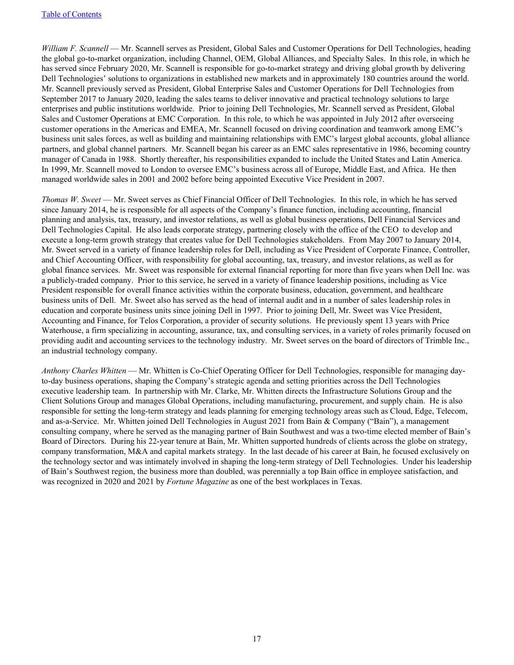*William F. Scannell* — Mr. Scannell serves as President, Global Sales and Customer Operations for Dell Technologies, heading the global go-to-market organization, including Channel, OEM, Global Alliances, and Specialty Sales. In this role, in which he has served since February 2020, Mr. Scannell is responsible for go-to-market strategy and driving global growth by delivering Dell Technologies' solutions to organizations in established new markets and in approximately 180 countries around the world. Mr. Scannell previously served as President, Global Enterprise Sales and Customer Operations for Dell Technologies from September 2017 to January 2020, leading the sales teams to deliver innovative and practical technology solutions to large enterprises and public institutions worldwide. Prior to joining Dell Technologies, Mr. Scannell served as President, Global Sales and Customer Operations at EMC Corporation. In this role, to which he was appointed in July 2012 after overseeing customer operations in the Americas and EMEA, Mr. Scannell focused on driving coordination and teamwork among EMC's business unit sales forces, as well as building and maintaining relationships with EMC's largest global accounts, global alliance partners, and global channel partners. Mr. Scannell began his career as an EMC sales representative in 1986, becoming country manager of Canada in 1988. Shortly thereafter, his responsibilities expanded to include the United States and Latin America. In 1999, Mr. Scannell moved to London to oversee EMC's business across all of Europe, Middle East, and Africa. He then managed worldwide sales in 2001 and 2002 before being appointed Executive Vice President in 2007.

*Thomas W. Sweet* — Mr. Sweet serves as Chief Financial Officer of Dell Technologies. In this role, in which he has served since January 2014, he is responsible for all aspects of the Company's finance function, including accounting, financial planning and analysis, tax, treasury, and investor relations, as well as global business operations, Dell Financial Services and Dell Technologies Capital. He also leads corporate strategy, partnering closely with the office of the CEO to develop and execute a long-term growth strategy that creates value for Dell Technologies stakeholders. From May 2007 to January 2014, Mr. Sweet served in a variety of finance leadership roles for Dell, including as Vice President of Corporate Finance, Controller, and Chief Accounting Officer, with responsibility for global accounting, tax, treasury, and investor relations, as well as for global finance services. Mr. Sweet was responsible for external financial reporting for more than five years when Dell Inc. was a publicly-traded company. Prior to this service, he served in a variety of finance leadership positions, including as Vice President responsible for overall finance activities within the corporate business, education, government, and healthcare business units of Dell. Mr. Sweet also has served as the head of internal audit and in a number of sales leadership roles in education and corporate business units since joining Dell in 1997. Prior to joining Dell, Mr. Sweet was Vice President, Accounting and Finance, for Telos Corporation, a provider of security solutions. He previously spent 13 years with Price Waterhouse, a firm specializing in accounting, assurance, tax, and consulting services, in a variety of roles primarily focused on providing audit and accounting services to the technology industry. Mr. Sweet serves on the board of directors of Trimble Inc., an industrial technology company.

*Anthony Charles Whitten* — Mr. Whitten is Co-Chief Operating Officer for Dell Technologies, responsible for managing dayto-day business operations, shaping the Company's strategic agenda and setting priorities across the Dell Technologies executive leadership team. In partnership with Mr. Clarke, Mr. Whitten directs the Infrastructure Solutions Group and the Client Solutions Group and manages Global Operations, including manufacturing, procurement, and supply chain. He is also responsible for setting the long-term strategy and leads planning for emerging technology areas such as Cloud, Edge, Telecom, and as-a-Service. Mr. Whitten joined Dell Technologies in August 2021 from Bain & Company ("Bain"), a management consulting company, where he served as the managing partner of Bain Southwest and was a two-time elected member of Bain's Board of Directors. During his 22-year tenure at Bain, Mr. Whitten supported hundreds of clients across the globe on strategy, company transformation, M&A and capital markets strategy. In the last decade of his career at Bain, he focused exclusively on the technology sector and was intimately involved in shaping the long-term strategy of Dell Technologies. Under his leadership of Bain's Southwest region, the business more than doubled, was perennially a top Bain office in employee satisfaction, and was recognized in 2020 and 2021 by *Fortune Magazine* as one of the best workplaces in Texas.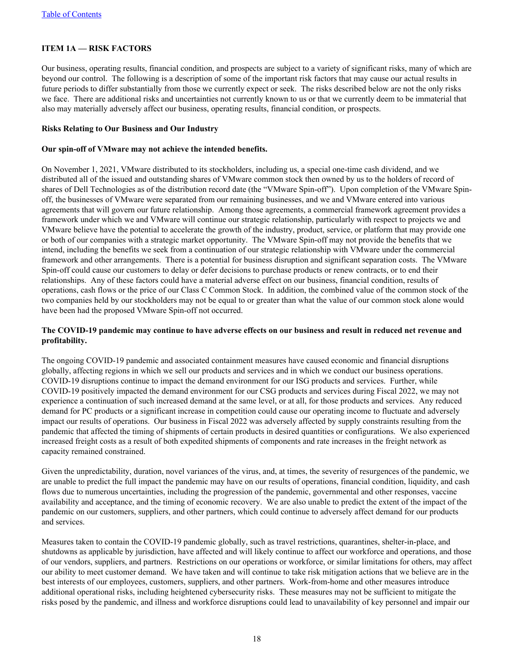#### <span id="page-17-0"></span>**ITEM 1A — RISK FACTORS**

Our business, operating results, financial condition, and prospects are subject to a variety of significant risks, many of which are beyond our control. The following is a description of some of the important risk factors that may cause our actual results in future periods to differ substantially from those we currently expect or seek. The risks described below are not the only risks we face. There are additional risks and uncertainties not currently known to us or that we currently deem to be immaterial that also may materially adversely affect our business, operating results, financial condition, or prospects.

#### **Risks Relating to Our Business and Our Industry**

#### **Our spin-off of VMware may not achieve the intended benefits.**

On November 1, 2021, VMware distributed to its stockholders, including us, a special one-time cash dividend, and we distributed all of the issued and outstanding shares of VMware common stock then owned by us to the holders of record of shares of Dell Technologies as of the distribution record date (the "VMware Spin-off"). Upon completion of the VMware Spinoff, the businesses of VMware were separated from our remaining businesses, and we and VMware entered into various agreements that will govern our future relationship. Among those agreements, a commercial framework agreement provides a framework under which we and VMware will continue our strategic relationship, particularly with respect to projects we and VMware believe have the potential to accelerate the growth of the industry, product, service, or platform that may provide one or both of our companies with a strategic market opportunity. The VMware Spin-off may not provide the benefits that we intend, including the benefits we seek from a continuation of our strategic relationship with VMware under the commercial framework and other arrangements. There is a potential for business disruption and significant separation costs. The VMware Spin-off could cause our customers to delay or defer decisions to purchase products or renew contracts, or to end their relationships. Any of these factors could have a material adverse effect on our business, financial condition, results of operations, cash flows or the price of our Class C Common Stock. In addition, the combined value of the common stock of the two companies held by our stockholders may not be equal to or greater than what the value of our common stock alone would have been had the proposed VMware Spin-off not occurred.

#### **The COVID-19 pandemic may continue to have adverse effects on our business and result in reduced net revenue and profitability.**

The ongoing COVID-19 pandemic and associated containment measures have caused economic and financial disruptions globally, affecting regions in which we sell our products and services and in which we conduct our business operations. COVID-19 disruptions continue to impact the demand environment for our ISG products and services. Further, while COVID-19 positively impacted the demand environment for our CSG products and services during Fiscal 2022, we may not experience a continuation of such increased demand at the same level, or at all, for those products and services. Any reduced demand for PC products or a significant increase in competition could cause our operating income to fluctuate and adversely impact our results of operations. Our business in Fiscal 2022 was adversely affected by supply constraints resulting from the pandemic that affected the timing of shipments of certain products in desired quantities or configurations. We also experienced increased freight costs as a result of both expedited shipments of components and rate increases in the freight network as capacity remained constrained.

Given the unpredictability, duration, novel variances of the virus, and, at times, the severity of resurgences of the pandemic, we are unable to predict the full impact the pandemic may have on our results of operations, financial condition, liquidity, and cash flows due to numerous uncertainties, including the progression of the pandemic, governmental and other responses, vaccine availability and acceptance, and the timing of economic recovery. We are also unable to predict the extent of the impact of the pandemic on our customers, suppliers, and other partners, which could continue to adversely affect demand for our products and services.

Measures taken to contain the COVID-19 pandemic globally, such as travel restrictions, quarantines, shelter-in-place, and shutdowns as applicable by jurisdiction, have affected and will likely continue to affect our workforce and operations, and those of our vendors, suppliers, and partners. Restrictions on our operations or workforce, or similar limitations for others, may affect our ability to meet customer demand. We have taken and will continue to take risk mitigation actions that we believe are in the best interests of our employees, customers, suppliers, and other partners. Work-from-home and other measures introduce additional operational risks, including heightened cybersecurity risks. These measures may not be sufficient to mitigate the risks posed by the pandemic, and illness and workforce disruptions could lead to unavailability of key personnel and impair our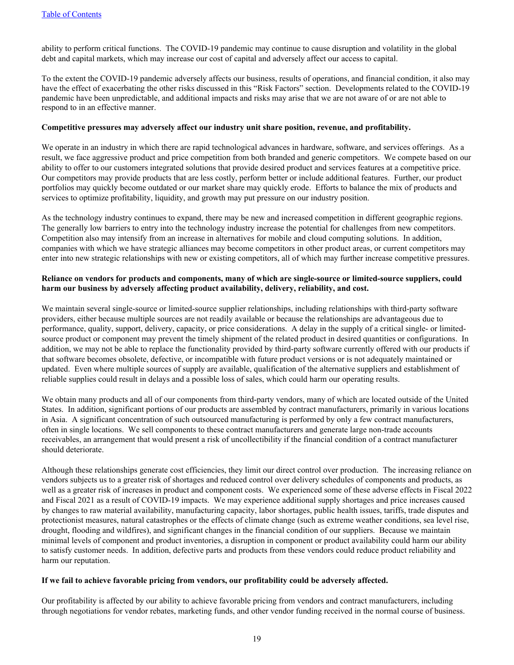ability to perform critical functions. The COVID-19 pandemic may continue to cause disruption and volatility in the global debt and capital markets, which may increase our cost of capital and adversely affect our access to capital.

To the extent the COVID-19 pandemic adversely affects our business, results of operations, and financial condition, it also may have the effect of exacerbating the other risks discussed in this "Risk Factors" section. Developments related to the COVID-19 pandemic have been unpredictable, and additional impacts and risks may arise that we are not aware of or are not able to respond to in an effective manner.

#### **Competitive pressures may adversely affect our industry unit share position, revenue, and profitability.**

We operate in an industry in which there are rapid technological advances in hardware, software, and services offerings. As a result, we face aggressive product and price competition from both branded and generic competitors. We compete based on our ability to offer to our customers integrated solutions that provide desired product and services features at a competitive price. Our competitors may provide products that are less costly, perform better or include additional features. Further, our product portfolios may quickly become outdated or our market share may quickly erode. Efforts to balance the mix of products and services to optimize profitability, liquidity, and growth may put pressure on our industry position.

As the technology industry continues to expand, there may be new and increased competition in different geographic regions. The generally low barriers to entry into the technology industry increase the potential for challenges from new competitors. Competition also may intensify from an increase in alternatives for mobile and cloud computing solutions. In addition, companies with which we have strategic alliances may become competitors in other product areas, or current competitors may enter into new strategic relationships with new or existing competitors, all of which may further increase competitive pressures.

#### **Reliance on vendors for products and components, many of which are single-source or limited-source suppliers, could harm our business by adversely affecting product availability, delivery, reliability, and cost.**

We maintain several single-source or limited-source supplier relationships, including relationships with third-party software providers, either because multiple sources are not readily available or because the relationships are advantageous due to performance, quality, support, delivery, capacity, or price considerations. A delay in the supply of a critical single- or limitedsource product or component may prevent the timely shipment of the related product in desired quantities or configurations. In addition, we may not be able to replace the functionality provided by third-party software currently offered with our products if that software becomes obsolete, defective, or incompatible with future product versions or is not adequately maintained or updated. Even where multiple sources of supply are available, qualification of the alternative suppliers and establishment of reliable supplies could result in delays and a possible loss of sales, which could harm our operating results.

We obtain many products and all of our components from third-party vendors, many of which are located outside of the United States. In addition, significant portions of our products are assembled by contract manufacturers, primarily in various locations in Asia. A significant concentration of such outsourced manufacturing is performed by only a few contract manufacturers, often in single locations. We sell components to these contract manufacturers and generate large non-trade accounts receivables, an arrangement that would present a risk of uncollectibility if the financial condition of a contract manufacturer should deteriorate.

Although these relationships generate cost efficiencies, they limit our direct control over production. The increasing reliance on vendors subjects us to a greater risk of shortages and reduced control over delivery schedules of components and products, as well as a greater risk of increases in product and component costs. We experienced some of these adverse effects in Fiscal 2022 and Fiscal 2021 as a result of COVID-19 impacts. We may experience additional supply shortages and price increases caused by changes to raw material availability, manufacturing capacity, labor shortages, public health issues, tariffs, trade disputes and protectionist measures, natural catastrophes or the effects of climate change (such as extreme weather conditions, sea level rise, drought, flooding and wildfires), and significant changes in the financial condition of our suppliers. Because we maintain minimal levels of component and product inventories, a disruption in component or product availability could harm our ability to satisfy customer needs. In addition, defective parts and products from these vendors could reduce product reliability and harm our reputation.

#### **If we fail to achieve favorable pricing from vendors, our profitability could be adversely affected.**

Our profitability is affected by our ability to achieve favorable pricing from vendors and contract manufacturers, including through negotiations for vendor rebates, marketing funds, and other vendor funding received in the normal course of business.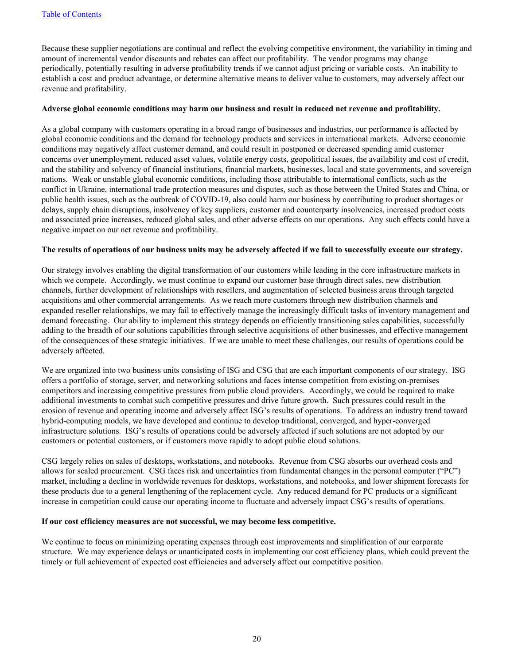Because these supplier negotiations are continual and reflect the evolving competitive environment, the variability in timing and amount of incremental vendor discounts and rebates can affect our profitability. The vendor programs may change periodically, potentially resulting in adverse profitability trends if we cannot adjust pricing or variable costs. An inability to establish a cost and product advantage, or determine alternative means to deliver value to customers, may adversely affect our revenue and profitability.

#### **Adverse global economic conditions may harm our business and result in reduced net revenue and profitability.**

As a global company with customers operating in a broad range of businesses and industries, our performance is affected by global economic conditions and the demand for technology products and services in international markets. Adverse economic conditions may negatively affect customer demand, and could result in postponed or decreased spending amid customer concerns over unemployment, reduced asset values, volatile energy costs, geopolitical issues, the availability and cost of credit, and the stability and solvency of financial institutions, financial markets, businesses, local and state governments, and sovereign nations. Weak or unstable global economic conditions, including those attributable to international conflicts, such as the conflict in Ukraine, international trade protection measures and disputes, such as those between the United States and China, or public health issues, such as the outbreak of COVID-19, also could harm our business by contributing to product shortages or delays, supply chain disruptions, insolvency of key suppliers, customer and counterparty insolvencies, increased product costs and associated price increases, reduced global sales, and other adverse effects on our operations. Any such effects could have a negative impact on our net revenue and profitability.

#### **The results of operations of our business units may be adversely affected if we fail to successfully execute our strategy.**

Our strategy involves enabling the digital transformation of our customers while leading in the core infrastructure markets in which we compete. Accordingly, we must continue to expand our customer base through direct sales, new distribution channels, further development of relationships with resellers, and augmentation of selected business areas through targeted acquisitions and other commercial arrangements. As we reach more customers through new distribution channels and expanded reseller relationships, we may fail to effectively manage the increasingly difficult tasks of inventory management and demand forecasting. Our ability to implement this strategy depends on efficiently transitioning sales capabilities, successfully adding to the breadth of our solutions capabilities through selective acquisitions of other businesses, and effective management of the consequences of these strategic initiatives. If we are unable to meet these challenges, our results of operations could be adversely affected.

We are organized into two business units consisting of ISG and CSG that are each important components of our strategy. ISG offers a portfolio of storage, server, and networking solutions and faces intense competition from existing on-premises competitors and increasing competitive pressures from public cloud providers. Accordingly, we could be required to make additional investments to combat such competitive pressures and drive future growth. Such pressures could result in the erosion of revenue and operating income and adversely affect ISG's results of operations. To address an industry trend toward hybrid-computing models, we have developed and continue to develop traditional, converged, and hyper-converged infrastructure solutions. ISG's results of operations could be adversely affected if such solutions are not adopted by our customers or potential customers, or if customers move rapidly to adopt public cloud solutions.

CSG largely relies on sales of desktops, workstations, and notebooks. Revenue from CSG absorbs our overhead costs and allows for scaled procurement. CSG faces risk and uncertainties from fundamental changes in the personal computer ("PC") market, including a decline in worldwide revenues for desktops, workstations, and notebooks, and lower shipment forecasts for these products due to a general lengthening of the replacement cycle. Any reduced demand for PC products or a significant increase in competition could cause our operating income to fluctuate and adversely impact CSG's results of operations.

#### **If our cost efficiency measures are not successful, we may become less competitive.**

We continue to focus on minimizing operating expenses through cost improvements and simplification of our corporate structure. We may experience delays or unanticipated costs in implementing our cost efficiency plans, which could prevent the timely or full achievement of expected cost efficiencies and adversely affect our competitive position.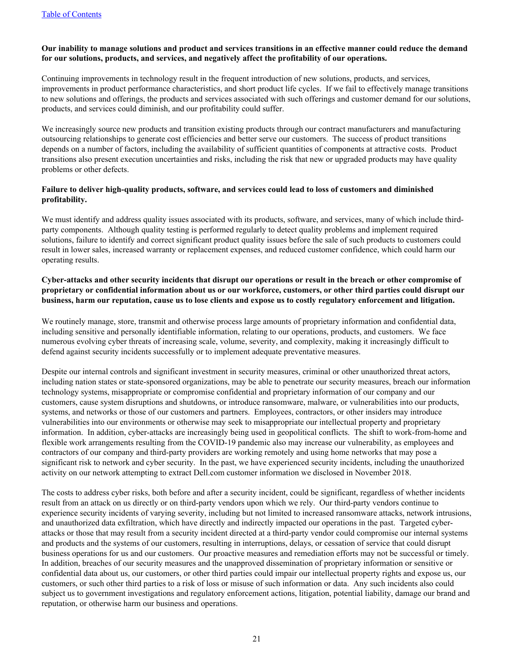#### **Our inability to manage solutions and product and services transitions in an effective manner could reduce the demand for our solutions, products, and services, and negatively affect the profitability of our operations.**

Continuing improvements in technology result in the frequent introduction of new solutions, products, and services, improvements in product performance characteristics, and short product life cycles. If we fail to effectively manage transitions to new solutions and offerings, the products and services associated with such offerings and customer demand for our solutions, products, and services could diminish, and our profitability could suffer.

We increasingly source new products and transition existing products through our contract manufacturers and manufacturing outsourcing relationships to generate cost efficiencies and better serve our customers. The success of product transitions depends on a number of factors, including the availability of sufficient quantities of components at attractive costs. Product transitions also present execution uncertainties and risks, including the risk that new or upgraded products may have quality problems or other defects.

#### **Failure to deliver high-quality products, software, and services could lead to loss of customers and diminished profitability.**

We must identify and address quality issues associated with its products, software, and services, many of which include thirdparty components. Although quality testing is performed regularly to detect quality problems and implement required solutions, failure to identify and correct significant product quality issues before the sale of such products to customers could result in lower sales, increased warranty or replacement expenses, and reduced customer confidence, which could harm our operating results.

#### **Cyber-attacks and other security incidents that disrupt our operations or result in the breach or other compromise of proprietary or confidential information about us or our workforce, customers, or other third parties could disrupt our business, harm our reputation, cause us to lose clients and expose us to costly regulatory enforcement and litigation.**

We routinely manage, store, transmit and otherwise process large amounts of proprietary information and confidential data, including sensitive and personally identifiable information, relating to our operations, products, and customers. We face numerous evolving cyber threats of increasing scale, volume, severity, and complexity, making it increasingly difficult to defend against security incidents successfully or to implement adequate preventative measures.

Despite our internal controls and significant investment in security measures, criminal or other unauthorized threat actors, including nation states or state-sponsored organizations, may be able to penetrate our security measures, breach our information technology systems, misappropriate or compromise confidential and proprietary information of our company and our customers, cause system disruptions and shutdowns, or introduce ransomware, malware, or vulnerabilities into our products, systems, and networks or those of our customers and partners. Employees, contractors, or other insiders may introduce vulnerabilities into our environments or otherwise may seek to misappropriate our intellectual property and proprietary information. In addition, cyber-attacks are increasingly being used in geopolitical conflicts. The shift to work-from-home and flexible work arrangements resulting from the COVID-19 pandemic also may increase our vulnerability, as employees and contractors of our company and third-party providers are working remotely and using home networks that may pose a significant risk to network and cyber security. In the past, we have experienced security incidents, including the unauthorized activity on our network attempting to extract Dell.com customer information we disclosed in November 2018.

The costs to address cyber risks, both before and after a security incident, could be significant, regardless of whether incidents result from an attack on us directly or on third-party vendors upon which we rely. Our third-party vendors continue to experience security incidents of varying severity, including but not limited to increased ransomware attacks, network intrusions, and unauthorized data exfiltration, which have directly and indirectly impacted our operations in the past. Targeted cyberattacks or those that may result from a security incident directed at a third-party vendor could compromise our internal systems and products and the systems of our customers, resulting in interruptions, delays, or cessation of service that could disrupt business operations for us and our customers. Our proactive measures and remediation efforts may not be successful or timely. In addition, breaches of our security measures and the unapproved dissemination of proprietary information or sensitive or confidential data about us, our customers, or other third parties could impair our intellectual property rights and expose us, our customers, or such other third parties to a risk of loss or misuse of such information or data. Any such incidents also could subject us to government investigations and regulatory enforcement actions, litigation, potential liability, damage our brand and reputation, or otherwise harm our business and operations.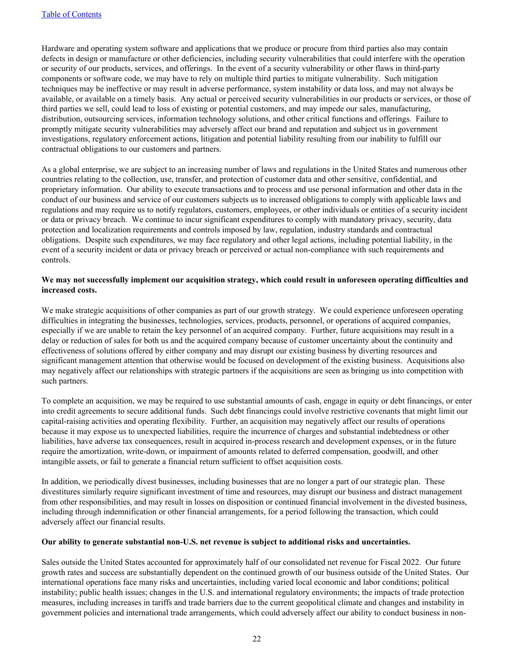Hardware and operating system software and applications that we produce or procure from third parties also may contain defects in design or manufacture or other deficiencies, including security vulnerabilities that could interfere with the operation or security of our products, services, and offerings. In the event of a security vulnerability or other flaws in third-party components or software code, we may have to rely on multiple third parties to mitigate vulnerability. Such mitigation techniques may be ineffective or may result in adverse performance, system instability or data loss, and may not always be available, or available on a timely basis. Any actual or perceived security vulnerabilities in our products or services, or those of third parties we sell, could lead to loss of existing or potential customers, and may impede our sales, manufacturing, distribution, outsourcing services, information technology solutions, and other critical functions and offerings. Failure to promptly mitigate security vulnerabilities may adversely affect our brand and reputation and subject us in government investigations, regulatory enforcement actions, litigation and potential liability resulting from our inability to fulfill our contractual obligations to our customers and partners.

As a global enterprise, we are subject to an increasing number of laws and regulations in the United States and numerous other countries relating to the collection, use, transfer, and protection of customer data and other sensitive, confidential, and proprietary information. Our ability to execute transactions and to process and use personal information and other data in the conduct of our business and service of our customers subjects us to increased obligations to comply with applicable laws and regulations and may require us to notify regulators, customers, employees, or other individuals or entities of a security incident or data or privacy breach. We continue to incur significant expenditures to comply with mandatory privacy, security, data protection and localization requirements and controls imposed by law, regulation, industry standards and contractual obligations. Despite such expenditures, we may face regulatory and other legal actions, including potential liability, in the event of a security incident or data or privacy breach or perceived or actual non-compliance with such requirements and controls.

#### **We may not successfully implement our acquisition strategy, which could result in unforeseen operating difficulties and increased costs.**

We make strategic acquisitions of other companies as part of our growth strategy. We could experience unforeseen operating difficulties in integrating the businesses, technologies, services, products, personnel, or operations of acquired companies, especially if we are unable to retain the key personnel of an acquired company. Further, future acquisitions may result in a delay or reduction of sales for both us and the acquired company because of customer uncertainty about the continuity and effectiveness of solutions offered by either company and may disrupt our existing business by diverting resources and significant management attention that otherwise would be focused on development of the existing business. Acquisitions also may negatively affect our relationships with strategic partners if the acquisitions are seen as bringing us into competition with such partners.

To complete an acquisition, we may be required to use substantial amounts of cash, engage in equity or debt financings, or enter into credit agreements to secure additional funds. Such debt financings could involve restrictive covenants that might limit our capital-raising activities and operating flexibility. Further, an acquisition may negatively affect our results of operations because it may expose us to unexpected liabilities, require the incurrence of charges and substantial indebtedness or other liabilities, have adverse tax consequences, result in acquired in-process research and development expenses, or in the future require the amortization, write-down, or impairment of amounts related to deferred compensation, goodwill, and other intangible assets, or fail to generate a financial return sufficient to offset acquisition costs.

In addition, we periodically divest businesses, including businesses that are no longer a part of our strategic plan. These divestitures similarly require significant investment of time and resources, may disrupt our business and distract management from other responsibilities, and may result in losses on disposition or continued financial involvement in the divested business, including through indemnification or other financial arrangements, for a period following the transaction, which could adversely affect our financial results.

#### **Our ability to generate substantial non-U.S. net revenue is subject to additional risks and uncertainties.**

Sales outside the United States accounted for approximately half of our consolidated net revenue for Fiscal 2022. Our future growth rates and success are substantially dependent on the continued growth of our business outside of the United States. Our international operations face many risks and uncertainties, including varied local economic and labor conditions; political instability; public health issues; changes in the U.S. and international regulatory environments; the impacts of trade protection measures, including increases in tariffs and trade barriers due to the current geopolitical climate and changes and instability in government policies and international trade arrangements, which could adversely affect our ability to conduct business in non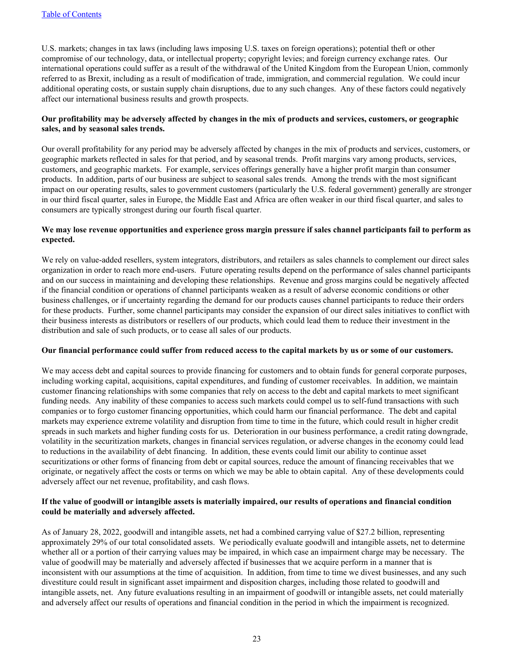U.S. markets; changes in tax laws (including laws imposing U.S. taxes on foreign operations); potential theft or other compromise of our technology, data, or intellectual property; copyright levies; and foreign currency exchange rates. Our international operations could suffer as a result of the withdrawal of the United Kingdom from the European Union, commonly referred to as Brexit, including as a result of modification of trade, immigration, and commercial regulation. We could incur additional operating costs, or sustain supply chain disruptions, due to any such changes. Any of these factors could negatively affect our international business results and growth prospects.

#### **Our profitability may be adversely affected by changes in the mix of products and services, customers, or geographic sales, and by seasonal sales trends.**

Our overall profitability for any period may be adversely affected by changes in the mix of products and services, customers, or geographic markets reflected in sales for that period, and by seasonal trends. Profit margins vary among products, services, customers, and geographic markets. For example, services offerings generally have a higher profit margin than consumer products. In addition, parts of our business are subject to seasonal sales trends. Among the trends with the most significant impact on our operating results, sales to government customers (particularly the U.S. federal government) generally are stronger in our third fiscal quarter, sales in Europe, the Middle East and Africa are often weaker in our third fiscal quarter, and sales to consumers are typically strongest during our fourth fiscal quarter.

#### **We may lose revenue opportunities and experience gross margin pressure if sales channel participants fail to perform as expected.**

We rely on value-added resellers, system integrators, distributors, and retailers as sales channels to complement our direct sales organization in order to reach more end-users. Future operating results depend on the performance of sales channel participants and on our success in maintaining and developing these relationships. Revenue and gross margins could be negatively affected if the financial condition or operations of channel participants weaken as a result of adverse economic conditions or other business challenges, or if uncertainty regarding the demand for our products causes channel participants to reduce their orders for these products. Further, some channel participants may consider the expansion of our direct sales initiatives to conflict with their business interests as distributors or resellers of our products, which could lead them to reduce their investment in the distribution and sale of such products, or to cease all sales of our products.

#### **Our financial performance could suffer from reduced access to the capital markets by us or some of our customers.**

We may access debt and capital sources to provide financing for customers and to obtain funds for general corporate purposes, including working capital, acquisitions, capital expenditures, and funding of customer receivables. In addition, we maintain customer financing relationships with some companies that rely on access to the debt and capital markets to meet significant funding needs. Any inability of these companies to access such markets could compel us to self-fund transactions with such companies or to forgo customer financing opportunities, which could harm our financial performance. The debt and capital markets may experience extreme volatility and disruption from time to time in the future, which could result in higher credit spreads in such markets and higher funding costs for us. Deterioration in our business performance, a credit rating downgrade, volatility in the securitization markets, changes in financial services regulation, or adverse changes in the economy could lead to reductions in the availability of debt financing. In addition, these events could limit our ability to continue asset securitizations or other forms of financing from debt or capital sources, reduce the amount of financing receivables that we originate, or negatively affect the costs or terms on which we may be able to obtain capital. Any of these developments could adversely affect our net revenue, profitability, and cash flows.

#### **If the value of goodwill or intangible assets is materially impaired, our results of operations and financial condition could be materially and adversely affected.**

As of January 28, 2022, goodwill and intangible assets, net had a combined carrying value of \$27.2 billion, representing approximately 29% of our total consolidated assets. We periodically evaluate goodwill and intangible assets, net to determine whether all or a portion of their carrying values may be impaired, in which case an impairment charge may be necessary. The value of goodwill may be materially and adversely affected if businesses that we acquire perform in a manner that is inconsistent with our assumptions at the time of acquisition. In addition, from time to time we divest businesses, and any such divestiture could result in significant asset impairment and disposition charges, including those related to goodwill and intangible assets, net. Any future evaluations resulting in an impairment of goodwill or intangible assets, net could materially and adversely affect our results of operations and financial condition in the period in which the impairment is recognized.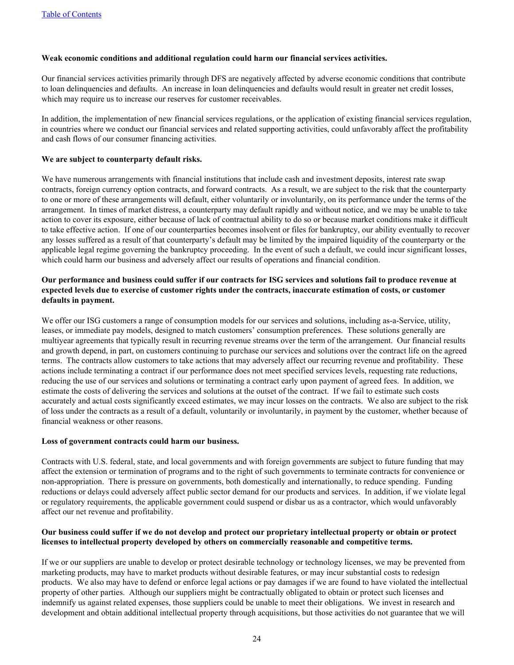#### **Weak economic conditions and additional regulation could harm our financial services activities.**

Our financial services activities primarily through DFS are negatively affected by adverse economic conditions that contribute to loan delinquencies and defaults. An increase in loan delinquencies and defaults would result in greater net credit losses, which may require us to increase our reserves for customer receivables.

In addition, the implementation of new financial services regulations, or the application of existing financial services regulation, in countries where we conduct our financial services and related supporting activities, could unfavorably affect the profitability and cash flows of our consumer financing activities.

#### **We are subject to counterparty default risks.**

We have numerous arrangements with financial institutions that include cash and investment deposits, interest rate swap contracts, foreign currency option contracts, and forward contracts. As a result, we are subject to the risk that the counterparty to one or more of these arrangements will default, either voluntarily or involuntarily, on its performance under the terms of the arrangement. In times of market distress, a counterparty may default rapidly and without notice, and we may be unable to take action to cover its exposure, either because of lack of contractual ability to do so or because market conditions make it difficult to take effective action. If one of our counterparties becomes insolvent or files for bankruptcy, our ability eventually to recover any losses suffered as a result of that counterparty's default may be limited by the impaired liquidity of the counterparty or the applicable legal regime governing the bankruptcy proceeding. In the event of such a default, we could incur significant losses, which could harm our business and adversely affect our results of operations and financial condition.

#### **Our performance and business could suffer if our contracts for ISG services and solutions fail to produce revenue at expected levels due to exercise of customer rights under the contracts, inaccurate estimation of costs, or customer defaults in payment.**

We offer our ISG customers a range of consumption models for our services and solutions, including as-a-Service, utility, leases, or immediate pay models, designed to match customers' consumption preferences. These solutions generally are multiyear agreements that typically result in recurring revenue streams over the term of the arrangement. Our financial results and growth depend, in part, on customers continuing to purchase our services and solutions over the contract life on the agreed terms. The contracts allow customers to take actions that may adversely affect our recurring revenue and profitability. These actions include terminating a contract if our performance does not meet specified services levels, requesting rate reductions, reducing the use of our services and solutions or terminating a contract early upon payment of agreed fees. In addition, we estimate the costs of delivering the services and solutions at the outset of the contract. If we fail to estimate such costs accurately and actual costs significantly exceed estimates, we may incur losses on the contracts. We also are subject to the risk of loss under the contracts as a result of a default, voluntarily or involuntarily, in payment by the customer, whether because of financial weakness or other reasons.

#### **Loss of government contracts could harm our business.**

Contracts with U.S. federal, state, and local governments and with foreign governments are subject to future funding that may affect the extension or termination of programs and to the right of such governments to terminate contracts for convenience or non-appropriation. There is pressure on governments, both domestically and internationally, to reduce spending. Funding reductions or delays could adversely affect public sector demand for our products and services. In addition, if we violate legal or regulatory requirements, the applicable government could suspend or disbar us as a contractor, which would unfavorably affect our net revenue and profitability.

#### **Our business could suffer if we do not develop and protect our proprietary intellectual property or obtain or protect licenses to intellectual property developed by others on commercially reasonable and competitive terms.**

If we or our suppliers are unable to develop or protect desirable technology or technology licenses, we may be prevented from marketing products, may have to market products without desirable features, or may incur substantial costs to redesign products. We also may have to defend or enforce legal actions or pay damages if we are found to have violated the intellectual property of other parties. Although our suppliers might be contractually obligated to obtain or protect such licenses and indemnify us against related expenses, those suppliers could be unable to meet their obligations. We invest in research and development and obtain additional intellectual property through acquisitions, but those activities do not guarantee that we will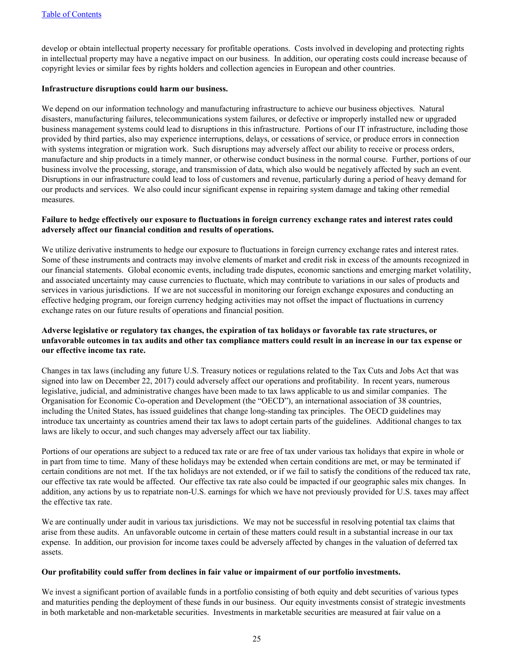develop or obtain intellectual property necessary for profitable operations. Costs involved in developing and protecting rights in intellectual property may have a negative impact on our business. In addition, our operating costs could increase because of copyright levies or similar fees by rights holders and collection agencies in European and other countries.

#### **Infrastructure disruptions could harm our business.**

We depend on our information technology and manufacturing infrastructure to achieve our business objectives. Natural disasters, manufacturing failures, telecommunications system failures, or defective or improperly installed new or upgraded business management systems could lead to disruptions in this infrastructure. Portions of our IT infrastructure, including those provided by third parties, also may experience interruptions, delays, or cessations of service, or produce errors in connection with systems integration or migration work. Such disruptions may adversely affect our ability to receive or process orders, manufacture and ship products in a timely manner, or otherwise conduct business in the normal course. Further, portions of our business involve the processing, storage, and transmission of data, which also would be negatively affected by such an event. Disruptions in our infrastructure could lead to loss of customers and revenue, particularly during a period of heavy demand for our products and services. We also could incur significant expense in repairing system damage and taking other remedial measures.

#### **Failure to hedge effectively our exposure to fluctuations in foreign currency exchange rates and interest rates could adversely affect our financial condition and results of operations.**

We utilize derivative instruments to hedge our exposure to fluctuations in foreign currency exchange rates and interest rates. Some of these instruments and contracts may involve elements of market and credit risk in excess of the amounts recognized in our financial statements. Global economic events, including trade disputes, economic sanctions and emerging market volatility, and associated uncertainty may cause currencies to fluctuate, which may contribute to variations in our sales of products and services in various jurisdictions. If we are not successful in monitoring our foreign exchange exposures and conducting an effective hedging program, our foreign currency hedging activities may not offset the impact of fluctuations in currency exchange rates on our future results of operations and financial position.

#### **Adverse legislative or regulatory tax changes, the expiration of tax holidays or favorable tax rate structures, or unfavorable outcomes in tax audits and other tax compliance matters could result in an increase in our tax expense or our effective income tax rate.**

Changes in tax laws (including any future U.S. Treasury notices or regulations related to the Tax Cuts and Jobs Act that was signed into law on December 22, 2017) could adversely affect our operations and profitability. In recent years, numerous legislative, judicial, and administrative changes have been made to tax laws applicable to us and similar companies. The Organisation for Economic Co-operation and Development (the "OECD"), an international association of 38 countries, including the United States, has issued guidelines that change long-standing tax principles. The OECD guidelines may introduce tax uncertainty as countries amend their tax laws to adopt certain parts of the guidelines. Additional changes to tax laws are likely to occur, and such changes may adversely affect our tax liability.

Portions of our operations are subject to a reduced tax rate or are free of tax under various tax holidays that expire in whole or in part from time to time. Many of these holidays may be extended when certain conditions are met, or may be terminated if certain conditions are not met. If the tax holidays are not extended, or if we fail to satisfy the conditions of the reduced tax rate, our effective tax rate would be affected. Our effective tax rate also could be impacted if our geographic sales mix changes. In addition, any actions by us to repatriate non-U.S. earnings for which we have not previously provided for U.S. taxes may affect the effective tax rate.

We are continually under audit in various tax jurisdictions. We may not be successful in resolving potential tax claims that arise from these audits. An unfavorable outcome in certain of these matters could result in a substantial increase in our tax expense. In addition, our provision for income taxes could be adversely affected by changes in the valuation of deferred tax assets.

#### **Our profitability could suffer from declines in fair value or impairment of our portfolio investments.**

We invest a significant portion of available funds in a portfolio consisting of both equity and debt securities of various types and maturities pending the deployment of these funds in our business. Our equity investments consist of strategic investments in both marketable and non-marketable securities. Investments in marketable securities are measured at fair value on a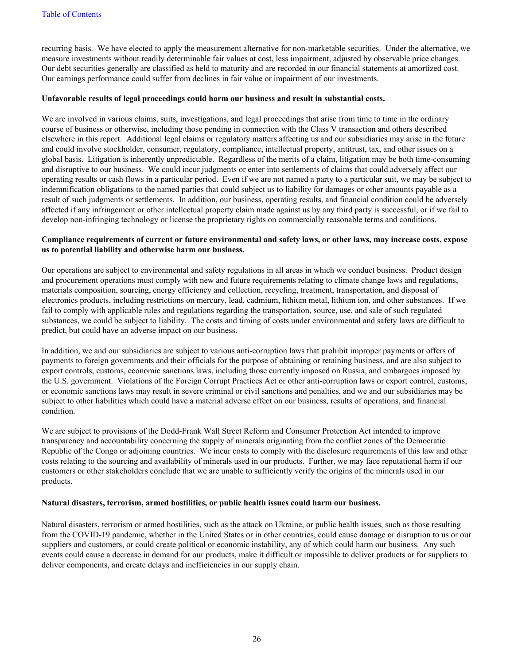recurring basis. We have elected to apply the measurement alternative for non-marketable securities. Under the alternative, we measure investments without readily determinable fair values at cost, less impairment, adjusted by observable price changes. Our debt securities generally are classified as held to maturity and are recorded in our financial statements at amortized cost. Our earnings performance could suffer from declines in fair value or impairment of our investments.

#### **Unfavorable results of legal proceedings could harm our business and result in substantial costs.**

We are involved in various claims, suits, investigations, and legal proceedings that arise from time to time in the ordinary course of business or otherwise, including those pending in connection with the Class V transaction and others described elsewhere in this report. Additional legal claims or regulatory matters affecting us and our subsidiaries may arise in the future and could involve stockholder, consumer, regulatory, compliance, intellectual property, antitrust, tax, and other issues on a global basis. Litigation is inherently unpredictable. Regardless of the merits of a claim, litigation may be both time-consuming and disruptive to our business. We could incur judgments or enter into settlements of claims that could adversely affect our operating results or cash flows in a particular period. Even if we are not named a party to a particular suit, we may be subject to indemnification obligations to the named parties that could subject us to liability for damages or other amounts payable as a result of such judgments or settlements. In addition, our business, operating results, and financial condition could be adversely affected if any infringement or other intellectual property claim made against us by any third party is successful, or if we fail to develop non-infringing technology or license the proprietary rights on commercially reasonable terms and conditions.

#### **Compliance requirements of current or future environmental and safety laws, or other laws, may increase costs, expose us to potential liability and otherwise harm our business.**

Our operations are subject to environmental and safety regulations in all areas in which we conduct business. Product design and procurement operations must comply with new and future requirements relating to climate change laws and regulations, materials composition, sourcing, energy efficiency and collection, recycling, treatment, transportation, and disposal of electronics products, including restrictions on mercury, lead, cadmium, lithium metal, lithium ion, and other substances. If we fail to comply with applicable rules and regulations regarding the transportation, source, use, and sale of such regulated substances, we could be subject to liability. The costs and timing of costs under environmental and safety laws are difficult to predict, but could have an adverse impact on our business.

In addition, we and our subsidiaries are subject to various anti-corruption laws that prohibit improper payments or offers of payments to foreign governments and their officials for the purpose of obtaining or retaining business, and are also subject to export controls, customs, economic sanctions laws, including those currently imposed on Russia, and embargoes imposed by the U.S. government. Violations of the Foreign Corrupt Practices Act or other anti-corruption laws or export control, customs, or economic sanctions laws may result in severe criminal or civil sanctions and penalties, and we and our subsidiaries may be subject to other liabilities which could have a material adverse effect on our business, results of operations, and financial condition.

We are subject to provisions of the Dodd-Frank Wall Street Reform and Consumer Protection Act intended to improve transparency and accountability concerning the supply of minerals originating from the conflict zones of the Democratic Republic of the Congo or adjoining countries. We incur costs to comply with the disclosure requirements of this law and other costs relating to the sourcing and availability of minerals used in our products. Further, we may face reputational harm if our customers or other stakeholders conclude that we are unable to sufficiently verify the origins of the minerals used in our products.

#### **Natural disasters, terrorism, armed hostilities, or public health issues could harm our business.**

Natural disasters, terrorism or armed hostilities, such as the attack on Ukraine, or public health issues, such as those resulting from the COVID-19 pandemic, whether in the United States or in other countries, could cause damage or disruption to us or our suppliers and customers, or could create political or economic instability, any of which could harm our business. Any such events could cause a decrease in demand for our products, make it difficult or impossible to deliver products or for suppliers to deliver components, and create delays and inefficiencies in our supply chain.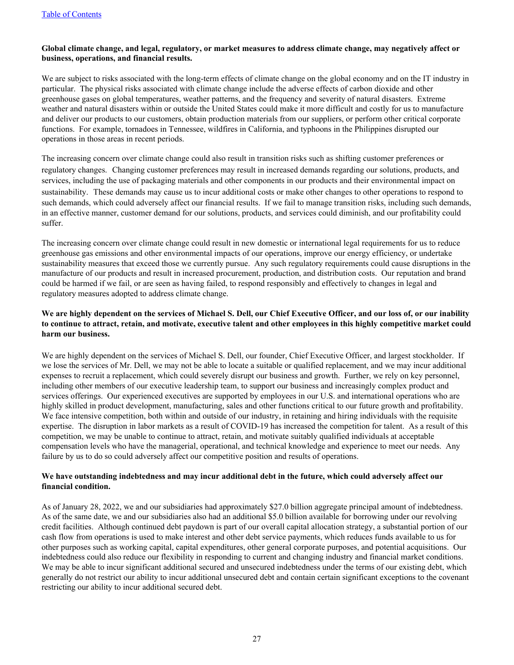#### **Global climate change, and legal, regulatory, or market measures to address climate change, may negatively affect or business, operations, and financial results.**

We are subject to risks associated with the long-term effects of climate change on the global economy and on the IT industry in particular. The physical risks associated with climate change include the adverse effects of carbon dioxide and other greenhouse gases on global temperatures, weather patterns, and the frequency and severity of natural disasters. Extreme weather and natural disasters within or outside the United States could make it more difficult and costly for us to manufacture and deliver our products to our customers, obtain production materials from our suppliers, or perform other critical corporate functions. For example, tornadoes in Tennessee, wildfires in California, and typhoons in the Philippines disrupted our operations in those areas in recent periods.

The increasing concern over climate change could also result in transition risks such as shifting customer preferences or regulatory changes. Changing customer preferences may result in increased demands regarding our solutions, products, and services, including the use of packaging materials and other components in our products and their environmental impact on sustainability. These demands may cause us to incur additional costs or make other changes to other operations to respond to such demands, which could adversely affect our financial results. If we fail to manage transition risks, including such demands, in an effective manner, customer demand for our solutions, products, and services could diminish, and our profitability could suffer.

The increasing concern over climate change could result in new domestic or international legal requirements for us to reduce greenhouse gas emissions and other environmental impacts of our operations, improve our energy efficiency, or undertake sustainability measures that exceed those we currently pursue. Any such regulatory requirements could cause disruptions in the manufacture of our products and result in increased procurement, production, and distribution costs. Our reputation and brand could be harmed if we fail, or are seen as having failed, to respond responsibly and effectively to changes in legal and regulatory measures adopted to address climate change.

#### **We are highly dependent on the services of Michael S. Dell, our Chief Executive Officer, and our loss of, or our inability to continue to attract, retain, and motivate, executive talent and other employees in this highly competitive market could harm our business.**

We are highly dependent on the services of Michael S. Dell, our founder, Chief Executive Officer, and largest stockholder. If we lose the services of Mr. Dell, we may not be able to locate a suitable or qualified replacement, and we may incur additional expenses to recruit a replacement, which could severely disrupt our business and growth. Further, we rely on key personnel, including other members of our executive leadership team, to support our business and increasingly complex product and services offerings. Our experienced executives are supported by employees in our U.S. and international operations who are highly skilled in product development, manufacturing, sales and other functions critical to our future growth and profitability. We face intensive competition, both within and outside of our industry, in retaining and hiring individuals with the requisite expertise. The disruption in labor markets as a result of COVID-19 has increased the competition for talent. As a result of this competition, we may be unable to continue to attract, retain, and motivate suitably qualified individuals at acceptable compensation levels who have the managerial, operational, and technical knowledge and experience to meet our needs. Any failure by us to do so could adversely affect our competitive position and results of operations.

#### **We have outstanding indebtedness and may incur additional debt in the future, which could adversely affect our financial condition.**

As of January 28, 2022, we and our subsidiaries had approximately \$27.0 billion aggregate principal amount of indebtedness. As of the same date, we and our subsidiaries also had an additional \$5.0 billion available for borrowing under our revolving credit facilities. Although continued debt paydown is part of our overall capital allocation strategy, a substantial portion of our cash flow from operations is used to make interest and other debt service payments, which reduces funds available to us for other purposes such as working capital, capital expenditures, other general corporate purposes, and potential acquisitions. Our indebtedness could also reduce our flexibility in responding to current and changing industry and financial market conditions. We may be able to incur significant additional secured and unsecured indebtedness under the terms of our existing debt, which generally do not restrict our ability to incur additional unsecured debt and contain certain significant exceptions to the covenant restricting our ability to incur additional secured debt.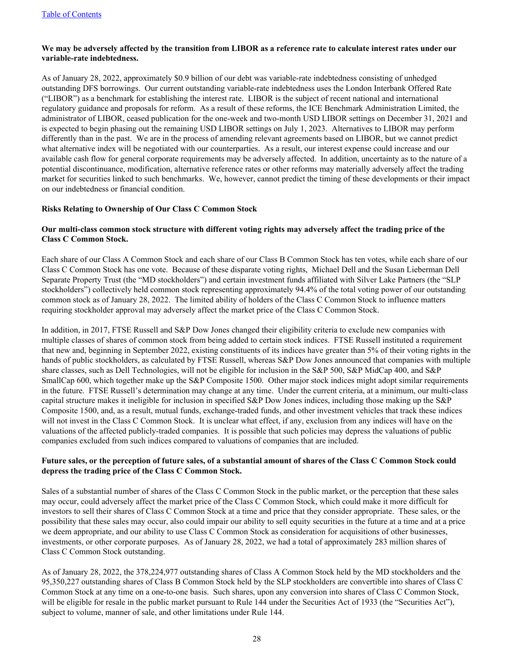#### **We may be adversely affected by the transition from LIBOR as a reference rate to calculate interest rates under our variable-rate indebtedness.**

As of January 28, 2022, approximately \$0.9 billion of our debt was variable-rate indebtedness consisting of unhedged outstanding DFS borrowings. Our current outstanding variable-rate indebtedness uses the London Interbank Offered Rate ("LIBOR") as a benchmark for establishing the interest rate. LIBOR is the subject of recent national and international regulatory guidance and proposals for reform. As a result of these reforms, the ICE Benchmark Administration Limited, the administrator of LIBOR, ceased publication for the one-week and two-month USD LIBOR settings on December 31, 2021 and is expected to begin phasing out the remaining USD LIBOR settings on July 1, 2023. Alternatives to LIBOR may perform differently than in the past. We are in the process of amending relevant agreements based on LIBOR, but we cannot predict what alternative index will be negotiated with our counterparties. As a result, our interest expense could increase and our available cash flow for general corporate requirements may be adversely affected. In addition, uncertainty as to the nature of a potential discontinuance, modification, alternative reference rates or other reforms may materially adversely affect the trading market for securities linked to such benchmarks. We, however, cannot predict the timing of these developments or their impact on our indebtedness or financial condition.

#### **Risks Relating to Ownership of Our Class C Common Stock**

#### **Our multi-class common stock structure with different voting rights may adversely affect the trading price of the Class C Common Stock.**

Each share of our Class A Common Stock and each share of our Class B Common Stock has ten votes, while each share of our Class C Common Stock has one vote. Because of these disparate voting rights, Michael Dell and the Susan Lieberman Dell Separate Property Trust (the "MD stockholders") and certain investment funds affiliated with Silver Lake Partners (the "SLP stockholders") collectively held common stock representing approximately 94.4% of the total voting power of our outstanding common stock as of January 28, 2022. The limited ability of holders of the Class C Common Stock to influence matters requiring stockholder approval may adversely affect the market price of the Class C Common Stock.

In addition, in 2017, FTSE Russell and S&P Dow Jones changed their eligibility criteria to exclude new companies with multiple classes of shares of common stock from being added to certain stock indices. FTSE Russell instituted a requirement that new and, beginning in September 2022, existing constituents of its indices have greater than 5% of their voting rights in the hands of public stockholders, as calculated by FTSE Russell, whereas S&P Dow Jones announced that companies with multiple share classes, such as Dell Technologies, will not be eligible for inclusion in the S&P 500, S&P MidCap 400, and S&P SmallCap 600, which together make up the S&P Composite 1500. Other major stock indices might adopt similar requirements in the future. FTSE Russell's determination may change at any time. Under the current criteria, at a minimum, our multi-class capital structure makes it ineligible for inclusion in specified S&P Dow Jones indices, including those making up the S&P Composite 1500, and, as a result, mutual funds, exchange-traded funds, and other investment vehicles that track these indices will not invest in the Class C Common Stock. It is unclear what effect, if any, exclusion from any indices will have on the valuations of the affected publicly-traded companies. It is possible that such policies may depress the valuations of public companies excluded from such indices compared to valuations of companies that are included.

#### **Future sales, or the perception of future sales, of a substantial amount of shares of the Class C Common Stock could depress the trading price of the Class C Common Stock.**

Sales of a substantial number of shares of the Class C Common Stock in the public market, or the perception that these sales may occur, could adversely affect the market price of the Class C Common Stock, which could make it more difficult for investors to sell their shares of Class C Common Stock at a time and price that they consider appropriate. These sales, or the possibility that these sales may occur, also could impair our ability to sell equity securities in the future at a time and at a price we deem appropriate, and our ability to use Class C Common Stock as consideration for acquisitions of other businesses, investments, or other corporate purposes. As of January 28, 2022, we had a total of approximately 283 million shares of Class C Common Stock outstanding.

As of January 28, 2022, the 378,224,977 outstanding shares of Class A Common Stock held by the MD stockholders and the 95,350,227 outstanding shares of Class B Common Stock held by the SLP stockholders are convertible into shares of Class C Common Stock at any time on a one-to-one basis. Such shares, upon any conversion into shares of Class C Common Stock, will be eligible for resale in the public market pursuant to Rule 144 under the Securities Act of 1933 (the "Securities Act"), subject to volume, manner of sale, and other limitations under Rule 144.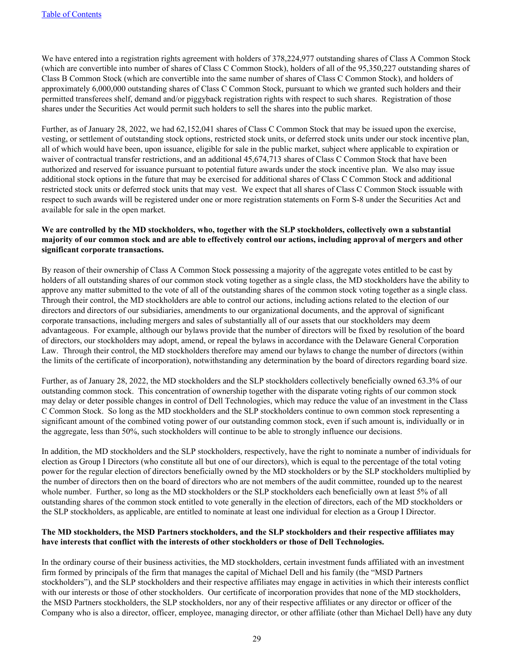We have entered into a registration rights agreement with holders of 378,224,977 outstanding shares of Class A Common Stock (which are convertible into number of shares of Class C Common Stock), holders of all of the 95,350,227 outstanding shares of Class B Common Stock (which are convertible into the same number of shares of Class C Common Stock), and holders of approximately 6,000,000 outstanding shares of Class C Common Stock, pursuant to which we granted such holders and their permitted transferees shelf, demand and/or piggyback registration rights with respect to such shares. Registration of those shares under the Securities Act would permit such holders to sell the shares into the public market.

Further, as of January 28, 2022, we had 62,152,041 shares of Class C Common Stock that may be issued upon the exercise, vesting, or settlement of outstanding stock options, restricted stock units, or deferred stock units under our stock incentive plan, all of which would have been, upon issuance, eligible for sale in the public market, subject where applicable to expiration or waiver of contractual transfer restrictions, and an additional 45,674,713 shares of Class C Common Stock that have been authorized and reserved for issuance pursuant to potential future awards under the stock incentive plan. We also may issue additional stock options in the future that may be exercised for additional shares of Class C Common Stock and additional restricted stock units or deferred stock units that may vest. We expect that all shares of Class C Common Stock issuable with respect to such awards will be registered under one or more registration statements on Form S-8 under the Securities Act and available for sale in the open market.

#### **We are controlled by the MD stockholders, who, together with the SLP stockholders, collectively own a substantial majority of our common stock and are able to effectively control our actions, including approval of mergers and other significant corporate transactions.**

By reason of their ownership of Class A Common Stock possessing a majority of the aggregate votes entitled to be cast by holders of all outstanding shares of our common stock voting together as a single class, the MD stockholders have the ability to approve any matter submitted to the vote of all of the outstanding shares of the common stock voting together as a single class. Through their control, the MD stockholders are able to control our actions, including actions related to the election of our directors and directors of our subsidiaries, amendments to our organizational documents, and the approval of significant corporate transactions, including mergers and sales of substantially all of our assets that our stockholders may deem advantageous. For example, although our bylaws provide that the number of directors will be fixed by resolution of the board of directors, our stockholders may adopt, amend, or repeal the bylaws in accordance with the Delaware General Corporation Law. Through their control, the MD stockholders therefore may amend our bylaws to change the number of directors (within the limits of the certificate of incorporation), notwithstanding any determination by the board of directors regarding board size.

Further, as of January 28, 2022, the MD stockholders and the SLP stockholders collectively beneficially owned 63.3% of our outstanding common stock. This concentration of ownership together with the disparate voting rights of our common stock may delay or deter possible changes in control of Dell Technologies, which may reduce the value of an investment in the Class C Common Stock. So long as the MD stockholders and the SLP stockholders continue to own common stock representing a significant amount of the combined voting power of our outstanding common stock, even if such amount is, individually or in the aggregate, less than 50%, such stockholders will continue to be able to strongly influence our decisions.

In addition, the MD stockholders and the SLP stockholders, respectively, have the right to nominate a number of individuals for election as Group I Directors (who constitute all but one of our directors), which is equal to the percentage of the total voting power for the regular election of directors beneficially owned by the MD stockholders or by the SLP stockholders multiplied by the number of directors then on the board of directors who are not members of the audit committee, rounded up to the nearest whole number. Further, so long as the MD stockholders or the SLP stockholders each beneficially own at least 5% of all outstanding shares of the common stock entitled to vote generally in the election of directors, each of the MD stockholders or the SLP stockholders, as applicable, are entitled to nominate at least one individual for election as a Group I Director.

#### **The MD stockholders, the MSD Partners stockholders, and the SLP stockholders and their respective affiliates may have interests that conflict with the interests of other stockholders or those of Dell Technologies.**

In the ordinary course of their business activities, the MD stockholders, certain investment funds affiliated with an investment firm formed by principals of the firm that manages the capital of Michael Dell and his family (the "MSD Partners stockholders"), and the SLP stockholders and their respective affiliates may engage in activities in which their interests conflict with our interests or those of other stockholders. Our certificate of incorporation provides that none of the MD stockholders, the MSD Partners stockholders, the SLP stockholders, nor any of their respective affiliates or any director or officer of the Company who is also a director, officer, employee, managing director, or other affiliate (other than Michael Dell) have any duty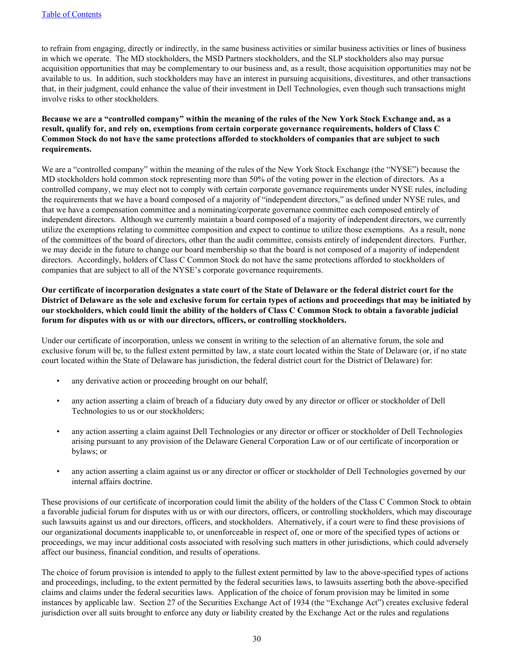to refrain from engaging, directly or indirectly, in the same business activities or similar business activities or lines of business in which we operate. The MD stockholders, the MSD Partners stockholders, and the SLP stockholders also may pursue acquisition opportunities that may be complementary to our business and, as a result, those acquisition opportunities may not be available to us. In addition, such stockholders may have an interest in pursuing acquisitions, divestitures, and other transactions that, in their judgment, could enhance the value of their investment in Dell Technologies, even though such transactions might involve risks to other stockholders.

#### **Because we are a "controlled company" within the meaning of the rules of the New York Stock Exchange and, as a result, qualify for, and rely on, exemptions from certain corporate governance requirements, holders of Class C Common Stock do not have the same protections afforded to stockholders of companies that are subject to such requirements.**

We are a "controlled company" within the meaning of the rules of the New York Stock Exchange (the "NYSE") because the MD stockholders hold common stock representing more than 50% of the voting power in the election of directors. As a controlled company, we may elect not to comply with certain corporate governance requirements under NYSE rules, including the requirements that we have a board composed of a majority of "independent directors," as defined under NYSE rules, and that we have a compensation committee and a nominating/corporate governance committee each composed entirely of independent directors. Although we currently maintain a board composed of a majority of independent directors, we currently utilize the exemptions relating to committee composition and expect to continue to utilize those exemptions. As a result, none of the committees of the board of directors, other than the audit committee, consists entirely of independent directors. Further, we may decide in the future to change our board membership so that the board is not composed of a majority of independent directors. Accordingly, holders of Class C Common Stock do not have the same protections afforded to stockholders of companies that are subject to all of the NYSE's corporate governance requirements.

#### **Our certificate of incorporation designates a state court of the State of Delaware or the federal district court for the District of Delaware as the sole and exclusive forum for certain types of actions and proceedings that may be initiated by our stockholders, which could limit the ability of the holders of Class C Common Stock to obtain a favorable judicial forum for disputes with us or with our directors, officers, or controlling stockholders.**

Under our certificate of incorporation, unless we consent in writing to the selection of an alternative forum, the sole and exclusive forum will be, to the fullest extent permitted by law, a state court located within the State of Delaware (or, if no state court located within the State of Delaware has jurisdiction, the federal district court for the District of Delaware) for:

- any derivative action or proceeding brought on our behalf;
- any action asserting a claim of breach of a fiduciary duty owed by any director or officer or stockholder of Dell Technologies to us or our stockholders;
- any action asserting a claim against Dell Technologies or any director or officer or stockholder of Dell Technologies arising pursuant to any provision of the Delaware General Corporation Law or of our certificate of incorporation or bylaws; or
- any action asserting a claim against us or any director or officer or stockholder of Dell Technologies governed by our internal affairs doctrine.

These provisions of our certificate of incorporation could limit the ability of the holders of the Class C Common Stock to obtain a favorable judicial forum for disputes with us or with our directors, officers, or controlling stockholders, which may discourage such lawsuits against us and our directors, officers, and stockholders. Alternatively, if a court were to find these provisions of our organizational documents inapplicable to, or unenforceable in respect of, one or more of the specified types of actions or proceedings, we may incur additional costs associated with resolving such matters in other jurisdictions, which could adversely affect our business, financial condition, and results of operations.

The choice of forum provision is intended to apply to the fullest extent permitted by law to the above-specified types of actions and proceedings, including, to the extent permitted by the federal securities laws, to lawsuits asserting both the above-specified claims and claims under the federal securities laws. Application of the choice of forum provision may be limited in some instances by applicable law. Section 27 of the Securities Exchange Act of 1934 (the "Exchange Act") creates exclusive federal jurisdiction over all suits brought to enforce any duty or liability created by the Exchange Act or the rules and regulations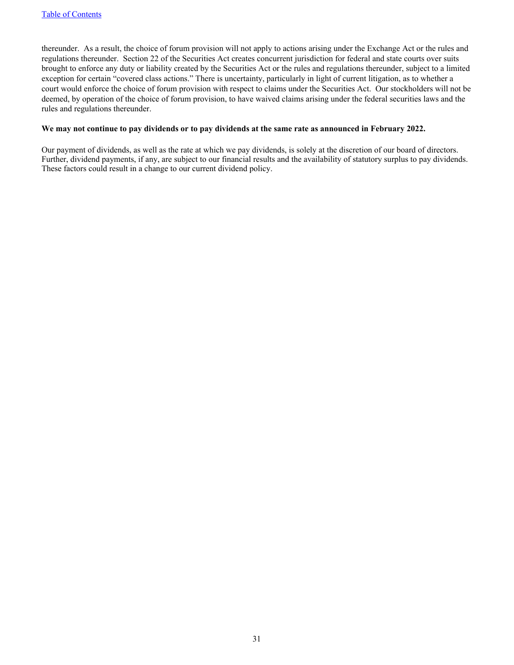thereunder. As a result, the choice of forum provision will not apply to actions arising under the Exchange Act or the rules and regulations thereunder. Section 22 of the Securities Act creates concurrent jurisdiction for federal and state courts over suits brought to enforce any duty or liability created by the Securities Act or the rules and regulations thereunder, subject to a limited exception for certain "covered class actions." There is uncertainty, particularly in light of current litigation, as to whether a court would enforce the choice of forum provision with respect to claims under the Securities Act. Our stockholders will not be deemed, by operation of the choice of forum provision, to have waived claims arising under the federal securities laws and the rules and regulations thereunder.

#### **We may not continue to pay dividends or to pay dividends at the same rate as announced in February 2022.**

Our payment of dividends, as well as the rate at which we pay dividends, is solely at the discretion of our board of directors. Further, dividend payments, if any, are subject to our financial results and the availability of statutory surplus to pay dividends. These factors could result in a change to our current dividend policy.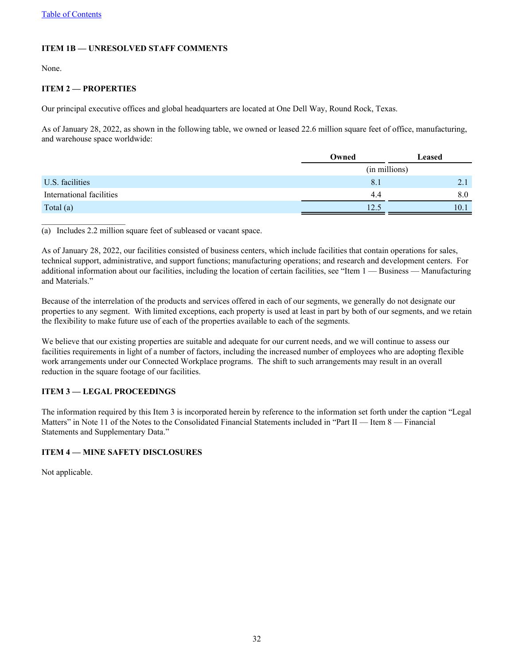#### <span id="page-31-0"></span>**ITEM 1B — UNRESOLVED STAFF COMMENTS**

None.

#### **ITEM 2 — PROPERTIES**

Our principal executive offices and global headquarters are located at One Dell Way, Round Rock, Texas.

As of January 28, 2022, as shown in the following table, we owned or leased 22.6 million square feet of office, manufacturing, and warehouse space worldwide:

|                          | Owned         | <b>Leased</b> |
|--------------------------|---------------|---------------|
|                          | (in millions) |               |
| U.S. facilities          | 8.1           | 2.1           |
| International facilities | 4.4           | 8.0           |
| Total $(a)$              | 12.5          | 10.1          |

(a) Includes 2.2 million square feet of subleased or vacant space.

As of January 28, 2022, our facilities consisted of business centers, which include facilities that contain operations for sales, technical support, administrative, and support functions; manufacturing operations; and research and development centers. For additional information about our facilities, including the location of certain facilities, see "Item 1 — Business — Manufacturing and Materials."

Because of the interrelation of the products and services offered in each of our segments, we generally do not designate our properties to any segment. With limited exceptions, each property is used at least in part by both of our segments, and we retain the flexibility to make future use of each of the properties available to each of the segments.

We believe that our existing properties are suitable and adequate for our current needs, and we will continue to assess our facilities requirements in light of a number of factors, including the increased number of employees who are adopting flexible work arrangements under our Connected Workplace programs. The shift to such arrangements may result in an overall reduction in the square footage of our facilities.

#### **ITEM 3 — LEGAL PROCEEDINGS**

The information required by this Item 3 is incorporated herein by reference to the information set forth under the caption "Legal Matters" in Note 11 of the Notes to the Consolidated Financial Statements included in "Part II — Item 8 — Financial Statements and Supplementary Data."

#### **ITEM 4 — MINE SAFETY DISCLOSURES**

Not applicable.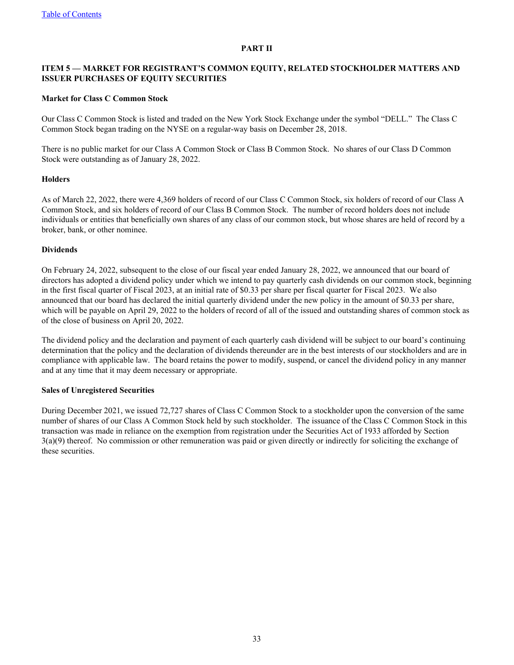#### **PART II**

#### <span id="page-32-0"></span>**ITEM 5 — MARKET FOR REGISTRANT'S COMMON EQUITY, RELATED STOCKHOLDER MATTERS AND ISSUER PURCHASES OF EQUITY SECURITIES**

#### **Market for Class C Common Stock**

Our Class C Common Stock is listed and traded on the New York Stock Exchange under the symbol "DELL." The Class C Common Stock began trading on the NYSE on a regular-way basis on December 28, 2018.

There is no public market for our Class A Common Stock or Class B Common Stock. No shares of our Class D Common Stock were outstanding as of January 28, 2022.

#### **Holders**

As of March 22, 2022, there were 4,369 holders of record of our Class C Common Stock, six holders of record of our Class A Common Stock, and six holders of record of our Class B Common Stock. The number of record holders does not include individuals or entities that beneficially own shares of any class of our common stock, but whose shares are held of record by a broker, bank, or other nominee.

#### **Dividends**

On February 24, 2022, subsequent to the close of our fiscal year ended January 28, 2022, we announced that our board of directors has adopted a dividend policy under which we intend to pay quarterly cash dividends on our common stock, beginning in the first fiscal quarter of Fiscal 2023, at an initial rate of \$0.33 per share per fiscal quarter for Fiscal 2023. We also announced that our board has declared the initial quarterly dividend under the new policy in the amount of \$0.33 per share, which will be payable on April 29, 2022 to the holders of record of all of the issued and outstanding shares of common stock as of the close of business on April 20, 2022.

The dividend policy and the declaration and payment of each quarterly cash dividend will be subject to our board's continuing determination that the policy and the declaration of dividends thereunder are in the best interests of our stockholders and are in compliance with applicable law. The board retains the power to modify, suspend, or cancel the dividend policy in any manner and at any time that it may deem necessary or appropriate.

#### **Sales of Unregistered Securities**

During December 2021, we issued 72,727 shares of Class C Common Stock to a stockholder upon the conversion of the same number of shares of our Class A Common Stock held by such stockholder. The issuance of the Class C Common Stock in this transaction was made in reliance on the exemption from registration under the Securities Act of 1933 afforded by Section 3(a)(9) thereof. No commission or other remuneration was paid or given directly or indirectly for soliciting the exchange of these securities.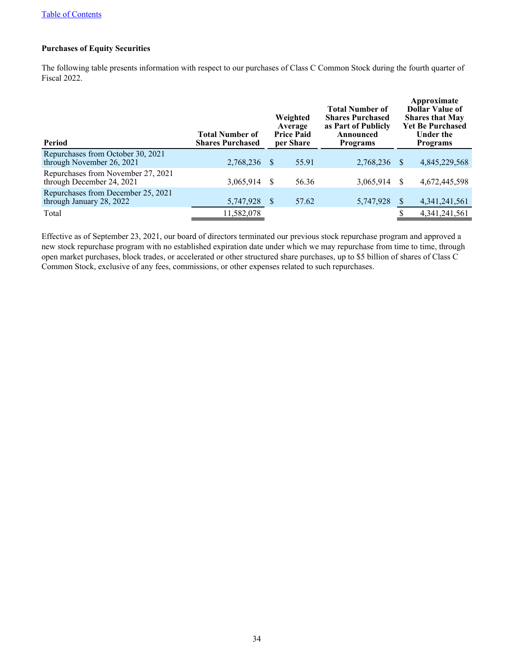#### **Purchases of Equity Securities**

The following table presents information with respect to our purchases of Class C Common Stock during the fourth quarter of Fiscal 2022.

| Period                                                          | <b>Total Number of</b><br><b>Shares Purchased</b> | Weighted<br>Average<br><b>Price Paid</b><br>per Share |       | <b>Total Number of</b><br><b>Shares Purchased</b><br>as Part of Publicly<br>Announced<br><b>Programs</b> |               | Approximate<br><b>Dollar Value of</b><br><b>Shares that May</b><br><b>Yet Be Purchased</b><br><b>Under the</b><br><b>Programs</b> |  |
|-----------------------------------------------------------------|---------------------------------------------------|-------------------------------------------------------|-------|----------------------------------------------------------------------------------------------------------|---------------|-----------------------------------------------------------------------------------------------------------------------------------|--|
| Repurchases from October 30, 2021<br>through November 26, 2021  | 2,768,236 \$                                      |                                                       | 55.91 | 2,768,236                                                                                                | <sup>\$</sup> | 4,845,229,568                                                                                                                     |  |
| Repurchases from November 27, 2021<br>through December 24, 2021 | 3,065,914                                         | -S                                                    | 56.36 | 3,065,914                                                                                                | <sup>S</sup>  | 4,672,445,598                                                                                                                     |  |
| Repurchases from December 25, 2021<br>through January 28, 2022  | 5,747,928                                         | <sup>S</sup>                                          | 57.62 | 5,747,928                                                                                                |               | 4, 341, 241, 561                                                                                                                  |  |
| Total                                                           | 11,582,078                                        |                                                       |       |                                                                                                          |               | 4,341,241,561                                                                                                                     |  |

Effective as of September 23, 2021, our board of directors terminated our previous stock repurchase program and approved a new stock repurchase program with no established expiration date under which we may repurchase from time to time, through open market purchases, block trades, or accelerated or other structured share purchases, up to \$5 billion of shares of Class C Common Stock, exclusive of any fees, commissions, or other expenses related to such repurchases.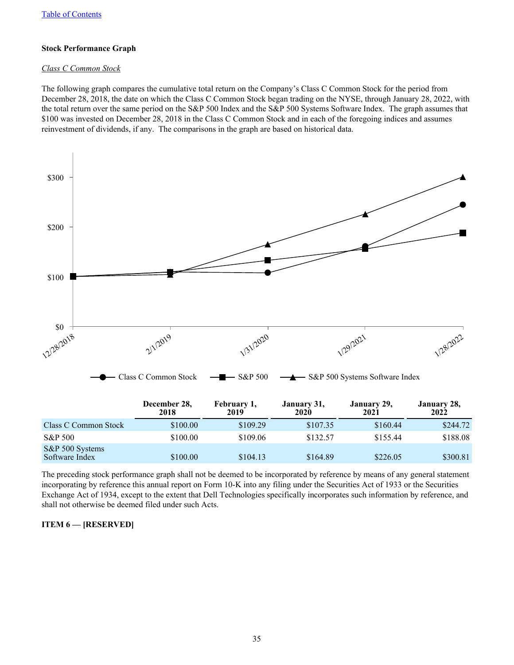#### <span id="page-34-0"></span>**Stock Performance Graph**

#### *Class C Common Stock*

The following graph compares the cumulative total return on the Company's Class C Common Stock for the period from December 28, 2018, the date on which the Class C Common Stock began trading on the NYSE, through January 28, 2022, with the total return over the same period on the S&P 500 Index and the S&P 500 Systems Software Index. The graph assumes that \$100 was invested on December 28, 2018 in the Class C Common Stock and in each of the foregoing indices and assumes reinvestment of dividends, if any. The comparisons in the graph are based on historical data.



The preceding stock performance graph shall not be deemed to be incorporated by reference by means of any general statement incorporating by reference this annual report on Form 10-K into any filing under the Securities Act of 1933 or the Securities Exchange Act of 1934, except to the extent that Dell Technologies specifically incorporates such information by reference, and shall not otherwise be deemed filed under such Acts.

#### **ITEM 6 — [RESERVED]**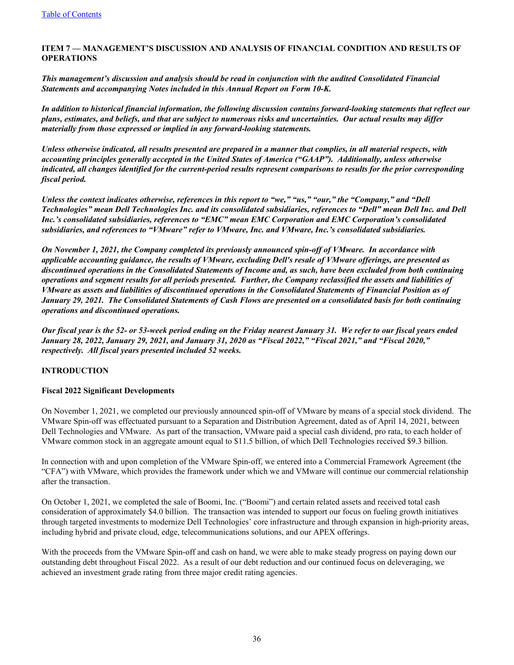#### <span id="page-35-0"></span>**ITEM 7** *—* **MANAGEMENT'S DISCUSSION AND ANALYSIS OF FINANCIAL CONDITION AND RESULTS OF OPERATIONS**

*This management's discussion and analysis should be read in conjunction with the audited Consolidated Financial Statements and accompanying Notes included in this Annual Report on Form 10-K.* 

*In addition to historical financial information, the following discussion contains forward-looking statements that reflect our plans, estimates, and beliefs, and that are subject to numerous risks and uncertainties. Our actual results may differ materially from those expressed or implied in any forward-looking statements.*

*Unless otherwise indicated, all results presented are prepared in a manner that complies, in all material respects, with accounting principles generally accepted in the United States of America ("GAAP"). Additionally, unless otherwise indicated, all changes identified for the current-period results represent comparisons to results for the prior corresponding fiscal period.*

*Unless the context indicates otherwise, references in this report to "we," "us," "our," the "Company," and "Dell Technologies" mean Dell Technologies Inc. and its consolidated subsidiaries, references to "Dell" mean Dell Inc. and Dell Inc.'s consolidated subsidiaries, references to "EMC" mean EMC Corporation and EMC Corporation's consolidated subsidiaries, and references to "VMware" refer to VMware, Inc. and VMware, Inc.'s consolidated subsidiaries.*

*On November 1, 2021, the Company completed its previously announced spin-off of VMware. In accordance with applicable accounting guidance, the results of VMware, excluding Dell's resale of VMware offerings, are presented as discontinued operations in the Consolidated Statements of Income and, as such, have been excluded from both continuing operations and segment results for all periods presented. Further, the Company reclassified the assets and liabilities of VMware as assets and liabilities of discontinued operations in the Consolidated Statements of Financial Position as of January 29, 2021. The Consolidated Statements of Cash Flows are presented on a consolidated basis for both continuing operations and discontinued operations.*

*Our fiscal year is the 52- or 53-week period ending on the Friday nearest January 31. We refer to our fiscal years ended January 28, 2022, January 29, 2021, and January 31, 2020 as "Fiscal 2022," "Fiscal 2021," and "Fiscal 2020," respectively. All fiscal years presented included 52 weeks.*

#### **INTRODUCTION**

#### **Fiscal 2022 Significant Developments**

On November 1, 2021, we completed our previously announced spin-off of VMware by means of a special stock dividend. The VMware Spin-off was effectuated pursuant to a Separation and Distribution Agreement, dated as of April 14, 2021, between Dell Technologies and VMware. As part of the transaction, VMware paid a special cash dividend, pro rata, to each holder of VMware common stock in an aggregate amount equal to \$11.5 billion, of which Dell Technologies received \$9.3 billion.

In connection with and upon completion of the VMware Spin-off, we entered into a Commercial Framework Agreement (the "CFA") with VMware, which provides the framework under which we and VMware will continue our commercial relationship after the transaction.

On October 1, 2021, we completed the sale of Boomi, Inc. ("Boomi") and certain related assets and received total cash consideration of approximately \$4.0 billion. The transaction was intended to support our focus on fueling growth initiatives through targeted investments to modernize Dell Technologies' core infrastructure and through expansion in high-priority areas, including hybrid and private cloud, edge, telecommunications solutions, and our APEX offerings.

With the proceeds from the VMware Spin-off and cash on hand, we were able to make steady progress on paying down our outstanding debt throughout Fiscal 2022. As a result of our debt reduction and our continued focus on deleveraging, we achieved an investment grade rating from three major credit rating agencies.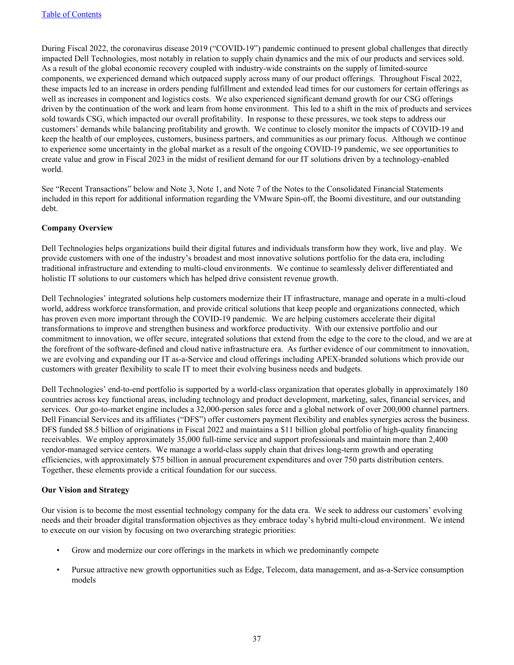During Fiscal 2022, the coronavirus disease 2019 ("COVID-19") pandemic continued to present global challenges that directly impacted Dell Technologies, most notably in relation to supply chain dynamics and the mix of our products and services sold. As a result of the global economic recovery coupled with industry-wide constraints on the supply of limited-source components, we experienced demand which outpaced supply across many of our product offerings. Throughout Fiscal 2022, these impacts led to an increase in orders pending fulfillment and extended lead times for our customers for certain offerings as well as increases in component and logistics costs. We also experienced significant demand growth for our CSG offerings driven by the continuation of the work and learn from home environment. This led to a shift in the mix of products and services sold towards CSG, which impacted our overall profitability. In response to these pressures, we took steps to address our customers' demands while balancing profitability and growth. We continue to closely monitor the impacts of COVID-19 and keep the health of our employees, customers, business partners, and communities as our primary focus. Although we continue to experience some uncertainty in the global market as a result of the ongoing COVID-19 pandemic, we see opportunities to create value and grow in Fiscal 2023 in the midst of resilient demand for our IT solutions driven by a technology-enabled world.

See "Recent Transactions" below and Note 3, Note 1, and Note 7 of the Notes to the Consolidated Financial Statements included in this report for additional information regarding the VMware Spin-off, the Boomi divestiture, and our outstanding debt.

### **Company Overview**

Dell Technologies helps organizations build their digital futures and individuals transform how they work, live and play. We provide customers with one of the industry's broadest and most innovative solutions portfolio for the data era, including traditional infrastructure and extending to multi-cloud environments. We continue to seamlessly deliver differentiated and holistic IT solutions to our customers which has helped drive consistent revenue growth.

Dell Technologies' integrated solutions help customers modernize their IT infrastructure, manage and operate in a multi-cloud world, address workforce transformation, and provide critical solutions that keep people and organizations connected, which has proven even more important through the COVID-19 pandemic. We are helping customers accelerate their digital transformations to improve and strengthen business and workforce productivity. With our extensive portfolio and our commitment to innovation, we offer secure, integrated solutions that extend from the edge to the core to the cloud, and we are at the forefront of the software-defined and cloud native infrastructure era. As further evidence of our commitment to innovation, we are evolving and expanding our IT as-a-Service and cloud offerings including APEX-branded solutions which provide our customers with greater flexibility to scale IT to meet their evolving business needs and budgets.

Dell Technologies' end-to-end portfolio is supported by a world-class organization that operates globally in approximately 180 countries across key functional areas, including technology and product development, marketing, sales, financial services, and services. Our go-to-market engine includes a 32,000-person sales force and a global network of over 200,000 channel partners. Dell Financial Services and its affiliates ("DFS") offer customers payment flexibility and enables synergies across the business. DFS funded \$8.5 billion of originations in Fiscal 2022 and maintains a \$11 billion global portfolio of high-quality financing receivables. We employ approximately 35,000 full-time service and support professionals and maintain more than 2,400 vendor-managed service centers. We manage a world-class supply chain that drives long-term growth and operating efficiencies, with approximately \$75 billion in annual procurement expenditures and over 750 parts distribution centers. Together, these elements provide a critical foundation for our success.

### **Our Vision and Strategy**

Our vision is to become the most essential technology company for the data era. We seek to address our customers' evolving needs and their broader digital transformation objectives as they embrace today's hybrid multi-cloud environment. We intend to execute on our vision by focusing on two overarching strategic priorities:

- Grow and modernize our core offerings in the markets in which we predominantly compete
- Pursue attractive new growth opportunities such as Edge, Telecom, data management, and as-a-Service consumption models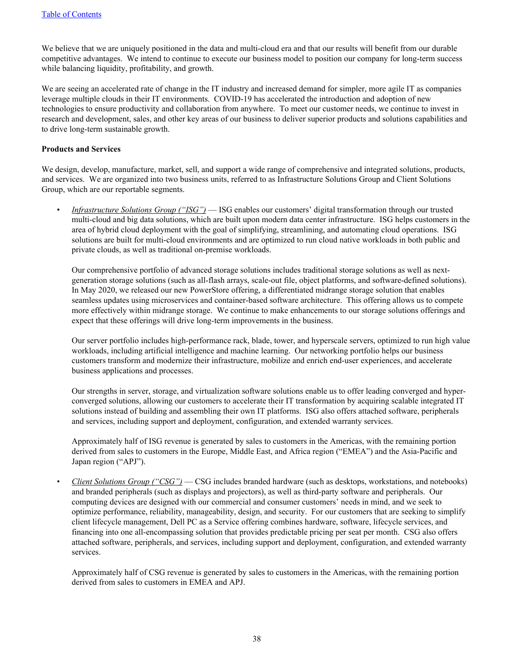We believe that we are uniquely positioned in the data and multi-cloud era and that our results will benefit from our durable competitive advantages. We intend to continue to execute our business model to position our company for long-term success while balancing liquidity, profitability, and growth.

We are seeing an accelerated rate of change in the IT industry and increased demand for simpler, more agile IT as companies leverage multiple clouds in their IT environments. COVID-19 has accelerated the introduction and adoption of new technologies to ensure productivity and collaboration from anywhere. To meet our customer needs, we continue to invest in research and development, sales, and other key areas of our business to deliver superior products and solutions capabilities and to drive long-term sustainable growth.

#### **Products and Services**

We design, develop, manufacture, market, sell, and support a wide range of comprehensive and integrated solutions, products, and services. We are organized into two business units, referred to as Infrastructure Solutions Group and Client Solutions Group, which are our reportable segments.

*• Infrastructure Solutions Group ("ISG")* — ISG enables our customers' digital transformation through our trusted multi-cloud and big data solutions, which are built upon modern data center infrastructure. ISG helps customers in the area of hybrid cloud deployment with the goal of simplifying, streamlining, and automating cloud operations. ISG solutions are built for multi-cloud environments and are optimized to run cloud native workloads in both public and private clouds, as well as traditional on-premise workloads.

Our comprehensive portfolio of advanced storage solutions includes traditional storage solutions as well as nextgeneration storage solutions (such as all-flash arrays, scale-out file, object platforms, and software-defined solutions). In May 2020, we released our new PowerStore offering, a differentiated midrange storage solution that enables seamless updates using microservices and container-based software architecture. This offering allows us to compete more effectively within midrange storage. We continue to make enhancements to our storage solutions offerings and expect that these offerings will drive long-term improvements in the business.

Our server portfolio includes high-performance rack, blade, tower, and hyperscale servers, optimized to run high value workloads, including artificial intelligence and machine learning. Our networking portfolio helps our business customers transform and modernize their infrastructure, mobilize and enrich end-user experiences, and accelerate business applications and processes.

Our strengths in server, storage, and virtualization software solutions enable us to offer leading converged and hyperconverged solutions, allowing our customers to accelerate their IT transformation by acquiring scalable integrated IT solutions instead of building and assembling their own IT platforms. ISG also offers attached software, peripherals and services, including support and deployment, configuration, and extended warranty services.

Approximately half of ISG revenue is generated by sales to customers in the Americas, with the remaining portion derived from sales to customers in the Europe, Middle East, and Africa region ("EMEA") and the Asia-Pacific and Japan region ("APJ").

*• Client Solutions Group ("CSG")* — CSG includes branded hardware (such as desktops, workstations, and notebooks) and branded peripherals (such as displays and projectors), as well as third-party software and peripherals. Our computing devices are designed with our commercial and consumer customers' needs in mind, and we seek to optimize performance, reliability, manageability, design, and security. For our customers that are seeking to simplify client lifecycle management, Dell PC as a Service offering combines hardware, software, lifecycle services, and financing into one all-encompassing solution that provides predictable pricing per seat per month. CSG also offers attached software, peripherals, and services, including support and deployment, configuration, and extended warranty services.

Approximately half of CSG revenue is generated by sales to customers in the Americas, with the remaining portion derived from sales to customers in EMEA and APJ.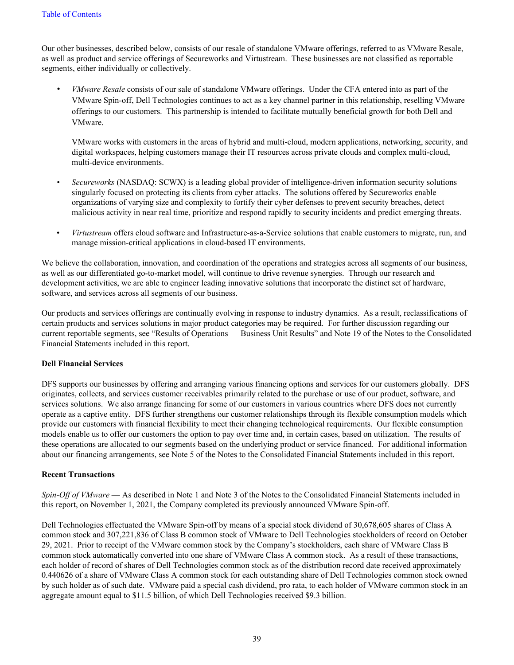Our other businesses, described below, consists of our resale of standalone VMware offerings, referred to as VMware Resale, as well as product and service offerings of Secureworks and Virtustream. These businesses are not classified as reportable segments, either individually or collectively.

*• VMware Resale* consists of our sale of standalone VMware offerings. Under the CFA entered into as part of the VMware Spin-off, Dell Technologies continues to act as a key channel partner in this relationship, reselling VMware offerings to our customers. This partnership is intended to facilitate mutually beneficial growth for both Dell and VMware.

VMware works with customers in the areas of hybrid and multi-cloud, modern applications, networking, security, and digital workspaces, helping customers manage their IT resources across private clouds and complex multi-cloud, multi-device environments.

- *• Secureworks* (NASDAQ: SCWX) is a leading global provider of intelligence-driven information security solutions singularly focused on protecting its clients from cyber attacks. The solutions offered by Secureworks enable organizations of varying size and complexity to fortify their cyber defenses to prevent security breaches, detect malicious activity in near real time, prioritize and respond rapidly to security incidents and predict emerging threats.
- *Virtustream* offers cloud software and Infrastructure-as-a-Service solutions that enable customers to migrate, run, and manage mission-critical applications in cloud-based IT environments.

We believe the collaboration, innovation, and coordination of the operations and strategies across all segments of our business, as well as our differentiated go-to-market model, will continue to drive revenue synergies. Through our research and development activities, we are able to engineer leading innovative solutions that incorporate the distinct set of hardware, software, and services across all segments of our business.

Our products and services offerings are continually evolving in response to industry dynamics. As a result, reclassifications of certain products and services solutions in major product categories may be required. For further discussion regarding our current reportable segments, see "Results of Operations — Business Unit Results" and Note 19 of the Notes to the Consolidated Financial Statements included in this report.

### **Dell Financial Services**

DFS supports our businesses by offering and arranging various financing options and services for our customers globally. DFS originates, collects, and services customer receivables primarily related to the purchase or use of our product, software, and services solutions. We also arrange financing for some of our customers in various countries where DFS does not currently operate as a captive entity. DFS further strengthens our customer relationships through its flexible consumption models which provide our customers with financial flexibility to meet their changing technological requirements. Our flexible consumption models enable us to offer our customers the option to pay over time and, in certain cases, based on utilization. The results of these operations are allocated to our segments based on the underlying product or service financed. For additional information about our financing arrangements, see Note 5 of the Notes to the Consolidated Financial Statements included in this report.

### **Recent Transactions**

*Spin-Off of VMware* — As described in Note 1 and Note 3 of the Notes to the Consolidated Financial Statements included in this report, on November 1, 2021, the Company completed its previously announced VMware Spin-off.

Dell Technologies effectuated the VMware Spin-off by means of a special stock dividend of 30,678,605 shares of Class A common stock and 307,221,836 of Class B common stock of VMware to Dell Technologies stockholders of record on October 29, 2021. Prior to receipt of the VMware common stock by the Company's stockholders, each share of VMware Class B common stock automatically converted into one share of VMware Class A common stock. As a result of these transactions, each holder of record of shares of Dell Technologies common stock as of the distribution record date received approximately 0.440626 of a share of VMware Class A common stock for each outstanding share of Dell Technologies common stock owned by such holder as of such date. VMware paid a special cash dividend, pro rata, to each holder of VMware common stock in an aggregate amount equal to \$11.5 billion, of which Dell Technologies received \$9.3 billion.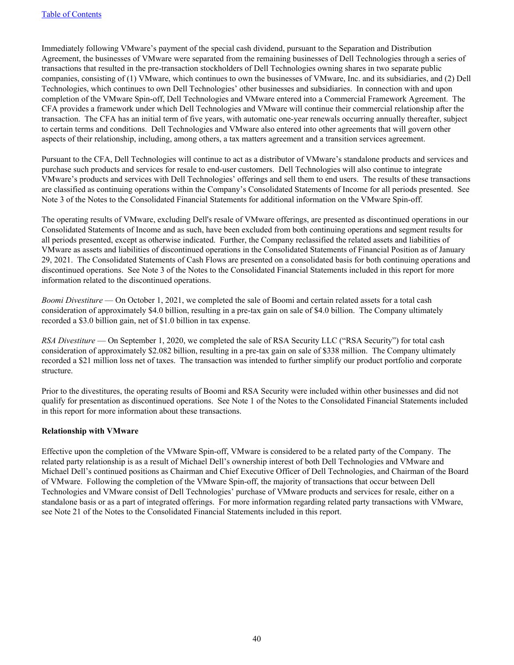Immediately following VMware's payment of the special cash dividend, pursuant to the Separation and Distribution Agreement, the businesses of VMware were separated from the remaining businesses of Dell Technologies through a series of transactions that resulted in the pre-transaction stockholders of Dell Technologies owning shares in two separate public companies, consisting of (1) VMware, which continues to own the businesses of VMware, Inc. and its subsidiaries, and (2) Dell Technologies, which continues to own Dell Technologies' other businesses and subsidiaries. In connection with and upon completion of the VMware Spin-off, Dell Technologies and VMware entered into a Commercial Framework Agreement. The CFA provides a framework under which Dell Technologies and VMware will continue their commercial relationship after the transaction. The CFA has an initial term of five years, with automatic one-year renewals occurring annually thereafter, subject to certain terms and conditions. Dell Technologies and VMware also entered into other agreements that will govern other aspects of their relationship, including, among others, a tax matters agreement and a transition services agreement.

Pursuant to the CFA, Dell Technologies will continue to act as a distributor of VMware's standalone products and services and purchase such products and services for resale to end-user customers. Dell Technologies will also continue to integrate VMware's products and services with Dell Technologies' offerings and sell them to end users. The results of these transactions are classified as continuing operations within the Company's Consolidated Statements of Income for all periods presented. See Note 3 of the Notes to the Consolidated Financial Statements for additional information on the VMware Spin-off.

The operating results of VMware, excluding Dell's resale of VMware offerings, are presented as discontinued operations in our Consolidated Statements of Income and as such, have been excluded from both continuing operations and segment results for all periods presented, except as otherwise indicated. Further, the Company reclassified the related assets and liabilities of VMware as assets and liabilities of discontinued operations in the Consolidated Statements of Financial Position as of January 29, 2021. The Consolidated Statements of Cash Flows are presented on a consolidated basis for both continuing operations and discontinued operations. See Note 3 of the Notes to the Consolidated Financial Statements included in this report for more information related to the discontinued operations.

*Boomi Divestiture* — On October 1, 2021, we completed the sale of Boomi and certain related assets for a total cash consideration of approximately \$4.0 billion, resulting in a pre-tax gain on sale of \$4.0 billion. The Company ultimately recorded a \$3.0 billion gain, net of \$1.0 billion in tax expense.

*RSA Divestiture* — On September 1, 2020, we completed the sale of RSA Security LLC ("RSA Security") for total cash consideration of approximately \$2.082 billion, resulting in a pre-tax gain on sale of \$338 million. The Company ultimately recorded a \$21 million loss net of taxes. The transaction was intended to further simplify our product portfolio and corporate structure.

Prior to the divestitures, the operating results of Boomi and RSA Security were included within other businesses and did not qualify for presentation as discontinued operations. See Note 1 of the Notes to the Consolidated Financial Statements included in this report for more information about these transactions.

### **Relationship with VMware**

Effective upon the completion of the VMware Spin-off, VMware is considered to be a related party of the Company. The related party relationship is as a result of Michael Dell's ownership interest of both Dell Technologies and VMware and Michael Dell's continued positions as Chairman and Chief Executive Officer of Dell Technologies, and Chairman of the Board of VMware. Following the completion of the VMware Spin-off, the majority of transactions that occur between Dell Technologies and VMware consist of Dell Technologies' purchase of VMware products and services for resale, either on a standalone basis or as a part of integrated offerings. For more information regarding related party transactions with VMware, see Note 21 of the Notes to the Consolidated Financial Statements included in this report.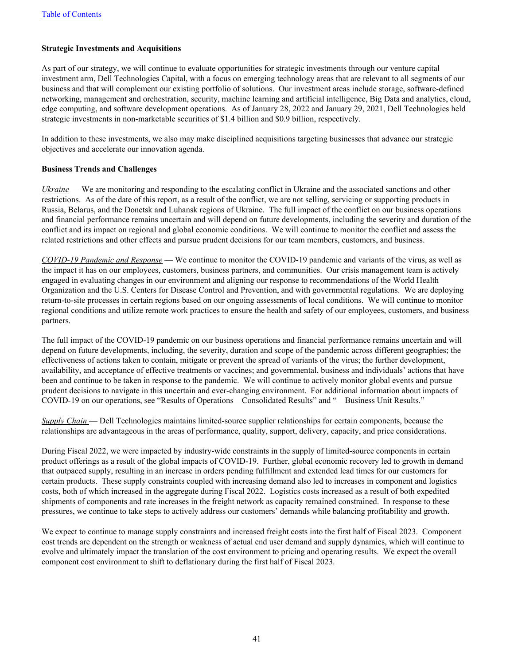### **Strategic Investments and Acquisitions**

As part of our strategy, we will continue to evaluate opportunities for strategic investments through our venture capital investment arm, Dell Technologies Capital, with a focus on emerging technology areas that are relevant to all segments of our business and that will complement our existing portfolio of solutions. Our investment areas include storage, software-defined networking, management and orchestration, security, machine learning and artificial intelligence, Big Data and analytics, cloud, edge computing, and software development operations. As of January 28, 2022 and January 29, 2021, Dell Technologies held strategic investments in non-marketable securities of \$1.4 billion and \$0.9 billion, respectively.

In addition to these investments, we also may make disciplined acquisitions targeting businesses that advance our strategic objectives and accelerate our innovation agenda.

### **Business Trends and Challenges**

*Ukraine* — We are monitoring and responding to the escalating conflict in Ukraine and the associated sanctions and other restrictions. As of the date of this report, as a result of the conflict, we are not selling, servicing or supporting products in Russia, Belarus, and the Donetsk and Luhansk regions of Ukraine. The full impact of the conflict on our business operations and financial performance remains uncertain and will depend on future developments, including the severity and duration of the conflict and its impact on regional and global economic conditions. We will continue to monitor the conflict and assess the related restrictions and other effects and pursue prudent decisions for our team members, customers, and business.

*COVID-19 Pandemic and Response* — We continue to monitor the COVID-19 pandemic and variants of the virus, as well as the impact it has on our employees, customers, business partners, and communities. Our crisis management team is actively engaged in evaluating changes in our environment and aligning our response to recommendations of the World Health Organization and the U.S. Centers for Disease Control and Prevention, and with governmental regulations. We are deploying return-to-site processes in certain regions based on our ongoing assessments of local conditions. We will continue to monitor regional conditions and utilize remote work practices to ensure the health and safety of our employees, customers, and business partners.

The full impact of the COVID-19 pandemic on our business operations and financial performance remains uncertain and will depend on future developments, including, the severity, duration and scope of the pandemic across different geographies; the effectiveness of actions taken to contain, mitigate or prevent the spread of variants of the virus; the further development, availability, and acceptance of effective treatments or vaccines; and governmental, business and individuals' actions that have been and continue to be taken in response to the pandemic. We will continue to actively monitor global events and pursue prudent decisions to navigate in this uncertain and ever-changing environment. For additional information about impacts of COVID-19 on our operations, see "Results of Operations—Consolidated Results" and "—Business Unit Results."

*Supply Chain* — Dell Technologies maintains limited-source supplier relationships for certain components, because the relationships are advantageous in the areas of performance, quality, support, delivery, capacity, and price considerations.

During Fiscal 2022, we were impacted by industry-wide constraints in the supply of limited-source components in certain product offerings as a result of the global impacts of COVID-19. Further, global economic recovery led to growth in demand that outpaced supply, resulting in an increase in orders pending fulfillment and extended lead times for our customers for certain products. These supply constraints coupled with increasing demand also led to increases in component and logistics costs, both of which increased in the aggregate during Fiscal 2022. Logistics costs increased as a result of both expedited shipments of components and rate increases in the freight network as capacity remained constrained. In response to these pressures, we continue to take steps to actively address our customers' demands while balancing profitability and growth.

We expect to continue to manage supply constraints and increased freight costs into the first half of Fiscal 2023. Component cost trends are dependent on the strength or weakness of actual end user demand and supply dynamics, which will continue to evolve and ultimately impact the translation of the cost environment to pricing and operating results. We expect the overall component cost environment to shift to deflationary during the first half of Fiscal 2023.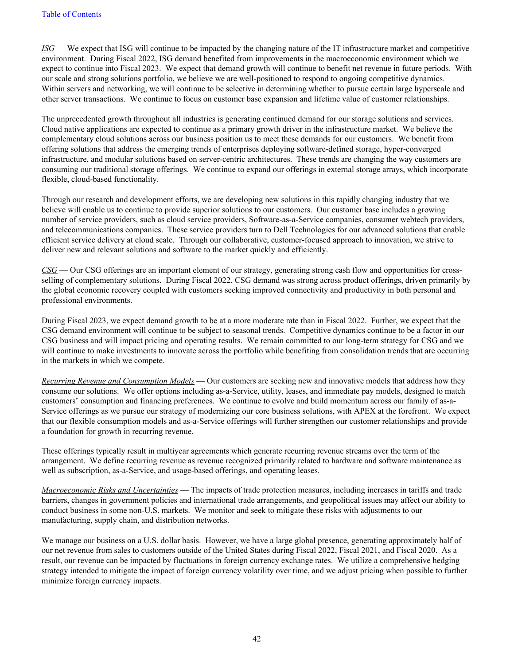*ISG* — We expect that ISG will continue to be impacted by the changing nature of the IT infrastructure market and competitive environment. During Fiscal 2022, ISG demand benefited from improvements in the macroeconomic environment which we expect to continue into Fiscal 2023. We expect that demand growth will continue to benefit net revenue in future periods. With our scale and strong solutions portfolio, we believe we are well-positioned to respond to ongoing competitive dynamics. Within servers and networking, we will continue to be selective in determining whether to pursue certain large hyperscale and other server transactions. We continue to focus on customer base expansion and lifetime value of customer relationships.

The unprecedented growth throughout all industries is generating continued demand for our storage solutions and services. Cloud native applications are expected to continue as a primary growth driver in the infrastructure market. We believe the complementary cloud solutions across our business position us to meet these demands for our customers. We benefit from offering solutions that address the emerging trends of enterprises deploying software-defined storage, hyper-converged infrastructure, and modular solutions based on server-centric architectures. These trends are changing the way customers are consuming our traditional storage offerings. We continue to expand our offerings in external storage arrays, which incorporate flexible, cloud-based functionality.

Through our research and development efforts, we are developing new solutions in this rapidly changing industry that we believe will enable us to continue to provide superior solutions to our customers. Our customer base includes a growing number of service providers, such as cloud service providers, Software-as-a-Service companies, consumer webtech providers, and telecommunications companies. These service providers turn to Dell Technologies for our advanced solutions that enable efficient service delivery at cloud scale. Through our collaborative, customer-focused approach to innovation, we strive to deliver new and relevant solutions and software to the market quickly and efficiently.

*CSG* — Our CSG offerings are an important element of our strategy, generating strong cash flow and opportunities for crossselling of complementary solutions. During Fiscal 2022, CSG demand was strong across product offerings, driven primarily by the global economic recovery coupled with customers seeking improved connectivity and productivity in both personal and professional environments.

During Fiscal 2023, we expect demand growth to be at a more moderate rate than in Fiscal 2022. Further, we expect that the CSG demand environment will continue to be subject to seasonal trends. Competitive dynamics continue to be a factor in our CSG business and will impact pricing and operating results. We remain committed to our long-term strategy for CSG and we will continue to make investments to innovate across the portfolio while benefiting from consolidation trends that are occurring in the markets in which we compete.

*Recurring Revenue and Consumption Models* — Our customers are seeking new and innovative models that address how they consume our solutions. We offer options including as-a-Service, utility, leases, and immediate pay models, designed to match customers' consumption and financing preferences. We continue to evolve and build momentum across our family of as-a-Service offerings as we pursue our strategy of modernizing our core business solutions, with APEX at the forefront. We expect that our flexible consumption models and as-a-Service offerings will further strengthen our customer relationships and provide a foundation for growth in recurring revenue.

These offerings typically result in multiyear agreements which generate recurring revenue streams over the term of the arrangement. We define recurring revenue as revenue recognized primarily related to hardware and software maintenance as well as subscription, as-a-Service, and usage-based offerings, and operating leases.

*Macroeconomic Risks and Uncertainties* — The impacts of trade protection measures, including increases in tariffs and trade barriers, changes in government policies and international trade arrangements, and geopolitical issues may affect our ability to conduct business in some non-U.S. markets. We monitor and seek to mitigate these risks with adjustments to our manufacturing, supply chain, and distribution networks.

We manage our business on a U.S. dollar basis. However, we have a large global presence, generating approximately half of our net revenue from sales to customers outside of the United States during Fiscal 2022, Fiscal 2021, and Fiscal 2020. As a result, our revenue can be impacted by fluctuations in foreign currency exchange rates. We utilize a comprehensive hedging strategy intended to mitigate the impact of foreign currency volatility over time, and we adjust pricing when possible to further minimize foreign currency impacts.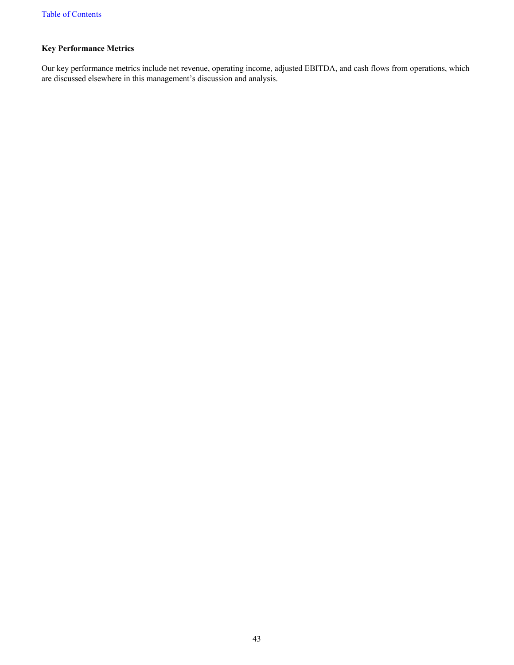# **Key Performance Metrics**

Our key performance metrics include net revenue, operating income, adjusted EBITDA, and cash flows from operations, which are discussed elsewhere in this management's discussion and analysis.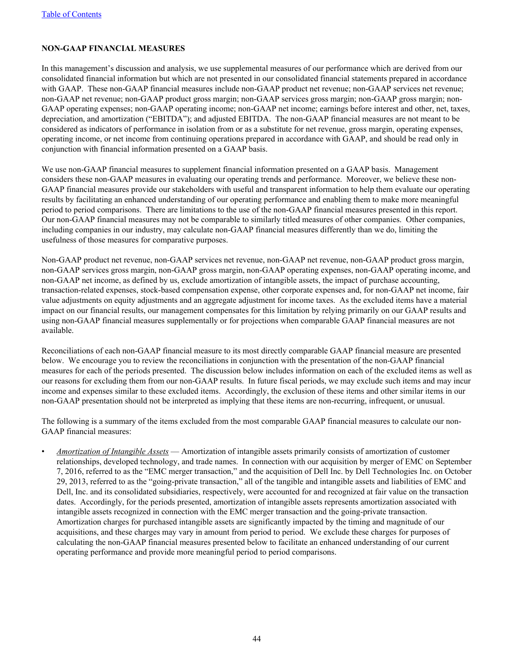# **NON-GAAP FINANCIAL MEASURES**

In this management's discussion and analysis, we use supplemental measures of our performance which are derived from our consolidated financial information but which are not presented in our consolidated financial statements prepared in accordance with GAAP. These non-GAAP financial measures include non-GAAP product net revenue; non-GAAP services net revenue; non-GAAP net revenue; non-GAAP product gross margin; non-GAAP services gross margin; non-GAAP gross margin; non-GAAP operating expenses; non-GAAP operating income; non-GAAP net income; earnings before interest and other, net, taxes, depreciation, and amortization ("EBITDA"); and adjusted EBITDA. The non-GAAP financial measures are not meant to be considered as indicators of performance in isolation from or as a substitute for net revenue, gross margin, operating expenses, operating income, or net income from continuing operations prepared in accordance with GAAP, and should be read only in conjunction with financial information presented on a GAAP basis.

We use non-GAAP financial measures to supplement financial information presented on a GAAP basis. Management considers these non-GAAP measures in evaluating our operating trends and performance. Moreover, we believe these non-GAAP financial measures provide our stakeholders with useful and transparent information to help them evaluate our operating results by facilitating an enhanced understanding of our operating performance and enabling them to make more meaningful period to period comparisons. There are limitations to the use of the non-GAAP financial measures presented in this report. Our non-GAAP financial measures may not be comparable to similarly titled measures of other companies. Other companies, including companies in our industry, may calculate non-GAAP financial measures differently than we do, limiting the usefulness of those measures for comparative purposes.

Non-GAAP product net revenue, non-GAAP services net revenue, non-GAAP net revenue, non-GAAP product gross margin, non-GAAP services gross margin, non-GAAP gross margin, non-GAAP operating expenses, non-GAAP operating income, and non-GAAP net income, as defined by us, exclude amortization of intangible assets, the impact of purchase accounting, transaction-related expenses, stock-based compensation expense, other corporate expenses and, for non-GAAP net income, fair value adjustments on equity adjustments and an aggregate adjustment for income taxes. As the excluded items have a material impact on our financial results, our management compensates for this limitation by relying primarily on our GAAP results and using non-GAAP financial measures supplementally or for projections when comparable GAAP financial measures are not available.

Reconciliations of each non-GAAP financial measure to its most directly comparable GAAP financial measure are presented below. We encourage you to review the reconciliations in conjunction with the presentation of the non-GAAP financial measures for each of the periods presented. The discussion below includes information on each of the excluded items as well as our reasons for excluding them from our non-GAAP results. In future fiscal periods, we may exclude such items and may incur income and expenses similar to these excluded items. Accordingly, the exclusion of these items and other similar items in our non-GAAP presentation should not be interpreted as implying that these items are non-recurring, infrequent, or unusual.

The following is a summary of the items excluded from the most comparable GAAP financial measures to calculate our non-GAAP financial measures:

• *Amortization of Intangible Assets* — Amortization of intangible assets primarily consists of amortization of customer relationships, developed technology, and trade names. In connection with our acquisition by merger of EMC on September 7, 2016, referred to as the "EMC merger transaction," and the acquisition of Dell Inc. by Dell Technologies Inc. on October 29, 2013, referred to as the "going-private transaction," all of the tangible and intangible assets and liabilities of EMC and Dell, Inc. and its consolidated subsidiaries, respectively, were accounted for and recognized at fair value on the transaction dates. Accordingly, for the periods presented, amortization of intangible assets represents amortization associated with intangible assets recognized in connection with the EMC merger transaction and the going-private transaction. Amortization charges for purchased intangible assets are significantly impacted by the timing and magnitude of our acquisitions, and these charges may vary in amount from period to period. We exclude these charges for purposes of calculating the non-GAAP financial measures presented below to facilitate an enhanced understanding of our current operating performance and provide more meaningful period to period comparisons.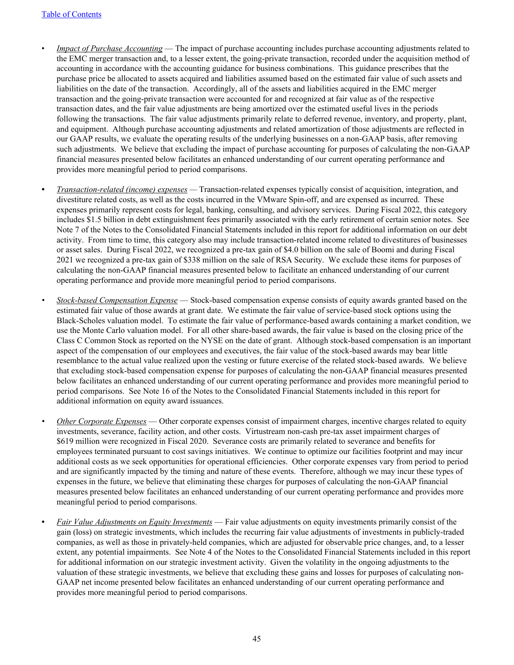- *Impact of Purchase Accounting* The impact of purchase accounting includes purchase accounting adjustments related to the EMC merger transaction and, to a lesser extent, the going-private transaction, recorded under the acquisition method of accounting in accordance with the accounting guidance for business combinations. This guidance prescribes that the purchase price be allocated to assets acquired and liabilities assumed based on the estimated fair value of such assets and liabilities on the date of the transaction. Accordingly, all of the assets and liabilities acquired in the EMC merger transaction and the going-private transaction were accounted for and recognized at fair value as of the respective transaction dates, and the fair value adjustments are being amortized over the estimated useful lives in the periods following the transactions. The fair value adjustments primarily relate to deferred revenue, inventory, and property, plant, and equipment. Although purchase accounting adjustments and related amortization of those adjustments are reflected in our GAAP results, we evaluate the operating results of the underlying businesses on a non-GAAP basis, after removing such adjustments. We believe that excluding the impact of purchase accounting for purposes of calculating the non-GAAP financial measures presented below facilitates an enhanced understanding of our current operating performance and provides more meaningful period to period comparisons.
- *• Transaction-related (income) expenses* Transaction-related expenses typically consist of acquisition, integration, and divestiture related costs, as well as the costs incurred in the VMware Spin-off, and are expensed as incurred. These expenses primarily represent costs for legal, banking, consulting, and advisory services. During Fiscal 2022, this category includes \$1.5 billion in debt extinguishment fees primarily associated with the early retirement of certain senior notes. See Note 7 of the Notes to the Consolidated Financial Statements included in this report for additional information on our debt activity. From time to time, this category also may include transaction-related income related to divestitures of businesses or asset sales. During Fiscal 2022, we recognized a pre-tax gain of \$4.0 billion on the sale of Boomi and during Fiscal 2021 we recognized a pre-tax gain of \$338 million on the sale of RSA Security. We exclude these items for purposes of calculating the non-GAAP financial measures presented below to facilitate an enhanced understanding of our current operating performance and provide more meaningful period to period comparisons.
- *• Stock-based Compensation Expense* Stock-based compensation expense consists of equity awards granted based on the estimated fair value of those awards at grant date. We estimate the fair value of service-based stock options using the Black-Scholes valuation model. To estimate the fair value of performance-based awards containing a market condition, we use the Monte Carlo valuation model. For all other share-based awards, the fair value is based on the closing price of the Class C Common Stock as reported on the NYSE on the date of grant. Although stock-based compensation is an important aspect of the compensation of our employees and executives, the fair value of the stock-based awards may bear little resemblance to the actual value realized upon the vesting or future exercise of the related stock-based awards. We believe that excluding stock-based compensation expense for purposes of calculating the non-GAAP financial measures presented below facilitates an enhanced understanding of our current operating performance and provides more meaningful period to period comparisons. See Note 16 of the Notes to the Consolidated Financial Statements included in this report for additional information on equity award issuances.
- *Other Corporate Expenses* Other corporate expenses consist of impairment charges, incentive charges related to equity investments, severance, facility action, and other costs. Virtustream non-cash pre-tax asset impairment charges of \$619 million were recognized in Fiscal 2020. Severance costs are primarily related to severance and benefits for employees terminated pursuant to cost savings initiatives. We continue to optimize our facilities footprint and may incur additional costs as we seek opportunities for operational efficiencies. Other corporate expenses vary from period to period and are significantly impacted by the timing and nature of these events. Therefore, although we may incur these types of expenses in the future, we believe that eliminating these charges for purposes of calculating the non-GAAP financial measures presented below facilitates an enhanced understanding of our current operating performance and provides more meaningful period to period comparisons.
- *• Fair Value Adjustments on Equity Investments* Fair value adjustments on equity investments primarily consist of the gain (loss) on strategic investments, which includes the recurring fair value adjustments of investments in publicly-traded companies, as well as those in privately-held companies, which are adjusted for observable price changes, and, to a lesser extent, any potential impairments. See Note 4 of the Notes to the Consolidated Financial Statements included in this report for additional information on our strategic investment activity. Given the volatility in the ongoing adjustments to the valuation of these strategic investments, we believe that excluding these gains and losses for purposes of calculating non-GAAP net income presented below facilitates an enhanced understanding of our current operating performance and provides more meaningful period to period comparisons.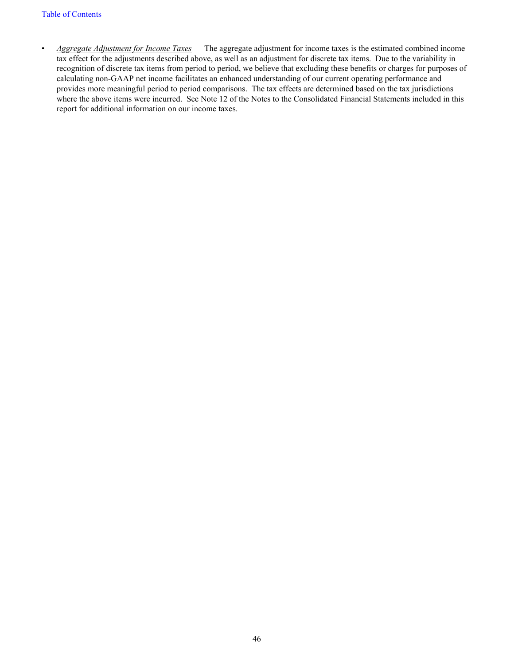• *Aggregate Adjustment for Income Taxes* — The aggregate adjustment for income taxes is the estimated combined income tax effect for the adjustments described above, as well as an adjustment for discrete tax items. Due to the variability in recognition of discrete tax items from period to period, we believe that excluding these benefits or charges for purposes of calculating non-GAAP net income facilitates an enhanced understanding of our current operating performance and provides more meaningful period to period comparisons. The tax effects are determined based on the tax jurisdictions where the above items were incurred. See Note 12 of the Notes to the Consolidated Financial Statements included in this report for additional information on our income taxes.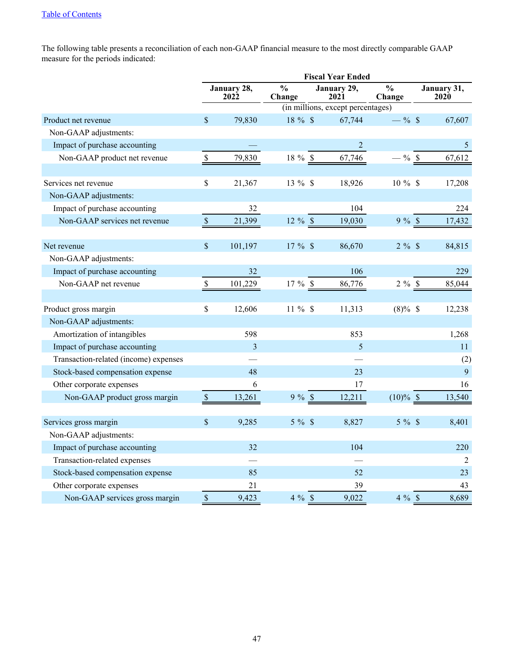The following table presents a reconciliation of each non-GAAP financial measure to the most directly comparable GAAP measure for the periods indicated:

|                                       |                                   |                                    |                         | <b>Fiscal Year Ended</b>          |                         |                            |
|---------------------------------------|-----------------------------------|------------------------------------|-------------------------|-----------------------------------|-------------------------|----------------------------|
|                                       |                                   | January 28,<br>$202\overset{.}{2}$ | $\frac{0}{0}$<br>Change | January 29,<br>2021               | $\frac{0}{0}$<br>Change | January 31,<br><b>2020</b> |
|                                       |                                   |                                    |                         | (in millions, except percentages) |                         |                            |
| Product net revenue                   | $\mathcal{S}$                     | 79,830                             | 18 % \$                 | 67,744                            | $-$ % \$                | 67,607                     |
| Non-GAAP adjustments:                 |                                   |                                    |                         |                                   |                         |                            |
| Impact of purchase accounting         |                                   |                                    |                         | $\overline{2}$                    |                         | $\mathfrak{H}$             |
| Non-GAAP product net revenue          | $\mathcal{S}$                     | 79,830                             | 18 % \$                 | 67,746                            | $-$ % \$                | 67,612                     |
|                                       |                                   |                                    |                         |                                   |                         |                            |
| Services net revenue                  | $\mathbb{S}$                      | 21,367                             | 13 % \$                 | 18,926                            | $10 \%$ \$              | 17,208                     |
| Non-GAAP adjustments:                 |                                   |                                    |                         |                                   |                         |                            |
| Impact of purchase accounting         |                                   | 32                                 |                         | 104                               |                         | 224                        |
| Non-GAAP services net revenue         | $\$$                              | 21,399                             | $12 \%$ \$              | 19,030                            | 9%                      | 17,432                     |
|                                       |                                   |                                    |                         |                                   |                         |                            |
| Net revenue                           | $\boldsymbol{\mathsf{S}}$         | 101,197                            | $17 \%$ \$              | 86,670                            | $2 \%$                  | 84,815                     |
| Non-GAAP adjustments:                 |                                   |                                    |                         |                                   |                         |                            |
| Impact of purchase accounting         |                                   | 32                                 |                         | 106                               |                         | 229                        |
| Non-GAAP net revenue                  | $\mathbb{S}% _{t}\left( t\right)$ | 101,229                            | 17 % \$                 | 86,776                            | $2 \%$ \$               | 85,044                     |
|                                       |                                   |                                    |                         |                                   |                         |                            |
| Product gross margin                  | $\mathbf{\hat{S}}$                | 12,606                             | $11 \%$ \$              | 11,313                            | $(8)\%$ \$              | 12,238                     |
| Non-GAAP adjustments:                 |                                   |                                    |                         |                                   |                         |                            |
| Amortization of intangibles           |                                   | 598                                |                         | 853                               |                         | 1,268                      |
| Impact of purchase accounting         |                                   | 3                                  |                         | 5                                 |                         | 11                         |
| Transaction-related (income) expenses |                                   |                                    |                         |                                   |                         | (2)                        |
| Stock-based compensation expense      |                                   | 48                                 |                         | 23                                |                         | 9                          |
| Other corporate expenses              |                                   | 6                                  |                         | 17                                |                         | 16                         |
| Non-GAAP product gross margin         | $\mathbb S$                       | 13,261                             | 9%                      | 12,211                            | $(10)\%$ \$             | 13,540                     |
|                                       |                                   |                                    |                         |                                   |                         |                            |
| Services gross margin                 | $\boldsymbol{\mathsf{S}}$         | 9,285                              | $5 \%$                  | 8,827                             | $5 \%$                  | 8,401                      |
| Non-GAAP adjustments:                 |                                   |                                    |                         |                                   |                         |                            |
| Impact of purchase accounting         |                                   | 32                                 |                         | 104                               |                         | 220                        |
| Transaction-related expenses          |                                   |                                    |                         |                                   |                         | 2                          |
| Stock-based compensation expense      |                                   | 85                                 |                         | 52                                |                         | 23                         |
| Other corporate expenses              |                                   | 21                                 |                         | 39                                |                         | 43                         |
| Non-GAAP services gross margin        | $\sqrt{\ }$                       | 9,423                              | $4\%$ \$                | 9,022                             | 4%                      | 8,689                      |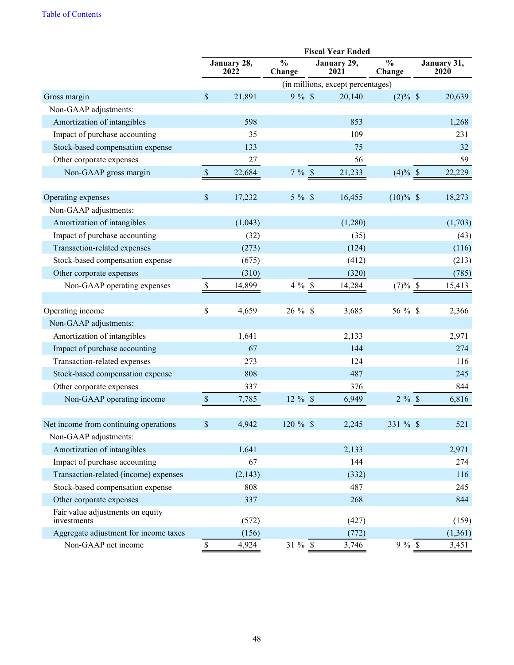|                                                 |              |                     |                         | <b>Fiscal Year Ended</b>          |                         |                     |
|-------------------------------------------------|--------------|---------------------|-------------------------|-----------------------------------|-------------------------|---------------------|
|                                                 |              | January 28,<br>2022 | $\frac{0}{0}$<br>Change | January 29,<br>2021               | $\frac{0}{0}$<br>Change | January 31,<br>2020 |
|                                                 |              |                     |                         | (in millions, except percentages) |                         |                     |
| Gross margin                                    | \$           | 21,891              | 9%                      | 20,140                            | $(2)\%$ \$              | 20,639              |
| Non-GAAP adjustments:                           |              |                     |                         |                                   |                         |                     |
| Amortization of intangibles                     |              | 598                 |                         | 853                               |                         | 1,268               |
| Impact of purchase accounting                   |              | 35                  |                         | 109                               |                         | 231                 |
| Stock-based compensation expense                |              | 133                 |                         | 75                                |                         | 32                  |
| Other corporate expenses                        |              | 27                  |                         | 56                                |                         | 59                  |
| Non-GAAP gross margin                           | $\mathbb{S}$ | 22,684              | 7%                      | 21,233                            | $(4)\%$ \$              | 22,229              |
| Operating expenses                              | $\$$         | 17,232              | $5 \%$                  | 16,455                            | $(10)\%$ \$             | 18,273              |
| Non-GAAP adjustments:                           |              |                     |                         |                                   |                         |                     |
| Amortization of intangibles                     |              | (1,043)             |                         | (1,280)                           |                         | (1,703)             |
| Impact of purchase accounting                   |              | (32)                |                         | (35)                              |                         | (43)                |
| Transaction-related expenses                    |              | (273)               |                         | (124)                             |                         | (116)               |
| Stock-based compensation expense                |              | (675)               |                         | (412)                             |                         | (213)               |
| Other corporate expenses                        |              | (310)               |                         | (320)                             |                         | (785)               |
| Non-GAAP operating expenses                     | \$           | 14,899              | $4\%$ \$                | 14,284                            | $(7)%$ \$               | 15,413              |
| Operating income                                | \$           | 4,659               | $26 \%$ \$              | 3,685                             | 56 % \$                 | 2,366               |
| Non-GAAP adjustments:                           |              |                     |                         |                                   |                         |                     |
| Amortization of intangibles                     |              | 1,641               |                         | 2,133                             |                         | 2,971               |
| Impact of purchase accounting                   |              | 67                  |                         | 144                               |                         | 274                 |
| Transaction-related expenses                    |              | 273                 |                         | 124                               |                         | 116                 |
| Stock-based compensation expense                |              | 808                 |                         | 487                               |                         | 245                 |
| Other corporate expenses                        |              | 337                 |                         | 376                               |                         | 844                 |
| Non-GAAP operating income                       | $\mathbb S$  | 7,785               | 12 % \$                 | 6,949                             | $2 \%$                  | 6,816               |
| Net income from continuing operations           | $\$$         | 4,942               | $120 \%$ \$             | 2,245                             | $331 \%$ \$             | 521                 |
| Non-GAAP adjustments:                           |              |                     |                         |                                   |                         |                     |
| Amortization of intangibles                     |              | 1,641               |                         | 2,133                             |                         | 2,971               |
| Impact of purchase accounting                   |              | 67                  |                         | 144                               |                         | 274                 |
| Transaction-related (income) expenses           |              | (2, 143)            |                         | (332)                             |                         | 116                 |
| Stock-based compensation expense                |              | 808                 |                         | 487                               |                         | 245                 |
| Other corporate expenses                        |              | 337                 |                         | 268                               |                         | 844                 |
| Fair value adjustments on equity<br>investments |              | (572)               |                         | (427)                             |                         | (159)               |
| Aggregate adjustment for income taxes           |              | (156)               |                         | (772)                             |                         | (1,361)             |
| Non-GAAP net income                             | $\mathbb S$  | 4,924               | 31 % \$                 | 3,746                             | $9%$ \$                 | 3,451               |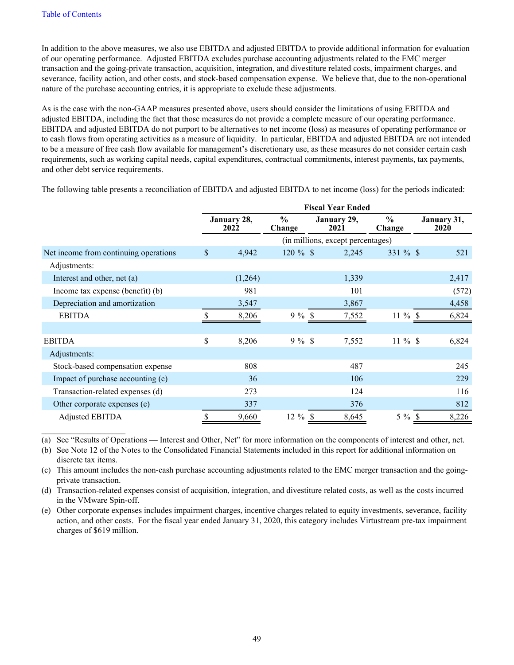$\mathcal{L}_\text{max}$  , where  $\mathcal{L}_\text{max}$  , we have

In addition to the above measures, we also use EBITDA and adjusted EBITDA to provide additional information for evaluation of our operating performance. Adjusted EBITDA excludes purchase accounting adjustments related to the EMC merger transaction and the going-private transaction, acquisition, integration, and divestiture related costs, impairment charges, and severance, facility action, and other costs, and stock-based compensation expense. We believe that, due to the non-operational nature of the purchase accounting entries, it is appropriate to exclude these adjustments.

As is the case with the non-GAAP measures presented above, users should consider the limitations of using EBITDA and adjusted EBITDA, including the fact that those measures do not provide a complete measure of our operating performance. EBITDA and adjusted EBITDA do not purport to be alternatives to net income (loss) as measures of operating performance or to cash flows from operating activities as a measure of liquidity. In particular, EBITDA and adjusted EBITDA are not intended to be a measure of free cash flow available for management's discretionary use, as these measures do not consider certain cash requirements, such as working capital needs, capital expenditures, contractual commitments, interest payments, tax payments, and other debt service requirements.

The following table presents a reconciliation of EBITDA and adjusted EBITDA to net income (loss) for the periods indicated:

|                                       | <b>Fiscal Year Ended</b> |                     |                         |              |                                   |                         |              |                     |
|---------------------------------------|--------------------------|---------------------|-------------------------|--------------|-----------------------------------|-------------------------|--------------|---------------------|
|                                       |                          | January 28,<br>2022 | $\frac{6}{6}$<br>Change |              | January 29,<br>2021               | $\frac{6}{6}$<br>Change |              | January 31,<br>2020 |
|                                       |                          |                     |                         |              | (in millions, except percentages) |                         |              |                     |
| Net income from continuing operations | \$                       | 4,942               | $120 \%$ \$             |              | 2,245                             | 331 % \$                |              | 521                 |
| Adjustments:                          |                          |                     |                         |              |                                   |                         |              |                     |
| Interest and other, net (a)           |                          | (1,264)             |                         |              | 1,339                             |                         |              | 2,417               |
| Income tax expense (benefit) (b)      |                          | 981                 |                         |              | 101                               |                         |              | (572)               |
| Depreciation and amortization         |                          | 3,547               |                         |              | 3,867                             |                         |              | 4,458               |
| <b>EBITDA</b>                         | S                        | 8,206               | $9\%$                   | $\mathbb{S}$ | 7,552                             | $11\%$                  | -S           | 6,824               |
|                                       |                          |                     |                         |              |                                   |                         |              |                     |
| <b>EBITDA</b>                         | \$                       | 8,206               | $9\%$ \$                |              | 7,552                             | $11 \%$ \$              |              | 6,824               |
| Adjustments:                          |                          |                     |                         |              |                                   |                         |              |                     |
| Stock-based compensation expense      |                          | 808                 |                         |              | 487                               |                         |              | 245                 |
| Impact of purchase accounting (c)     |                          | 36                  |                         |              | 106                               |                         |              | 229                 |
| Transaction-related expenses (d)      |                          | 273                 |                         |              | 124                               |                         |              | 116                 |
| Other corporate expenses (e)          |                          | 337                 |                         |              | 376                               |                         |              | 812                 |
| Adjusted EBITDA                       | \$                       | 9,660               | $12 \%$ \$              |              | 8,645                             | $5\%$                   | <sup>S</sup> | 8,226               |

(a) See "Results of Operations — Interest and Other, Net" for more information on the components of interest and other, net.

(b) See Note 12 of the Notes to the Consolidated Financial Statements included in this report for additional information on discrete tax items.

(c) This amount includes the non-cash purchase accounting adjustments related to the EMC merger transaction and the goingprivate transaction.

(d) Transaction-related expenses consist of acquisition, integration, and divestiture related costs, as well as the costs incurred in the VMware Spin-off.

(e) Other corporate expenses includes impairment charges, incentive charges related to equity investments, severance, facility action, and other costs. For the fiscal year ended January 31, 2020, this category includes Virtustream pre-tax impairment charges of \$619 million.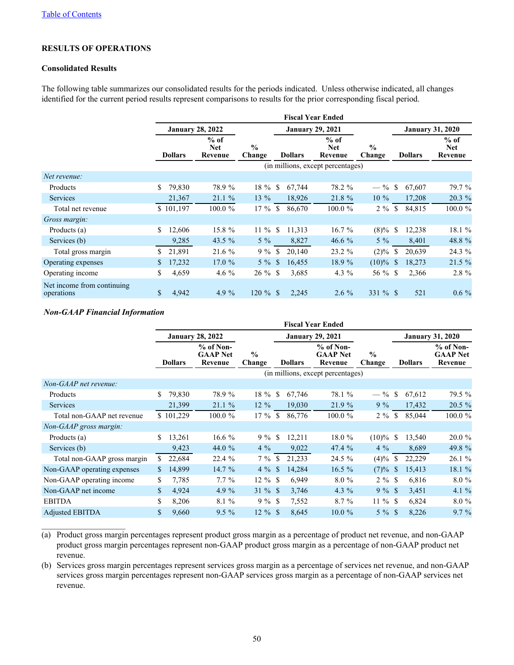# **RESULTS OF OPERATIONS**

#### **Consolidated Results**

The following table summarizes our consolidated results for the periods indicated. Unless otherwise indicated, all changes identified for the current period results represent comparisons to results for the prior corresponding fiscal period.

|                                          |    |                |                                 |                         |               |                | <b>Fiscal Year Ended</b>          |                         |    |                |                          |
|------------------------------------------|----|----------------|---------------------------------|-------------------------|---------------|----------------|-----------------------------------|-------------------------|----|----------------|--------------------------|
|                                          |    |                | <b>January 28, 2022</b>         |                         |               |                | <b>January 29, 2021</b>           |                         |    |                | <b>January 31, 2020</b>  |
|                                          |    | <b>Dollars</b> | $%$ of<br><b>Net</b><br>Revenue | $\frac{0}{0}$<br>Change |               | <b>Dollars</b> | $%$ of<br><b>Net</b><br>Revenue   | $\frac{0}{0}$<br>Change |    | <b>Dollars</b> | $%$ of<br>Net<br>Revenue |
|                                          |    |                |                                 |                         |               |                | (in millions, except percentages) |                         |    |                |                          |
| Net revenue:                             |    |                |                                 |                         |               |                |                                   |                         |    |                |                          |
| Products                                 | S. | 79,830         | 78.9 %                          | 18 %                    | <sup>\$</sup> | 67,744         | 78.2 %                            | $-$ % \$                |    | 67,607         | 79.7 %                   |
| <b>Services</b>                          |    | 21,367         | 21.1%                           | 13 %                    |               | 18,926         | 21.8 %                            | $10\%$                  |    | 17,208         | 20.3 %                   |
| Total net revenue                        |    | \$101,197      | $100.0 \%$                      | $17\%$                  | <sup>S</sup>  | 86,670         | $100.0 \%$                        | $2\%$                   | \$ | 84,815         | 100.0%                   |
| Gross margin:                            |    |                |                                 |                         |               |                |                                   |                         |    |                |                          |
| Products (a)                             | \$ | 12,606         | 15.8 %                          | $11\%$                  | \$            | 11,313         | $16.7\%$                          | $(8)\%$ \$              |    | 12,238         | 18.1 %                   |
| Services (b)                             |    | 9,285          | 43.5 $%$                        | $5\%$                   |               | 8,827          | 46.6 $%$                          | $5\%$                   |    | 8,401          | 48.8 %                   |
| Total gross margin                       | S  | 21,891         | 21.6%                           | $9\%$                   | <sup>\$</sup> | 20,140         | 23.2 %                            | $(2)\%$                 | S  | 20,639         | 24.3 %                   |
| Operating expenses                       | \$ | 17,232         | 17.0%                           | $5\%$                   | <sup>\$</sup> | 16,455         | 18.9 %                            | $(10)\%$ \$             |    | 18,273         | 21.5 %                   |
| Operating income                         | \$ | 4,659          | 4.6 $%$                         | $26 \%$ \$              |               | 3,685          | 4.3 $%$                           | $56 \%$ \$              |    | 2,366          | 2.8 %                    |
| Net income from continuing<br>operations | \$ | 4,942          | 4.9 $%$                         | $120 \%$                | <sup>\$</sup> | 2,245          | $2.6\%$                           | 331 % \$                |    | 521            | $0.6\%$                  |

#### *Non-GAAP Financial Information*

 $\mathcal{L}_\text{max}$  , where  $\mathcal{L}_\text{max}$  , we have

|                             |    |                |                                           |                         |               |                | <b>Fiscal Year Ended</b>                  |                         |               |                |                                           |
|-----------------------------|----|----------------|-------------------------------------------|-------------------------|---------------|----------------|-------------------------------------------|-------------------------|---------------|----------------|-------------------------------------------|
|                             |    |                | <b>January 28, 2022</b>                   |                         |               |                | <b>January 29, 2021</b>                   |                         |               |                | <b>January 31, 2020</b>                   |
|                             |    | <b>Dollars</b> | $%$ of Non-<br><b>GAAP</b> Net<br>Revenue | $\frac{0}{0}$<br>Change |               | <b>Dollars</b> | $%$ of Non-<br><b>GAAP Net</b><br>Revenue | $\frac{0}{0}$<br>Change |               | <b>Dollars</b> | $%$ of Non-<br><b>GAAP Net</b><br>Revenue |
|                             |    |                |                                           |                         |               |                | (in millions, except percentages)         |                         |               |                |                                           |
| Non-GAAP net revenue:       |    |                |                                           |                         |               |                |                                           |                         |               |                |                                           |
| Products                    | S  | 79,830         | 78.9 %                                    | 18 %                    | <sup>\$</sup> | 67,746         | 78.1 %                                    | $- \frac{9}{6}$         | -S            | 67,612         | 79.5 %                                    |
| <b>Services</b>             |    | 21,399         | 21.1%                                     | $12\%$                  |               | 19,030         | 21.9%                                     | $9\%$                   |               | 17,432         | $20.5 \%$                                 |
| Total non-GAAP net revenue  |    | \$101,229      | 100.0 %                                   | $17\%$                  | \$            | 86,776         | 100.0 %                                   | $2\%$                   | \$            | 85,044         | 100.0 %                                   |
| Non-GAAP gross margin:      |    |                |                                           |                         |               |                |                                           |                         |               |                |                                           |
| Products (a)                | \$ | 13,261         | $16.6\%$                                  | $9\%$ \$                |               | 12,211         | 18.0 %                                    | $(10)\%$ \$             |               | 13,540         | 20.0 %                                    |
| Services (b)                |    | 9,423          | 44.0 $%$                                  | $4\%$                   |               | 9,022          | 47.4 %                                    | $4\%$                   |               | 8,689          | 49.8 %                                    |
| Total non-GAAP gross margin | S  | 22,684         | 22.4 %                                    | $7\%$                   | \$            | 21,233         | 24.5 %                                    | (4)%                    | S             | 22,229         | 26.1 %                                    |
| Non-GAAP operating expenses | \$ | 14,899         | 14.7%                                     | $4\%$                   | $\mathbb{S}$  | 14,284         | $16.5\%$                                  | (7)%                    | <sup>\$</sup> | 15,413         | 18.1 %                                    |
| Non-GAAP operating income   | \$ | 7.785          | $7.7\%$                                   | $12 \%$ \$              |               | 6,949          | $8.0 \%$                                  | $2 \%$ \$               |               | 6,816          | $8.0 \%$                                  |
| Non-GAAP net income         | \$ | 4,924          | 4.9 $%$                                   | $31 \%$ \$              |               | 3,746          | 4.3 $%$                                   | $9\%$ \$                |               | 3,451          | 4.1 $%$                                   |
| <b>EBITDA</b>               | \$ | 8,206          | 8.1%                                      | $9\%$ \$                |               | 7,552          | $8.7\%$                                   | $11 \%$ \$              |               | 6,824          | $8.0 \%$                                  |
| <b>Adjusted EBITDA</b>      | \$ | 9,660          | $9.5\%$                                   | $12 \%$ \$              |               | 8,645          | $10.0 \%$                                 | $5 \%$ \$               |               | 8,226          | $9.7\%$                                   |

(a) Product gross margin percentages represent product gross margin as a percentage of product net revenue, and non-GAAP product gross margin percentages represent non-GAAP product gross margin as a percentage of non-GAAP product net revenue.

(b) Services gross margin percentages represent services gross margin as a percentage of services net revenue, and non-GAAP services gross margin percentages represent non-GAAP services gross margin as a percentage of non-GAAP services net revenue.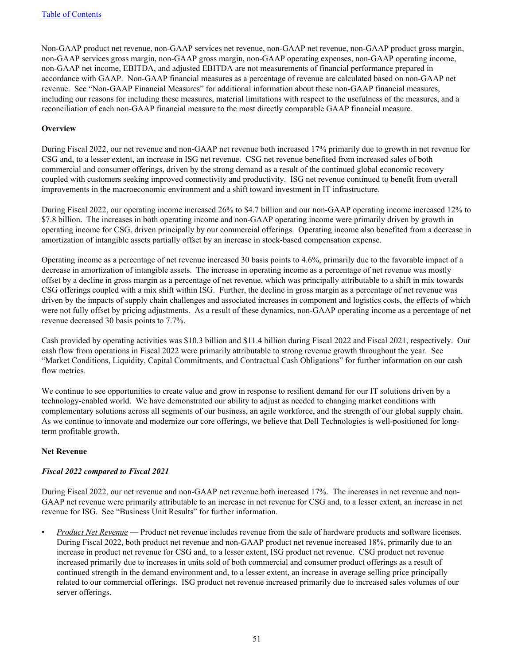Non-GAAP product net revenue, non-GAAP services net revenue, non-GAAP net revenue, non-GAAP product gross margin, non-GAAP services gross margin, non-GAAP gross margin, non-GAAP operating expenses, non-GAAP operating income, non-GAAP net income, EBITDA, and adjusted EBITDA are not measurements of financial performance prepared in accordance with GAAP. Non-GAAP financial measures as a percentage of revenue are calculated based on non-GAAP net revenue. See "Non‑GAAP Financial Measures" for additional information about these non-GAAP financial measures, including our reasons for including these measures, material limitations with respect to the usefulness of the measures, and a reconciliation of each non-GAAP financial measure to the most directly comparable GAAP financial measure.

#### **Overview**

During Fiscal 2022, our net revenue and non-GAAP net revenue both increased 17% primarily due to growth in net revenue for CSG and, to a lesser extent, an increase in ISG net revenue. CSG net revenue benefited from increased sales of both commercial and consumer offerings, driven by the strong demand as a result of the continued global economic recovery coupled with customers seeking improved connectivity and productivity. ISG net revenue continued to benefit from overall improvements in the macroeconomic environment and a shift toward investment in IT infrastructure.

During Fiscal 2022, our operating income increased 26% to \$4.7 billion and our non-GAAP operating income increased 12% to \$7.8 billion. The increases in both operating income and non-GAAP operating income were primarily driven by growth in operating income for CSG, driven principally by our commercial offerings. Operating income also benefited from a decrease in amortization of intangible assets partially offset by an increase in stock-based compensation expense.

Operating income as a percentage of net revenue increased 30 basis points to 4.6%, primarily due to the favorable impact of a decrease in amortization of intangible assets. The increase in operating income as a percentage of net revenue was mostly offset by a decline in gross margin as a percentage of net revenue, which was principally attributable to a shift in mix towards CSG offerings coupled with a mix shift within ISG. Further, the decline in gross margin as a percentage of net revenue was driven by the impacts of supply chain challenges and associated increases in component and logistics costs, the effects of which were not fully offset by pricing adjustments. As a result of these dynamics, non-GAAP operating income as a percentage of net revenue decreased 30 basis points to 7.7%.

Cash provided by operating activities was \$10.3 billion and \$11.4 billion during Fiscal 2022 and Fiscal 2021, respectively. Our cash flow from operations in Fiscal 2022 were primarily attributable to strong revenue growth throughout the year. See "Market Conditions, Liquidity, Capital Commitments, and Contractual Cash Obligations" for further information on our cash flow metrics.

We continue to see opportunities to create value and grow in response to resilient demand for our IT solutions driven by a technology-enabled world. We have demonstrated our ability to adjust as needed to changing market conditions with complementary solutions across all segments of our business, an agile workforce, and the strength of our global supply chain. As we continue to innovate and modernize our core offerings, we believe that Dell Technologies is well-positioned for longterm profitable growth.

### **Net Revenue**

### *Fiscal 2022 compared to Fiscal 2021*

During Fiscal 2022, our net revenue and non-GAAP net revenue both increased 17%. The increases in net revenue and non-GAAP net revenue were primarily attributable to an increase in net revenue for CSG and, to a lesser extent, an increase in net revenue for ISG. See "Business Unit Results" for further information.

• *Product Net Revenue* — Product net revenue includes revenue from the sale of hardware products and software licenses. During Fiscal 2022, both product net revenue and non-GAAP product net revenue increased 18%, primarily due to an increase in product net revenue for CSG and, to a lesser extent, ISG product net revenue. CSG product net revenue increased primarily due to increases in units sold of both commercial and consumer product offerings as a result of continued strength in the demand environment and, to a lesser extent, an increase in average selling price principally related to our commercial offerings. ISG product net revenue increased primarily due to increased sales volumes of our server offerings.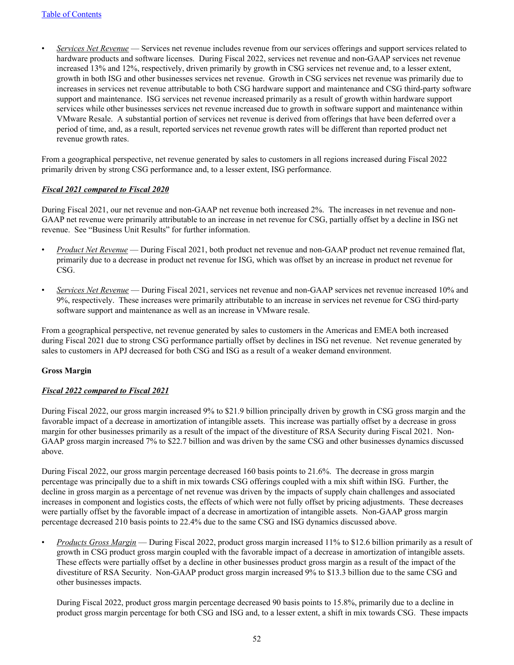• *Services Net Revenue* — Services net revenue includes revenue from our services offerings and support services related to hardware products and software licenses. During Fiscal 2022, services net revenue and non-GAAP services net revenue increased 13% and 12%, respectively, driven primarily by growth in CSG services net revenue and, to a lesser extent, growth in both ISG and other businesses services net revenue. Growth in CSG services net revenue was primarily due to increases in services net revenue attributable to both CSG hardware support and maintenance and CSG third-party software support and maintenance. ISG services net revenue increased primarily as a result of growth within hardware support services while other businesses services net revenue increased due to growth in software support and maintenance within VMware Resale. A substantial portion of services net revenue is derived from offerings that have been deferred over a period of time, and, as a result, reported services net revenue growth rates will be different than reported product net revenue growth rates.

From a geographical perspective, net revenue generated by sales to customers in all regions increased during Fiscal 2022 primarily driven by strong CSG performance and, to a lesser extent, ISG performance.

### *Fiscal 2021 compared to Fiscal 2020*

During Fiscal 2021, our net revenue and non-GAAP net revenue both increased 2%. The increases in net revenue and non-GAAP net revenue were primarily attributable to an increase in net revenue for CSG, partially offset by a decline in ISG net revenue. See "Business Unit Results" for further information.

- *Product Net Revenue* During Fiscal 2021, both product net revenue and non-GAAP product net revenue remained flat, primarily due to a decrease in product net revenue for ISG, which was offset by an increase in product net revenue for CSG.
- *Services Net Revenue* During Fiscal 2021, services net revenue and non-GAAP services net revenue increased 10% and 9%, respectively. These increases were primarily attributable to an increase in services net revenue for CSG third-party software support and maintenance as well as an increase in VMware resale.

From a geographical perspective, net revenue generated by sales to customers in the Americas and EMEA both increased during Fiscal 2021 due to strong CSG performance partially offset by declines in ISG net revenue. Net revenue generated by sales to customers in APJ decreased for both CSG and ISG as a result of a weaker demand environment.

### **Gross Margin**

### *Fiscal 2022 compared to Fiscal 2021*

During Fiscal 2022, our gross margin increased 9% to \$21.9 billion principally driven by growth in CSG gross margin and the favorable impact of a decrease in amortization of intangible assets. This increase was partially offset by a decrease in gross margin for other businesses primarily as a result of the impact of the divestiture of RSA Security during Fiscal 2021. Non-GAAP gross margin increased 7% to \$22.7 billion and was driven by the same CSG and other businesses dynamics discussed above.

During Fiscal 2022, our gross margin percentage decreased 160 basis points to 21.6%. The decrease in gross margin percentage was principally due to a shift in mix towards CSG offerings coupled with a mix shift within ISG. Further, the decline in gross margin as a percentage of net revenue was driven by the impacts of supply chain challenges and associated increases in component and logistics costs, the effects of which were not fully offset by pricing adjustments. These decreases were partially offset by the favorable impact of a decrease in amortization of intangible assets. Non-GAAP gross margin percentage decreased 210 basis points to 22.4% due to the same CSG and ISG dynamics discussed above.

• *Products Gross Margin* — During Fiscal 2022, product gross margin increased 11% to \$12.6 billion primarily as a result of growth in CSG product gross margin coupled with the favorable impact of a decrease in amortization of intangible assets. These effects were partially offset by a decline in other businesses product gross margin as a result of the impact of the divestiture of RSA Security. Non-GAAP product gross margin increased 9% to \$13.3 billion due to the same CSG and other businesses impacts.

During Fiscal 2022, product gross margin percentage decreased 90 basis points to 15.8%, primarily due to a decline in product gross margin percentage for both CSG and ISG and, to a lesser extent, a shift in mix towards CSG. These impacts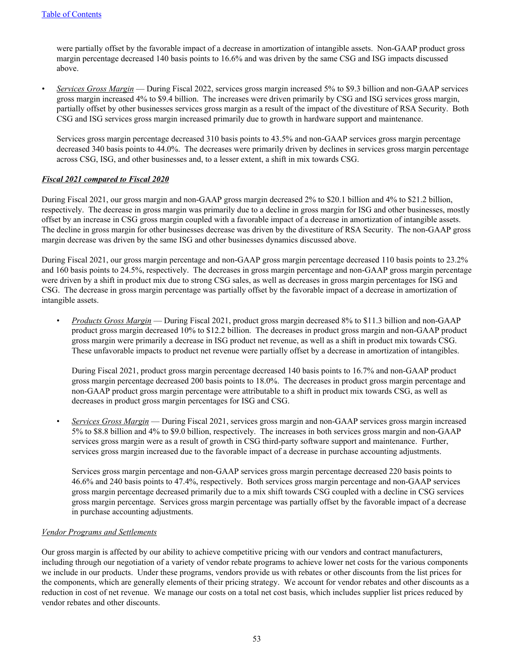were partially offset by the favorable impact of a decrease in amortization of intangible assets. Non-GAAP product gross margin percentage decreased 140 basis points to 16.6% and was driven by the same CSG and ISG impacts discussed above.

*• Services Gross Margin* — During Fiscal 2022, services gross margin increased 5% to \$9.3 billion and non-GAAP services gross margin increased 4% to \$9.4 billion. The increases were driven primarily by CSG and ISG services gross margin, partially offset by other businesses services gross margin as a result of the impact of the divestiture of RSA Security. Both CSG and ISG services gross margin increased primarily due to growth in hardware support and maintenance.

Services gross margin percentage decreased 310 basis points to 43.5% and non-GAAP services gross margin percentage decreased 340 basis points to 44.0%. The decreases were primarily driven by declines in services gross margin percentage across CSG, ISG, and other businesses and, to a lesser extent, a shift in mix towards CSG.

### *Fiscal 2021 compared to Fiscal 2020*

During Fiscal 2021, our gross margin and non-GAAP gross margin decreased 2% to \$20.1 billion and 4% to \$21.2 billion, respectively. The decrease in gross margin was primarily due to a decline in gross margin for ISG and other businesses, mostly offset by an increase in CSG gross margin coupled with a favorable impact of a decrease in amortization of intangible assets. The decline in gross margin for other businesses decrease was driven by the divestiture of RSA Security. The non-GAAP gross margin decrease was driven by the same ISG and other businesses dynamics discussed above.

During Fiscal 2021, our gross margin percentage and non-GAAP gross margin percentage decreased 110 basis points to 23.2% and 160 basis points to 24.5%, respectively. The decreases in gross margin percentage and non-GAAP gross margin percentage were driven by a shift in product mix due to strong CSG sales, as well as decreases in gross margin percentages for ISG and CSG. The decrease in gross margin percentage was partially offset by the favorable impact of a decrease in amortization of intangible assets.

• *Products Gross Margin* — During Fiscal 2021, product gross margin decreased 8% to \$11.3 billion and non-GAAP product gross margin decreased 10% to \$12.2 billion. The decreases in product gross margin and non-GAAP product gross margin were primarily a decrease in ISG product net revenue, as well as a shift in product mix towards CSG. These unfavorable impacts to product net revenue were partially offset by a decrease in amortization of intangibles.

During Fiscal 2021, product gross margin percentage decreased 140 basis points to 16.7% and non-GAAP product gross margin percentage decreased 200 basis points to 18.0%. The decreases in product gross margin percentage and non-GAAP product gross margin percentage were attributable to a shift in product mix towards CSG, as well as decreases in product gross margin percentages for ISG and CSG.

• *Services Gross Margin* — During Fiscal 2021, services gross margin and non-GAAP services gross margin increased 5% to \$8.8 billion and 4% to \$9.0 billion, respectively. The increases in both services gross margin and non-GAAP services gross margin were as a result of growth in CSG third-party software support and maintenance. Further, services gross margin increased due to the favorable impact of a decrease in purchase accounting adjustments.

Services gross margin percentage and non-GAAP services gross margin percentage decreased 220 basis points to 46.6% and 240 basis points to 47.4%, respectively. Both services gross margin percentage and non-GAAP services gross margin percentage decreased primarily due to a mix shift towards CSG coupled with a decline in CSG services gross margin percentage. Services gross margin percentage was partially offset by the favorable impact of a decrease in purchase accounting adjustments.

### *Vendor Programs and Settlements*

Our gross margin is affected by our ability to achieve competitive pricing with our vendors and contract manufacturers, including through our negotiation of a variety of vendor rebate programs to achieve lower net costs for the various components we include in our products. Under these programs, vendors provide us with rebates or other discounts from the list prices for the components, which are generally elements of their pricing strategy. We account for vendor rebates and other discounts as a reduction in cost of net revenue. We manage our costs on a total net cost basis, which includes supplier list prices reduced by vendor rebates and other discounts.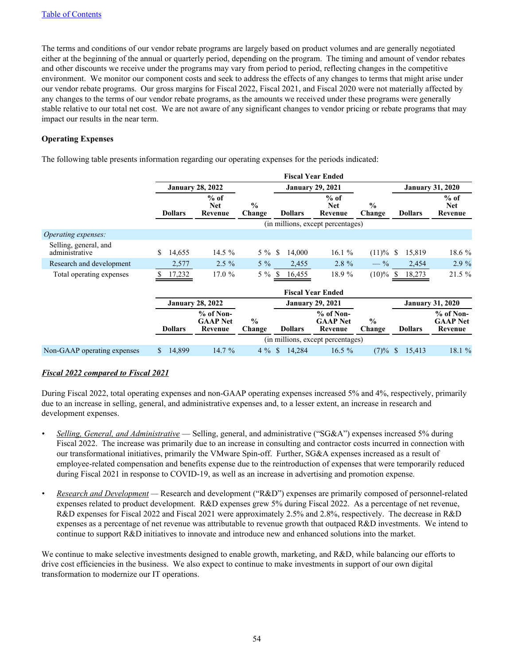The terms and conditions of our vendor rebate programs are largely based on product volumes and are generally negotiated either at the beginning of the annual or quarterly period, depending on the program. The timing and amount of vendor rebates and other discounts we receive under the programs may vary from period to period, reflecting changes in the competitive environment. We monitor our component costs and seek to address the effects of any changes to terms that might arise under our vendor rebate programs. Our gross margins for Fiscal 2022, Fiscal 2021, and Fiscal 2020 were not materially affected by any changes to the terms of our vendor rebate programs, as the amounts we received under these programs were generally stable relative to our total net cost. We are not aware of any significant changes to vendor pricing or rebate programs that may impact our results in the near term.

### **Operating Expenses**

The following table presents information regarding our operating expenses for the periods indicated:

|                                         |                        |                                         |                         |                        | <b>Fiscal Year Ended</b>                  |                         |                         |                                           |
|-----------------------------------------|------------------------|-----------------------------------------|-------------------------|------------------------|-------------------------------------------|-------------------------|-------------------------|-------------------------------------------|
|                                         |                        | <b>January 28, 2022</b>                 |                         |                        | <b>January 29, 2021</b>                   |                         |                         | <b>January 31, 2020</b>                   |
|                                         | <b>Dollars</b>         | $%$ of<br><b>Net</b><br>Revenue         | $\frac{0}{0}$<br>Change | <b>Dollars</b>         | $%$ of<br><b>Net</b><br>Revenue           | $\frac{0}{0}$<br>Change | <b>Dollars</b>          | $%$ of<br><b>Net</b><br>Revenue           |
|                                         |                        |                                         |                         |                        | (in millions, except percentages)         |                         |                         |                                           |
| Operating expenses:                     |                        |                                         |                         |                        |                                           |                         |                         |                                           |
| Selling, general, and<br>administrative | 14,655<br>\$           | 14.5 $%$                                | $5\%$                   | \$<br>14,000           | 16.1%                                     | (11)%                   | 15,819<br><sup>\$</sup> | 18.6 %                                    |
| Research and development                | 2,577                  | $2.5\%$                                 | $5\%$                   | 2,455                  | $2.8 \%$                                  | $-$ %                   | 2,454                   | 2.9%                                      |
| Total operating expenses                | 17,232                 | 17.0%                                   | $5\%$                   | 16,455<br><sup>S</sup> | 18.9 %                                    | $(10)\%$ \$             | 18,273                  | $21.5 \%$                                 |
|                                         |                        |                                         |                         |                        | <b>Fiscal Year Ended</b>                  |                         |                         |                                           |
|                                         |                        | <b>January 28, 2022</b>                 |                         |                        | <b>January 29, 2021</b>                   |                         |                         | <b>January 31, 2020</b>                   |
|                                         | <b>Dollars</b>         | % of Non-<br><b>GAAP Net</b><br>Revenue | $\frac{0}{0}$<br>Change | <b>Dollars</b>         | $%$ of Non-<br><b>GAAP</b> Net<br>Revenue | $\frac{0}{0}$<br>Change | <b>Dollars</b>          | $%$ of Non-<br><b>GAAP Net</b><br>Revenue |
|                                         |                        |                                         |                         |                        | (in millions, except percentages)         |                         |                         |                                           |
| Non-GAAP operating expenses             | $\mathbb{S}$<br>14,899 | 14.7 %                                  | $4\%$                   | $\mathbb{S}$<br>14,284 | $16.5\%$                                  | $(7)\%$ \$              | 15,413                  | 18.1 %                                    |

# *Fiscal 2022 compared to Fiscal 2021*

During Fiscal 2022, total operating expenses and non-GAAP operating expenses increased 5% and 4%, respectively, primarily due to an increase in selling, general, and administrative expenses and, to a lesser extent, an increase in research and development expenses.

- *• Selling, General, and Administrative* Selling, general, and administrative ("SG&A") expenses increased 5% during Fiscal 2022. The increase was primarily due to an increase in consulting and contractor costs incurred in connection with our transformational initiatives, primarily the VMware Spin-off. Further, SG&A expenses increased as a result of employee-related compensation and benefits expense due to the reintroduction of expenses that were temporarily reduced during Fiscal 2021 in response to COVID-19, as well as an increase in advertising and promotion expense.
- *• Research and Development* Research and development ("R&D") expenses are primarily composed of personnel-related expenses related to product development. R&D expenses grew 5% during Fiscal 2022. As a percentage of net revenue, R&D expenses for Fiscal 2022 and Fiscal 2021 were approximately 2.5% and 2.8%, respectively. The decrease in R&D expenses as a percentage of net revenue was attributable to revenue growth that outpaced R&D investments. We intend to continue to support R&D initiatives to innovate and introduce new and enhanced solutions into the market.

We continue to make selective investments designed to enable growth, marketing, and R&D, while balancing our efforts to drive cost efficiencies in the business. We also expect to continue to make investments in support of our own digital transformation to modernize our IT operations.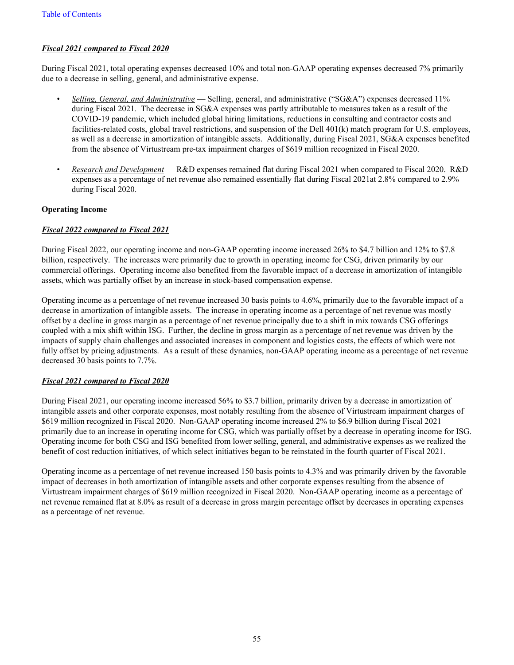# *Fiscal 2021 compared to Fiscal 2020*

During Fiscal 2021, total operating expenses decreased 10% and total non-GAAP operating expenses decreased 7% primarily due to a decrease in selling, general, and administrative expense.

- *• Selling, General, and Administrative* Selling, general, and administrative ("SG&A") expenses decreased 11% during Fiscal 2021. The decrease in SG&A expenses was partly attributable to measures taken as a result of the COVID-19 pandemic, which included global hiring limitations, reductions in consulting and contractor costs and facilities-related costs, global travel restrictions, and suspension of the Dell 401(k) match program for U.S. employees, as well as a decrease in amortization of intangible assets. Additionally, during Fiscal 2021, SG&A expenses benefited from the absence of Virtustream pre-tax impairment charges of \$619 million recognized in Fiscal 2020.
- *• Research and Development* R&D expenses remained flat during Fiscal 2021 when compared to Fiscal 2020. R&D expenses as a percentage of net revenue also remained essentially flat during Fiscal 2021at 2.8% compared to 2.9% during Fiscal 2020.

### **Operating Income**

### *Fiscal 2022 compared to Fiscal 2021*

During Fiscal 2022, our operating income and non-GAAP operating income increased 26% to \$4.7 billion and 12% to \$7.8 billion, respectively. The increases were primarily due to growth in operating income for CSG, driven primarily by our commercial offerings. Operating income also benefited from the favorable impact of a decrease in amortization of intangible assets, which was partially offset by an increase in stock-based compensation expense.

Operating income as a percentage of net revenue increased 30 basis points to 4.6%, primarily due to the favorable impact of a decrease in amortization of intangible assets. The increase in operating income as a percentage of net revenue was mostly offset by a decline in gross margin as a percentage of net revenue principally due to a shift in mix towards CSG offerings coupled with a mix shift within ISG. Further, the decline in gross margin as a percentage of net revenue was driven by the impacts of supply chain challenges and associated increases in component and logistics costs, the effects of which were not fully offset by pricing adjustments. As a result of these dynamics, non-GAAP operating income as a percentage of net revenue decreased 30 basis points to 7.7%.

### *Fiscal 2021 compared to Fiscal 2020*

During Fiscal 2021, our operating income increased 56% to \$3.7 billion, primarily driven by a decrease in amortization of intangible assets and other corporate expenses, most notably resulting from the absence of Virtustream impairment charges of \$619 million recognized in Fiscal 2020. Non-GAAP operating income increased 2% to \$6.9 billion during Fiscal 2021 primarily due to an increase in operating income for CSG, which was partially offset by a decrease in operating income for ISG. Operating income for both CSG and ISG benefited from lower selling, general, and administrative expenses as we realized the benefit of cost reduction initiatives, of which select initiatives began to be reinstated in the fourth quarter of Fiscal 2021.

Operating income as a percentage of net revenue increased 150 basis points to 4.3% and was primarily driven by the favorable impact of decreases in both amortization of intangible assets and other corporate expenses resulting from the absence of Virtustream impairment charges of \$619 million recognized in Fiscal 2020. Non-GAAP operating income as a percentage of net revenue remained flat at 8.0% as result of a decrease in gross margin percentage offset by decreases in operating expenses as a percentage of net revenue.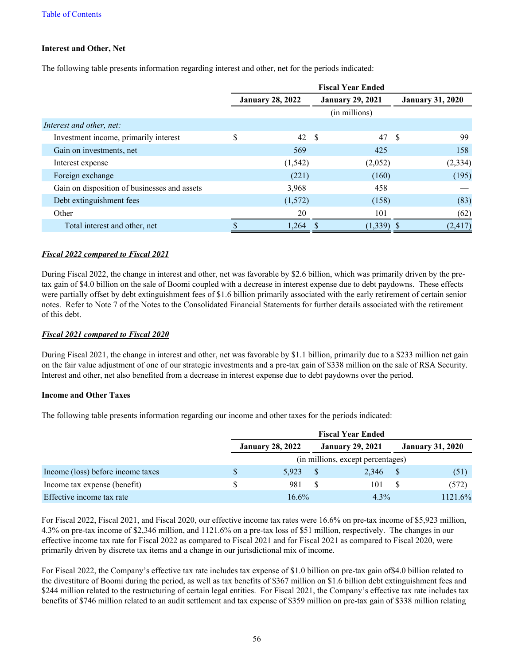### **Interest and Other, Net**

The following table presents information regarding interest and other, net for the periods indicated:

|                                              |                         |      | <b>Fiscal Year Ended</b> |      |                         |
|----------------------------------------------|-------------------------|------|--------------------------|------|-------------------------|
|                                              | <b>January 28, 2022</b> |      | <b>January 29, 2021</b>  |      | <b>January 31, 2020</b> |
|                                              |                         |      | (in millions)            |      |                         |
| Interest and other, net:                     |                         |      |                          |      |                         |
| Investment income, primarily interest        | \$<br>42                | - \$ | 47                       | - \$ | 99                      |
| Gain on investments, net                     | 569                     |      | 425                      |      | 158                     |
| Interest expense                             | (1, 542)                |      | (2,052)                  |      | (2, 334)                |
| Foreign exchange                             | (221)                   |      | (160)                    |      | (195)                   |
| Gain on disposition of businesses and assets | 3,968                   |      | 458                      |      |                         |
| Debt extinguishment fees                     | (1,572)                 |      | (158)                    |      | (83)                    |
| Other                                        | 20                      |      | 101                      |      | (62)                    |
| Total interest and other, net                | 1,264                   |      | $(1,339)$ \$             |      | (2, 417)                |

# *Fiscal 2022 compared to Fiscal 2021*

During Fiscal 2022, the change in interest and other, net was favorable by \$2.6 billion, which was primarily driven by the pretax gain of \$4.0 billion on the sale of Boomi coupled with a decrease in interest expense due to debt paydowns. These effects were partially offset by debt extinguishment fees of \$1.6 billion primarily associated with the early retirement of certain senior notes. Refer to Note 7 of the Notes to the Consolidated Financial Statements for further details associated with the retirement of this debt.

### *Fiscal 2021 compared to Fiscal 2020*

During Fiscal 2021, the change in interest and other, net was favorable by \$1.1 billion, primarily due to a \$233 million net gain on the fair value adjustment of one of our strategic investments and a pre-tax gain of \$338 million on the sale of RSA Security. Interest and other, net also benefited from a decrease in interest expense due to debt paydowns over the period.

### **Income and Other Taxes**

The following table presents information regarding our income and other taxes for the periods indicated:

|                                   |                         |    | <b>Fiscal Year Ended</b>          |      |                         |
|-----------------------------------|-------------------------|----|-----------------------------------|------|-------------------------|
|                                   | <b>January 28, 2022</b> |    | <b>January 29, 2021</b>           |      | <b>January 31, 2020</b> |
|                                   |                         |    | (in millions, except percentages) |      |                         |
| Income (loss) before income taxes | 5.923                   |    | 2.346                             |      | (51)                    |
| Income tax expense (benefit)      | 981                     | -8 | 101                               | - \$ | (572)                   |
| Effective income tax rate         | $16.6\%$                |    | $4.3\%$                           |      | 1121.6%                 |

For Fiscal 2022, Fiscal 2021, and Fiscal 2020, our effective income tax rates were 16.6% on pre-tax income of \$5,923 million, 4.3% on pre-tax income of \$2,346 million, and 1121.6% on a pre-tax loss of \$51 million, respectively. The changes in our effective income tax rate for Fiscal 2022 as compared to Fiscal 2021 and for Fiscal 2021 as compared to Fiscal 2020, were primarily driven by discrete tax items and a change in our jurisdictional mix of income.

For Fiscal 2022, the Company's effective tax rate includes tax expense of \$1.0 billion on pre-tax gain of\$4.0 billion related to the divestiture of Boomi during the period, as well as tax benefits of \$367 million on \$1.6 billion debt extinguishment fees and \$244 million related to the restructuring of certain legal entities. For Fiscal 2021, the Company's effective tax rate includes tax benefits of \$746 million related to an audit settlement and tax expense of \$359 million on pre-tax gain of \$338 million relating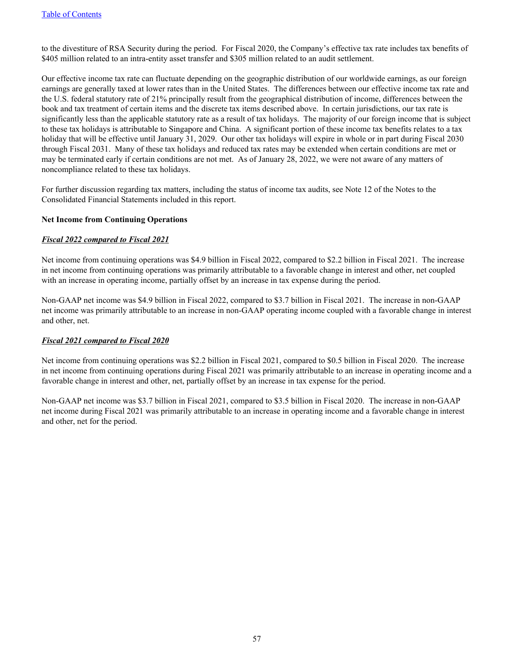to the divestiture of RSA Security during the period. For Fiscal 2020, the Company's effective tax rate includes tax benefits of \$405 million related to an intra-entity asset transfer and \$305 million related to an audit settlement.

Our effective income tax rate can fluctuate depending on the geographic distribution of our worldwide earnings, as our foreign earnings are generally taxed at lower rates than in the United States. The differences between our effective income tax rate and the U.S. federal statutory rate of 21% principally result from the geographical distribution of income, differences between the book and tax treatment of certain items and the discrete tax items described above. In certain jurisdictions, our tax rate is significantly less than the applicable statutory rate as a result of tax holidays. The majority of our foreign income that is subject to these tax holidays is attributable to Singapore and China. A significant portion of these income tax benefits relates to a tax holiday that will be effective until January 31, 2029. Our other tax holidays will expire in whole or in part during Fiscal 2030 through Fiscal 2031. Many of these tax holidays and reduced tax rates may be extended when certain conditions are met or may be terminated early if certain conditions are not met. As of January 28, 2022, we were not aware of any matters of noncompliance related to these tax holidays.

For further discussion regarding tax matters, including the status of income tax audits, see Note 12 of the Notes to the Consolidated Financial Statements included in this report.

### **Net Income from Continuing Operations**

### *Fiscal 2022 compared to Fiscal 2021*

Net income from continuing operations was \$4.9 billion in Fiscal 2022, compared to \$2.2 billion in Fiscal 2021. The increase in net income from continuing operations was primarily attributable to a favorable change in interest and other, net coupled with an increase in operating income, partially offset by an increase in tax expense during the period.

Non-GAAP net income was \$4.9 billion in Fiscal 2022, compared to \$3.7 billion in Fiscal 2021. The increase in non-GAAP net income was primarily attributable to an increase in non-GAAP operating income coupled with a favorable change in interest and other, net.

#### *Fiscal 2021 compared to Fiscal 2020*

Net income from continuing operations was \$2.2 billion in Fiscal 2021, compared to \$0.5 billion in Fiscal 2020. The increase in net income from continuing operations during Fiscal 2021 was primarily attributable to an increase in operating income and a favorable change in interest and other, net, partially offset by an increase in tax expense for the period.

Non-GAAP net income was \$3.7 billion in Fiscal 2021, compared to \$3.5 billion in Fiscal 2020. The increase in non-GAAP net income during Fiscal 2021 was primarily attributable to an increase in operating income and a favorable change in interest and other, net for the period.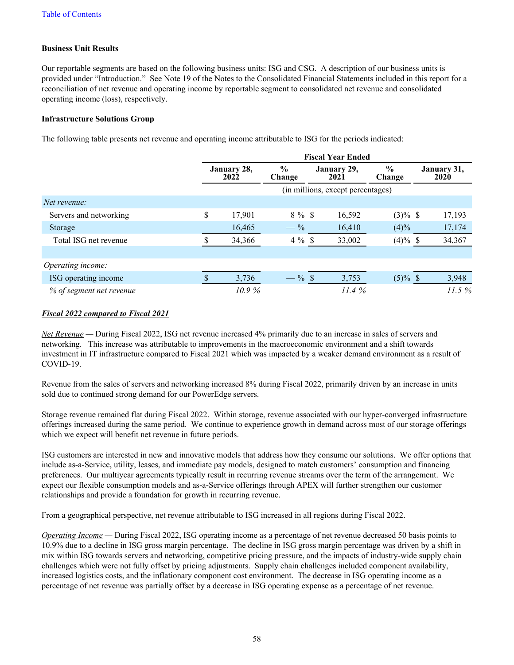### **Business Unit Results**

Our reportable segments are based on the following business units: ISG and CSG. A description of our business units is provided under "Introduction." See Note 19 of the Notes to the Consolidated Financial Statements included in this report for a reconciliation of net revenue and operating income by reportable segment to consolidated net revenue and consolidated operating income (loss), respectively.

### **Infrastructure Solutions Group**

The following table presents net revenue and operating income attributable to ISG for the periods indicated:

| Servers and networking<br>Storage<br>Total ISG net revenue | <b>Fiscal Year Ended</b> |        |                         |                                   |                         |                     |  |  |  |  |  |  |
|------------------------------------------------------------|--------------------------|--------|-------------------------|-----------------------------------|-------------------------|---------------------|--|--|--|--|--|--|
|                                                            | January 28,<br>2022      |        | $\frac{6}{9}$<br>Change | January 29,<br>2021               | $\frac{0}{0}$<br>Change | January 31,<br>2020 |  |  |  |  |  |  |
|                                                            |                          |        |                         | (in millions, except percentages) |                         |                     |  |  |  |  |  |  |
| Net revenue:                                               |                          |        |                         |                                   |                         |                     |  |  |  |  |  |  |
|                                                            | \$                       | 17,901 | $8 \%$ \$               | 16,592                            | $(3)\%$ \$              | 17,193              |  |  |  |  |  |  |
|                                                            |                          | 16,465 | $-$ %                   | 16,410                            | (4)%                    | 17,174              |  |  |  |  |  |  |
|                                                            |                          | 34,366 | $4\%$ \$                | 33,002                            | $(4)\%$ \$              | 34,367              |  |  |  |  |  |  |
|                                                            |                          |        |                         |                                   |                         |                     |  |  |  |  |  |  |
| Operating income:                                          |                          |        |                         |                                   |                         |                     |  |  |  |  |  |  |
| ISG operating income                                       |                          | 3,736  | $-$ % \$                | 3,753                             | $(5)\%$ \$              | 3,948               |  |  |  |  |  |  |
| % of segment net revenue                                   |                          | 10.9%  |                         | 11.4%                             |                         | 11.5%               |  |  |  |  |  |  |

### *Fiscal 2022 compared to Fiscal 2021*

*Net Revenue —* During Fiscal 2022, ISG net revenue increased 4% primarily due to an increase in sales of servers and networking. This increase was attributable to improvements in the macroeconomic environment and a shift towards investment in IT infrastructure compared to Fiscal 2021 which was impacted by a weaker demand environment as a result of COVID-19.

Revenue from the sales of servers and networking increased 8% during Fiscal 2022, primarily driven by an increase in units sold due to continued strong demand for our PowerEdge servers.

Storage revenue remained flat during Fiscal 2022. Within storage, revenue associated with our hyper-converged infrastructure offerings increased during the same period. We continue to experience growth in demand across most of our storage offerings which we expect will benefit net revenue in future periods.

ISG customers are interested in new and innovative models that address how they consume our solutions. We offer options that include as-a-Service, utility, leases, and immediate pay models, designed to match customers' consumption and financing preferences. Our multiyear agreements typically result in recurring revenue streams over the term of the arrangement. We expect our flexible consumption models and as-a-Service offerings through APEX will further strengthen our customer relationships and provide a foundation for growth in recurring revenue.

From a geographical perspective, net revenue attributable to ISG increased in all regions during Fiscal 2022.

*Operating Income —* During Fiscal 2022, ISG operating income as a percentage of net revenue decreased 50 basis points to 10.9% due to a decline in ISG gross margin percentage. The decline in ISG gross margin percentage was driven by a shift in mix within ISG towards servers and networking, competitive pricing pressure, and the impacts of industry-wide supply chain challenges which were not fully offset by pricing adjustments. Supply chain challenges included component availability, increased logistics costs, and the inflationary component cost environment. The decrease in ISG operating income as a percentage of net revenue was partially offset by a decrease in ISG operating expense as a percentage of net revenue.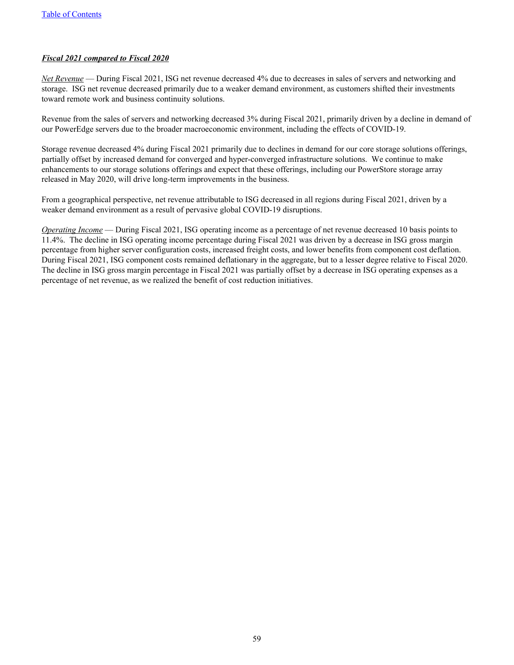### *Fiscal 2021 compared to Fiscal 2020*

*Net Revenue* — During Fiscal 2021, ISG net revenue decreased 4% due to decreases in sales of servers and networking and storage. ISG net revenue decreased primarily due to a weaker demand environment, as customers shifted their investments toward remote work and business continuity solutions.

Revenue from the sales of servers and networking decreased 3% during Fiscal 2021, primarily driven by a decline in demand of our PowerEdge servers due to the broader macroeconomic environment, including the effects of COVID-19.

Storage revenue decreased 4% during Fiscal 2021 primarily due to declines in demand for our core storage solutions offerings, partially offset by increased demand for converged and hyper-converged infrastructure solutions. We continue to make enhancements to our storage solutions offerings and expect that these offerings, including our PowerStore storage array released in May 2020, will drive long-term improvements in the business.

From a geographical perspective, net revenue attributable to ISG decreased in all regions during Fiscal 2021, driven by a weaker demand environment as a result of pervasive global COVID-19 disruptions.

*Operating Income* — During Fiscal 2021, ISG operating income as a percentage of net revenue decreased 10 basis points to 11.4%. The decline in ISG operating income percentage during Fiscal 2021 was driven by a decrease in ISG gross margin percentage from higher server configuration costs, increased freight costs, and lower benefits from component cost deflation. During Fiscal 2021, ISG component costs remained deflationary in the aggregate, but to a lesser degree relative to Fiscal 2020. The decline in ISG gross margin percentage in Fiscal 2021 was partially offset by a decrease in ISG operating expenses as a percentage of net revenue, as we realized the benefit of cost reduction initiatives.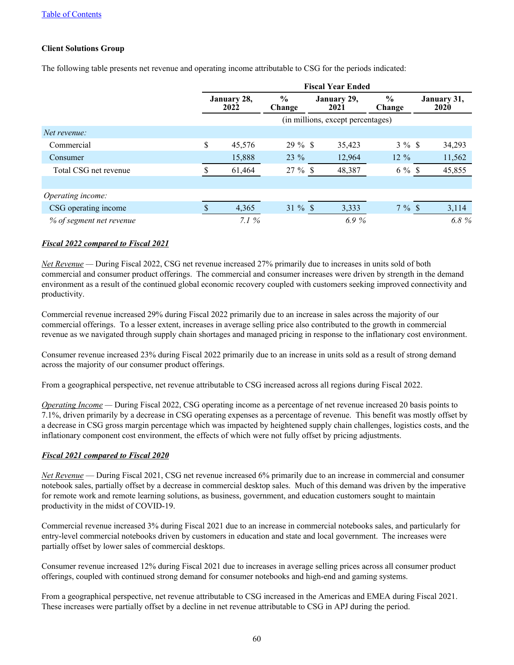### **Client Solutions Group**

The following table presents net revenue and operating income attributable to CSG for the periods indicated:

|                                                 |                     |                         |                     | <b>Fiscal Year Ended</b>          |                         |                     |
|-------------------------------------------------|---------------------|-------------------------|---------------------|-----------------------------------|-------------------------|---------------------|
| Commercial<br>Consumer<br>Total CSG net revenue | January 28,<br>2022 | $\frac{6}{9}$<br>Change | January 29,<br>2021 |                                   | $\frac{0}{0}$<br>Change | January 31,<br>2020 |
|                                                 |                     |                         |                     | (in millions, except percentages) |                         |                     |
| Net revenue:                                    |                     |                         |                     |                                   |                         |                     |
|                                                 | \$<br>45,576        | $29 \%$ \$              |                     | 35,423                            | $3\%$ \$                | 34,293              |
|                                                 | 15,888              | $23 \%$                 |                     | 12,964                            | $12\%$                  | 11,562              |
|                                                 | 61,464              | $27 \%$ \$              |                     | 48,387                            | $6\%$ \$                | 45,855              |
|                                                 |                     |                         |                     |                                   |                         |                     |
| Operating income:                               |                     |                         |                     |                                   |                         |                     |
| CSG operating income                            | 4,365               | $31 \%$ \$              |                     | 3,333                             | $7\%$ \$                | 3,114               |
| % of segment net revenue                        | 7.1%                |                         |                     | 6.9%                              |                         | 6.8%                |

### *Fiscal 2022 compared to Fiscal 2021*

*Net Revenue —* During Fiscal 2022, CSG net revenue increased 27% primarily due to increases in units sold of both commercial and consumer product offerings. The commercial and consumer increases were driven by strength in the demand environment as a result of the continued global economic recovery coupled with customers seeking improved connectivity and productivity.

Commercial revenue increased 29% during Fiscal 2022 primarily due to an increase in sales across the majority of our commercial offerings. To a lesser extent, increases in average selling price also contributed to the growth in commercial revenue as we navigated through supply chain shortages and managed pricing in response to the inflationary cost environment.

Consumer revenue increased 23% during Fiscal 2022 primarily due to an increase in units sold as a result of strong demand across the majority of our consumer product offerings.

From a geographical perspective, net revenue attributable to CSG increased across all regions during Fiscal 2022.

*Operating Income —* During Fiscal 2022, CSG operating income as a percentage of net revenue increased 20 basis points to 7.1%, driven primarily by a decrease in CSG operating expenses as a percentage of revenue. This benefit was mostly offset by a decrease in CSG gross margin percentage which was impacted by heightened supply chain challenges, logistics costs, and the inflationary component cost environment, the effects of which were not fully offset by pricing adjustments.

# *Fiscal 2021 compared to Fiscal 2020*

*Net Revenue* — During Fiscal 2021, CSG net revenue increased 6% primarily due to an increase in commercial and consumer notebook sales, partially offset by a decrease in commercial desktop sales. Much of this demand was driven by the imperative for remote work and remote learning solutions, as business, government, and education customers sought to maintain productivity in the midst of COVID-19.

Commercial revenue increased 3% during Fiscal 2021 due to an increase in commercial notebooks sales, and particularly for entry-level commercial notebooks driven by customers in education and state and local government. The increases were partially offset by lower sales of commercial desktops.

Consumer revenue increased 12% during Fiscal 2021 due to increases in average selling prices across all consumer product offerings, coupled with continued strong demand for consumer notebooks and high-end and gaming systems.

From a geographical perspective, net revenue attributable to CSG increased in the Americas and EMEA during Fiscal 2021. These increases were partially offset by a decline in net revenue attributable to CSG in APJ during the period.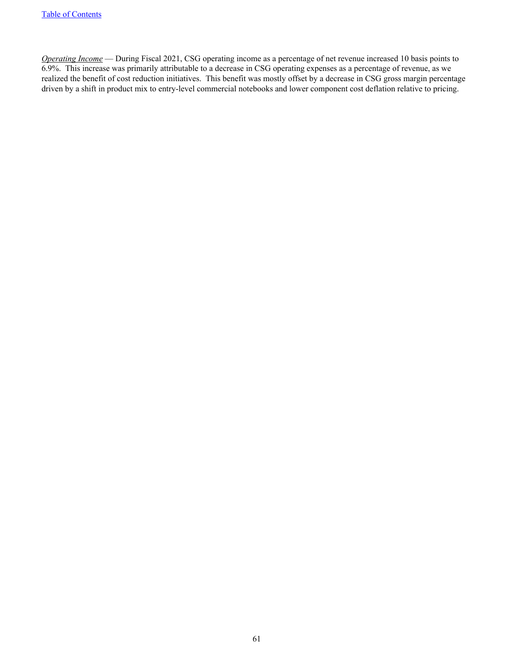*Operating Income* — During Fiscal 2021, CSG operating income as a percentage of net revenue increased 10 basis points to 6.9%. This increase was primarily attributable to a decrease in CSG operating expenses as a percentage of revenue, as we realized the benefit of cost reduction initiatives. This benefit was mostly offset by a decrease in CSG gross margin percentage driven by a shift in product mix to entry-level commercial notebooks and lower component cost deflation relative to pricing.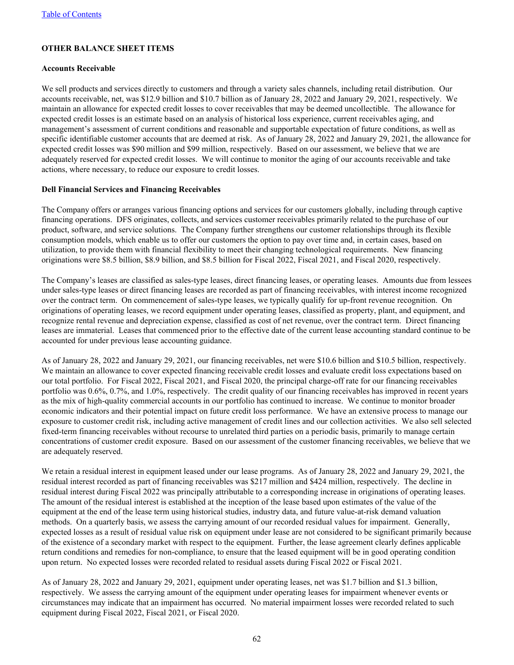# **OTHER BALANCE SHEET ITEMS**

#### **Accounts Receivable**

We sell products and services directly to customers and through a variety sales channels, including retail distribution. Our accounts receivable, net, was \$12.9 billion and \$10.7 billion as of January 28, 2022 and January 29, 2021, respectively. We maintain an allowance for expected credit losses to cover receivables that may be deemed uncollectible. The allowance for expected credit losses is an estimate based on an analysis of historical loss experience, current receivables aging, and management's assessment of current conditions and reasonable and supportable expectation of future conditions, as well as specific identifiable customer accounts that are deemed at risk. As of January 28, 2022 and January 29, 2021, the allowance for expected credit losses was \$90 million and \$99 million, respectively. Based on our assessment, we believe that we are adequately reserved for expected credit losses. We will continue to monitor the aging of our accounts receivable and take actions, where necessary, to reduce our exposure to credit losses.

### **Dell Financial Services and Financing Receivables**

The Company offers or arranges various financing options and services for our customers globally, including through captive financing operations. DFS originates, collects, and services customer receivables primarily related to the purchase of our product, software, and service solutions. The Company further strengthens our customer relationships through its flexible consumption models, which enable us to offer our customers the option to pay over time and, in certain cases, based on utilization, to provide them with financial flexibility to meet their changing technological requirements. New financing originations were \$8.5 billion, \$8.9 billion, and \$8.5 billion for Fiscal 2022, Fiscal 2021, and Fiscal 2020, respectively.

The Company's leases are classified as sales-type leases, direct financing leases, or operating leases. Amounts due from lessees under sales-type leases or direct financing leases are recorded as part of financing receivables, with interest income recognized over the contract term. On commencement of sales-type leases, we typically qualify for up-front revenue recognition. On originations of operating leases, we record equipment under operating leases, classified as property, plant, and equipment, and recognize rental revenue and depreciation expense, classified as cost of net revenue, over the contract term. Direct financing leases are immaterial. Leases that commenced prior to the effective date of the current lease accounting standard continue to be accounted for under previous lease accounting guidance.

As of January 28, 2022 and January 29, 2021, our financing receivables, net were \$10.6 billion and \$10.5 billion, respectively. We maintain an allowance to cover expected financing receivable credit losses and evaluate credit loss expectations based on our total portfolio. For Fiscal 2022, Fiscal 2021, and Fiscal 2020, the principal charge-off rate for our financing receivables portfolio was 0.6%, 0.7%, and 1.0%, respectively. The credit quality of our financing receivables has improved in recent years as the mix of high-quality commercial accounts in our portfolio has continued to increase. We continue to monitor broader economic indicators and their potential impact on future credit loss performance. We have an extensive process to manage our exposure to customer credit risk, including active management of credit lines and our collection activities. We also sell selected fixed-term financing receivables without recourse to unrelated third parties on a periodic basis, primarily to manage certain concentrations of customer credit exposure. Based on our assessment of the customer financing receivables, we believe that we are adequately reserved.

We retain a residual interest in equipment leased under our lease programs. As of January 28, 2022 and January 29, 2021, the residual interest recorded as part of financing receivables was \$217 million and \$424 million, respectively. The decline in residual interest during Fiscal 2022 was principally attributable to a corresponding increase in originations of operating leases. The amount of the residual interest is established at the inception of the lease based upon estimates of the value of the equipment at the end of the lease term using historical studies, industry data, and future value-at-risk demand valuation methods. On a quarterly basis, we assess the carrying amount of our recorded residual values for impairment. Generally, expected losses as a result of residual value risk on equipment under lease are not considered to be significant primarily because of the existence of a secondary market with respect to the equipment. Further, the lease agreement clearly defines applicable return conditions and remedies for non-compliance, to ensure that the leased equipment will be in good operating condition upon return. No expected losses were recorded related to residual assets during Fiscal 2022 or Fiscal 2021.

As of January 28, 2022 and January 29, 2021, equipment under operating leases, net was \$1.7 billion and \$1.3 billion, respectively. We assess the carrying amount of the equipment under operating leases for impairment whenever events or circumstances may indicate that an impairment has occurred. No material impairment losses were recorded related to such equipment during Fiscal 2022, Fiscal 2021, or Fiscal 2020.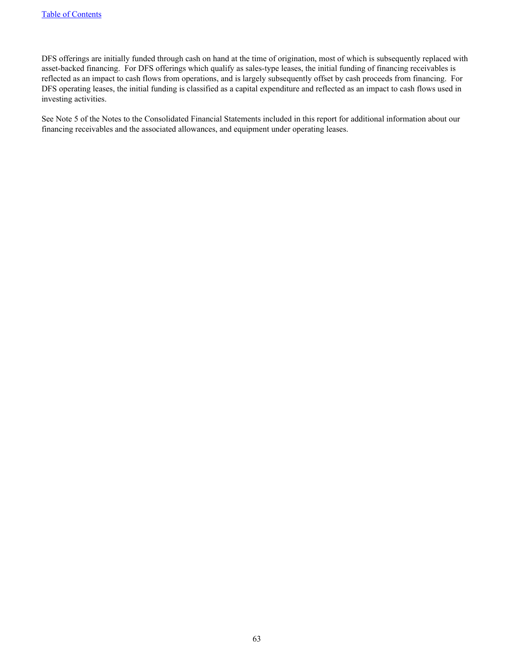DFS offerings are initially funded through cash on hand at the time of origination, most of which is subsequently replaced with asset-backed financing. For DFS offerings which qualify as sales-type leases, the initial funding of financing receivables is reflected as an impact to cash flows from operations, and is largely subsequently offset by cash proceeds from financing. For DFS operating leases, the initial funding is classified as a capital expenditure and reflected as an impact to cash flows used in investing activities.

See Note 5 of the Notes to the Consolidated Financial Statements included in this report for additional information about our financing receivables and the associated allowances, and equipment under operating leases.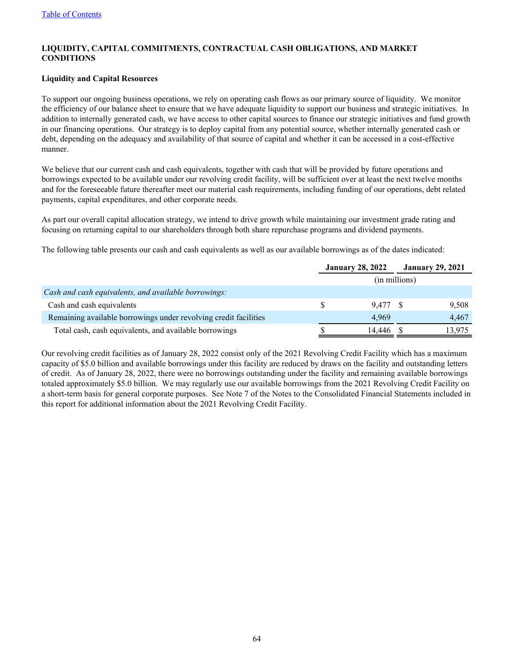### **LIQUIDITY, CAPITAL COMMITMENTS, CONTRACTUAL CASH OBLIGATIONS, AND MARKET CONDITIONS**

### **Liquidity and Capital Resources**

To support our ongoing business operations, we rely on operating cash flows as our primary source of liquidity. We monitor the efficiency of our balance sheet to ensure that we have adequate liquidity to support our business and strategic initiatives. In addition to internally generated cash, we have access to other capital sources to finance our strategic initiatives and fund growth in our financing operations. Our strategy is to deploy capital from any potential source, whether internally generated cash or debt, depending on the adequacy and availability of that source of capital and whether it can be accessed in a cost-effective manner.

We believe that our current cash and cash equivalents, together with cash that will be provided by future operations and borrowings expected to be available under our revolving credit facility, will be sufficient over at least the next twelve months and for the foreseeable future thereafter meet our material cash requirements, including funding of our operations, debt related payments, capital expenditures, and other corporate needs.

As part our overall capital allocation strategy, we intend to drive growth while maintaining our investment grade rating and focusing on returning capital to our shareholders through both share repurchase programs and dividend payments.

The following table presents our cash and cash equivalents as well as our available borrowings as of the dates indicated:

|                                                                  | <b>January 28, 2022</b> |               | <b>January 29, 2021</b> |
|------------------------------------------------------------------|-------------------------|---------------|-------------------------|
|                                                                  |                         | (in millions) |                         |
| Cash and cash equivalents, and available borrowings:             |                         |               |                         |
| Cash and cash equivalents                                        | 9.477 \$                |               | 9,508                   |
| Remaining available borrowings under revolving credit facilities | 4.969                   |               | 4,467                   |
| Total cash, cash equivalents, and available borrowings           | 14.446                  |               | 3.975                   |

Our revolving credit facilities as of January 28, 2022 consist only of the 2021 Revolving Credit Facility which has a maximum capacity of \$5.0 billion and available borrowings under this facility are reduced by draws on the facility and outstanding letters of credit. As of January 28, 2022, there were no borrowings outstanding under the facility and remaining available borrowings totaled approximately \$5.0 billion. We may regularly use our available borrowings from the 2021 Revolving Credit Facility on a short-term basis for general corporate purposes. See Note 7 of the Notes to the Consolidated Financial Statements included in this report for additional information about the 2021 Revolving Credit Facility.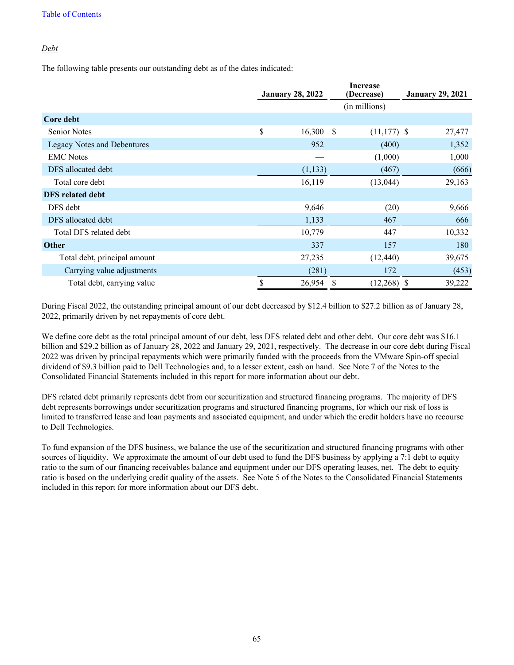### *Debt*

The following table presents our outstanding debt as of the dates indicated:

|                                    | <b>January 28, 2022</b> |             | <b>Increase</b><br>(Decrease) |                | <b>January 29, 2021</b> |  |  |
|------------------------------------|-------------------------|-------------|-------------------------------|----------------|-------------------------|--|--|
|                                    |                         |             | (in millions)                 |                |                         |  |  |
| Core debt                          |                         |             |                               |                |                         |  |  |
| <b>Senior Notes</b>                | \$                      | $16,300$ \$ |                               | $(11, 177)$ \$ | 27,477                  |  |  |
| <b>Legacy Notes and Debentures</b> |                         | 952         |                               | (400)          | 1,352                   |  |  |
| <b>EMC</b> Notes                   |                         |             |                               | (1,000)        | 1,000                   |  |  |
| DFS allocated debt                 |                         | (1, 133)    |                               | (467)          | (666)                   |  |  |
| Total core debt                    |                         | 16,119      |                               | (13,044)       | 29,163                  |  |  |
| <b>DFS</b> related debt            |                         |             |                               |                |                         |  |  |
| DFS debt                           |                         | 9,646       |                               | (20)           | 9,666                   |  |  |
| DFS allocated debt                 |                         | 1,133       |                               | 467            | 666                     |  |  |
| Total DFS related debt             |                         | 10,779      |                               | 447            | 10,332                  |  |  |
| <b>Other</b>                       |                         | 337         |                               | 157            | 180                     |  |  |
| Total debt, principal amount       |                         | 27,235      |                               | (12, 440)      | 39,675                  |  |  |
| Carrying value adjustments         |                         | (281)       |                               | 172            | (453)                   |  |  |
| Total debt, carrying value         |                         | 26,954      | - 55                          | $(12,268)$ \$  | 39,222                  |  |  |

During Fiscal 2022, the outstanding principal amount of our debt decreased by \$12.4 billion to \$27.2 billion as of January 28, 2022, primarily driven by net repayments of core debt.

We define core debt as the total principal amount of our debt, less DFS related debt and other debt. Our core debt was \$16.1 billion and \$29.2 billion as of January 28, 2022 and January 29, 2021, respectively. The decrease in our core debt during Fiscal 2022 was driven by principal repayments which were primarily funded with the proceeds from the VMware Spin-off special dividend of \$9.3 billion paid to Dell Technologies and, to a lesser extent, cash on hand. See Note 7 of the Notes to the Consolidated Financial Statements included in this report for more information about our debt.

DFS related debt primarily represents debt from our securitization and structured financing programs. The majority of DFS debt represents borrowings under securitization programs and structured financing programs, for which our risk of loss is limited to transferred lease and loan payments and associated equipment, and under which the credit holders have no recourse to Dell Technologies.

To fund expansion of the DFS business, we balance the use of the securitization and structured financing programs with other sources of liquidity. We approximate the amount of our debt used to fund the DFS business by applying a 7:1 debt to equity ratio to the sum of our financing receivables balance and equipment under our DFS operating leases, net. The debt to equity ratio is based on the underlying credit quality of the assets. See Note 5 of the Notes to the Consolidated Financial Statements included in this report for more information about our DFS debt.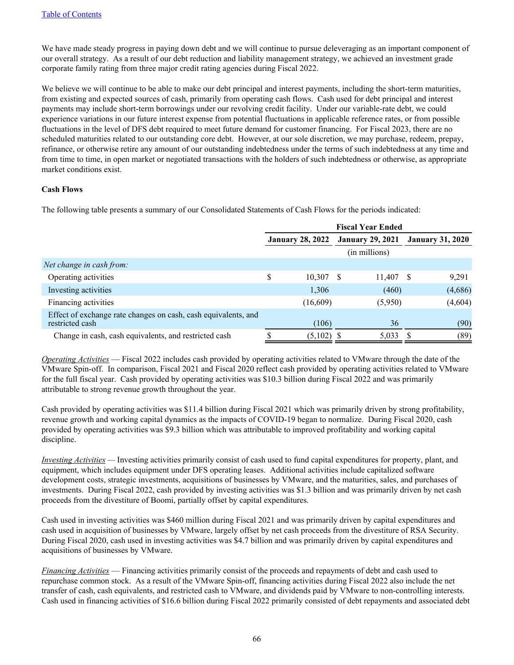We have made steady progress in paying down debt and we will continue to pursue deleveraging as an important component of our overall strategy. As a result of our debt reduction and liability management strategy, we achieved an investment grade corporate family rating from three major credit rating agencies during Fiscal 2022.

We believe we will continue to be able to make our debt principal and interest payments, including the short-term maturities, from existing and expected sources of cash, primarily from operating cash flows. Cash used for debt principal and interest payments may include short-term borrowings under our revolving credit facility. Under our variable-rate debt, we could experience variations in our future interest expense from potential fluctuations in applicable reference rates, or from possible fluctuations in the level of DFS debt required to meet future demand for customer financing. For Fiscal 2023, there are no scheduled maturities related to our outstanding core debt. However, at our sole discretion, we may purchase, redeem, prepay, refinance, or otherwise retire any amount of our outstanding indebtedness under the terms of such indebtedness at any time and from time to time, in open market or negotiated transactions with the holders of such indebtedness or otherwise, as appropriate market conditions exist.

### **Cash Flows**

The following table presents a summary of our Consolidated Statements of Cash Flows for the periods indicated:

|                                                                                   | <b>Fiscal Year Ended</b> |          |                         |         |                         |         |
|-----------------------------------------------------------------------------------|--------------------------|----------|-------------------------|---------|-------------------------|---------|
|                                                                                   | <b>January 28, 2022</b>  |          | <b>January 29, 2021</b> |         | <b>January 31, 2020</b> |         |
|                                                                                   |                          |          | (in millions)           |         |                         |         |
| Net change in cash from:                                                          |                          |          |                         |         |                         |         |
| Operating activities                                                              | \$                       | 10,307   | -S                      | 11,407  | - S                     | 9,291   |
| Investing activities                                                              |                          | 1,306    |                         | (460)   |                         | (4,686) |
| Financing activities                                                              |                          | (16,609) |                         | (5,950) |                         | (4,604) |
| Effect of exchange rate changes on cash, cash equivalents, and<br>restricted cash |                          | (106)    |                         | 36      |                         | (90)    |
| Change in cash, cash equivalents, and restricted cash                             |                          | (5,102)  |                         | 5,033   |                         | (89)    |

*Operating Activities* — Fiscal 2022 includes cash provided by operating activities related to VMware through the date of the VMware Spin-off. In comparison, Fiscal 2021 and Fiscal 2020 reflect cash provided by operating activities related to VMware for the full fiscal year. Cash provided by operating activities was \$10.3 billion during Fiscal 2022 and was primarily attributable to strong revenue growth throughout the year.

Cash provided by operating activities was \$11.4 billion during Fiscal 2021 which was primarily driven by strong profitability, revenue growth and working capital dynamics as the impacts of COVID-19 began to normalize. During Fiscal 2020, cash provided by operating activities was \$9.3 billion which was attributable to improved profitability and working capital discipline.

*Investing Activities —* Investing activities primarily consist of cash used to fund capital expenditures for property, plant, and equipment, which includes equipment under DFS operating leases. Additional activities include capitalized software development costs, strategic investments, acquisitions of businesses by VMware, and the maturities, sales, and purchases of investments. During Fiscal 2022, cash provided by investing activities was \$1.3 billion and was primarily driven by net cash proceeds from the divestiture of Boomi, partially offset by capital expenditures.

Cash used in investing activities was \$460 million during Fiscal 2021 and was primarily driven by capital expenditures and cash used in acquisition of businesses by VMware, largely offset by net cash proceeds from the divestiture of RSA Security. During Fiscal 2020, cash used in investing activities was \$4.7 billion and was primarily driven by capital expenditures and acquisitions of businesses by VMware.

*Financing Activities* — Financing activities primarily consist of the proceeds and repayments of debt and cash used to repurchase common stock. As a result of the VMware Spin-off, financing activities during Fiscal 2022 also include the net transfer of cash, cash equivalents, and restricted cash to VMware, and dividends paid by VMware to non-controlling interests. Cash used in financing activities of \$16.6 billion during Fiscal 2022 primarily consisted of debt repayments and associated debt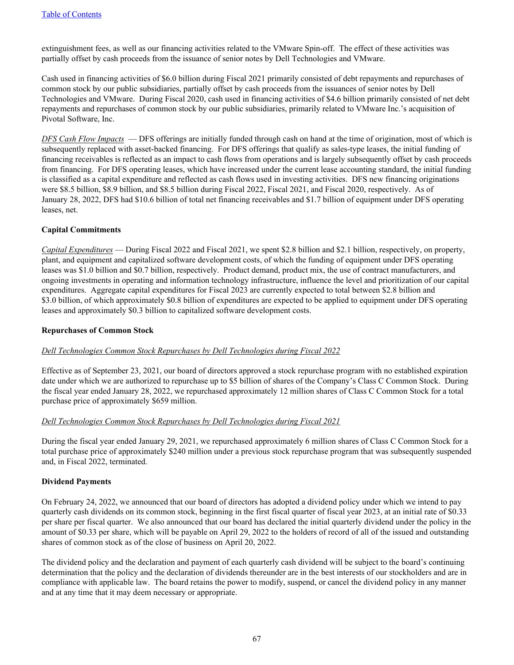extinguishment fees, as well as our financing activities related to the VMware Spin-off. The effect of these activities was partially offset by cash proceeds from the issuance of senior notes by Dell Technologies and VMware.

Cash used in financing activities of \$6.0 billion during Fiscal 2021 primarily consisted of debt repayments and repurchases of common stock by our public subsidiaries, partially offset by cash proceeds from the issuances of senior notes by Dell Technologies and VMware. During Fiscal 2020, cash used in financing activities of \$4.6 billion primarily consisted of net debt repayments and repurchases of common stock by our public subsidiaries, primarily related to VMware Inc.'s acquisition of Pivotal Software, Inc.

*DFS Cash Flow Impacts* — DFS offerings are initially funded through cash on hand at the time of origination, most of which is subsequently replaced with asset-backed financing. For DFS offerings that qualify as sales-type leases, the initial funding of financing receivables is reflected as an impact to cash flows from operations and is largely subsequently offset by cash proceeds from financing. For DFS operating leases, which have increased under the current lease accounting standard, the initial funding is classified as a capital expenditure and reflected as cash flows used in investing activities. DFS new financing originations were \$8.5 billion, \$8.9 billion, and \$8.5 billion during Fiscal 2022, Fiscal 2021, and Fiscal 2020, respectively. As of January 28, 2022, DFS had \$10.6 billion of total net financing receivables and \$1.7 billion of equipment under DFS operating leases, net.

### **Capital Commitments**

*Capital Expenditures* — During Fiscal 2022 and Fiscal 2021, we spent \$2.8 billion and \$2.1 billion, respectively, on property, plant, and equipment and capitalized software development costs, of which the funding of equipment under DFS operating leases was \$1.0 billion and \$0.7 billion, respectively. Product demand, product mix, the use of contract manufacturers, and ongoing investments in operating and information technology infrastructure, influence the level and prioritization of our capital expenditures. Aggregate capital expenditures for Fiscal 2023 are currently expected to total between \$2.8 billion and \$3.0 billion, of which approximately \$0.8 billion of expenditures are expected to be applied to equipment under DFS operating leases and approximately \$0.3 billion to capitalized software development costs.

### **Repurchases of Common Stock**

### *Dell Technologies Common Stock Repurchases by Dell Technologies during Fiscal 2022*

Effective as of September 23, 2021, our board of directors approved a stock repurchase program with no established expiration date under which we are authorized to repurchase up to \$5 billion of shares of the Company's Class C Common Stock. During the fiscal year ended January 28, 2022, we repurchased approximately 12 million shares of Class C Common Stock for a total purchase price of approximately \$659 million.

### *Dell Technologies Common Stock Repurchases by Dell Technologies during Fiscal 2021*

During the fiscal year ended January 29, 2021, we repurchased approximately 6 million shares of Class C Common Stock for a total purchase price of approximately \$240 million under a previous stock repurchase program that was subsequently suspended and, in Fiscal 2022, terminated.

### **Dividend Payments**

On February 24, 2022, we announced that our board of directors has adopted a dividend policy under which we intend to pay quarterly cash dividends on its common stock, beginning in the first fiscal quarter of fiscal year 2023, at an initial rate of \$0.33 per share per fiscal quarter. We also announced that our board has declared the initial quarterly dividend under the policy in the amount of \$0.33 per share, which will be payable on April 29, 2022 to the holders of record of all of the issued and outstanding shares of common stock as of the close of business on April 20, 2022.

The dividend policy and the declaration and payment of each quarterly cash dividend will be subject to the board's continuing determination that the policy and the declaration of dividends thereunder are in the best interests of our stockholders and are in compliance with applicable law. The board retains the power to modify, suspend, or cancel the dividend policy in any manner and at any time that it may deem necessary or appropriate.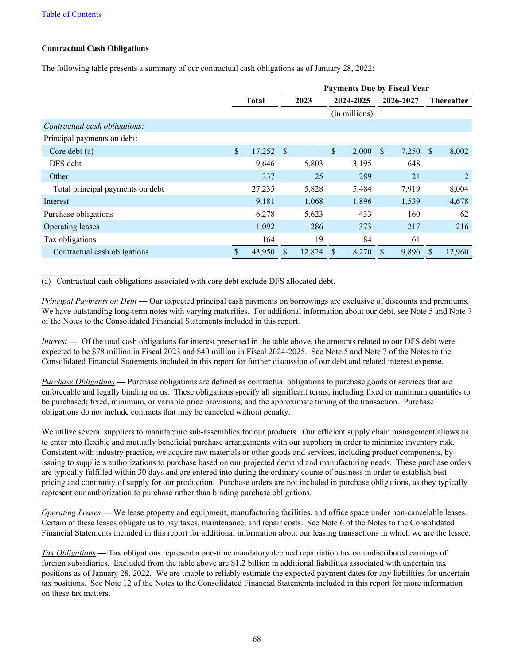### **Contractual Cash Obligations**

The following table presents a summary of our contractual cash obligations as of January 28, 2022:

|                                  |                   |   | <b>Payments Due by Fiscal Year</b> |               |               |              |           |              |                   |  |
|----------------------------------|-------------------|---|------------------------------------|---------------|---------------|--------------|-----------|--------------|-------------------|--|
|                                  | <b>Total</b>      |   | 2023                               |               | 2024-2025     |              | 2026-2027 |              | <b>Thereafter</b> |  |
|                                  |                   |   |                                    |               | (in millions) |              |           |              |                   |  |
| Contractual cash obligations:    |                   |   |                                    |               |               |              |           |              |                   |  |
| Principal payments on debt:      |                   |   |                                    |               |               |              |           |              |                   |  |
| Core debt $(a)$                  | \$<br>$17,252$ \$ |   |                                    | <sup>\$</sup> | 2,000         | <sup>S</sup> | 7,250     | <sup>S</sup> | 8,002             |  |
| DFS debt                         | 9,646             |   | 5,803                              |               | 3,195         |              | 648       |              |                   |  |
| Other                            | 337               |   | 25                                 |               | 289           |              | 21        |              | 2                 |  |
| Total principal payments on debt | 27,235            |   | 5,828                              |               | 5,484         |              | 7,919     |              | 8,004             |  |
| Interest                         | 9,181             |   | 1,068                              |               | 1,896         |              | 1,539     |              | 4,678             |  |
| Purchase obligations             | 6,278             |   | 5,623                              |               | 433           |              | 160       |              | 62                |  |
| Operating leases                 | 1,092             |   | 286                                |               | 373           |              | 217       |              | 216               |  |
| Tax obligations                  | 164               |   | 19                                 |               | 84            |              | 61        |              |                   |  |
| Contractual cash obligations     | 43,950            | S | 12,824                             | <sup>8</sup>  | 8,270         |              | 9,896     | \$.          | 12,960            |  |

(a) Contractual cash obligations associated with core debt exclude DFS allocated debt.

*Principal Payments on Debt* **—** Our expected principal cash payments on borrowings are exclusive of discounts and premiums. We have outstanding long-term notes with varying maturities. For additional information about our debt, see Note 5 and Note 7 of the Notes to the Consolidated Financial Statements included in this report.

*Interest* **—** Of the total cash obligations for interest presented in the table above, the amounts related to our DFS debt were expected to be \$78 million in Fiscal 2023 and \$40 million in Fiscal 2024-2025. See Note 5 and Note 7 of the Notes to the Consolidated Financial Statements included in this report for further discussion of our debt and related interest expense.

*Purchase Obligations* **—** Purchase obligations are defined as contractual obligations to purchase goods or services that are enforceable and legally binding on us. These obligations specify all significant terms, including fixed or minimum quantities to be purchased; fixed, minimum, or variable price provisions; and the approximate timing of the transaction. Purchase obligations do not include contracts that may be canceled without penalty.

We utilize several suppliers to manufacture sub-assemblies for our products. Our efficient supply chain management allows us to enter into flexible and mutually beneficial purchase arrangements with our suppliers in order to minimize inventory risk. Consistent with industry practice, we acquire raw materials or other goods and services, including product components, by issuing to suppliers authorizations to purchase based on our projected demand and manufacturing needs. These purchase orders are typically fulfilled within 30 days and are entered into during the ordinary course of business in order to establish best pricing and continuity of supply for our production. Purchase orders are not included in purchase obligations, as they typically represent our authorization to purchase rather than binding purchase obligations.

*Operating Leases* **—** We lease property and equipment, manufacturing facilities, and office space under non-cancelable leases. Certain of these leases obligate us to pay taxes, maintenance, and repair costs. See Note 6 of the Notes to the Consolidated Financial Statements included in this report for additional information about our leasing transactions in which we are the lessee.

*Tax Obligations* **—** Tax obligations represent a one-time mandatory deemed repatriation tax on undistributed earnings of foreign subsidiaries. Excluded from the table above are \$1.2 billion in additional liabilities associated with uncertain tax positions as of January 28, 2022. We are unable to reliably estimate the expected payment dates for any liabilities for uncertain tax positions. See Note 12 of the Notes to the Consolidated Financial Statements included in this report for more information on these tax matters.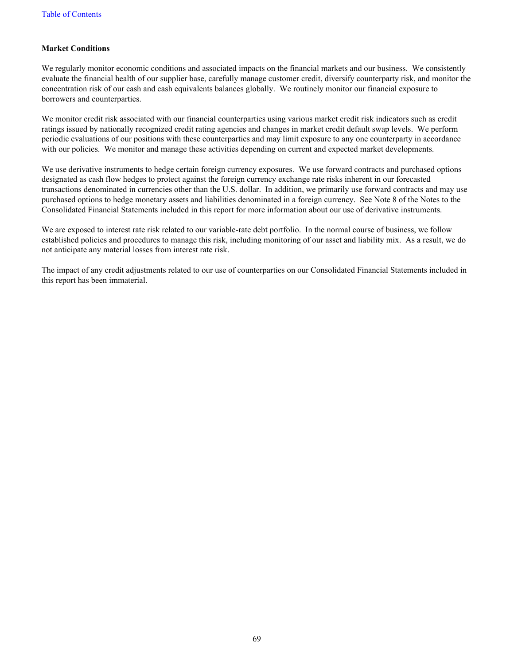### **Market Conditions**

We regularly monitor economic conditions and associated impacts on the financial markets and our business. We consistently evaluate the financial health of our supplier base, carefully manage customer credit, diversify counterparty risk, and monitor the concentration risk of our cash and cash equivalents balances globally. We routinely monitor our financial exposure to borrowers and counterparties.

We monitor credit risk associated with our financial counterparties using various market credit risk indicators such as credit ratings issued by nationally recognized credit rating agencies and changes in market credit default swap levels. We perform periodic evaluations of our positions with these counterparties and may limit exposure to any one counterparty in accordance with our policies. We monitor and manage these activities depending on current and expected market developments.

We use derivative instruments to hedge certain foreign currency exposures. We use forward contracts and purchased options designated as cash flow hedges to protect against the foreign currency exchange rate risks inherent in our forecasted transactions denominated in currencies other than the U.S. dollar. In addition, we primarily use forward contracts and may use purchased options to hedge monetary assets and liabilities denominated in a foreign currency. See Note 8 of the Notes to the Consolidated Financial Statements included in this report for more information about our use of derivative instruments.

We are exposed to interest rate risk related to our variable-rate debt portfolio. In the normal course of business, we follow established policies and procedures to manage this risk, including monitoring of our asset and liability mix. As a result, we do not anticipate any material losses from interest rate risk.

The impact of any credit adjustments related to our use of counterparties on our Consolidated Financial Statements included in this report has been immaterial.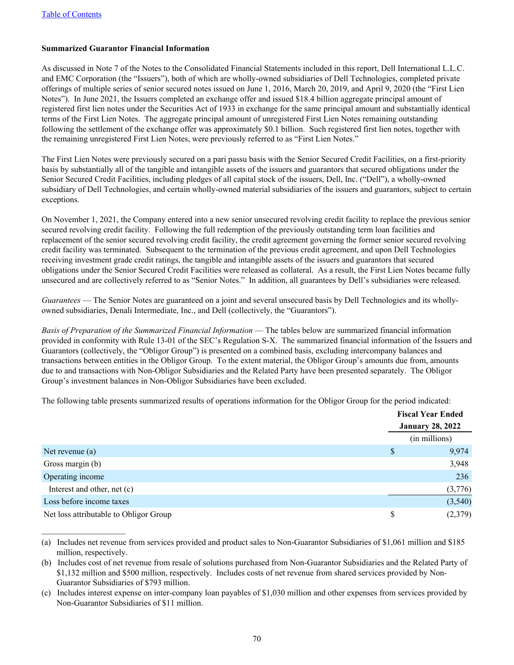$\mathcal{L}_\text{max}$  , where  $\mathcal{L}_\text{max}$  , we have

### **Summarized Guarantor Financial Information**

As discussed in Note 7 of the Notes to the Consolidated Financial Statements included in this report, Dell International L.L.C. and EMC Corporation (the "Issuers"), both of which are wholly-owned subsidiaries of Dell Technologies, completed private offerings of multiple series of senior secured notes issued on June 1, 2016, March 20, 2019, and April 9, 2020 (the "First Lien Notes"). In June 2021, the Issuers completed an exchange offer and issued \$18.4 billion aggregate principal amount of registered first lien notes under the Securities Act of 1933 in exchange for the same principal amount and substantially identical terms of the First Lien Notes. The aggregate principal amount of unregistered First Lien Notes remaining outstanding following the settlement of the exchange offer was approximately \$0.1 billion. Such registered first lien notes, together with the remaining unregistered First Lien Notes, were previously referred to as "First Lien Notes."

The First Lien Notes were previously secured on a pari passu basis with the Senior Secured Credit Facilities, on a first-priority basis by substantially all of the tangible and intangible assets of the issuers and guarantors that secured obligations under the Senior Secured Credit Facilities, including pledges of all capital stock of the issuers, Dell, Inc. ("Dell"), a wholly-owned subsidiary of Dell Technologies, and certain wholly-owned material subsidiaries of the issuers and guarantors, subject to certain exceptions.

On November 1, 2021, the Company entered into a new senior unsecured revolving credit facility to replace the previous senior secured revolving credit facility. Following the full redemption of the previously outstanding term loan facilities and replacement of the senior secured revolving credit facility, the credit agreement governing the former senior secured revolving credit facility was terminated. Subsequent to the termination of the previous credit agreement, and upon Dell Technologies receiving investment grade credit ratings, the tangible and intangible assets of the issuers and guarantors that secured obligations under the Senior Secured Credit Facilities were released as collateral. As a result, the First Lien Notes became fully unsecured and are collectively referred to as "Senior Notes." In addition, all guarantees by Dell's subsidiaries were released.

*Guarantees* — The Senior Notes are guaranteed on a joint and several unsecured basis by Dell Technologies and its whollyowned subsidiaries, Denali Intermediate, Inc., and Dell (collectively, the "Guarantors").

*Basis of Preparation of the Summarized Financial Information* — The tables below are summarized financial information provided in conformity with Rule 13-01 of the SEC's Regulation S-X. The summarized financial information of the Issuers and Guarantors (collectively, the "Obligor Group") is presented on a combined basis, excluding intercompany balances and transactions between entities in the Obligor Group. To the extent material, the Obligor Group's amounts due from, amounts due to and transactions with Non-Obligor Subsidiaries and the Related Party have been presented separately. The Obligor Group's investment balances in Non-Obligor Subsidiaries have been excluded.

The following table presents summarized results of operations information for the Obligor Group for the period indicated:

|                                        |    | <b>Fiscal Year Ended</b> |  |  |
|----------------------------------------|----|--------------------------|--|--|
|                                        |    | <b>January 28, 2022</b>  |  |  |
|                                        |    | (in millions)            |  |  |
| Net revenue $(a)$                      | S  | 9,974                    |  |  |
| Gross margin (b)                       |    | 3,948                    |  |  |
| Operating income                       |    | 236                      |  |  |
| Interest and other, net (c)            |    | (3,776)                  |  |  |
| Loss before income taxes               |    | (3,540)                  |  |  |
| Net loss attributable to Obligor Group | \$ | (2,379)                  |  |  |

<sup>(</sup>a) Includes net revenue from services provided and product sales to Non-Guarantor Subsidiaries of \$1,061 million and \$185 million, respectively.

<sup>(</sup>b) Includes cost of net revenue from resale of solutions purchased from Non-Guarantor Subsidiaries and the Related Party of \$1,132 million and \$500 million, respectively. Includes costs of net revenue from shared services provided by Non-Guarantor Subsidiaries of \$793 million.

<sup>(</sup>c) Includes interest expense on inter-company loan payables of \$1,030 million and other expenses from services provided by Non-Guarantor Subsidiaries of \$11 million.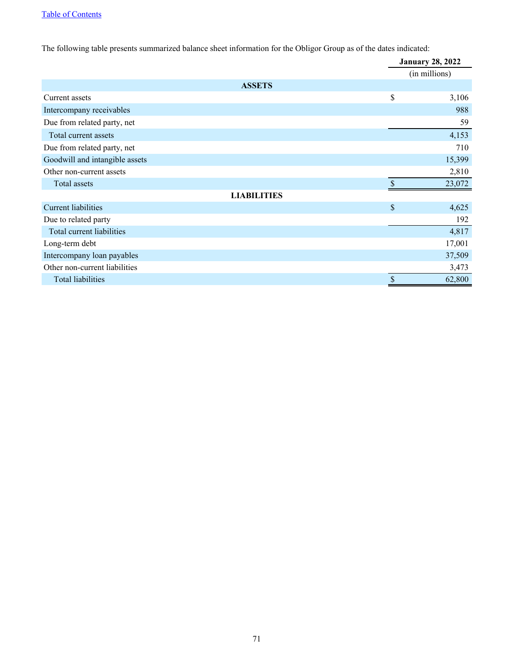The following table presents summarized balance sheet information for the Obligor Group as of the dates indicated:

|                                |                           | <b>January 28, 2022</b> |  |  |
|--------------------------------|---------------------------|-------------------------|--|--|
|                                |                           | (in millions)           |  |  |
| <b>ASSETS</b>                  |                           |                         |  |  |
| Current assets                 | \$                        | 3,106                   |  |  |
| Intercompany receivables       |                           | 988                     |  |  |
| Due from related party, net    |                           | 59                      |  |  |
| Total current assets           |                           | 4,153                   |  |  |
| Due from related party, net    |                           | 710                     |  |  |
| Goodwill and intangible assets |                           | 15,399                  |  |  |
| Other non-current assets       |                           | 2,810                   |  |  |
| Total assets                   |                           | 23,072                  |  |  |
| <b>LIABILITIES</b>             |                           |                         |  |  |
| <b>Current liabilities</b>     | $\mathcal{S}$             | 4,625                   |  |  |
| Due to related party           |                           | 192                     |  |  |
| Total current liabilities      |                           | 4,817                   |  |  |
| Long-term debt                 |                           | 17,001                  |  |  |
| Intercompany loan payables     |                           | 37,509                  |  |  |
| Other non-current liabilities  |                           | 3,473                   |  |  |
| <b>Total liabilities</b>       | $\boldsymbol{\mathsf{S}}$ | 62,800                  |  |  |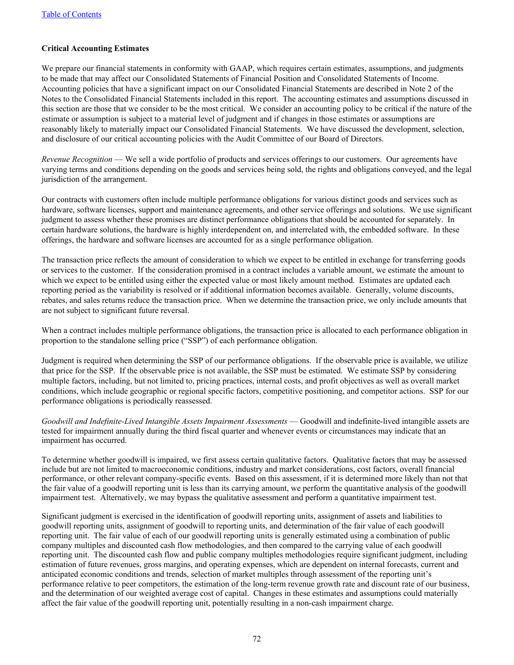### **Critical Accounting Estimates**

We prepare our financial statements in conformity with GAAP, which requires certain estimates, assumptions, and judgments to be made that may affect our Consolidated Statements of Financial Position and Consolidated Statements of Income. Accounting policies that have a significant impact on our Consolidated Financial Statements are described in Note 2 of the Notes to the Consolidated Financial Statements included in this report. The accounting estimates and assumptions discussed in this section are those that we consider to be the most critical. We consider an accounting policy to be critical if the nature of the estimate or assumption is subject to a material level of judgment and if changes in those estimates or assumptions are reasonably likely to materially impact our Consolidated Financial Statements. We have discussed the development, selection, and disclosure of our critical accounting policies with the Audit Committee of our Board of Directors.

*Revenue Recognition* — We sell a wide portfolio of products and services offerings to our customers. Our agreements have varying terms and conditions depending on the goods and services being sold, the rights and obligations conveyed, and the legal jurisdiction of the arrangement.

Our contracts with customers often include multiple performance obligations for various distinct goods and services such as hardware, software licenses, support and maintenance agreements, and other service offerings and solutions. We use significant judgment to assess whether these promises are distinct performance obligations that should be accounted for separately. In certain hardware solutions, the hardware is highly interdependent on, and interrelated with, the embedded software. In these offerings, the hardware and software licenses are accounted for as a single performance obligation.

The transaction price reflects the amount of consideration to which we expect to be entitled in exchange for transferring goods or services to the customer. If the consideration promised in a contract includes a variable amount, we estimate the amount to which we expect to be entitled using either the expected value or most likely amount method. Estimates are updated each reporting period as the variability is resolved or if additional information becomes available. Generally, volume discounts, rebates, and sales returns reduce the transaction price. When we determine the transaction price, we only include amounts that are not subject to significant future reversal.

When a contract includes multiple performance obligations, the transaction price is allocated to each performance obligation in proportion to the standalone selling price ("SSP") of each performance obligation.

Judgment is required when determining the SSP of our performance obligations. If the observable price is available, we utilize that price for the SSP. If the observable price is not available, the SSP must be estimated. We estimate SSP by considering multiple factors, including, but not limited to, pricing practices, internal costs, and profit objectives as well as overall market conditions, which include geographic or regional specific factors, competitive positioning, and competitor actions. SSP for our performance obligations is periodically reassessed.

*Goodwill and Indefinite-Lived Intangible Assets Impairment Assessments* — Goodwill and indefinite-lived intangible assets are tested for impairment annually during the third fiscal quarter and whenever events or circumstances may indicate that an impairment has occurred.

To determine whether goodwill is impaired, we first assess certain qualitative factors. Qualitative factors that may be assessed include but are not limited to macroeconomic conditions, industry and market considerations, cost factors, overall financial performance, or other relevant company-specific events. Based on this assessment, if it is determined more likely than not that the fair value of a goodwill reporting unit is less than its carrying amount, we perform the quantitative analysis of the goodwill impairment test. Alternatively, we may bypass the qualitative assessment and perform a quantitative impairment test.

Significant judgment is exercised in the identification of goodwill reporting units, assignment of assets and liabilities to goodwill reporting units, assignment of goodwill to reporting units, and determination of the fair value of each goodwill reporting unit. The fair value of each of our goodwill reporting units is generally estimated using a combination of public company multiples and discounted cash flow methodologies, and then compared to the carrying value of each goodwill reporting unit. The discounted cash flow and public company multiples methodologies require significant judgment, including estimation of future revenues, gross margins, and operating expenses, which are dependent on internal forecasts, current and anticipated economic conditions and trends, selection of market multiples through assessment of the reporting unit's performance relative to peer competitors, the estimation of the long-term revenue growth rate and discount rate of our business, and the determination of our weighted average cost of capital. Changes in these estimates and assumptions could materially affect the fair value of the goodwill reporting unit, potentially resulting in a non-cash impairment charge.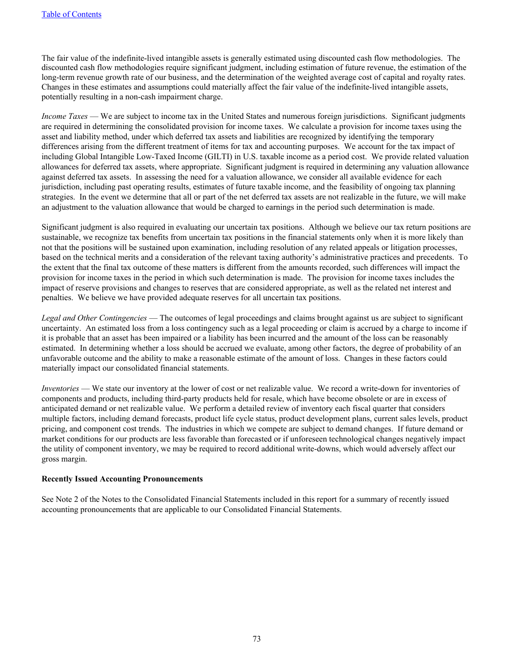The fair value of the indefinite-lived intangible assets is generally estimated using discounted cash flow methodologies. The discounted cash flow methodologies require significant judgment, including estimation of future revenue, the estimation of the long-term revenue growth rate of our business, and the determination of the weighted average cost of capital and royalty rates. Changes in these estimates and assumptions could materially affect the fair value of the indefinite-lived intangible assets, potentially resulting in a non-cash impairment charge.

*Income Taxes* — We are subject to income tax in the United States and numerous foreign jurisdictions. Significant judgments are required in determining the consolidated provision for income taxes. We calculate a provision for income taxes using the asset and liability method, under which deferred tax assets and liabilities are recognized by identifying the temporary differences arising from the different treatment of items for tax and accounting purposes. We account for the tax impact of including Global Intangible Low-Taxed Income (GILTI) in U.S. taxable income as a period cost. We provide related valuation allowances for deferred tax assets, where appropriate. Significant judgment is required in determining any valuation allowance against deferred tax assets. In assessing the need for a valuation allowance, we consider all available evidence for each jurisdiction, including past operating results, estimates of future taxable income, and the feasibility of ongoing tax planning strategies. In the event we determine that all or part of the net deferred tax assets are not realizable in the future, we will make an adjustment to the valuation allowance that would be charged to earnings in the period such determination is made.

Significant judgment is also required in evaluating our uncertain tax positions. Although we believe our tax return positions are sustainable, we recognize tax benefits from uncertain tax positions in the financial statements only when it is more likely than not that the positions will be sustained upon examination, including resolution of any related appeals or litigation processes, based on the technical merits and a consideration of the relevant taxing authority's administrative practices and precedents. To the extent that the final tax outcome of these matters is different from the amounts recorded, such differences will impact the provision for income taxes in the period in which such determination is made. The provision for income taxes includes the impact of reserve provisions and changes to reserves that are considered appropriate, as well as the related net interest and penalties. We believe we have provided adequate reserves for all uncertain tax positions.

*Legal and Other Contingencies* — The outcomes of legal proceedings and claims brought against us are subject to significant uncertainty. An estimated loss from a loss contingency such as a legal proceeding or claim is accrued by a charge to income if it is probable that an asset has been impaired or a liability has been incurred and the amount of the loss can be reasonably estimated. In determining whether a loss should be accrued we evaluate, among other factors, the degree of probability of an unfavorable outcome and the ability to make a reasonable estimate of the amount of loss. Changes in these factors could materially impact our consolidated financial statements.

*Inventories* — We state our inventory at the lower of cost or net realizable value. We record a write-down for inventories of components and products, including third-party products held for resale, which have become obsolete or are in excess of anticipated demand or net realizable value. We perform a detailed review of inventory each fiscal quarter that considers multiple factors, including demand forecasts, product life cycle status, product development plans, current sales levels, product pricing, and component cost trends. The industries in which we compete are subject to demand changes. If future demand or market conditions for our products are less favorable than forecasted or if unforeseen technological changes negatively impact the utility of component inventory, we may be required to record additional write-downs, which would adversely affect our gross margin.

### **Recently Issued Accounting Pronouncements**

See Note 2 of the Notes to the Consolidated Financial Statements included in this report for a summary of recently issued accounting pronouncements that are applicable to our Consolidated Financial Statements.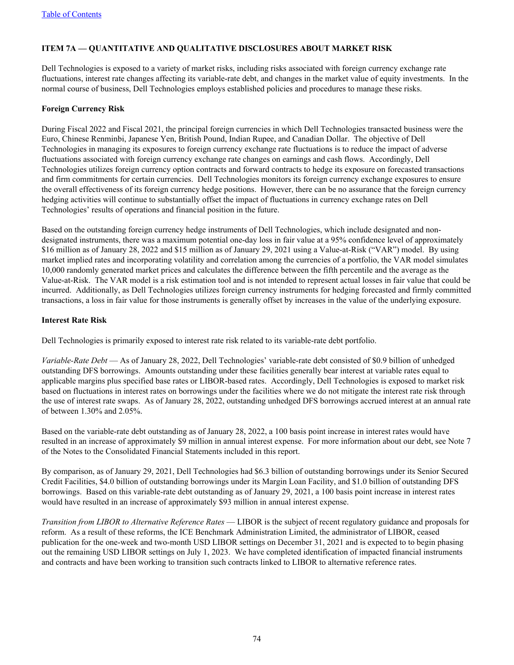# **ITEM 7A — QUANTITATIVE AND QUALITATIVE DISCLOSURES ABOUT MARKET RISK**

Dell Technologies is exposed to a variety of market risks, including risks associated with foreign currency exchange rate fluctuations, interest rate changes affecting its variable-rate debt, and changes in the market value of equity investments. In the normal course of business, Dell Technologies employs established policies and procedures to manage these risks.

## **Foreign Currency Risk**

During Fiscal 2022 and Fiscal 2021, the principal foreign currencies in which Dell Technologies transacted business were the Euro, Chinese Renminbi, Japanese Yen, British Pound, Indian Rupee, and Canadian Dollar. The objective of Dell Technologies in managing its exposures to foreign currency exchange rate fluctuations is to reduce the impact of adverse fluctuations associated with foreign currency exchange rate changes on earnings and cash flows. Accordingly, Dell Technologies utilizes foreign currency option contracts and forward contracts to hedge its exposure on forecasted transactions and firm commitments for certain currencies. Dell Technologies monitors its foreign currency exchange exposures to ensure the overall effectiveness of its foreign currency hedge positions. However, there can be no assurance that the foreign currency hedging activities will continue to substantially offset the impact of fluctuations in currency exchange rates on Dell Technologies' results of operations and financial position in the future.

Based on the outstanding foreign currency hedge instruments of Dell Technologies, which include designated and nondesignated instruments, there was a maximum potential one-day loss in fair value at a 95% confidence level of approximately \$16 million as of January 28, 2022 and \$15 million as of January 29, 2021 using a Value-at-Risk ("VAR") model. By using market implied rates and incorporating volatility and correlation among the currencies of a portfolio, the VAR model simulates 10,000 randomly generated market prices and calculates the difference between the fifth percentile and the average as the Value-at-Risk. The VAR model is a risk estimation tool and is not intended to represent actual losses in fair value that could be incurred. Additionally, as Dell Technologies utilizes foreign currency instruments for hedging forecasted and firmly committed transactions, a loss in fair value for those instruments is generally offset by increases in the value of the underlying exposure.

## **Interest Rate Risk**

Dell Technologies is primarily exposed to interest rate risk related to its variable-rate debt portfolio.

*Variable-Rate Debt* — As of January 28, 2022, Dell Technologies' variable-rate debt consisted of \$0.9 billion of unhedged outstanding DFS borrowings. Amounts outstanding under these facilities generally bear interest at variable rates equal to applicable margins plus specified base rates or LIBOR-based rates. Accordingly, Dell Technologies is exposed to market risk based on fluctuations in interest rates on borrowings under the facilities where we do not mitigate the interest rate risk through the use of interest rate swaps. As of January 28, 2022, outstanding unhedged DFS borrowings accrued interest at an annual rate of between 1.30% and 2.05%.

Based on the variable-rate debt outstanding as of January 28, 2022, a 100 basis point increase in interest rates would have resulted in an increase of approximately \$9 million in annual interest expense. For more information about our debt, see Note 7 of the Notes to the Consolidated Financial Statements included in this report.

By comparison, as of January 29, 2021, Dell Technologies had \$6.3 billion of outstanding borrowings under its Senior Secured Credit Facilities, \$4.0 billion of outstanding borrowings under its Margin Loan Facility, and \$1.0 billion of outstanding DFS borrowings. Based on this variable-rate debt outstanding as of January 29, 2021, a 100 basis point increase in interest rates would have resulted in an increase of approximately \$93 million in annual interest expense.

*Transition from LIBOR to Alternative Reference Rates* — LIBOR is the subject of recent regulatory guidance and proposals for reform. As a result of these reforms, the ICE Benchmark Administration Limited, the administrator of LIBOR, ceased publication for the one-week and two-month USD LIBOR settings on December 31, 2021 and is expected to to begin phasing out the remaining USD LIBOR settings on July 1, 2023. We have completed identification of impacted financial instruments and contracts and have been working to transition such contracts linked to LIBOR to alternative reference rates.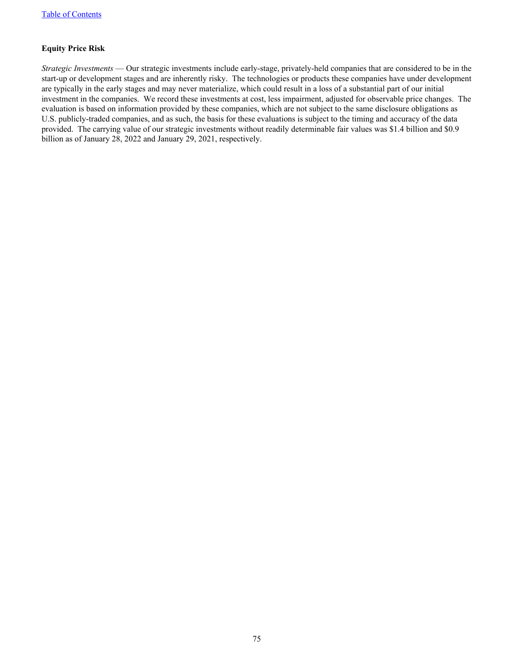## **Equity Price Risk**

*Strategic Investments* — Our strategic investments include early-stage, privately-held companies that are considered to be in the start-up or development stages and are inherently risky. The technologies or products these companies have under development are typically in the early stages and may never materialize, which could result in a loss of a substantial part of our initial investment in the companies. We record these investments at cost, less impairment, adjusted for observable price changes. The evaluation is based on information provided by these companies, which are not subject to the same disclosure obligations as U.S. publicly-traded companies, and as such, the basis for these evaluations is subject to the timing and accuracy of the data provided. The carrying value of our strategic investments without readily determinable fair values was \$1.4 billion and \$0.9 billion as of January 28, 2022 and January 29, 2021, respectively.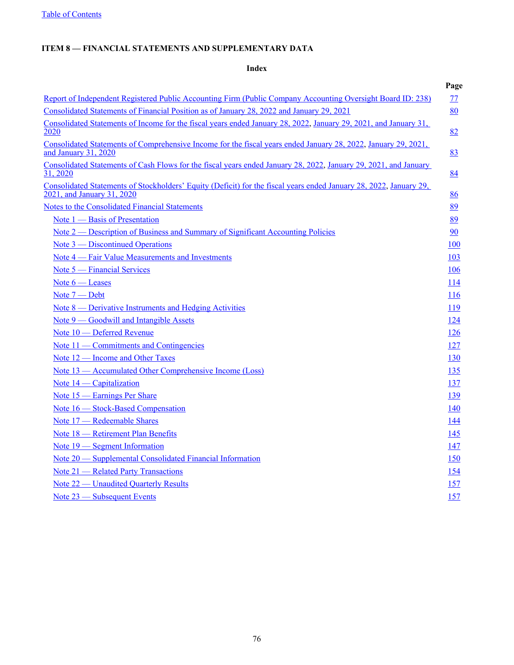# **ITEM 8** *—* **FINANCIAL STATEMENTS AND SUPPLEMENTARY DATA**

# **Index**

|                                                                                                                                                  | Page       |
|--------------------------------------------------------------------------------------------------------------------------------------------------|------------|
| Report of Independent Registered Public Accounting Firm (Public Company Accounting Oversight Board ID: 238)                                      | 77         |
| Consolidated Statements of Financial Position as of January 28, 2022 and January 29, 2021                                                        | 80         |
| Consolidated Statements of Income for the fiscal years ended January 28, 2022, January 29, 2021, and January 31,<br>2020                         | 82         |
| Consolidated Statements of Comprehensive Income for the fiscal years ended January 28, 2022, January 29, 2021,<br>and January 31, 2020           | 83         |
| Consolidated Statements of Cash Flows for the fiscal years ended January 28, 2022, January 29, 2021, and January<br>31, 2020                     | 84         |
| Consolidated Statements of Stockholders' Equity (Deficit) for the fiscal years ended January 28, 2022, January 29,<br>2021, and January 31, 2020 | 86         |
| <b>Notes to the Consolidated Financial Statements</b>                                                                                            | 89         |
| Note 1 – Basis of Presentation                                                                                                                   | 89         |
| Note 2 — Description of Business and Summary of Significant Accounting Policies                                                                  | 90         |
| Note 3 — Discontinued Operations                                                                                                                 | 100        |
| Note 4 — Fair Value Measurements and Investments                                                                                                 | 103        |
| Note 5 — Financial Services                                                                                                                      | 106        |
| Note $6$ – Leases                                                                                                                                | <u>114</u> |
| Note 7 – Debt                                                                                                                                    | 116        |
| <u>Note 8 — Derivative Instruments and Hedging Activities</u>                                                                                    | <u>119</u> |
| Note 9 — Goodwill and Intangible Assets                                                                                                          | 124        |
| Note 10 — Deferred Revenue                                                                                                                       | <u>126</u> |
| Note 11 — Commitments and Contingencies                                                                                                          | <u>127</u> |
| Note 12 — Income and Other Taxes                                                                                                                 | 130        |
| Note 13 — Accumulated Other Comprehensive Income (Loss)                                                                                          | <u>135</u> |
| Note 14 — Capitalization                                                                                                                         | 137        |
| Note 15 – Earnings Per Share                                                                                                                     | 139        |
| Note 16 - Stock-Based Compensation                                                                                                               | 140        |
| Note 17 - Redeemable Shares                                                                                                                      | 144        |
| Note 18 - Retirement Plan Benefits                                                                                                               | <u>145</u> |
| Note 19 – Segment Information                                                                                                                    | 147        |
| Note 20 — Supplemental Consolidated Financial Information                                                                                        | <u>150</u> |
| Note 21 – Related Party Transactions                                                                                                             | 154        |
| Note 22 — Unaudited Quarterly Results                                                                                                            | 157        |
| Note 23 - Subsequent Events                                                                                                                      | 157        |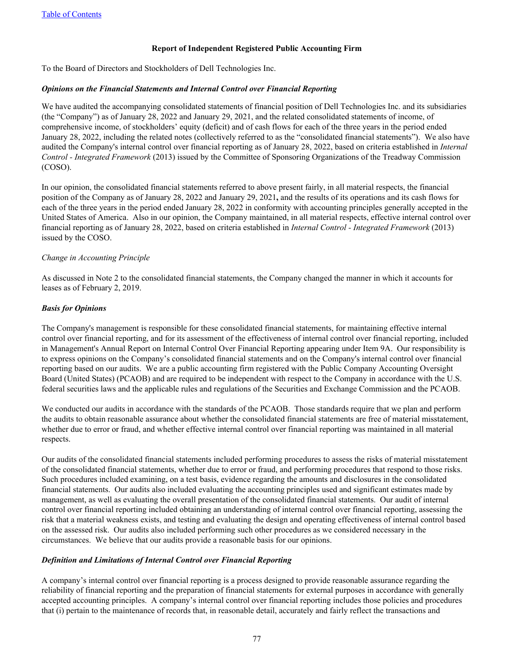### **Report of Independent Registered Public Accounting Firm**

<span id="page-76-0"></span>To the Board of Directors and Stockholders of Dell Technologies Inc.

#### *Opinions on the Financial Statements and Internal Control over Financial Reporting*

We have audited the accompanying consolidated statements of financial position of Dell Technologies Inc. and its subsidiaries (the "Company") as of January 28, 2022 and January 29, 2021, and the related consolidated statements of income, of comprehensive income, of stockholders' equity (deficit) and of cash flows for each of the three years in the period ended January 28, 2022, including the related notes (collectively referred to as the "consolidated financial statements").We also have audited the Company's internal control over financial reporting as of January 28, 2022, based on criteria established in *Internal Control - Integrated Framework* (2013) issued by the Committee of Sponsoring Organizations of the Treadway Commission (COSO).

In our opinion, the consolidated financial statements referred to above present fairly, in all material respects, the financial position of the Company as of January 28, 2022 and January 29, 2021**,** and the results of its operations and its cash flows for each of the three years in the period ended January 28, 2022 in conformity with accounting principles generally accepted in the United States of America. Also in our opinion, the Company maintained, in all material respects, effective internal control over financial reporting as of January 28, 2022, based on criteria established in *Internal Control - Integrated Framework* (2013) issued by the COSO.

#### *Change in Accounting Principle*

As discussed in Note 2 to the consolidated financial statements, the Company changed the manner in which it accounts for leases as of February 2, 2019.

### *Basis for Opinions*

The Company's management is responsible for these consolidated financial statements, for maintaining effective internal control over financial reporting, and for its assessment of the effectiveness of internal control over financial reporting, included in Management's Annual Report on Internal Control Over Financial Reporting appearing under Item 9A. Our responsibility is to express opinions on the Company's consolidated financial statements and on the Company's internal control over financial reporting based on our audits. We are a public accounting firm registered with the Public Company Accounting Oversight Board (United States) (PCAOB) and are required to be independent with respect to the Company in accordance with the U.S. federal securities laws and the applicable rules and regulations of the Securities and Exchange Commission and the PCAOB.

We conducted our audits in accordance with the standards of the PCAOB. Those standards require that we plan and perform the audits to obtain reasonable assurance about whether the consolidated financial statements are free of material misstatement, whether due to error or fraud, and whether effective internal control over financial reporting was maintained in all material respects.

Our audits of the consolidated financial statements included performing procedures to assess the risks of material misstatement of the consolidated financial statements, whether due to error or fraud, and performing procedures that respond to those risks. Such procedures included examining, on a test basis, evidence regarding the amounts and disclosures in the consolidated financial statements. Our audits also included evaluating the accounting principles used and significant estimates made by management, as well as evaluating the overall presentation of the consolidated financial statements. Our audit of internal control over financial reporting included obtaining an understanding of internal control over financial reporting, assessing the risk that a material weakness exists, and testing and evaluating the design and operating effectiveness of internal control based on the assessed risk. Our audits also included performing such other procedures as we considered necessary in the circumstances. We believe that our audits provide a reasonable basis for our opinions.

### *Definition and Limitations of Internal Control over Financial Reporting*

A company's internal control over financial reporting is a process designed to provide reasonable assurance regarding the reliability of financial reporting and the preparation of financial statements for external purposes in accordance with generally accepted accounting principles. A company's internal control over financial reporting includes those policies and procedures that (i) pertain to the maintenance of records that, in reasonable detail, accurately and fairly reflect the transactions and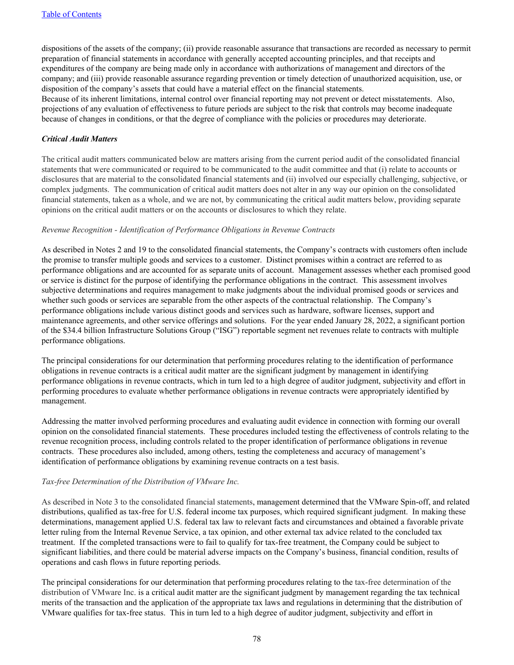dispositions of the assets of the company; (ii) provide reasonable assurance that transactions are recorded as necessary to permit preparation of financial statements in accordance with generally accepted accounting principles, and that receipts and expenditures of the company are being made only in accordance with authorizations of management and directors of the company; and (iii) provide reasonable assurance regarding prevention or timely detection of unauthorized acquisition, use, or disposition of the company's assets that could have a material effect on the financial statements.

Because of its inherent limitations, internal control over financial reporting may not prevent or detect misstatements. Also, projections of any evaluation of effectiveness to future periods are subject to the risk that controls may become inadequate because of changes in conditions, or that the degree of compliance with the policies or procedures may deteriorate.

### *Critical Audit Matters*

The critical audit matters communicated below are matters arising from the current period audit of the consolidated financial statements that were communicated or required to be communicated to the audit committee and that (i) relate to accounts or disclosures that are material to the consolidated financial statements and (ii) involved our especially challenging, subjective, or complex judgments. The communication of critical audit matters does not alter in any way our opinion on the consolidated financial statements, taken as a whole, and we are not, by communicating the critical audit matters below, providing separate opinions on the critical audit matters or on the accounts or disclosures to which they relate.

### *Revenue Recognition - Identification of Performance Obligations in Revenue Contracts*

As described in Notes 2 and 19 to the consolidated financial statements, the Company's contracts with customers often include the promise to transfer multiple goods and services to a customer. Distinct promises within a contract are referred to as performance obligations and are accounted for as separate units of account. Management assesses whether each promised good or service is distinct for the purpose of identifying the performance obligations in the contract. This assessment involves subjective determinations and requires management to make judgments about the individual promised goods or services and whether such goods or services are separable from the other aspects of the contractual relationship. The Company's performance obligations include various distinct goods and services such as hardware, software licenses, support and maintenance agreements, and other service offerings and solutions. For the year ended January 28, 2022, a significant portion of the \$34.4 billion Infrastructure Solutions Group ("ISG") reportable segment net revenues relate to contracts with multiple performance obligations.

The principal considerations for our determination that performing procedures relating to the identification of performance obligations in revenue contracts is a critical audit matter are the significant judgment by management in identifying performance obligations in revenue contracts, which in turn led to a high degree of auditor judgment, subjectivity and effort in performing procedures to evaluate whether performance obligations in revenue contracts were appropriately identified by management.

Addressing the matter involved performing procedures and evaluating audit evidence in connection with forming our overall opinion on the consolidated financial statements. These procedures included testing the effectiveness of controls relating to the revenue recognition process, including controls related to the proper identification of performance obligations in revenue contracts. These procedures also included, among others, testing the completeness and accuracy of management's identification of performance obligations by examining revenue contracts on a test basis.

### *Tax-free Determination of the Distribution of VMware Inc.*

As described in Note 3 to the consolidated financial statements, management determined that the VMware Spin-off, and related distributions, qualified as tax-free for U.S. federal income tax purposes, which required significant judgment. In making these determinations, management applied U.S. federal tax law to relevant facts and circumstances and obtained a favorable private letter ruling from the Internal Revenue Service, a tax opinion, and other external tax advice related to the concluded tax treatment. If the completed transactions were to fail to qualify for tax-free treatment, the Company could be subject to significant liabilities, and there could be material adverse impacts on the Company's business, financial condition, results of operations and cash flows in future reporting periods.

The principal considerations for our determination that performing procedures relating to the tax-free determination of the distribution of VMware Inc. is a critical audit matter are the significant judgment by management regarding the tax technical merits of the transaction and the application of the appropriate tax laws and regulations in determining that the distribution of VMware qualifies for tax-free status. This in turn led to a high degree of auditor judgment, subjectivity and effort in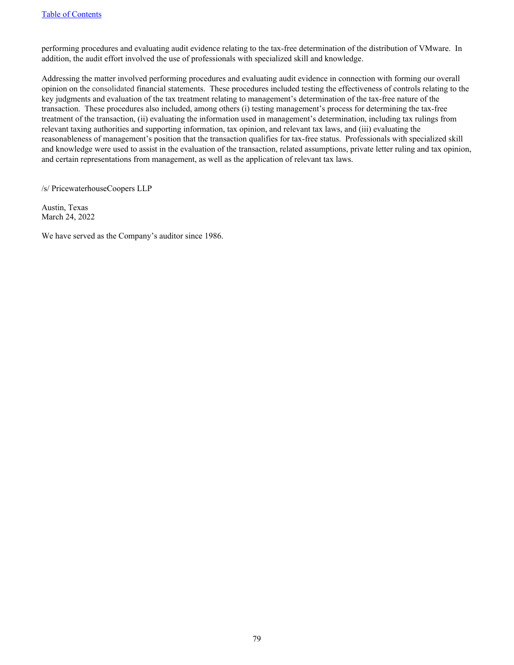performing procedures and evaluating audit evidence relating to the tax-free determination of the distribution of VMware. In addition, the audit effort involved the use of professionals with specialized skill and knowledge.

Addressing the matter involved performing procedures and evaluating audit evidence in connection with forming our overall opinion on the consolidated financial statements. These procedures included testing the effectiveness of controls relating to the key judgments and evaluation of the tax treatment relating to management's determination of the tax-free nature of the transaction. These procedures also included, among others (i) testing management's process for determining the tax-free treatment of the transaction, (ii) evaluating the information used in management's determination, including tax rulings from relevant taxing authorities and supporting information, tax opinion, and relevant tax laws, and (iii) evaluating the reasonableness of management's position that the transaction qualifies for tax-free status. Professionals with specialized skill and knowledge were used to assist in the evaluation of the transaction, related assumptions, private letter ruling and tax opinion, and certain representations from management, as well as the application of relevant tax laws.

/s/ PricewaterhouseCoopers LLP

Austin, Texas March 24, 2022

We have served as the Company's auditor since 1986.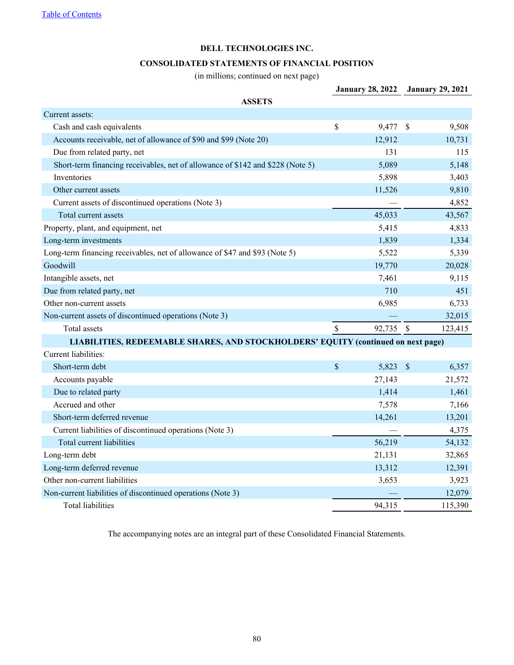### **CONSOLIDATED STATEMENTS OF FINANCIAL POSITION**

(in millions; continued on next page)

<span id="page-79-0"></span>

|                                                                                   |    | <b>January 28, 2022</b> | <b>January 29, 2021</b>   |         |
|-----------------------------------------------------------------------------------|----|-------------------------|---------------------------|---------|
| <b>ASSETS</b>                                                                     |    |                         |                           |         |
| Current assets:                                                                   |    |                         |                           |         |
| Cash and cash equivalents                                                         | \$ | 9,477 \$                |                           | 9,508   |
| Accounts receivable, net of allowance of \$90 and \$99 (Note 20)                  |    | 12,912                  |                           | 10,731  |
| Due from related party, net                                                       |    | 131                     |                           | 115     |
| Short-term financing receivables, net of allowance of \$142 and \$228 (Note 5)    |    | 5,089                   |                           | 5,148   |
| Inventories                                                                       |    | 5,898                   |                           | 3,403   |
| Other current assets                                                              |    | 11,526                  |                           | 9,810   |
| Current assets of discontinued operations (Note 3)                                |    |                         |                           | 4,852   |
| Total current assets                                                              |    | 45,033                  |                           | 43,567  |
| Property, plant, and equipment, net                                               |    | 5,415                   |                           | 4,833   |
| Long-term investments                                                             |    | 1,839                   |                           | 1,334   |
| Long-term financing receivables, net of allowance of \$47 and \$93 (Note 5)       |    | 5,522                   |                           | 5,339   |
| Goodwill                                                                          |    | 19,770                  |                           | 20,028  |
| Intangible assets, net                                                            |    | 7,461                   |                           | 9,115   |
| Due from related party, net                                                       |    | 710                     |                           | 451     |
| Other non-current assets                                                          |    | 6,985                   |                           | 6,733   |
| Non-current assets of discontinued operations (Note 3)                            |    |                         |                           | 32,015  |
| Total assets                                                                      | \$ | 92,735                  | $\mathcal{S}$             | 123,415 |
| LIABILITIES, REDEEMABLE SHARES, AND STOCKHOLDERS' EQUITY (continued on next page) |    |                         |                           |         |
| Current liabilities:                                                              |    |                         |                           |         |
| Short-term debt                                                                   | \$ | 5,823                   | $\boldsymbol{\mathsf{S}}$ | 6,357   |
| Accounts payable                                                                  |    | 27,143                  |                           | 21,572  |
| Due to related party                                                              |    | 1,414                   |                           | 1,461   |
| Accrued and other                                                                 |    | 7,578                   |                           | 7,166   |
| Short-term deferred revenue                                                       |    | 14,261                  |                           | 13,201  |
| Current liabilities of discontinued operations (Note 3)                           |    |                         |                           | 4,375   |
| Total current liabilities                                                         |    | 56,219                  |                           | 54,132  |
| Long-term debt                                                                    |    | 21,131                  |                           | 32,865  |
| Long-term deferred revenue                                                        |    | 13,312                  |                           | 12,391  |
| Other non-current liabilities                                                     |    | 3,653                   |                           | 3,923   |
| Non-current liabilities of discontinued operations (Note 3)                       |    |                         |                           | 12,079  |
| <b>Total liabilities</b>                                                          |    | 94,315                  |                           | 115,390 |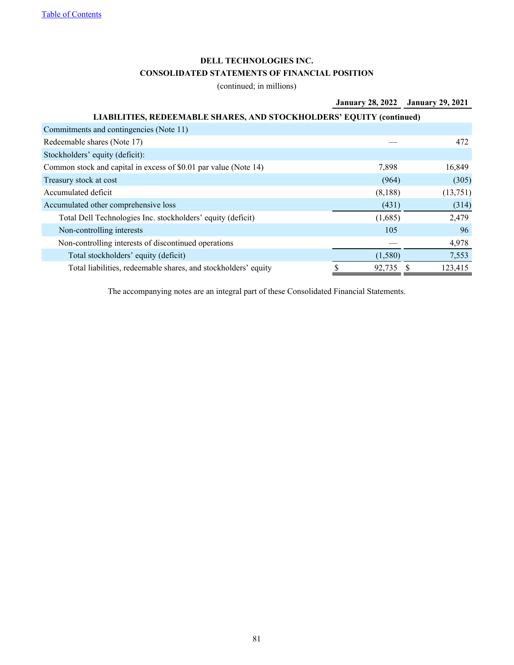# **DELL TECHNOLOGIES INC. CONSOLIDATED STATEMENTS OF FINANCIAL POSITION**

(continued; in millions)

# **January 28, 2022 January 29, 2021**

| LIABILITIES, REDEEMABLE SHARES, AND STOCKHOLDERS' EQUITY (continued) |         |          |
|----------------------------------------------------------------------|---------|----------|
| Commitments and contingencies (Note 11)                              |         |          |
| Redeemable shares (Note 17)                                          |         | 472      |
| Stockholders' equity (deficit):                                      |         |          |
| Common stock and capital in excess of \$0.01 par value (Note 14)     | 7.898   | 16,849   |
| Treasury stock at cost                                               | (964)   | (305)    |
| Accumulated deficit                                                  | (8,188) | (13,751) |
| Accumulated other comprehensive loss                                 | (431)   | (314)    |
| Total Dell Technologies Inc. stockholders' equity (deficit)          | (1,685) | 2,479    |
| Non-controlling interests                                            | 105     | 96       |
| Non-controlling interests of discontinued operations                 |         | 4,978    |
| Total stockholders' equity (deficit)                                 | (1,580) | 7,553    |
| Total liabilities, redeemable shares, and stockholders' equity       | 92,735  | 123,415  |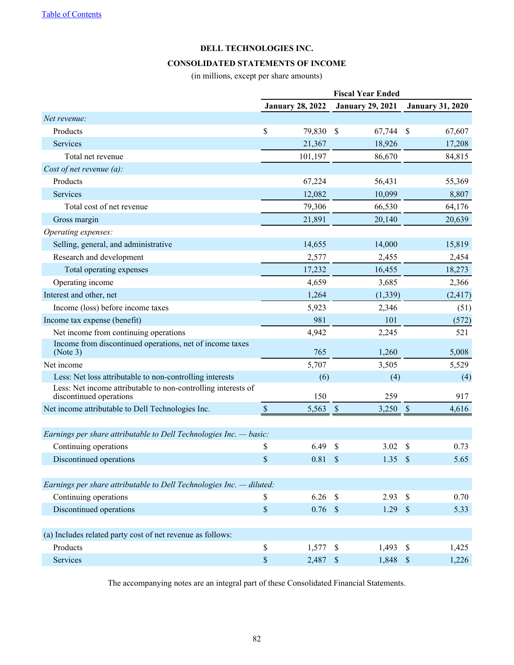### **CONSOLIDATED STATEMENTS OF INCOME**

(in millions, except per share amounts)

<span id="page-81-0"></span>

|                                                                                          |               | <b>January 28, 2022</b> | <b>January 29, 2021</b>            | <b>January 31, 2020</b> |
|------------------------------------------------------------------------------------------|---------------|-------------------------|------------------------------------|-------------------------|
| Net revenue:                                                                             |               |                         |                                    |                         |
| Products                                                                                 | \$            | 79,830                  | $\mathcal{S}$<br>67,744            | \$<br>67,607            |
| Services                                                                                 |               | 21,367                  | 18,926                             | 17,208                  |
| Total net revenue                                                                        |               | 101,197                 | 86,670                             | 84,815                  |
| Cost of net revenue $(a)$ :                                                              |               |                         |                                    |                         |
| Products                                                                                 |               | 67,224                  | 56,431                             | 55,369                  |
| Services                                                                                 |               | 12,082                  | 10,099                             | 8,807                   |
| Total cost of net revenue                                                                |               | 79,306                  | 66,530                             | 64,176                  |
| Gross margin                                                                             |               | 21,891                  | 20,140                             | 20,639                  |
| Operating expenses:                                                                      |               |                         |                                    |                         |
| Selling, general, and administrative                                                     |               | 14,655                  | 14,000                             | 15,819                  |
| Research and development                                                                 |               | 2,577                   | 2,455                              | 2,454                   |
| Total operating expenses                                                                 |               | 17,232                  | 16,455                             | 18,273                  |
| Operating income                                                                         |               | 4,659                   | 3,685                              | 2,366                   |
| Interest and other, net                                                                  |               | 1,264                   | (1, 339)                           | (2, 417)                |
| Income (loss) before income taxes                                                        |               | 5,923                   | 2,346                              | (51)                    |
| Income tax expense (benefit)                                                             |               | 981                     | 101                                | (572)                   |
| Net income from continuing operations                                                    |               | 4,942                   | 2,245                              | 521                     |
| Income from discontinued operations, net of income taxes<br>(Note 3)                     |               | 765                     | 1,260                              | 5,008                   |
| Net income                                                                               |               | 5,707                   | 3,505                              | 5,529                   |
| Less: Net loss attributable to non-controlling interests                                 |               | (6)                     | (4)                                | (4)                     |
| Less: Net income attributable to non-controlling interests of<br>discontinued operations |               | 150                     | 259                                | 917                     |
| Net income attributable to Dell Technologies Inc.                                        | $\mathcal{S}$ | 5,563                   | $\boldsymbol{\mathsf{S}}$<br>3,250 | 4,616<br>$\mathcal{S}$  |
|                                                                                          |               |                         |                                    |                         |
| Earnings per share attributable to Dell Technologies Inc. $-$ basic:                     |               |                         |                                    |                         |
| Continuing operations                                                                    | \$            | 6.49                    | \$<br>3.02                         | \$<br>0.73              |
| Discontinued operations                                                                  | \$            | 0.81                    | $\mathcal{S}$<br>1.35              | $\mathcal{S}$<br>5.65   |
| Earnings per share attributable to Dell Technologies Inc. - diluted:                     |               |                         |                                    |                         |
| Continuing operations                                                                    | \$            | 6.26                    | $\mathcal{S}$<br>2.93              | $\mathcal{S}$<br>0.70   |
| Discontinued operations                                                                  | $\$$          | $0.76$ \$               | 1.29                               | $\sqrt{S}$<br>5.33      |
| (a) Includes related party cost of net revenue as follows:                               |               |                         |                                    |                         |
| Products                                                                                 | \$            | 1,577                   | 1,493<br>$\sqrt{3}$                | $\mathcal{S}$<br>1,425  |
| Services                                                                                 | \$            | 2,487                   | $\mathcal{S}$<br>1,848             | $\mathcal{S}$<br>1,226  |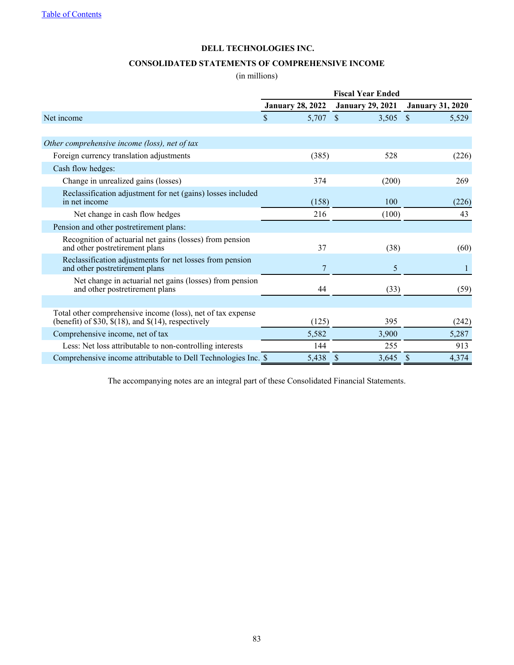### **CONSOLIDATED STATEMENTS OF COMPREHENSIVE INCOME**

(in millions)

<span id="page-82-0"></span>

|                                                                                                                          | <b>Fiscal Year Ended</b> |                         |                         |  |  |
|--------------------------------------------------------------------------------------------------------------------------|--------------------------|-------------------------|-------------------------|--|--|
|                                                                                                                          | <b>January 28, 2022</b>  | <b>January 29, 2021</b> | <b>January 31, 2020</b> |  |  |
| Net income                                                                                                               | \$<br>5,707 \$           | 3,505                   | $\mathcal{S}$<br>5,529  |  |  |
|                                                                                                                          |                          |                         |                         |  |  |
| Other comprehensive income (loss), net of tax                                                                            |                          |                         |                         |  |  |
| Foreign currency translation adjustments                                                                                 | (385)                    | 528                     | (226)                   |  |  |
| Cash flow hedges:                                                                                                        |                          |                         |                         |  |  |
| Change in unrealized gains (losses)                                                                                      | 374                      | (200)                   | 269                     |  |  |
| Reclassification adjustment for net (gains) losses included<br>in net income                                             | (158)                    | 100                     | (226)                   |  |  |
| Net change in cash flow hedges                                                                                           | 216                      | (100)                   | 43                      |  |  |
| Pension and other postretirement plans:                                                                                  |                          |                         |                         |  |  |
| Recognition of actuarial net gains (losses) from pension<br>and other postretirement plans                               | 37                       | (38)                    | (60)                    |  |  |
| Reclassification adjustments for net losses from pension<br>and other postretirement plans                               | 7                        | 5                       | 1                       |  |  |
| Net change in actuarial net gains (losses) from pension<br>and other postretirement plans                                | 44                       | (33)                    | (59)                    |  |  |
|                                                                                                                          |                          |                         |                         |  |  |
| Total other comprehensive income (loss), net of tax expense<br>(benefit) of \$30, $\$(18)$ , and $\$(14)$ , respectively | (125)                    | 395                     | (242)                   |  |  |
| Comprehensive income, net of tax                                                                                         | 5,582                    | 3,900                   | 5,287                   |  |  |
| Less: Net loss attributable to non-controlling interests                                                                 | 144                      | 255                     | 913                     |  |  |
| Comprehensive income attributable to Dell Technologies Inc. \$                                                           | 5,438                    | 3,645<br>S              | 4,374<br><sup>\$</sup>  |  |  |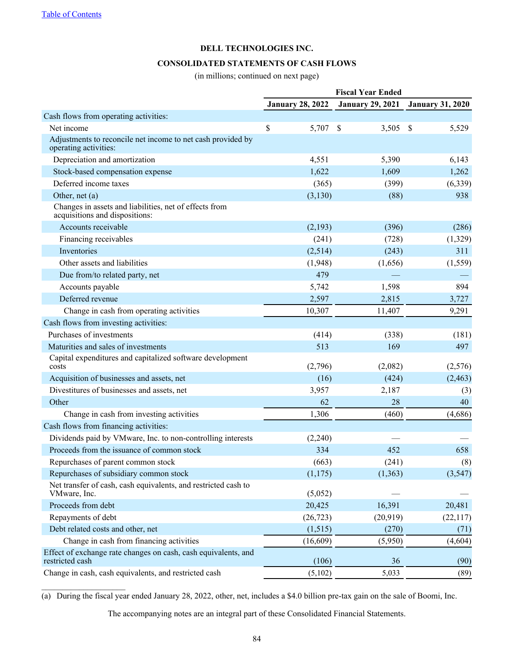## **CONSOLIDATED STATEMENTS OF CASH FLOWS**

(in millions; continued on next page)

<span id="page-83-0"></span>

|                                                                                          | <b>Fiscal Year Ended</b> |                         |                         |  |  |
|------------------------------------------------------------------------------------------|--------------------------|-------------------------|-------------------------|--|--|
|                                                                                          | <b>January 28, 2022</b>  | <b>January 29, 2021</b> | <b>January 31, 2020</b> |  |  |
| Cash flows from operating activities:                                                    |                          |                         |                         |  |  |
| Net income                                                                               | \$<br>5,707              | $\mathcal{S}$<br>3,505  | - \$<br>5,529           |  |  |
| Adjustments to reconcile net income to net cash provided by<br>operating activities:     |                          |                         |                         |  |  |
| Depreciation and amortization                                                            | 4,551                    | 5,390                   | 6,143                   |  |  |
| Stock-based compensation expense                                                         | 1,622                    | 1,609                   | 1,262                   |  |  |
| Deferred income taxes                                                                    | (365)                    | (399)                   | (6,339)                 |  |  |
| Other, net $(a)$                                                                         | (3,130)                  | (88)                    | 938                     |  |  |
| Changes in assets and liabilities, net of effects from<br>acquisitions and dispositions: |                          |                         |                         |  |  |
| Accounts receivable                                                                      | (2,193)                  | (396)                   | (286)                   |  |  |
| Financing receivables                                                                    | (241)                    | (728)                   | (1,329)                 |  |  |
| Inventories                                                                              | (2,514)                  | (243)                   | 311                     |  |  |
| Other assets and liabilities                                                             | (1,948)                  | (1,656)                 | (1, 559)                |  |  |
| Due from/to related party, net                                                           | 479                      |                         |                         |  |  |
| Accounts payable                                                                         | 5,742                    | 1,598                   | 894                     |  |  |
| Deferred revenue                                                                         | 2,597                    | 2,815                   | 3,727                   |  |  |
| Change in cash from operating activities                                                 | 10,307                   | 11,407                  | 9,291                   |  |  |
| Cash flows from investing activities:                                                    |                          |                         |                         |  |  |
| Purchases of investments                                                                 | (414)                    | (338)                   | (181)                   |  |  |
| Maturities and sales of investments                                                      | 513                      | 169                     | 497                     |  |  |
| Capital expenditures and capitalized software development<br>costs                       | (2,796)                  | (2,082)                 | (2,576)                 |  |  |
| Acquisition of businesses and assets, net                                                | (16)                     | (424)                   | (2, 463)                |  |  |
| Divestitures of businesses and assets, net                                               | 3,957                    | 2,187                   | (3)                     |  |  |
| Other                                                                                    | 62                       | 28                      | 40                      |  |  |
| Change in cash from investing activities                                                 | 1,306                    | (460)                   | (4,686)                 |  |  |
| Cash flows from financing activities:                                                    |                          |                         |                         |  |  |
| Dividends paid by VMware, Inc. to non-controlling interests                              | (2,240)                  |                         |                         |  |  |
| Proceeds from the issuance of common stock                                               | 334                      | 452                     | 658                     |  |  |
| Repurchases of parent common stock                                                       | (663)                    | (241)                   | (8)                     |  |  |
| Repurchases of subsidiary common stock                                                   | (1,175)                  | (1, 363)                | (3,547)                 |  |  |
| Net transfer of cash, cash equivalents, and restricted cash to<br>VMware, Inc.           | (5,052)                  |                         |                         |  |  |
| Proceeds from debt                                                                       | 20,425                   | 16,391                  | 20,481                  |  |  |
| Repayments of debt                                                                       | (26, 723)                | (20, 919)               | (22, 117)               |  |  |
| Debt related costs and other, net                                                        | (1,515)                  | (270)                   | (71)                    |  |  |
| Change in cash from financing activities                                                 | (16,609)                 | (5,950)                 | (4,604)                 |  |  |
| Effect of exchange rate changes on cash, cash equivalents, and<br>restricted cash        | (106)                    | 36                      | (90)                    |  |  |
| Change in cash, cash equivalents, and restricted cash                                    | (5,102)                  | 5,033                   | (89)                    |  |  |

(a) During the fiscal year ended January 28, 2022, other, net, includes a \$4.0 billion pre-tax gain on the sale of Boomi, Inc.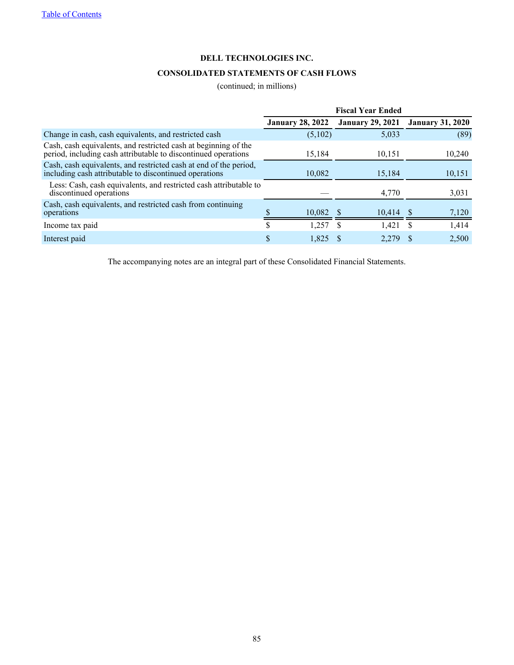# **CONSOLIDATED STATEMENTS OF CASH FLOWS**

## (continued; in millions)

|                                                                                                                                   | <b>Fiscal Year Ended</b> |                         |                         |  |  |  |
|-----------------------------------------------------------------------------------------------------------------------------------|--------------------------|-------------------------|-------------------------|--|--|--|
|                                                                                                                                   | <b>January 28, 2022</b>  | <b>January 29, 2021</b> | <b>January 31, 2020</b> |  |  |  |
| Change in cash, cash equivalents, and restricted cash                                                                             | (5,102)                  | 5,033                   | (89)                    |  |  |  |
| Cash, cash equivalents, and restricted cash at beginning of the<br>period, including cash attributable to discontinued operations | 15,184                   | 10,151                  | 10,240                  |  |  |  |
| Cash, cash equivalents, and restricted cash at end of the period,<br>including cash attributable to discontinued operations       | 10,082                   | 15,184                  | 10,151                  |  |  |  |
| Less: Cash, cash equivalents, and restricted cash attributable to<br>discontinued operations                                      |                          | 4,770                   | 3,031                   |  |  |  |
| Cash, cash equivalents, and restricted cash from continuing<br>operations                                                         | 10,082                   | 10,414                  | 7,120                   |  |  |  |
| Income tax paid                                                                                                                   | 1.257<br>S               | 1.421<br>S.             | 1,414<br>-S             |  |  |  |
| Interest paid                                                                                                                     | 1.825                    | 2.279                   | 2,500                   |  |  |  |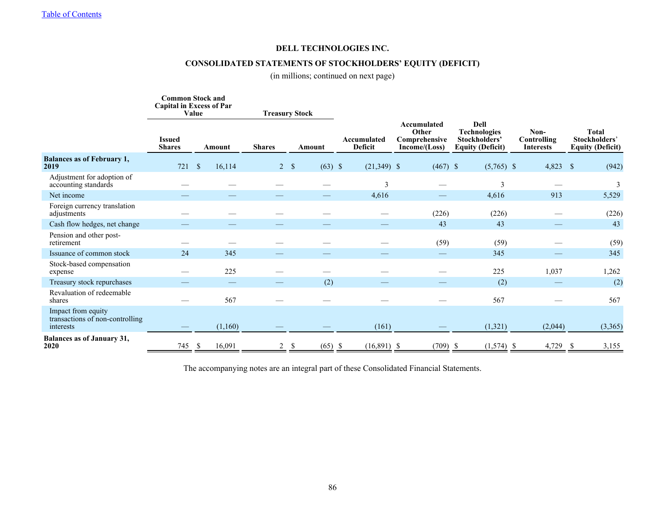# **CONSOLIDATED STATEMENTS OF STOCKHOLDERS' EQUITY (DEFICIT)**

(in millions; continued on next page)

<span id="page-85-0"></span>

|                                                                    | <b>Common Stock and</b><br><b>Capital in Excess of Par</b><br>Value<br><b>Treasury Stock</b> |                         |               |                           |                               |                                                       |                                                                                |                                         |                                                                 |
|--------------------------------------------------------------------|----------------------------------------------------------------------------------------------|-------------------------|---------------|---------------------------|-------------------------------|-------------------------------------------------------|--------------------------------------------------------------------------------|-----------------------------------------|-----------------------------------------------------------------|
|                                                                    | <b>Issued</b><br><b>Shares</b>                                                               | Amount                  | <b>Shares</b> | Amount                    | Accumulated<br><b>Deficit</b> | Accumulated<br>Other<br>Comprehensive<br>Income/Loss) | <b>Dell</b><br><b>Technologies</b><br>Stockholders'<br><b>Equity (Deficit)</b> | Non-<br>Controlling<br><b>Interests</b> | <b>Total</b><br><b>Stockholders'</b><br><b>Equity (Deficit)</b> |
| <b>Balances as of February 1,</b><br>2019                          | 721                                                                                          | $\mathbf{s}$<br>16,114  |               | $2 \sqrt{3}$<br>$(63)$ \$ | $(21,349)$ \$                 | $(467)$ \$                                            | $(5,765)$ \$                                                                   | 4,823 \$                                | (942)                                                           |
| Adjustment for adoption of<br>accounting standards                 |                                                                                              |                         |               |                           | 3                             |                                                       | 3                                                                              |                                         | 3                                                               |
| Net income                                                         |                                                                                              |                         |               |                           | 4,616                         |                                                       | 4,616                                                                          | 913                                     | 5,529                                                           |
| Foreign currency translation<br>adjustments                        |                                                                                              |                         |               |                           |                               | (226)                                                 | (226)                                                                          |                                         | (226)                                                           |
| Cash flow hedges, net change                                       |                                                                                              |                         |               |                           |                               | 43                                                    | 43                                                                             |                                         | 43                                                              |
| Pension and other post-<br>retirement                              |                                                                                              |                         |               |                           |                               | (59)                                                  | (59)                                                                           |                                         | (59)                                                            |
| Issuance of common stock                                           | 24                                                                                           | 345                     |               |                           |                               |                                                       | 345                                                                            |                                         | 345                                                             |
| Stock-based compensation<br>expense                                |                                                                                              | 225                     |               |                           |                               |                                                       | 225                                                                            | 1,037                                   | 1,262                                                           |
| Treasury stock repurchases                                         |                                                                                              |                         |               | (2)                       |                               |                                                       | (2)                                                                            |                                         | (2)                                                             |
| Revaluation of redeemable<br>shares                                |                                                                                              | 567                     |               |                           |                               |                                                       | 567                                                                            |                                         | 567                                                             |
| Impact from equity<br>transactions of non-controlling<br>interests |                                                                                              | (1,160)                 |               |                           | (161)                         |                                                       | (1,321)                                                                        | (2,044)                                 | (3,365)                                                         |
| <b>Balances as of January 31,</b><br>2020                          | 745                                                                                          | 16,091<br><sup>\$</sup> |               | $2 \sqrt{3}$<br>$(65)$ \$ | $(16,891)$ \$                 | $(709)$ \$                                            | $(1,574)$ \$                                                                   | 4,729 \$                                | 3,155                                                           |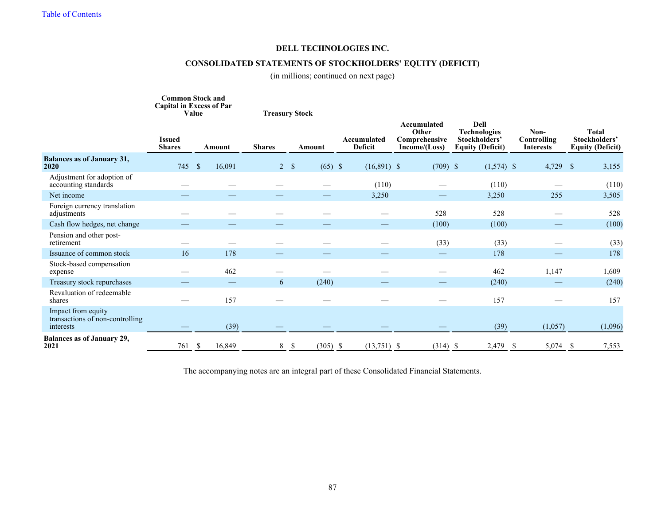# **CONSOLIDATED STATEMENTS OF STOCKHOLDERS' EQUITY (DEFICIT)**

(in millions; continued on next page)

|                                                                    | <b>Common Stock and</b><br><b>Capital in Excess of Par</b><br><b>Treasury Stock</b><br>Value |                         |               |                         |                               |                                                       |                                                                                |                                         |                                                          |
|--------------------------------------------------------------------|----------------------------------------------------------------------------------------------|-------------------------|---------------|-------------------------|-------------------------------|-------------------------------------------------------|--------------------------------------------------------------------------------|-----------------------------------------|----------------------------------------------------------|
|                                                                    | <b>Issued</b><br><b>Shares</b>                                                               | <b>Amount</b>           | <b>Shares</b> | Amount                  | Accumulated<br><b>Deficit</b> | Accumulated<br>Other<br>Comprehensive<br>Income/Loss) | <b>Dell</b><br><b>Technologies</b><br>Stockholders'<br><b>Equity (Deficit)</b> | Non-<br>Controlling<br><b>Interests</b> | <b>Total</b><br>Stockholders'<br><b>Equity (Deficit)</b> |
| <b>Balances as of January 31,</b><br>2020                          | 745                                                                                          | $\mathbf{s}$<br>16,091  |               | 2 S<br>$(65)$ \$        | $(16,891)$ \$                 | $(709)$ \$                                            | $(1,574)$ \$                                                                   | $4,729$ \$                              | 3,155                                                    |
| Adjustment for adoption of<br>accounting standards                 |                                                                                              |                         |               |                         | (110)                         |                                                       | (110)                                                                          |                                         | (110)                                                    |
| Net income                                                         |                                                                                              |                         |               |                         | 3,250                         |                                                       | 3,250                                                                          | 255                                     | 3,505                                                    |
| Foreign currency translation<br>adjustments                        |                                                                                              |                         |               |                         |                               | 528                                                   | 528                                                                            |                                         | 528                                                      |
| Cash flow hedges, net change                                       |                                                                                              |                         |               |                         |                               | (100)                                                 | (100)                                                                          |                                         | (100)                                                    |
| Pension and other post-<br>retirement                              |                                                                                              |                         |               |                         |                               | (33)                                                  | (33)                                                                           |                                         | (33)                                                     |
| Issuance of common stock                                           | 16                                                                                           | 178                     |               |                         |                               |                                                       | 178                                                                            |                                         | 178                                                      |
| Stock-based compensation<br>expense                                |                                                                                              | 462                     |               |                         |                               |                                                       | 462                                                                            | 1,147                                   | 1,609                                                    |
| Treasury stock repurchases                                         |                                                                                              |                         | 6             | (240)                   |                               |                                                       | (240)                                                                          |                                         | (240)                                                    |
| Revaluation of redeemable<br>shares                                |                                                                                              | 157                     |               |                         |                               |                                                       | 157                                                                            |                                         | 157                                                      |
| Impact from equity<br>transactions of non-controlling<br>interests |                                                                                              | (39)                    |               |                         |                               |                                                       | (39)                                                                           | (1,057)                                 | (1,096)                                                  |
| <b>Balances as of January 29,</b><br>2021                          | 761                                                                                          | 16,849<br><sup>\$</sup> |               | $8 \quad$<br>$(305)$ \$ | $(13,751)$ \$                 | $(314)$ \$                                            | 2,479                                                                          | $5,074$ \$<br>- \$                      | 7,553                                                    |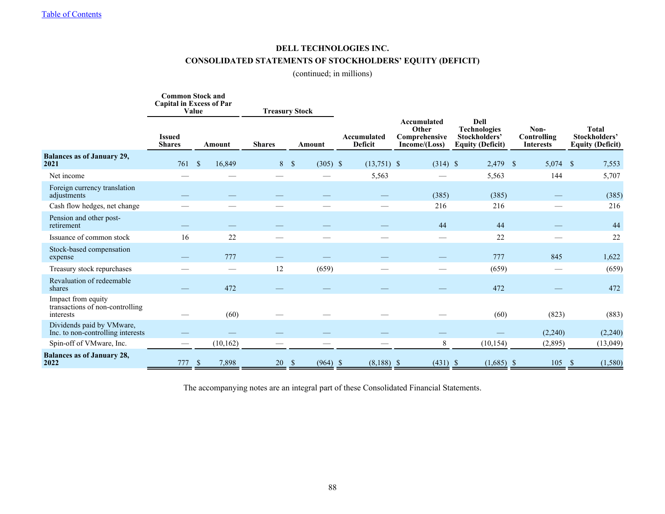# **DELL TECHNOLOGIES INC. CONSOLIDATED STATEMENTS OF STOCKHOLDERS' EQUITY (DEFICIT)**

(continued; in millions)

|                                                                    |                                | <b>Common Stock and</b><br><b>Capital in Excess of Par</b><br>Value |               | <b>Treasury Stock</b>                         |                               |                                                               |                                                                         |                                         |                                                          |
|--------------------------------------------------------------------|--------------------------------|---------------------------------------------------------------------|---------------|-----------------------------------------------|-------------------------------|---------------------------------------------------------------|-------------------------------------------------------------------------|-----------------------------------------|----------------------------------------------------------|
|                                                                    | <b>Issued</b><br><b>Shares</b> | Amount                                                              | <b>Shares</b> | Amount                                        | Accumulated<br><b>Deficit</b> | <b>Accumulated</b><br>Other<br>Comprehensive<br>Income/(Loss) | Dell<br><b>Technologies</b><br>Stockholders'<br><b>Equity (Deficit)</b> | Non-<br>Controlling<br><b>Interests</b> | <b>Total</b><br>Stockholders'<br><b>Equity (Deficit)</b> |
| <b>Balances as of January 29,</b><br>2021                          | 761                            | 16,849<br>$\mathcal{S}$                                             | 8S            | $(305)$ \$                                    | $(13,751)$ \$                 | $(314)$ \$                                                    | 2,479 \$                                                                | $5,074$ \$                              | 7,553                                                    |
| Net income                                                         |                                |                                                                     |               |                                               | 5,563                         |                                                               | 5,563                                                                   | 144                                     | 5,707                                                    |
| Foreign currency translation<br>adjustments                        |                                |                                                                     |               |                                               |                               | (385)                                                         | (385)                                                                   |                                         | (385)                                                    |
| Cash flow hedges, net change                                       |                                |                                                                     |               |                                               |                               | 216                                                           | 216                                                                     |                                         | 216                                                      |
| Pension and other post-<br>retirement                              |                                |                                                                     |               |                                               |                               | 44                                                            | 44                                                                      |                                         | 44                                                       |
| Issuance of common stock                                           | 16                             | 22                                                                  |               |                                               |                               |                                                               | 22                                                                      |                                         | 22                                                       |
| Stock-based compensation<br>expense                                |                                | 777                                                                 |               |                                               |                               |                                                               | 777                                                                     | 845                                     | 1,622                                                    |
| Treasury stock repurchases                                         |                                | $\overline{\phantom{0}}$                                            | 12            | (659)                                         |                               |                                                               | (659)                                                                   |                                         | (659)                                                    |
| Revaluation of redeemable<br>shares                                |                                | 472                                                                 |               |                                               |                               |                                                               | 472                                                                     |                                         | 472                                                      |
| Impact from equity<br>transactions of non-controlling<br>interests |                                | (60)                                                                |               |                                               |                               |                                                               | (60)                                                                    | (823)                                   | (883)                                                    |
| Dividends paid by VMware,<br>Inc. to non-controlling interests     |                                |                                                                     |               |                                               |                               |                                                               |                                                                         | (2,240)                                 | (2, 240)                                                 |
| Spin-off of VMware, Inc.                                           |                                | (10, 162)                                                           |               |                                               |                               | 8                                                             | (10, 154)                                                               | (2,895)                                 | (13, 049)                                                |
| <b>Balances as of January 28,</b><br>2022                          | 777                            | 7,898<br><sup>\$</sup>                                              | 20            | $\frac{\mathsf{s}}{\mathsf{s}}$<br>$(964)$ \$ | $(8,188)$ \$                  | $(431)$ \$                                                    | $(1,685)$ \$                                                            | 105                                     | (1, 580)<br>-S                                           |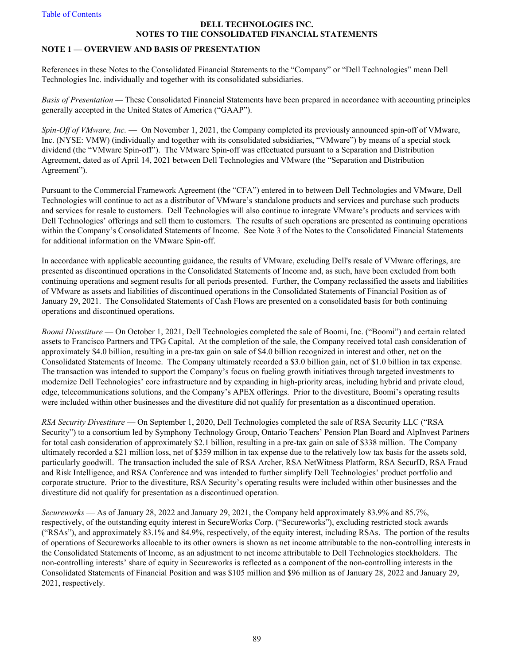## **DELL TECHNOLOGIES INC. NOTES TO THE CONSOLIDATED FINANCIAL STATEMENTS**

## <span id="page-88-0"></span>**NOTE 1 — OVERVIEW AND BASIS OF PRESENTATION**

References in these Notes to the Consolidated Financial Statements to the "Company" or "Dell Technologies" mean Dell Technologies Inc. individually and together with its consolidated subsidiaries.

*Basis of Presentation —* These Consolidated Financial Statements have been prepared in accordance with accounting principles generally accepted in the United States of America ("GAAP").

*Spin-Off of VMware, Inc.* — On November 1, 2021, the Company completed its previously announced spin-off of VMware, Inc. (NYSE: VMW) (individually and together with its consolidated subsidiaries, "VMware") by means of a special stock dividend (the "VMware Spin-off"). The VMware Spin-off was effectuated pursuant to a Separation and Distribution Agreement, dated as of April 14, 2021 between Dell Technologies and VMware (the "Separation and Distribution Agreement").

Pursuant to the Commercial Framework Agreement (the "CFA") entered in to between Dell Technologies and VMware, Dell Technologies will continue to act as a distributor of VMware's standalone products and services and purchase such products and services for resale to customers. Dell Technologies will also continue to integrate VMware's products and services with Dell Technologies' offerings and sell them to customers. The results of such operations are presented as continuing operations within the Company's Consolidated Statements of Income. See Note 3 of the Notes to the Consolidated Financial Statements for additional information on the VMware Spin-off.

In accordance with applicable accounting guidance, the results of VMware, excluding Dell's resale of VMware offerings, are presented as discontinued operations in the Consolidated Statements of Income and, as such, have been excluded from both continuing operations and segment results for all periods presented. Further, the Company reclassified the assets and liabilities of VMware as assets and liabilities of discontinued operations in the Consolidated Statements of Financial Position as of January 29, 2021. The Consolidated Statements of Cash Flows are presented on a consolidated basis for both continuing operations and discontinued operations.

*Boomi Divestiture* — On October 1, 2021, Dell Technologies completed the sale of Boomi, Inc. ("Boomi") and certain related assets to Francisco Partners and TPG Capital. At the completion of the sale, the Company received total cash consideration of approximately \$4.0 billion, resulting in a pre-tax gain on sale of \$4.0 billion recognized in interest and other, net on the Consolidated Statements of Income. The Company ultimately recorded a \$3.0 billion gain, net of \$1.0 billion in tax expense. The transaction was intended to support the Company's focus on fueling growth initiatives through targeted investments to modernize Dell Technologies' core infrastructure and by expanding in high-priority areas, including hybrid and private cloud, edge, telecommunications solutions, and the Company's APEX offerings. Prior to the divestiture, Boomi's operating results were included within other businesses and the divestiture did not qualify for presentation as a discontinued operation.

*RSA Security Divestiture* — On September 1, 2020, Dell Technologies completed the sale of RSA Security LLC ("RSA Security") to a consortium led by Symphony Technology Group, Ontario Teachers' Pension Plan Board and AlpInvest Partners for total cash consideration of approximately \$2.1 billion, resulting in a pre-tax gain on sale of \$338 million. The Company ultimately recorded a \$21 million loss, net of \$359 million in tax expense due to the relatively low tax basis for the assets sold, particularly goodwill. The transaction included the sale of RSA Archer, RSA NetWitness Platform, RSA SecurID, RSA Fraud and Risk Intelligence, and RSA Conference and was intended to further simplify Dell Technologies' product portfolio and corporate structure. Prior to the divestiture, RSA Security's operating results were included within other businesses and the divestiture did not qualify for presentation as a discontinued operation.

*Secureworks* — As of January 28, 2022 and January 29, 2021, the Company held approximately 83.9% and 85.7%, respectively, of the outstanding equity interest in SecureWorks Corp. ("Secureworks"), excluding restricted stock awards ("RSAs"), and approximately 83.1% and 84.9%, respectively, of the equity interest, including RSAs. The portion of the results of operations of Secureworks allocable to its other owners is shown as net income attributable to the non-controlling interests in the Consolidated Statements of Income, as an adjustment to net income attributable to Dell Technologies stockholders. The non-controlling interests' share of equity in Secureworks is reflected as a component of the non-controlling interests in the Consolidated Statements of Financial Position and was \$105 million and \$96 million as of January 28, 2022 and January 29, 2021, respectively.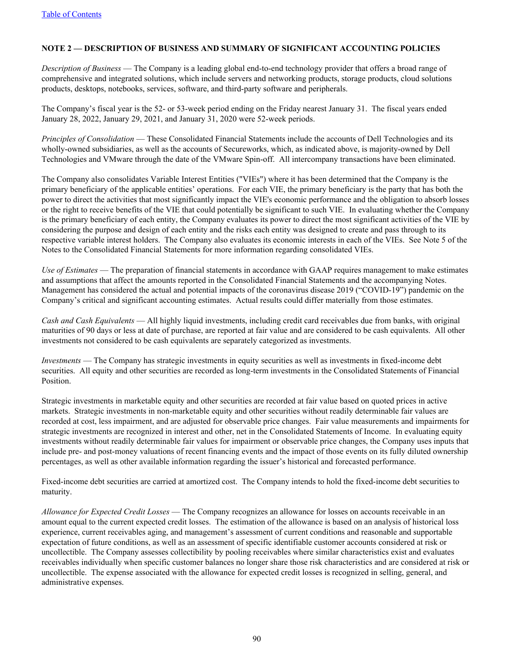# <span id="page-89-0"></span>**NOTE 2 — DESCRIPTION OF BUSINESS AND SUMMARY OF SIGNIFICANT ACCOUNTING POLICIES**

*Description of Business* — The Company is a leading global end-to-end technology provider that offers a broad range of comprehensive and integrated solutions, which include servers and networking products, storage products, cloud solutions products, desktops, notebooks, services, software, and third-party software and peripherals.

The Company's fiscal year is the 52- or 53-week period ending on the Friday nearest January 31. The fiscal years ended January 28, 2022, January 29, 2021, and January 31, 2020 were 52-week periods.

*Principles of Consolidation* — These Consolidated Financial Statements include the accounts of Dell Technologies and its wholly-owned subsidiaries, as well as the accounts of Secureworks, which, as indicated above, is majority-owned by Dell Technologies and VMware through the date of the VMware Spin-off. All intercompany transactions have been eliminated.

The Company also consolidates Variable Interest Entities ("VIEs") where it has been determined that the Company is the primary beneficiary of the applicable entities' operations. For each VIE, the primary beneficiary is the party that has both the power to direct the activities that most significantly impact the VIE's economic performance and the obligation to absorb losses or the right to receive benefits of the VIE that could potentially be significant to such VIE. In evaluating whether the Company is the primary beneficiary of each entity, the Company evaluates its power to direct the most significant activities of the VIE by considering the purpose and design of each entity and the risks each entity was designed to create and pass through to its respective variable interest holders. The Company also evaluates its economic interests in each of the VIEs. See Note 5 of the Notes to the Consolidated Financial Statements for more information regarding consolidated VIEs.

*Use of Estimates* — The preparation of financial statements in accordance with GAAP requires management to make estimates and assumptions that affect the amounts reported in the Consolidated Financial Statements and the accompanying Notes. Management has considered the actual and potential impacts of the coronavirus disease 2019 ("COVID-19") pandemic on the Company's critical and significant accounting estimates. Actual results could differ materially from those estimates.

*Cash and Cash Equivalents* — All highly liquid investments, including credit card receivables due from banks, with original maturities of 90 days or less at date of purchase, are reported at fair value and are considered to be cash equivalents. All other investments not considered to be cash equivalents are separately categorized as investments.

*Investments* — The Company has strategic investments in equity securities as well as investments in fixed-income debt securities. All equity and other securities are recorded as long-term investments in the Consolidated Statements of Financial Position.

Strategic investments in marketable equity and other securities are recorded at fair value based on quoted prices in active markets. Strategic investments in non-marketable equity and other securities without readily determinable fair values are recorded at cost, less impairment, and are adjusted for observable price changes. Fair value measurements and impairments for strategic investments are recognized in interest and other, net in the Consolidated Statements of Income. In evaluating equity investments without readily determinable fair values for impairment or observable price changes, the Company uses inputs that include pre- and post-money valuations of recent financing events and the impact of those events on its fully diluted ownership percentages, as well as other available information regarding the issuer's historical and forecasted performance.

Fixed-income debt securities are carried at amortized cost. The Company intends to hold the fixed-income debt securities to maturity.

*Allowance for Expected Credit Losses* — The Company recognizes an allowance for losses on accounts receivable in an amount equal to the current expected credit losses. The estimation of the allowance is based on an analysis of historical loss experience, current receivables aging, and management's assessment of current conditions and reasonable and supportable expectation of future conditions, as well as an assessment of specific identifiable customer accounts considered at risk or uncollectible. The Company assesses collectibility by pooling receivables where similar characteristics exist and evaluates receivables individually when specific customer balances no longer share those risk characteristics and are considered at risk or uncollectible. The expense associated with the allowance for expected credit losses is recognized in selling, general, and administrative expenses.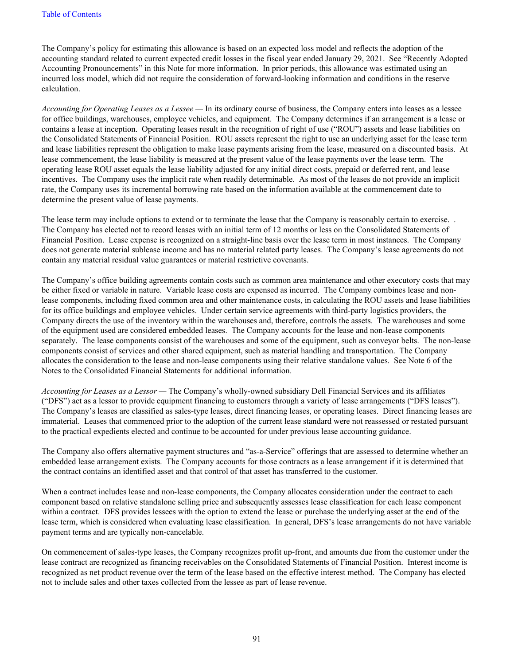The Company's policy for estimating this allowance is based on an expected loss model and reflects the adoption of the accounting standard related to current expected credit losses in the fiscal year ended January 29, 2021. See "Recently Adopted Accounting Pronouncements" in this Note for more information. In prior periods, this allowance was estimated using an incurred loss model, which did not require the consideration of forward-looking information and conditions in the reserve calculation.

*Accounting for Operating Leases as a Lessee —* In its ordinary course of business, the Company enters into leases as a lessee for office buildings, warehouses, employee vehicles, and equipment. The Company determines if an arrangement is a lease or contains a lease at inception. Operating leases result in the recognition of right of use ("ROU") assets and lease liabilities on the Consolidated Statements of Financial Position. ROU assets represent the right to use an underlying asset for the lease term and lease liabilities represent the obligation to make lease payments arising from the lease, measured on a discounted basis. At lease commencement, the lease liability is measured at the present value of the lease payments over the lease term. The operating lease ROU asset equals the lease liability adjusted for any initial direct costs, prepaid or deferred rent, and lease incentives. The Company uses the implicit rate when readily determinable. As most of the leases do not provide an implicit rate, the Company uses its incremental borrowing rate based on the information available at the commencement date to determine the present value of lease payments.

The lease term may include options to extend or to terminate the lease that the Company is reasonably certain to exercise. . The Company has elected not to record leases with an initial term of 12 months or less on the Consolidated Statements of Financial Position. Lease expense is recognized on a straight-line basis over the lease term in most instances. The Company does not generate material sublease income and has no material related party leases. The Company's lease agreements do not contain any material residual value guarantees or material restrictive covenants.

The Company's office building agreements contain costs such as common area maintenance and other executory costs that may be either fixed or variable in nature. Variable lease costs are expensed as incurred. The Company combines lease and nonlease components, including fixed common area and other maintenance costs, in calculating the ROU assets and lease liabilities for its office buildings and employee vehicles. Under certain service agreements with third-party logistics providers, the Company directs the use of the inventory within the warehouses and, therefore, controls the assets. The warehouses and some of the equipment used are considered embedded leases. The Company accounts for the lease and non-lease components separately. The lease components consist of the warehouses and some of the equipment, such as conveyor belts. The non-lease components consist of services and other shared equipment, such as material handling and transportation. The Company allocates the consideration to the lease and non-lease components using their relative standalone values. See Note 6 of the Notes to the Consolidated Financial Statements for additional information.

*Accounting for Leases as a Lessor —* The Company's wholly-owned subsidiary Dell Financial Services and its affiliates ("DFS") act as a lessor to provide equipment financing to customers through a variety of lease arrangements ("DFS leases"). The Company's leases are classified as sales-type leases, direct financing leases, or operating leases. Direct financing leases are immaterial. Leases that commenced prior to the adoption of the current lease standard were not reassessed or restated pursuant to the practical expedients elected and continue to be accounted for under previous lease accounting guidance.

The Company also offers alternative payment structures and "as-a-Service" offerings that are assessed to determine whether an embedded lease arrangement exists. The Company accounts for those contracts as a lease arrangement if it is determined that the contract contains an identified asset and that control of that asset has transferred to the customer.

When a contract includes lease and non-lease components, the Company allocates consideration under the contract to each component based on relative standalone selling price and subsequently assesses lease classification for each lease component within a contract. DFS provides lessees with the option to extend the lease or purchase the underlying asset at the end of the lease term, which is considered when evaluating lease classification. In general, DFS's lease arrangements do not have variable payment terms and are typically non-cancelable.

On commencement of sales-type leases, the Company recognizes profit up-front, and amounts due from the customer under the lease contract are recognized as financing receivables on the Consolidated Statements of Financial Position. Interest income is recognized as net product revenue over the term of the lease based on the effective interest method. The Company has elected not to include sales and other taxes collected from the lessee as part of lease revenue.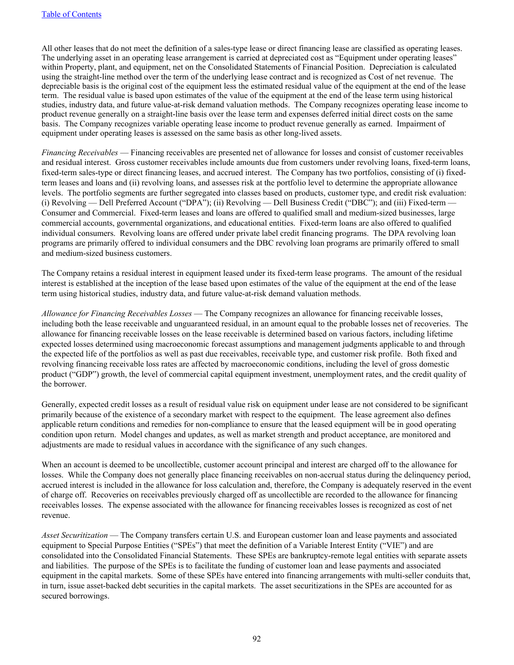All other leases that do not meet the definition of a sales-type lease or direct financing lease are classified as operating leases. The underlying asset in an operating lease arrangement is carried at depreciated cost as "Equipment under operating leases" within Property, plant, and equipment, net on the Consolidated Statements of Financial Position. Depreciation is calculated using the straight-line method over the term of the underlying lease contract and is recognized as Cost of net revenue. The depreciable basis is the original cost of the equipment less the estimated residual value of the equipment at the end of the lease term. The residual value is based upon estimates of the value of the equipment at the end of the lease term using historical studies, industry data, and future value-at-risk demand valuation methods. The Company recognizes operating lease income to product revenue generally on a straight-line basis over the lease term and expenses deferred initial direct costs on the same basis. The Company recognizes variable operating lease income to product revenue generally as earned. Impairment of equipment under operating leases is assessed on the same basis as other long-lived assets.

*Financing Receivables* — Financing receivables are presented net of allowance for losses and consist of customer receivables and residual interest. Gross customer receivables include amounts due from customers under revolving loans, fixed-term loans, fixed-term sales-type or direct financing leases, and accrued interest. The Company has two portfolios, consisting of (i) fixedterm leases and loans and (ii) revolving loans, and assesses risk at the portfolio level to determine the appropriate allowance levels. The portfolio segments are further segregated into classes based on products, customer type, and credit risk evaluation: (i) Revolving — Dell Preferred Account ("DPA"); (ii) Revolving — Dell Business Credit ("DBC"); and (iii) Fixed-term — Consumer and Commercial. Fixed-term leases and loans are offered to qualified small and medium-sized businesses, large commercial accounts, governmental organizations, and educational entities. Fixed-term loans are also offered to qualified individual consumers. Revolving loans are offered under private label credit financing programs. The DPA revolving loan programs are primarily offered to individual consumers and the DBC revolving loan programs are primarily offered to small and medium-sized business customers.

The Company retains a residual interest in equipment leased under its fixed-term lease programs. The amount of the residual interest is established at the inception of the lease based upon estimates of the value of the equipment at the end of the lease term using historical studies, industry data, and future value-at-risk demand valuation methods.

*Allowance for Financing Receivables Losses* — The Company recognizes an allowance for financing receivable losses, including both the lease receivable and unguaranteed residual, in an amount equal to the probable losses net of recoveries. The allowance for financing receivable losses on the lease receivable is determined based on various factors, including lifetime expected losses determined using macroeconomic forecast assumptions and management judgments applicable to and through the expected life of the portfolios as well as past due receivables, receivable type, and customer risk profile. Both fixed and revolving financing receivable loss rates are affected by macroeconomic conditions, including the level of gross domestic product ("GDP") growth, the level of commercial capital equipment investment, unemployment rates, and the credit quality of the borrower.

Generally, expected credit losses as a result of residual value risk on equipment under lease are not considered to be significant primarily because of the existence of a secondary market with respect to the equipment. The lease agreement also defines applicable return conditions and remedies for non-compliance to ensure that the leased equipment will be in good operating condition upon return. Model changes and updates, as well as market strength and product acceptance, are monitored and adjustments are made to residual values in accordance with the significance of any such changes.

When an account is deemed to be uncollectible, customer account principal and interest are charged off to the allowance for losses. While the Company does not generally place financing receivables on non-accrual status during the delinquency period, accrued interest is included in the allowance for loss calculation and, therefore, the Company is adequately reserved in the event of charge off. Recoveries on receivables previously charged off as uncollectible are recorded to the allowance for financing receivables losses. The expense associated with the allowance for financing receivables losses is recognized as cost of net revenue.

*Asset Securitization* — The Company transfers certain U.S. and European customer loan and lease payments and associated equipment to Special Purpose Entities ("SPEs") that meet the definition of a Variable Interest Entity ("VIE") and are consolidated into the Consolidated Financial Statements. These SPEs are bankruptcy-remote legal entities with separate assets and liabilities. The purpose of the SPEs is to facilitate the funding of customer loan and lease payments and associated equipment in the capital markets. Some of these SPEs have entered into financing arrangements with multi-seller conduits that, in turn, issue asset-backed debt securities in the capital markets. The asset securitizations in the SPEs are accounted for as secured borrowings.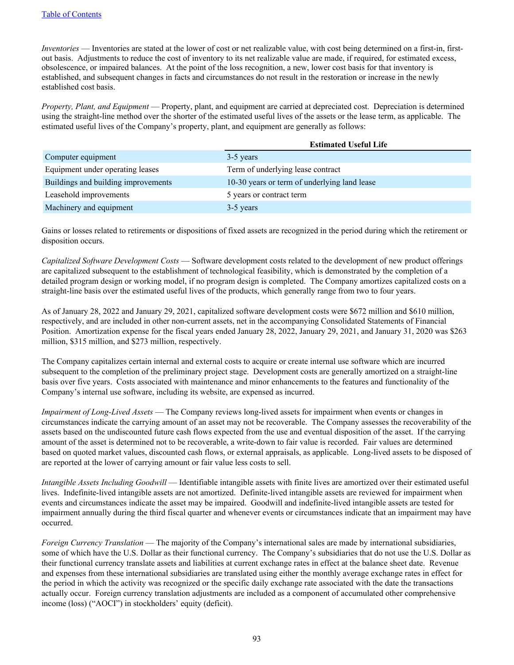*Inventories* — Inventories are stated at the lower of cost or net realizable value, with cost being determined on a first-in, firstout basis. Adjustments to reduce the cost of inventory to its net realizable value are made, if required, for estimated excess, obsolescence, or impaired balances. At the point of the loss recognition, a new, lower cost basis for that inventory is established, and subsequent changes in facts and circumstances do not result in the restoration or increase in the newly established cost basis.

*Property, Plant, and Equipment* — Property, plant, and equipment are carried at depreciated cost. Depreciation is determined using the straight-line method over the shorter of the estimated useful lives of the assets or the lease term, as applicable. The estimated useful lives of the Company's property, plant, and equipment are generally as follows:

|                                     | <b>Estimated Useful Life</b>                 |
|-------------------------------------|----------------------------------------------|
| Computer equipment                  | 3-5 years                                    |
| Equipment under operating leases    | Term of underlying lease contract            |
| Buildings and building improvements | 10-30 years or term of underlying land lease |
| Leasehold improvements              | 5 years or contract term                     |
| Machinery and equipment             | 3-5 years                                    |

Gains or losses related to retirements or dispositions of fixed assets are recognized in the period during which the retirement or disposition occurs.

*Capitalized Software Development Costs* — Software development costs related to the development of new product offerings are capitalized subsequent to the establishment of technological feasibility, which is demonstrated by the completion of a detailed program design or working model, if no program design is completed. The Company amortizes capitalized costs on a straight-line basis over the estimated useful lives of the products, which generally range from two to four years.

As of January 28, 2022 and January 29, 2021, capitalized software development costs were \$672 million and \$610 million, respectively, and are included in other non-current assets, net in the accompanying Consolidated Statements of Financial Position. Amortization expense for the fiscal years ended January 28, 2022, January 29, 2021, and January 31, 2020 was \$263 million, \$315 million, and \$273 million, respectively.

The Company capitalizes certain internal and external costs to acquire or create internal use software which are incurred subsequent to the completion of the preliminary project stage. Development costs are generally amortized on a straight-line basis over five years. Costs associated with maintenance and minor enhancements to the features and functionality of the Company's internal use software, including its website, are expensed as incurred.

*Impairment of Long-Lived Assets* — The Company reviews long-lived assets for impairment when events or changes in circumstances indicate the carrying amount of an asset may not be recoverable. The Company assesses the recoverability of the assets based on the undiscounted future cash flows expected from the use and eventual disposition of the asset. If the carrying amount of the asset is determined not to be recoverable, a write-down to fair value is recorded. Fair values are determined based on quoted market values, discounted cash flows, or external appraisals, as applicable. Long-lived assets to be disposed of are reported at the lower of carrying amount or fair value less costs to sell.

*Intangible Assets Including Goodwill* — Identifiable intangible assets with finite lives are amortized over their estimated useful lives. Indefinite-lived intangible assets are not amortized. Definite-lived intangible assets are reviewed for impairment when events and circumstances indicate the asset may be impaired. Goodwill and indefinite-lived intangible assets are tested for impairment annually during the third fiscal quarter and whenever events or circumstances indicate that an impairment may have occurred.

*Foreign Currency Translation* — The majority of the Company's international sales are made by international subsidiaries, some of which have the U.S. Dollar as their functional currency. The Company's subsidiaries that do not use the U.S. Dollar as their functional currency translate assets and liabilities at current exchange rates in effect at the balance sheet date. Revenue and expenses from these international subsidiaries are translated using either the monthly average exchange rates in effect for the period in which the activity was recognized or the specific daily exchange rate associated with the date the transactions actually occur. Foreign currency translation adjustments are included as a component of accumulated other comprehensive income (loss) ("AOCI") in stockholders' equity (deficit).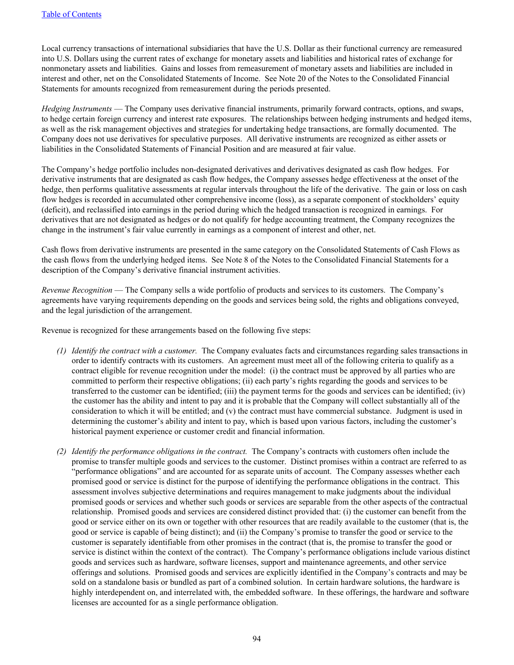Local currency transactions of international subsidiaries that have the U.S. Dollar as their functional currency are remeasured into U.S. Dollars using the current rates of exchange for monetary assets and liabilities and historical rates of exchange for nonmonetary assets and liabilities. Gains and losses from remeasurement of monetary assets and liabilities are included in interest and other, net on the Consolidated Statements of Income. See Note 20 of the Notes to the Consolidated Financial Statements for amounts recognized from remeasurement during the periods presented.

*Hedging Instruments* — The Company uses derivative financial instruments, primarily forward contracts, options, and swaps, to hedge certain foreign currency and interest rate exposures. The relationships between hedging instruments and hedged items, as well as the risk management objectives and strategies for undertaking hedge transactions, are formally documented. The Company does not use derivatives for speculative purposes. All derivative instruments are recognized as either assets or liabilities in the Consolidated Statements of Financial Position and are measured at fair value.

The Company's hedge portfolio includes non-designated derivatives and derivatives designated as cash flow hedges. For derivative instruments that are designated as cash flow hedges, the Company assesses hedge effectiveness at the onset of the hedge, then performs qualitative assessments at regular intervals throughout the life of the derivative. The gain or loss on cash flow hedges is recorded in accumulated other comprehensive income (loss), as a separate component of stockholders' equity (deficit), and reclassified into earnings in the period during which the hedged transaction is recognized in earnings. For derivatives that are not designated as hedges or do not qualify for hedge accounting treatment, the Company recognizes the change in the instrument's fair value currently in earnings as a component of interest and other, net.

Cash flows from derivative instruments are presented in the same category on the Consolidated Statements of Cash Flows as the cash flows from the underlying hedged items. See Note 8 of the Notes to the Consolidated Financial Statements for a description of the Company's derivative financial instrument activities.

*Revenue Recognition* — The Company sells a wide portfolio of products and services to its customers. The Company's agreements have varying requirements depending on the goods and services being sold, the rights and obligations conveyed, and the legal jurisdiction of the arrangement.

Revenue is recognized for these arrangements based on the following five steps:

- *(1) Identify the contract with a customer.* The Company evaluates facts and circumstances regarding sales transactions in order to identify contracts with its customers. An agreement must meet all of the following criteria to qualify as a contract eligible for revenue recognition under the model: (i) the contract must be approved by all parties who are committed to perform their respective obligations; (ii) each party's rights regarding the goods and services to be transferred to the customer can be identified; (iii) the payment terms for the goods and services can be identified; (iv) the customer has the ability and intent to pay and it is probable that the Company will collect substantially all of the consideration to which it will be entitled; and (v) the contract must have commercial substance. Judgment is used in determining the customer's ability and intent to pay, which is based upon various factors, including the customer's historical payment experience or customer credit and financial information.
- *(2) Identify the performance obligations in the contract.* The Company's contracts with customers often include the promise to transfer multiple goods and services to the customer. Distinct promises within a contract are referred to as "performance obligations" and are accounted for as separate units of account. The Company assesses whether each promised good or service is distinct for the purpose of identifying the performance obligations in the contract. This assessment involves subjective determinations and requires management to make judgments about the individual promised goods or services and whether such goods or services are separable from the other aspects of the contractual relationship. Promised goods and services are considered distinct provided that: (i) the customer can benefit from the good or service either on its own or together with other resources that are readily available to the customer (that is, the good or service is capable of being distinct); and (ii) the Company's promise to transfer the good or service to the customer is separately identifiable from other promises in the contract (that is, the promise to transfer the good or service is distinct within the context of the contract). The Company's performance obligations include various distinct goods and services such as hardware, software licenses, support and maintenance agreements, and other service offerings and solutions. Promised goods and services are explicitly identified in the Company's contracts and may be sold on a standalone basis or bundled as part of a combined solution. In certain hardware solutions, the hardware is highly interdependent on, and interrelated with, the embedded software. In these offerings, the hardware and software licenses are accounted for as a single performance obligation.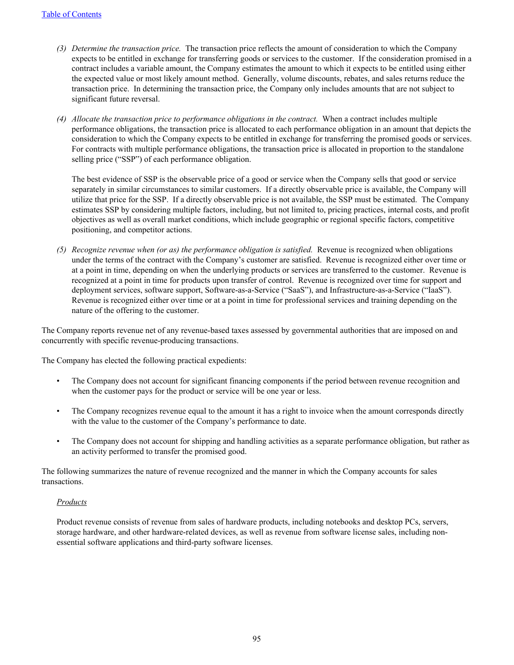- *(3) Determine the transaction price.* The transaction price reflects the amount of consideration to which the Company expects to be entitled in exchange for transferring goods or services to the customer. If the consideration promised in a contract includes a variable amount, the Company estimates the amount to which it expects to be entitled using either the expected value or most likely amount method. Generally, volume discounts, rebates, and sales returns reduce the transaction price. In determining the transaction price, the Company only includes amounts that are not subject to significant future reversal.
- *(4) Allocate the transaction price to performance obligations in the contract.* When a contract includes multiple performance obligations, the transaction price is allocated to each performance obligation in an amount that depicts the consideration to which the Company expects to be entitled in exchange for transferring the promised goods or services. For contracts with multiple performance obligations, the transaction price is allocated in proportion to the standalone selling price ("SSP") of each performance obligation.

The best evidence of SSP is the observable price of a good or service when the Company sells that good or service separately in similar circumstances to similar customers. If a directly observable price is available, the Company will utilize that price for the SSP. If a directly observable price is not available, the SSP must be estimated. The Company estimates SSP by considering multiple factors, including, but not limited to, pricing practices, internal costs, and profit objectives as well as overall market conditions, which include geographic or regional specific factors, competitive positioning, and competitor actions.

*(5) Recognize revenue when (or as) the performance obligation is satisfied.* Revenue is recognized when obligations under the terms of the contract with the Company's customer are satisfied. Revenue is recognized either over time or at a point in time, depending on when the underlying products or services are transferred to the customer. Revenue is recognized at a point in time for products upon transfer of control. Revenue is recognized over time for support and deployment services, software support, Software-as-a-Service ("SaaS"), and Infrastructure-as-a-Service ("IaaS"). Revenue is recognized either over time or at a point in time for professional services and training depending on the nature of the offering to the customer.

The Company reports revenue net of any revenue-based taxes assessed by governmental authorities that are imposed on and concurrently with specific revenue-producing transactions.

The Company has elected the following practical expedients:

- The Company does not account for significant financing components if the period between revenue recognition and when the customer pays for the product or service will be one year or less.
- The Company recognizes revenue equal to the amount it has a right to invoice when the amount corresponds directly with the value to the customer of the Company's performance to date.
- The Company does not account for shipping and handling activities as a separate performance obligation, but rather as an activity performed to transfer the promised good.

The following summarizes the nature of revenue recognized and the manner in which the Company accounts for sales transactions.

### *Products*

Product revenue consists of revenue from sales of hardware products, including notebooks and desktop PCs, servers, storage hardware, and other hardware-related devices, as well as revenue from software license sales, including nonessential software applications and third-party software licenses.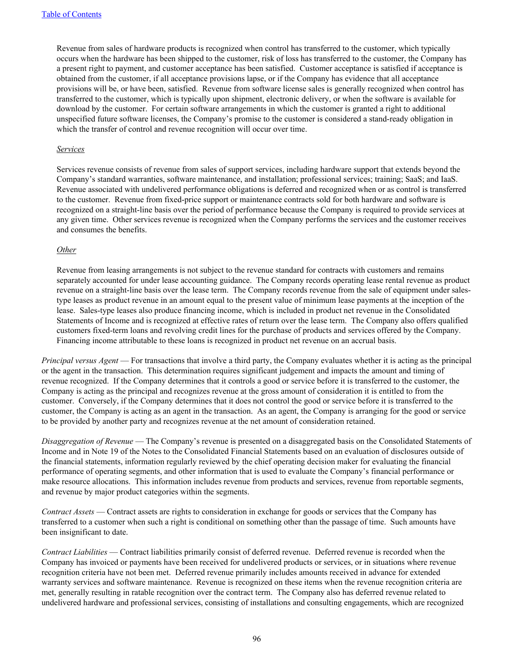Revenue from sales of hardware products is recognized when control has transferred to the customer, which typically occurs when the hardware has been shipped to the customer, risk of loss has transferred to the customer, the Company has a present right to payment, and customer acceptance has been satisfied. Customer acceptance is satisfied if acceptance is obtained from the customer, if all acceptance provisions lapse, or if the Company has evidence that all acceptance provisions will be, or have been, satisfied. Revenue from software license sales is generally recognized when control has transferred to the customer, which is typically upon shipment, electronic delivery, or when the software is available for download by the customer. For certain software arrangements in which the customer is granted a right to additional unspecified future software licenses, the Company's promise to the customer is considered a stand-ready obligation in which the transfer of control and revenue recognition will occur over time.

#### *Services*

Services revenue consists of revenue from sales of support services, including hardware support that extends beyond the Company's standard warranties, software maintenance, and installation; professional services; training; SaaS; and IaaS. Revenue associated with undelivered performance obligations is deferred and recognized when or as control is transferred to the customer. Revenue from fixed-price support or maintenance contracts sold for both hardware and software is recognized on a straight-line basis over the period of performance because the Company is required to provide services at any given time. Other services revenue is recognized when the Company performs the services and the customer receives and consumes the benefits.

#### *Other*

Revenue from leasing arrangements is not subject to the revenue standard for contracts with customers and remains separately accounted for under lease accounting guidance. The Company records operating lease rental revenue as product revenue on a straight-line basis over the lease term. The Company records revenue from the sale of equipment under salestype leases as product revenue in an amount equal to the present value of minimum lease payments at the inception of the lease. Sales-type leases also produce financing income, which is included in product net revenue in the Consolidated Statements of Income and is recognized at effective rates of return over the lease term. The Company also offers qualified customers fixed-term loans and revolving credit lines for the purchase of products and services offered by the Company. Financing income attributable to these loans is recognized in product net revenue on an accrual basis.

*Principal versus Agent* — For transactions that involve a third party, the Company evaluates whether it is acting as the principal or the agent in the transaction. This determination requires significant judgement and impacts the amount and timing of revenue recognized. If the Company determines that it controls a good or service before it is transferred to the customer, the Company is acting as the principal and recognizes revenue at the gross amount of consideration it is entitled to from the customer. Conversely, if the Company determines that it does not control the good or service before it is transferred to the customer, the Company is acting as an agent in the transaction. As an agent, the Company is arranging for the good or service to be provided by another party and recognizes revenue at the net amount of consideration retained.

*Disaggregation of Revenue* — The Company's revenue is presented on a disaggregated basis on the Consolidated Statements of Income and in Note 19 of the Notes to the Consolidated Financial Statements based on an evaluation of disclosures outside of the financial statements, information regularly reviewed by the chief operating decision maker for evaluating the financial performance of operating segments, and other information that is used to evaluate the Company's financial performance or make resource allocations. This information includes revenue from products and services, revenue from reportable segments, and revenue by major product categories within the segments.

*Contract Assets* — Contract assets are rights to consideration in exchange for goods or services that the Company has transferred to a customer when such a right is conditional on something other than the passage of time. Such amounts have been insignificant to date.

*Contract Liabilities* — Contract liabilities primarily consist of deferred revenue. Deferred revenue is recorded when the Company has invoiced or payments have been received for undelivered products or services, or in situations where revenue recognition criteria have not been met. Deferred revenue primarily includes amounts received in advance for extended warranty services and software maintenance. Revenue is recognized on these items when the revenue recognition criteria are met, generally resulting in ratable recognition over the contract term. The Company also has deferred revenue related to undelivered hardware and professional services, consisting of installations and consulting engagements, which are recognized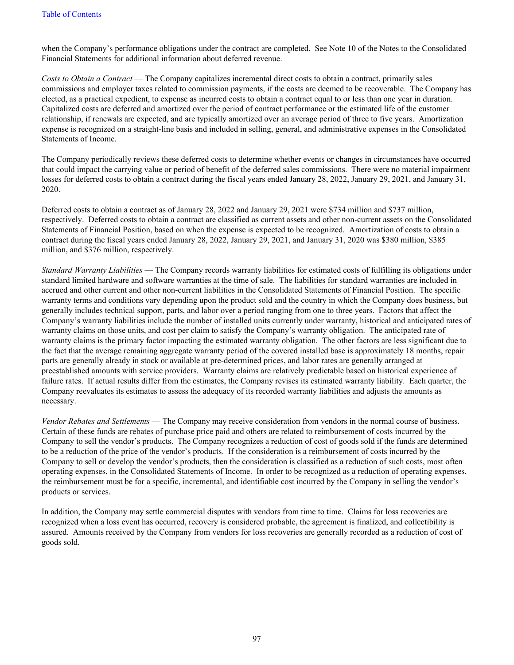when the Company's performance obligations under the contract are completed. See Note 10 of the Notes to the Consolidated Financial Statements for additional information about deferred revenue.

*Costs to Obtain a Contract* — The Company capitalizes incremental direct costs to obtain a contract, primarily sales commissions and employer taxes related to commission payments, if the costs are deemed to be recoverable. The Company has elected, as a practical expedient, to expense as incurred costs to obtain a contract equal to or less than one year in duration. Capitalized costs are deferred and amortized over the period of contract performance or the estimated life of the customer relationship, if renewals are expected, and are typically amortized over an average period of three to five years. Amortization expense is recognized on a straight-line basis and included in selling, general, and administrative expenses in the Consolidated Statements of Income.

The Company periodically reviews these deferred costs to determine whether events or changes in circumstances have occurred that could impact the carrying value or period of benefit of the deferred sales commissions. There were no material impairment losses for deferred costs to obtain a contract during the fiscal years ended January 28, 2022, January 29, 2021, and January 31, 2020.

Deferred costs to obtain a contract as of January 28, 2022 and January 29, 2021 were \$734 million and \$737 million, respectively. Deferred costs to obtain a contract are classified as current assets and other non-current assets on the Consolidated Statements of Financial Position, based on when the expense is expected to be recognized. Amortization of costs to obtain a contract during the fiscal years ended January 28, 2022, January 29, 2021, and January 31, 2020 was \$380 million, \$385 million, and \$376 million, respectively.

*Standard Warranty Liabilities* — The Company records warranty liabilities for estimated costs of fulfilling its obligations under standard limited hardware and software warranties at the time of sale. The liabilities for standard warranties are included in accrued and other current and other non-current liabilities in the Consolidated Statements of Financial Position. The specific warranty terms and conditions vary depending upon the product sold and the country in which the Company does business, but generally includes technical support, parts, and labor over a period ranging from one to three years. Factors that affect the Company's warranty liabilities include the number of installed units currently under warranty, historical and anticipated rates of warranty claims on those units, and cost per claim to satisfy the Company's warranty obligation. The anticipated rate of warranty claims is the primary factor impacting the estimated warranty obligation. The other factors are less significant due to the fact that the average remaining aggregate warranty period of the covered installed base is approximately 18 months, repair parts are generally already in stock or available at pre-determined prices, and labor rates are generally arranged at preestablished amounts with service providers. Warranty claims are relatively predictable based on historical experience of failure rates. If actual results differ from the estimates, the Company revises its estimated warranty liability. Each quarter, the Company reevaluates its estimates to assess the adequacy of its recorded warranty liabilities and adjusts the amounts as necessary.

*Vendor Rebates and Settlements* — The Company may receive consideration from vendors in the normal course of business. Certain of these funds are rebates of purchase price paid and others are related to reimbursement of costs incurred by the Company to sell the vendor's products. The Company recognizes a reduction of cost of goods sold if the funds are determined to be a reduction of the price of the vendor's products. If the consideration is a reimbursement of costs incurred by the Company to sell or develop the vendor's products, then the consideration is classified as a reduction of such costs, most often operating expenses, in the Consolidated Statements of Income. In order to be recognized as a reduction of operating expenses, the reimbursement must be for a specific, incremental, and identifiable cost incurred by the Company in selling the vendor's products or services.

In addition, the Company may settle commercial disputes with vendors from time to time. Claims for loss recoveries are recognized when a loss event has occurred, recovery is considered probable, the agreement is finalized, and collectibility is assured. Amounts received by the Company from vendors for loss recoveries are generally recorded as a reduction of cost of goods sold.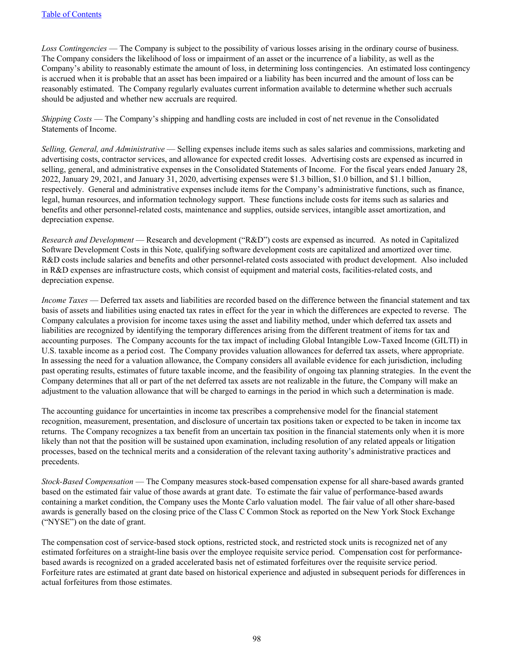*Loss Contingencies* — The Company is subject to the possibility of various losses arising in the ordinary course of business. The Company considers the likelihood of loss or impairment of an asset or the incurrence of a liability, as well as the Company's ability to reasonably estimate the amount of loss, in determining loss contingencies. An estimated loss contingency is accrued when it is probable that an asset has been impaired or a liability has been incurred and the amount of loss can be reasonably estimated. The Company regularly evaluates current information available to determine whether such accruals should be adjusted and whether new accruals are required.

*Shipping Costs* — The Company's shipping and handling costs are included in cost of net revenue in the Consolidated Statements of Income.

*Selling, General, and Administrative* — Selling expenses include items such as sales salaries and commissions, marketing and advertising costs, contractor services, and allowance for expected credit losses. Advertising costs are expensed as incurred in selling, general, and administrative expenses in the Consolidated Statements of Income. For the fiscal years ended January 28, 2022, January 29, 2021, and January 31, 2020, advertising expenses were \$1.3 billion, \$1.0 billion, and \$1.1 billion, respectively. General and administrative expenses include items for the Company's administrative functions, such as finance, legal, human resources, and information technology support. These functions include costs for items such as salaries and benefits and other personnel-related costs, maintenance and supplies, outside services, intangible asset amortization, and depreciation expense.

*Research and Development* — Research and development ("R&D") costs are expensed as incurred. As noted in Capitalized Software Development Costs in this Note, qualifying software development costs are capitalized and amortized over time. R&D costs include salaries and benefits and other personnel-related costs associated with product development. Also included in R&D expenses are infrastructure costs, which consist of equipment and material costs, facilities-related costs, and depreciation expense.

*Income Taxes* — Deferred tax assets and liabilities are recorded based on the difference between the financial statement and tax basis of assets and liabilities using enacted tax rates in effect for the year in which the differences are expected to reverse. The Company calculates a provision for income taxes using the asset and liability method, under which deferred tax assets and liabilities are recognized by identifying the temporary differences arising from the different treatment of items for tax and accounting purposes. The Company accounts for the tax impact of including Global Intangible Low-Taxed Income (GILTI) in U.S. taxable income as a period cost. The Company provides valuation allowances for deferred tax assets, where appropriate. In assessing the need for a valuation allowance, the Company considers all available evidence for each jurisdiction, including past operating results, estimates of future taxable income, and the feasibility of ongoing tax planning strategies. In the event the Company determines that all or part of the net deferred tax assets are not realizable in the future, the Company will make an adjustment to the valuation allowance that will be charged to earnings in the period in which such a determination is made.

The accounting guidance for uncertainties in income tax prescribes a comprehensive model for the financial statement recognition, measurement, presentation, and disclosure of uncertain tax positions taken or expected to be taken in income tax returns. The Company recognizes a tax benefit from an uncertain tax position in the financial statements only when it is more likely than not that the position will be sustained upon examination, including resolution of any related appeals or litigation processes, based on the technical merits and a consideration of the relevant taxing authority's administrative practices and precedents.

*Stock-Based Compensation* — The Company measures stock-based compensation expense for all share-based awards granted based on the estimated fair value of those awards at grant date. To estimate the fair value of performance-based awards containing a market condition, the Company uses the Monte Carlo valuation model. The fair value of all other share-based awards is generally based on the closing price of the Class C Common Stock as reported on the New York Stock Exchange ("NYSE") on the date of grant.

The compensation cost of service-based stock options, restricted stock, and restricted stock units is recognized net of any estimated forfeitures on a straight-line basis over the employee requisite service period. Compensation cost for performancebased awards is recognized on a graded accelerated basis net of estimated forfeitures over the requisite service period. Forfeiture rates are estimated at grant date based on historical experience and adjusted in subsequent periods for differences in actual forfeitures from those estimates.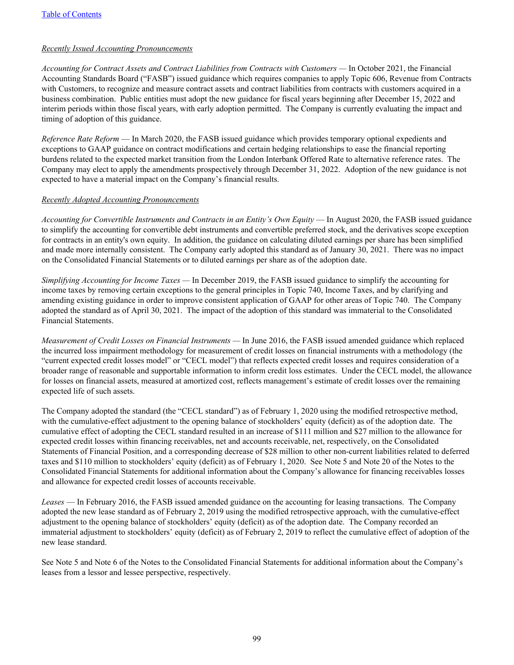## *Recently Issued Accounting Pronouncements*

*Accounting for Contract Assets and Contract Liabilities from Contracts with Customers —* In October 2021, the Financial Accounting Standards Board ("FASB") issued guidance which requires companies to apply Topic 606, Revenue from Contracts with Customers, to recognize and measure contract assets and contract liabilities from contracts with customers acquired in a business combination. Public entities must adopt the new guidance for fiscal years beginning after December 15, 2022 and interim periods within those fiscal years, with early adoption permitted. The Company is currently evaluating the impact and timing of adoption of this guidance.

*Reference Rate Reform* — In March 2020, the FASB issued guidance which provides temporary optional expedients and exceptions to GAAP guidance on contract modifications and certain hedging relationships to ease the financial reporting burdens related to the expected market transition from the London Interbank Offered Rate to alternative reference rates. The Company may elect to apply the amendments prospectively through December 31, 2022. Adoption of the new guidance is not expected to have a material impact on the Company's financial results.

## *Recently Adopted Accounting Pronouncements*

*Accounting for Convertible Instruments and Contracts in an Entity's Own Equity* — In August 2020, the FASB issued guidance to simplify the accounting for convertible debt instruments and convertible preferred stock, and the derivatives scope exception for contracts in an entity's own equity. In addition, the guidance on calculating diluted earnings per share has been simplified and made more internally consistent. The Company early adopted this standard as of January 30, 2021. There was no impact on the Consolidated Financial Statements or to diluted earnings per share as of the adoption date.

*Simplifying Accounting for Income Taxes —* In December 2019, the FASB issued guidance to simplify the accounting for income taxes by removing certain exceptions to the general principles in Topic 740, Income Taxes, and by clarifying and amending existing guidance in order to improve consistent application of GAAP for other areas of Topic 740. The Company adopted the standard as of April 30, 2021. The impact of the adoption of this standard was immaterial to the Consolidated Financial Statements.

*Measurement of Credit Losses on Financial Instruments —* In June 2016, the FASB issued amended guidance which replaced the incurred loss impairment methodology for measurement of credit losses on financial instruments with a methodology (the "current expected credit losses model" or "CECL model") that reflects expected credit losses and requires consideration of a broader range of reasonable and supportable information to inform credit loss estimates. Under the CECL model, the allowance for losses on financial assets, measured at amortized cost, reflects management's estimate of credit losses over the remaining expected life of such assets.

The Company adopted the standard (the "CECL standard") as of February 1, 2020 using the modified retrospective method, with the cumulative-effect adjustment to the opening balance of stockholders' equity (deficit) as of the adoption date. The cumulative effect of adopting the CECL standard resulted in an increase of \$111 million and \$27 million to the allowance for expected credit losses within financing receivables, net and accounts receivable, net, respectively, on the Consolidated Statements of Financial Position, and a corresponding decrease of \$28 million to other non-current liabilities related to deferred taxes and \$110 million to stockholders' equity (deficit) as of February 1, 2020. See Note 5 and Note 20 of the Notes to the Consolidated Financial Statements for additional information about the Company's allowance for financing receivables losses and allowance for expected credit losses of accounts receivable.

*Leases* — In February 2016, the FASB issued amended guidance on the accounting for leasing transactions. The Company adopted the new lease standard as of February 2, 2019 using the modified retrospective approach, with the cumulative-effect adjustment to the opening balance of stockholders' equity (deficit) as of the adoption date. The Company recorded an immaterial adjustment to stockholders' equity (deficit) as of February 2, 2019 to reflect the cumulative effect of adoption of the new lease standard.

See Note 5 and Note 6 of the Notes to the Consolidated Financial Statements for additional information about the Company's leases from a lessor and lessee perspective, respectively.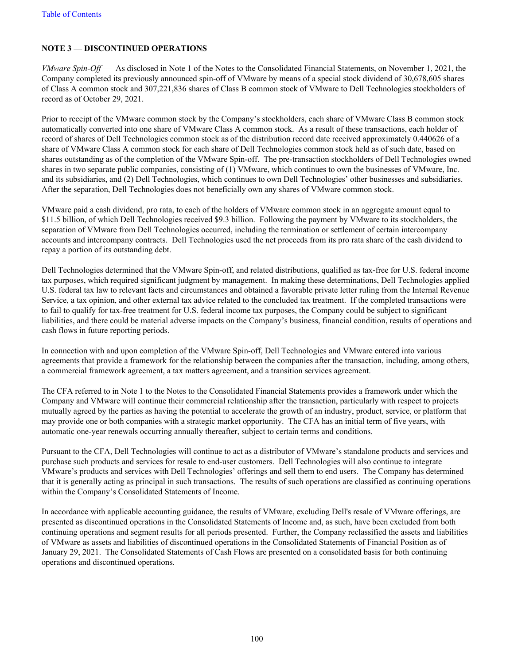# <span id="page-99-0"></span>**NOTE 3 — DISCONTINUED OPERATIONS**

*VMware Spin-Off* — As disclosed in Note 1 of the Notes to the Consolidated Financial Statements, on November 1, 2021, the Company completed its previously announced spin-off of VMware by means of a special stock dividend of 30,678,605 shares of Class A common stock and 307,221,836 shares of Class B common stock of VMware to Dell Technologies stockholders of record as of October 29, 2021.

Prior to receipt of the VMware common stock by the Company's stockholders, each share of VMware Class B common stock automatically converted into one share of VMware Class A common stock. As a result of these transactions, each holder of record of shares of Dell Technologies common stock as of the distribution record date received approximately 0.440626 of a share of VMware Class A common stock for each share of Dell Technologies common stock held as of such date, based on shares outstanding as of the completion of the VMware Spin-off. The pre-transaction stockholders of Dell Technologies owned shares in two separate public companies, consisting of (1) VMware, which continues to own the businesses of VMware, Inc. and its subsidiaries, and (2) Dell Technologies, which continues to own Dell Technologies' other businesses and subsidiaries. After the separation, Dell Technologies does not beneficially own any shares of VMware common stock.

VMware paid a cash dividend, pro rata, to each of the holders of VMware common stock in an aggregate amount equal to \$11.5 billion, of which Dell Technologies received \$9.3 billion. Following the payment by VMware to its stockholders, the separation of VMware from Dell Technologies occurred, including the termination or settlement of certain intercompany accounts and intercompany contracts. Dell Technologies used the net proceeds from its pro rata share of the cash dividend to repay a portion of its outstanding debt.

Dell Technologies determined that the VMware Spin-off, and related distributions, qualified as tax-free for U.S. federal income tax purposes, which required significant judgment by management. In making these determinations, Dell Technologies applied U.S. federal tax law to relevant facts and circumstances and obtained a favorable private letter ruling from the Internal Revenue Service, a tax opinion, and other external tax advice related to the concluded tax treatment. If the completed transactions were to fail to qualify for tax-free treatment for U.S. federal income tax purposes, the Company could be subject to significant liabilities, and there could be material adverse impacts on the Company's business, financial condition, results of operations and cash flows in future reporting periods.

In connection with and upon completion of the VMware Spin-off, Dell Technologies and VMware entered into various agreements that provide a framework for the relationship between the companies after the transaction, including, among others, a commercial framework agreement, a tax matters agreement, and a transition services agreement.

The CFA referred to in Note 1 to the Notes to the Consolidated Financial Statements provides a framework under which the Company and VMware will continue their commercial relationship after the transaction, particularly with respect to projects mutually agreed by the parties as having the potential to accelerate the growth of an industry, product, service, or platform that may provide one or both companies with a strategic market opportunity. The CFA has an initial term of five years, with automatic one-year renewals occurring annually thereafter, subject to certain terms and conditions.

Pursuant to the CFA, Dell Technologies will continue to act as a distributor of VMware's standalone products and services and purchase such products and services for resale to end-user customers. Dell Technologies will also continue to integrate VMware's products and services with Dell Technologies' offerings and sell them to end users. The Company has determined that it is generally acting as principal in such transactions. The results of such operations are classified as continuing operations within the Company's Consolidated Statements of Income.

In accordance with applicable accounting guidance, the results of VMware, excluding Dell's resale of VMware offerings, are presented as discontinued operations in the Consolidated Statements of Income and, as such, have been excluded from both continuing operations and segment results for all periods presented. Further, the Company reclassified the assets and liabilities of VMware as assets and liabilities of discontinued operations in the Consolidated Statements of Financial Position as of January 29, 2021. The Consolidated Statements of Cash Flows are presented on a consolidated basis for both continuing operations and discontinued operations.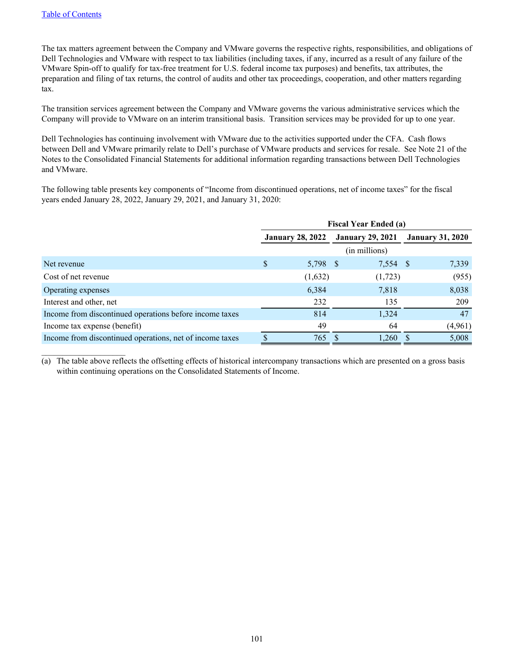$\mathcal{L}_\text{max}$  , where  $\mathcal{L}_\text{max}$  , we have

The tax matters agreement between the Company and VMware governs the respective rights, responsibilities, and obligations of Dell Technologies and VMware with respect to tax liabilities (including taxes, if any, incurred as a result of any failure of the VMware Spin-off to qualify for tax-free treatment for U.S. federal income tax purposes) and benefits, tax attributes, the preparation and filing of tax returns, the control of audits and other tax proceedings, cooperation, and other matters regarding tax.

The transition services agreement between the Company and VMware governs the various administrative services which the Company will provide to VMware on an interim transitional basis. Transition services may be provided for up to one year.

Dell Technologies has continuing involvement with VMware due to the activities supported under the CFA. Cash flows between Dell and VMware primarily relate to Dell's purchase of VMware products and services for resale. See Note 21 of the Notes to the Consolidated Financial Statements for additional information regarding transactions between Dell Technologies and VMware.

The following table presents key components of "Income from discontinued operations, net of income taxes" for the fiscal years ended January 28, 2022, January 29, 2021, and January 31, 2020:

|                                                          | <b>Fiscal Year Ended (a)</b> |                         |  |                         |  |                         |
|----------------------------------------------------------|------------------------------|-------------------------|--|-------------------------|--|-------------------------|
|                                                          |                              | <b>January 28, 2022</b> |  | <b>January 29, 2021</b> |  | <b>January 31, 2020</b> |
|                                                          |                              |                         |  | (in millions)           |  |                         |
| Net revenue                                              | \$                           | 5,798 \$                |  | 7,554 \$                |  | 7,339                   |
| Cost of net revenue                                      |                              | (1,632)                 |  | (1,723)                 |  | (955)                   |
| Operating expenses                                       |                              | 6,384                   |  | 7,818                   |  | 8,038                   |
| Interest and other, net                                  |                              | 232                     |  | 135                     |  | 209                     |
| Income from discontinued operations before income taxes  |                              | 814                     |  | 1,324                   |  | 47                      |
| Income tax expense (benefit)                             |                              | 49                      |  | 64                      |  | (4,961)                 |
| Income from discontinued operations, net of income taxes |                              | 765                     |  | 1,260                   |  | 5,008                   |

(a) The table above reflects the offsetting effects of historical intercompany transactions which are presented on a gross basis within continuing operations on the Consolidated Statements of Income.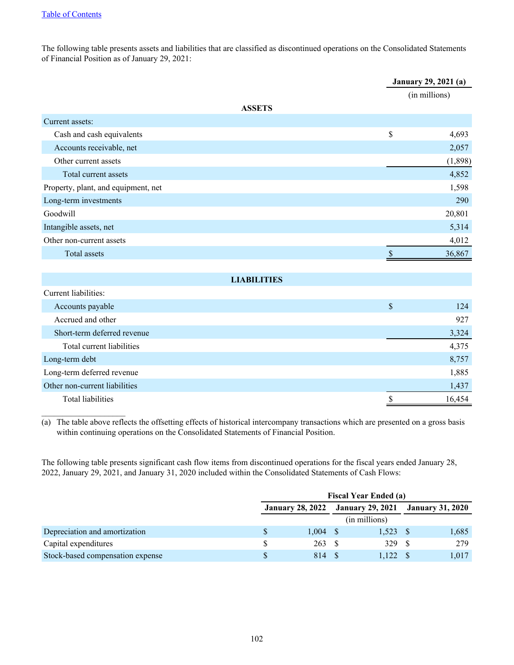$\mathcal{L}_\text{max}$  , where  $\mathcal{L}_\text{max}$  , we have

The following table presents assets and liabilities that are classified as discontinued operations on the Consolidated Statements of Financial Position as of January 29, 2021:

|                                     |                    |                           | <b>January 29, 2021 (a)</b> |  |  |  |  |  |
|-------------------------------------|--------------------|---------------------------|-----------------------------|--|--|--|--|--|
|                                     |                    |                           | (in millions)               |  |  |  |  |  |
|                                     | <b>ASSETS</b>      |                           |                             |  |  |  |  |  |
| Current assets:                     |                    |                           |                             |  |  |  |  |  |
| Cash and cash equivalents           |                    | \$                        | 4,693                       |  |  |  |  |  |
| Accounts receivable, net            |                    |                           | 2,057                       |  |  |  |  |  |
| Other current assets                |                    |                           | (1, 898)                    |  |  |  |  |  |
| Total current assets                |                    |                           | 4,852                       |  |  |  |  |  |
| Property, plant, and equipment, net |                    |                           | 1,598                       |  |  |  |  |  |
| Long-term investments               |                    |                           | 290                         |  |  |  |  |  |
| Goodwill                            |                    |                           | 20,801                      |  |  |  |  |  |
| Intangible assets, net              |                    |                           | 5,314                       |  |  |  |  |  |
| Other non-current assets            |                    |                           | 4,012                       |  |  |  |  |  |
| Total assets                        |                    | $\boldsymbol{\mathsf{S}}$ | 36,867                      |  |  |  |  |  |
|                                     |                    |                           |                             |  |  |  |  |  |
|                                     | <b>LIABILITIES</b> |                           |                             |  |  |  |  |  |
| Current liabilities:                |                    |                           |                             |  |  |  |  |  |
| Accounts payable                    |                    | \$                        | 124                         |  |  |  |  |  |
| Accrued and other                   |                    |                           | 927                         |  |  |  |  |  |
| Short-term deferred revenue         |                    |                           | 3,324                       |  |  |  |  |  |
| Total current liabilities           |                    |                           | 4,375                       |  |  |  |  |  |
| Long-term debt                      |                    |                           | 8,757                       |  |  |  |  |  |
| Long-term deferred revenue          |                    |                           | 1,885                       |  |  |  |  |  |
| Other non-current liabilities       |                    |                           | 1,437                       |  |  |  |  |  |
| <b>Total liabilities</b>            |                    | \$                        | 16,454                      |  |  |  |  |  |

(a) The table above reflects the offsetting effects of historical intercompany transactions which are presented on a gross basis within continuing operations on the Consolidated Statements of Financial Position.

The following table presents significant cash flow items from discontinued operations for the fiscal years ended January 28, 2022, January 29, 2021, and January 31, 2020 included within the Consolidated Statements of Cash Flows:

|                                  | <b>Fiscal Year Ended (a)</b> |  |               |                                                    |       |  |  |  |  |  |  |  |
|----------------------------------|------------------------------|--|---------------|----------------------------------------------------|-------|--|--|--|--|--|--|--|
|                                  |                              |  |               | January 28, 2022 January 29, 2021 January 31, 2020 |       |  |  |  |  |  |  |  |
|                                  |                              |  | (in millions) |                                                    |       |  |  |  |  |  |  |  |
| Depreciation and amortization    | 1,004                        |  | 1,523         |                                                    | 1,685 |  |  |  |  |  |  |  |
| Capital expenditures             | 263S                         |  | 329           |                                                    | 279   |  |  |  |  |  |  |  |
| Stock-based compensation expense | 814 S                        |  | $1,122$ \$    |                                                    | 1,017 |  |  |  |  |  |  |  |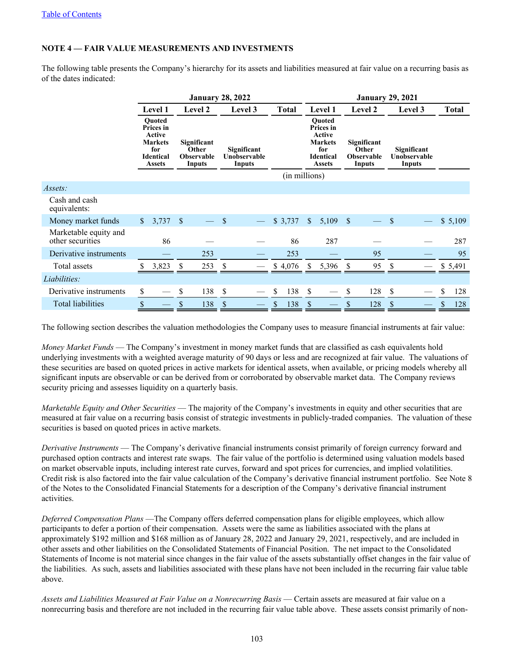# <span id="page-102-0"></span>**NOTE 4 — FAIR VALUE MEASUREMENTS AND INVESTMENTS**

The following table presents the Company's hierarchy for its assets and liabilities measured at fair value on a recurring basis as of the dates indicated:

|                                           |              |                                                                                                    |                    | <b>January 28, 2022</b>                             |    |                                       |    |               | <b>January 29, 2021</b>                                                                                   |                |                    |                                                     |    |                                       |    |              |  |  |  |  |
|-------------------------------------------|--------------|----------------------------------------------------------------------------------------------------|--------------------|-----------------------------------------------------|----|---------------------------------------|----|---------------|-----------------------------------------------------------------------------------------------------------|----------------|--------------------|-----------------------------------------------------|----|---------------------------------------|----|--------------|--|--|--|--|
|                                           |              | Level 1                                                                                            |                    | Level 2                                             |    | Level 3                               |    | <b>Total</b>  |                                                                                                           | <b>Level 1</b> |                    | Level 2                                             |    | Level 3                               |    | <b>Total</b> |  |  |  |  |
|                                           |              | <b>Ouoted</b><br>Prices in<br>Active<br><b>Markets</b><br>for<br><b>Identical</b><br><b>Assets</b> |                    | Significant<br>Other<br><b>Observable</b><br>Inputs |    | Significant<br>Unobservable<br>Inputs |    |               | <b>Ouoted</b><br>Prices in<br><b>Active</b><br><b>Markets</b><br>for<br><b>Identical</b><br><b>Assets</b> |                |                    | Significant<br>Other<br><b>Observable</b><br>Inputs |    | Significant<br>Unobservable<br>Inputs |    |              |  |  |  |  |
|                                           |              |                                                                                                    |                    |                                                     |    |                                       |    | (in millions) |                                                                                                           |                |                    |                                                     |    |                                       |    |              |  |  |  |  |
| Assets:                                   |              |                                                                                                    |                    |                                                     |    |                                       |    |               |                                                                                                           |                |                    |                                                     |    |                                       |    |              |  |  |  |  |
| Cash and cash<br>equivalents:             |              |                                                                                                    |                    |                                                     |    |                                       |    |               |                                                                                                           |                |                    |                                                     |    |                                       |    |              |  |  |  |  |
| Money market funds                        | $\mathbb{S}$ | 3,737                                                                                              | $\mathbf{\hat{S}}$ |                                                     | -S |                                       |    | \$3,737       | $\mathbb{S}$                                                                                              | 5,109          | $\mathbf{\hat{S}}$ |                                                     | \$ |                                       |    | \$5,109      |  |  |  |  |
| Marketable equity and<br>other securities |              | 86                                                                                                 |                    |                                                     |    |                                       |    | 86            |                                                                                                           | 287            |                    |                                                     |    |                                       |    | 287          |  |  |  |  |
| Derivative instruments                    |              |                                                                                                    |                    | 253                                                 |    |                                       |    | 253           |                                                                                                           |                |                    | 95                                                  |    |                                       |    | 95           |  |  |  |  |
| Total assets                              |              | 3,823                                                                                              | S                  | 253                                                 | S  |                                       |    | \$4,076       | S.                                                                                                        | 5,396          | S                  | 95                                                  |    |                                       |    | \$ 5,491     |  |  |  |  |
| Liabilities:                              |              |                                                                                                    |                    |                                                     |    |                                       |    |               |                                                                                                           |                |                    |                                                     |    |                                       |    |              |  |  |  |  |
| Derivative instruments                    | \$           |                                                                                                    | \$                 | 138                                                 | \$ |                                       | \$ | 138           | \$                                                                                                        |                | S                  | 128                                                 | \$ |                                       | \$ | 128          |  |  |  |  |
| <b>Total liabilities</b>                  | \$           |                                                                                                    | \$                 | 138                                                 | \$ |                                       | \$ | 138           | S                                                                                                         |                | \$                 | 128                                                 | S  |                                       | \$ | 128          |  |  |  |  |

The following section describes the valuation methodologies the Company uses to measure financial instruments at fair value:

*Money Market Funds* — The Company's investment in money market funds that are classified as cash equivalents hold underlying investments with a weighted average maturity of 90 days or less and are recognized at fair value. The valuations of these securities are based on quoted prices in active markets for identical assets, when available, or pricing models whereby all significant inputs are observable or can be derived from or corroborated by observable market data. The Company reviews security pricing and assesses liquidity on a quarterly basis.

*Marketable Equity and Other Securities* — The majority of the Company's investments in equity and other securities that are measured at fair value on a recurring basis consist of strategic investments in publicly-traded companies. The valuation of these securities is based on quoted prices in active markets.

*Derivative Instruments* — The Company's derivative financial instruments consist primarily of foreign currency forward and purchased option contracts and interest rate swaps. The fair value of the portfolio is determined using valuation models based on market observable inputs, including interest rate curves, forward and spot prices for currencies, and implied volatilities. Credit risk is also factored into the fair value calculation of the Company's derivative financial instrument portfolio. See Note 8 of the Notes to the Consolidated Financial Statements for a description of the Company's derivative financial instrument activities.

*Deferred Compensation Plans* —The Company offers deferred compensation plans for eligible employees, which allow participants to defer a portion of their compensation. Assets were the same as liabilities associated with the plans at approximately \$192 million and \$168 million as of January 28, 2022 and January 29, 2021, respectively, and are included in other assets and other liabilities on the Consolidated Statements of Financial Position. The net impact to the Consolidated Statements of Income is not material since changes in the fair value of the assets substantially offset changes in the fair value of the liabilities. As such, assets and liabilities associated with these plans have not been included in the recurring fair value table above.

*Assets and Liabilities Measured at Fair Value on a Nonrecurring Basis* — Certain assets are measured at fair value on a nonrecurring basis and therefore are not included in the recurring fair value table above. These assets consist primarily of non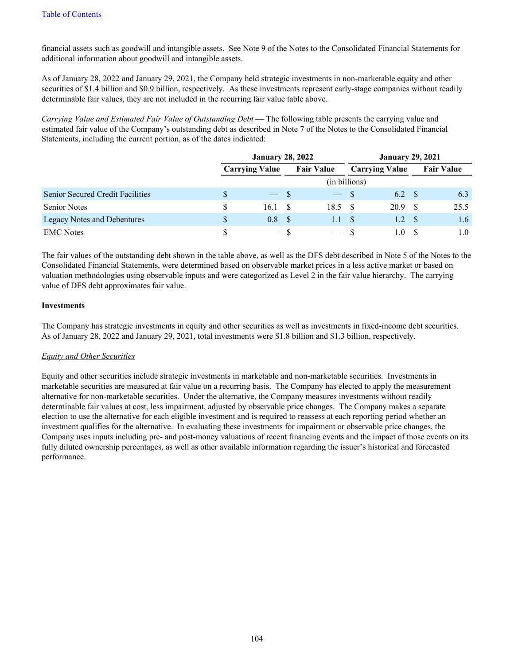financial assets such as goodwill and intangible assets. See Note 9 of the Notes to the Consolidated Financial Statements for additional information about goodwill and intangible assets.

As of January 28, 2022 and January 29, 2021, the Company held strategic investments in non-marketable equity and other securities of \$1.4 billion and \$0.9 billion, respectively. As these investments represent early-stage companies without readily determinable fair values, they are not included in the recurring fair value table above.

*Carrying Value and Estimated Fair Value of Outstanding Debt* — The following table presents the carrying value and estimated fair value of the Company's outstanding debt as described in Note 7 of the Notes to the Consolidated Financial Statements, including the current portion, as of the dates indicated:

|                                         |   | <b>January 28, 2022</b> |                   | <b>January 29, 2021</b> |         |  |                   |  |  |  |
|-----------------------------------------|---|-------------------------|-------------------|-------------------------|---------|--|-------------------|--|--|--|
|                                         |   | <b>Carrying Value</b>   | <b>Fair Value</b> | <b>Carrying Value</b>   |         |  | <b>Fair Value</b> |  |  |  |
|                                         |   |                         | (in billions)     |                         |         |  |                   |  |  |  |
| <b>Senior Secured Credit Facilities</b> | S | $-$ S                   | $-$ S             |                         | 6.2 S   |  | 6.3               |  |  |  |
| <b>Senior Notes</b>                     | S | 16.1                    | 18.5 S            |                         | 20.9    |  | 25.5              |  |  |  |
| Legacy Notes and Debentures             |   | 0.8 <sup>°</sup>        | 1.1               | - \$                    | 1.2     |  | 1.6               |  |  |  |
| <b>EMC</b> Notes                        |   | $-$ S                   | $-$ S             |                         | $\pm 0$ |  | 1.0               |  |  |  |

The fair values of the outstanding debt shown in the table above, as well as the DFS debt described in Note 5 of the Notes to the Consolidated Financial Statements, were determined based on observable market prices in a less active market or based on valuation methodologies using observable inputs and were categorized as Level 2 in the fair value hierarchy. The carrying value of DFS debt approximates fair value.

### **Investments**

The Company has strategic investments in equity and other securities as well as investments in fixed-income debt securities. As of January 28, 2022 and January 29, 2021, total investments were \$1.8 billion and \$1.3 billion, respectively.

### *Equity and Other Securities*

Equity and other securities include strategic investments in marketable and non-marketable securities. Investments in marketable securities are measured at fair value on a recurring basis. The Company has elected to apply the measurement alternative for non-marketable securities. Under the alternative, the Company measures investments without readily determinable fair values at cost, less impairment, adjusted by observable price changes. The Company makes a separate election to use the alternative for each eligible investment and is required to reassess at each reporting period whether an investment qualifies for the alternative. In evaluating these investments for impairment or observable price changes, the Company uses inputs including pre- and post-money valuations of recent financing events and the impact of those events on its fully diluted ownership percentages, as well as other available information regarding the issuer's historical and forecasted performance.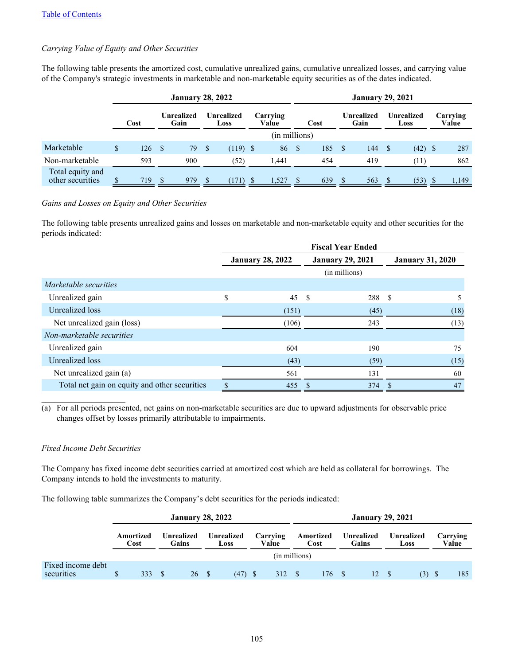## *Carrying Value of Equity and Other Securities*

The following table presents the amortized cost, cumulative unrealized gains, cumulative unrealized losses, and carrying value of the Company's strategic investments in marketable and non-marketable equity securities as of the dates indicated.

|                                      |                            |     |      | <b>January 28, 2022</b>                 |      |            |  | <b>January 29, 2021</b> |                    |     |    |                    |          |                   |  |       |  |
|--------------------------------------|----------------------------|-----|------|-----------------------------------------|------|------------|--|-------------------------|--------------------|-----|----|--------------------|----------|-------------------|--|-------|--|
|                                      | Unrealized<br>Cost<br>Gain |     |      | Unrealized<br>Carrying<br>Value<br>Loss |      |            |  | Cost                    | Unrealized<br>Gain |     |    | Unrealized<br>Loss |          | Carrying<br>Value |  |       |  |
|                                      |                            |     |      |                                         |      |            |  | (in millions)           |                    |     |    |                    |          |                   |  |       |  |
| Marketable                           | S.                         | 126 | - \$ | 79                                      | - \$ | $(119)$ \$ |  | 86                      | -\$                | 185 | -S | 144                | <b>S</b> | $(42)$ \$         |  | 287   |  |
| Non-marketable                       |                            | 593 |      | 900                                     |      | (52)       |  | 1.441                   |                    | 454 |    | 419                |          | (11)              |  | 862   |  |
| Total equity and<br>other securities |                            | 719 |      | 979                                     |      | (171)      |  | 1,527                   |                    | 639 |    | 563                | S        | (53)              |  | 1,149 |  |

### *Gains and Losses on Equity and Other Securities*

The following table presents unrealized gains and losses on marketable and non-marketable equity and other securities for the periods indicated:

|                                               |                         | <b>Fiscal Year Ended</b> |                         |
|-----------------------------------------------|-------------------------|--------------------------|-------------------------|
|                                               | <b>January 28, 2022</b> | <b>January 29, 2021</b>  | <b>January 31, 2020</b> |
|                                               |                         | (in millions)            |                         |
| <i>Marketable securities</i>                  |                         |                          |                         |
| Unrealized gain                               | \$<br>45                | - \$<br>288              | -S<br>5                 |
| Unrealized loss                               | (151)                   | (45)                     | (18)                    |
| Net unrealized gain (loss)                    | (106)                   | 243                      | (13)                    |
| Non-marketable securities                     |                         |                          |                         |
| Unrealized gain                               | 604                     | 190                      | 75                      |
| Unrealized loss                               | (43)                    | (59)                     | (15)                    |
| Net unrealized gain (a)                       | 561                     | 131                      | 60                      |
| Total net gain on equity and other securities | \$<br>455               | 374<br>S                 | 47<br><sup>\$</sup>     |

(a) For all periods presented, net gains on non-marketable securities are due to upward adjustments for observable price changes offset by losses primarily attributable to impairments.

### *Fixed Income Debt Securities*

The Company has fixed income debt securities carried at amortized cost which are held as collateral for borrowings. The Company intends to hold the investments to maturity.

The following table summarizes the Company's debt securities for the periods indicated:

|                                 |                                          |     | <b>January 28, 2022</b> |                                         |  | <b>January 29, 2021</b> |  |                   |                     |       |  |                    |  |                   |  |     |
|---------------------------------|------------------------------------------|-----|-------------------------|-----------------------------------------|--|-------------------------|--|-------------------|---------------------|-------|--|--------------------|--|-------------------|--|-----|
|                                 | Unrealized<br>Amortized<br>Gains<br>Cost |     |                         | Carrying<br>Unrealized<br>Value<br>Loss |  |                         |  | Amortized<br>Cost | Unrealized<br>Gains |       |  | Unrealized<br>Loss |  | Carrying<br>Value |  |     |
|                                 |                                          |     |                         |                                         |  |                         |  | (in millions)     |                     |       |  |                    |  |                   |  |     |
| Fixed income debt<br>securities |                                          | 333 |                         | 26 \$                                   |  | $(47)$ \$               |  | 312 \$            |                     | 176 S |  | 12 \$              |  | (3)               |  | 185 |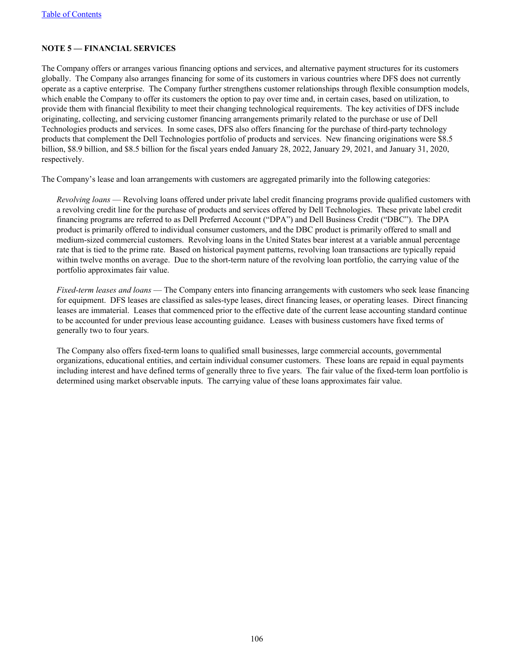# <span id="page-105-0"></span>**NOTE 5 — FINANCIAL SERVICES**

The Company offers or arranges various financing options and services, and alternative payment structures for its customers globally. The Company also arranges financing for some of its customers in various countries where DFS does not currently operate as a captive enterprise. The Company further strengthens customer relationships through flexible consumption models, which enable the Company to offer its customers the option to pay over time and, in certain cases, based on utilization, to provide them with financial flexibility to meet their changing technological requirements. The key activities of DFS include originating, collecting, and servicing customer financing arrangements primarily related to the purchase or use of Dell Technologies products and services. In some cases, DFS also offers financing for the purchase of third-party technology products that complement the Dell Technologies portfolio of products and services. New financing originations were \$8.5 billion, \$8.9 billion, and \$8.5 billion for the fiscal years ended January 28, 2022, January 29, 2021, and January 31, 2020, respectively.

The Company's lease and loan arrangements with customers are aggregated primarily into the following categories:

*Revolving loans* — Revolving loans offered under private label credit financing programs provide qualified customers with a revolving credit line for the purchase of products and services offered by Dell Technologies. These private label credit financing programs are referred to as Dell Preferred Account ("DPA") and Dell Business Credit ("DBC"). The DPA product is primarily offered to individual consumer customers, and the DBC product is primarily offered to small and medium-sized commercial customers. Revolving loans in the United States bear interest at a variable annual percentage rate that is tied to the prime rate. Based on historical payment patterns, revolving loan transactions are typically repaid within twelve months on average. Due to the short-term nature of the revolving loan portfolio, the carrying value of the portfolio approximates fair value.

*Fixed-term leases and loans* — The Company enters into financing arrangements with customers who seek lease financing for equipment. DFS leases are classified as sales-type leases, direct financing leases, or operating leases. Direct financing leases are immaterial. Leases that commenced prior to the effective date of the current lease accounting standard continue to be accounted for under previous lease accounting guidance. Leases with business customers have fixed terms of generally two to four years.

The Company also offers fixed-term loans to qualified small businesses, large commercial accounts, governmental organizations, educational entities, and certain individual consumer customers. These loans are repaid in equal payments including interest and have defined terms of generally three to five years. The fair value of the fixed-term loan portfolio is determined using market observable inputs. The carrying value of these loans approximates fair value.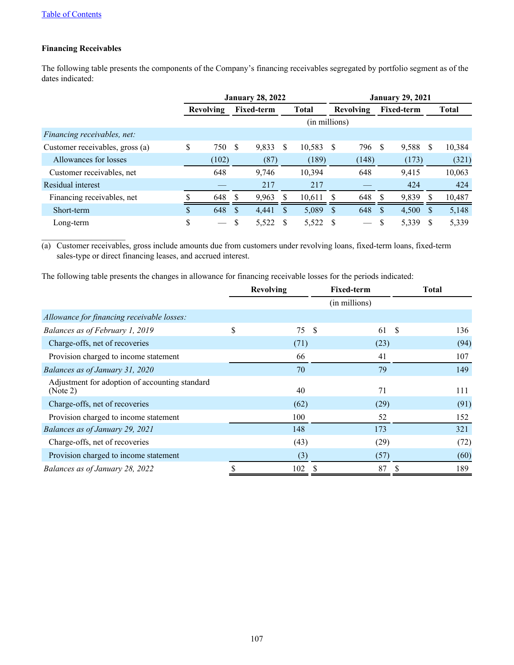# **Financing Receivables**

 $\mathcal{L}_\text{max}$  , where  $\mathcal{L}_\text{max}$  , we have

The following table presents the components of the Company's financing receivables segregated by portfolio segment as of the dates indicated:

|                                 |     |                  |    | <b>January 28, 2022</b> |               | <b>January 29, 2021</b> |                          |     |                   |   |              |  |  |
|---------------------------------|-----|------------------|----|-------------------------|---------------|-------------------------|--------------------------|-----|-------------------|---|--------------|--|--|
|                                 |     | <b>Revolving</b> |    | <b>Fixed-term</b>       | <b>Total</b>  |                         | <b>Revolving</b>         |     | <b>Fixed-term</b> |   | <b>Total</b> |  |  |
|                                 |     |                  |    |                         | (in millions) |                         |                          |     |                   |   |              |  |  |
| Financing receivables, net:     |     |                  |    |                         |               |                         |                          |     |                   |   |              |  |  |
| Customer receivables, gross (a) | \$  | 750              | S  | 9,833                   | \$<br>10,583  | <sup>\$</sup>           | 796                      | S   | 9,588             | S | 10,384       |  |  |
| Allowances for losses           |     | (102)            |    | (87)                    | (189)         |                         | (148)                    |     | (173)             |   | (321)        |  |  |
| Customer receivables, net       |     | 648              |    | 9.746                   | 10,394        |                         | 648                      |     | 9,415             |   | 10,063       |  |  |
| Residual interest               |     |                  |    | 217                     | 217           |                         |                          |     | 424               |   | 424          |  |  |
| Financing receivables, net      |     | 648              |    | 9,963                   | 10,611        |                         | 648                      |     | 9,839             |   | 10,487       |  |  |
| Short-term                      | \$. | 648              | \$ | 4,441                   | \$<br>5,089   | $\mathcal{S}$           | 648                      | \$. | 4,500             | S | 5,148        |  |  |
| Long-term                       | \$  |                  |    | 5,522                   | 5,522         |                         | $\overline{\phantom{0}}$ |     | 5,339             | S | 5,339        |  |  |

(a) Customer receivables, gross include amounts due from customers under revolving loans, fixed-term loans, fixed-term sales-type or direct financing leases, and accrued interest.

The following table presents the changes in allowance for financing receivable losses for the periods indicated:

|                                                            | <b>Revolving</b> |    | <b>Fixed-term</b> |    | <b>Total</b> |  |
|------------------------------------------------------------|------------------|----|-------------------|----|--------------|--|
|                                                            |                  |    | (in millions)     |    |              |  |
| Allowance for financing receivable losses:                 |                  |    |                   |    |              |  |
| Balances as of February 1, 2019                            | \$<br>75         | -S | 61                | -S | 136          |  |
| Charge-offs, net of recoveries                             | (71)             |    | (23)              |    | (94)         |  |
| Provision charged to income statement                      | 66               |    | 41                |    | 107          |  |
| Balances as of January 31, 2020                            | 70               |    | 79                |    | 149          |  |
| Adjustment for adoption of accounting standard<br>(Note 2) | 40               |    | 71                |    | 111          |  |
| Charge-offs, net of recoveries                             | (62)             |    | (29)              |    | (91)         |  |
| Provision charged to income statement                      | 100              |    | 52                |    | 152          |  |
| Balances as of January 29, 2021                            | 148              |    | 173               |    | 321          |  |
| Charge-offs, net of recoveries                             | (43)             |    | (29)              |    | (72)         |  |
| Provision charged to income statement                      | (3)              |    | (57)              |    | (60)         |  |
| Balances as of January 28, 2022                            | 102              | S  | 87                |    | 189          |  |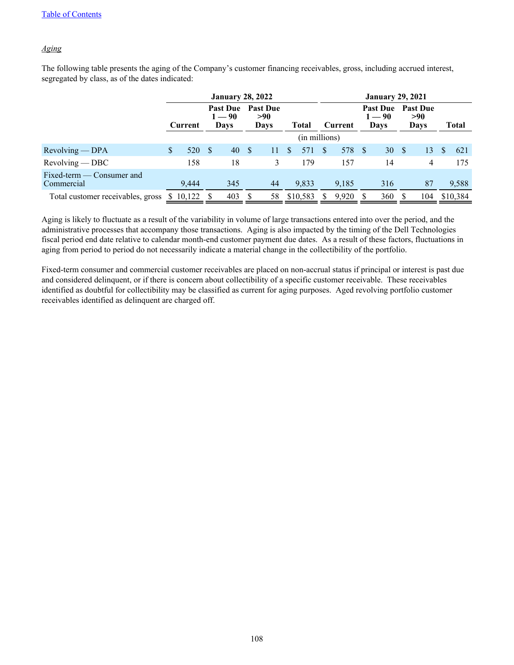# *Aging*

The following table presents the aging of the Company's customer financing receivables, gross, including accrued interest, segregated by class, as of the dates indicated:

|                                         |         |          |               | <b>January 28, 2022</b>                    |      |                                |               | <b>January 29, 2021</b> |          |         |  |                                     |     |                                       |              |              |  |  |
|-----------------------------------------|---------|----------|---------------|--------------------------------------------|------|--------------------------------|---------------|-------------------------|----------|---------|--|-------------------------------------|-----|---------------------------------------|--------------|--------------|--|--|
|                                         | Current |          |               | <b>Past Due</b><br>$1 - 90$<br><b>Days</b> |      | <b>Past Due</b><br>>90<br>Days |               | <b>Total</b>            |          | Current |  | <b>Past Due</b><br>$1 - 90$<br>Days |     | <b>Past Due</b><br>>90<br><b>Days</b> |              | <b>Total</b> |  |  |
|                                         |         |          |               |                                            |      |                                |               | (in millions)           |          |         |  |                                     |     |                                       |              |              |  |  |
| $Revolving - DPA$                       | \$      | 520      | <sup>\$</sup> | 40                                         | - \$ | 11                             | <sup>\$</sup> | 571                     | <b>S</b> | 578 \$  |  | 30                                  | - S | 13                                    | <sup>8</sup> | 621          |  |  |
| $Revolving - DBC$                       |         | 158      |               | 18                                         |      | 3                              |               | 179                     |          | 157     |  | 14                                  |     | 4                                     |              | 175          |  |  |
| Fixed-term — Consumer and<br>Commercial |         | 9.444    |               | 345                                        |      | 44                             |               | 9,833                   |          | 9,185   |  | 316                                 |     | 87                                    |              | 9,588        |  |  |
| Total customer receivables, gross       |         | \$10,122 |               | 403                                        | - S  | 58                             |               | \$10,583                |          | 9,920   |  | 360                                 |     | 104                                   |              | \$10,384     |  |  |

Aging is likely to fluctuate as a result of the variability in volume of large transactions entered into over the period, and the administrative processes that accompany those transactions. Aging is also impacted by the timing of the Dell Technologies fiscal period end date relative to calendar month-end customer payment due dates. As a result of these factors, fluctuations in aging from period to period do not necessarily indicate a material change in the collectibility of the portfolio.

Fixed-term consumer and commercial customer receivables are placed on non-accrual status if principal or interest is past due and considered delinquent, or if there is concern about collectibility of a specific customer receivable. These receivables identified as doubtful for collectibility may be classified as current for aging purposes. Aged revolving portfolio customer receivables identified as delinquent are charged off.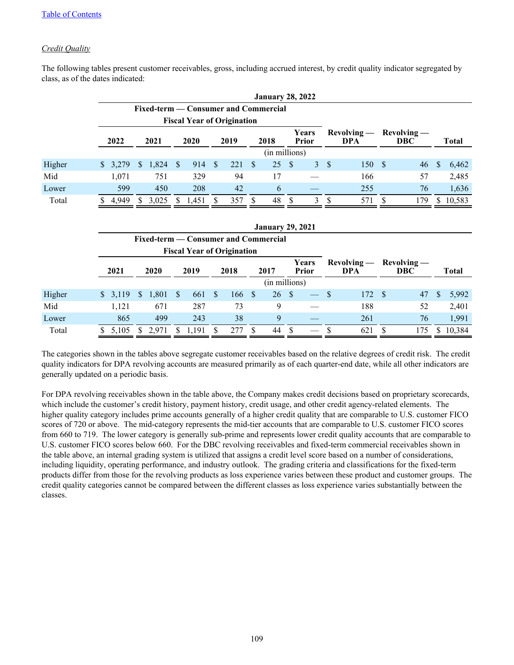## *Credit Quality*

|        |         |             |                                   |                     |                                      | <b>January 28, 2022</b> |                      |                             |              |
|--------|---------|-------------|-----------------------------------|---------------------|--------------------------------------|-------------------------|----------------------|-----------------------------|--------------|
|        |         |             |                                   |                     | Fixed-term — Consumer and Commercial |                         |                      |                             |              |
|        |         |             | <b>Fiscal Year of Origination</b> |                     |                                      |                         |                      |                             |              |
|        | 2022    | 2021        | 2020                              | 2019                | 2018                                 | Years<br><b>Prior</b>   | $Rewolving -$<br>DPA | $Revolving -$<br><b>DBC</b> | <b>Total</b> |
|        |         |             |                                   |                     |                                      | (in millions)           |                      |                             |              |
| Higher | \$3,279 | 1,824<br>S. | - \$<br>914                       | 221<br><sup>S</sup> | 25<br>- \$                           | -S                      | 150<br>3S            | 46<br>-S                    | 6,462<br>S   |
| Mid    | 1.071   | 751         | 329                               | 94                  | 17                                   |                         | 166                  | 57                          | 2,485        |
| Lower  | 599     | 450         | 208                               | 42                  | 6                                    |                         | 255                  | 76                          | 1,636        |
| Total  | 4,949   | 3,025<br>S. | 1,451                             | 357                 | 48                                   | 3<br>S                  | 571<br>£.            | 179                         | 10,583<br>S. |

The following tables present customer receivables, gross, including accrued interest, by credit quality indicator segregated by class, as of the dates indicated:

|        |             |              |       |    |       |   |                                   |              | <b>January 29, 2021</b>              |          |                          |              |                      |    |                             |              |              |
|--------|-------------|--------------|-------|----|-------|---|-----------------------------------|--------------|--------------------------------------|----------|--------------------------|--------------|----------------------|----|-----------------------------|--------------|--------------|
|        |             |              |       |    |       |   |                                   |              | Fixed-term — Consumer and Commercial |          |                          |              |                      |    |                             |              |              |
|        |             |              |       |    |       |   | <b>Fiscal Year of Origination</b> |              |                                      |          |                          |              |                      |    |                             |              |              |
|        | 2021        |              | 2020  |    | 2019  |   | 2018                              |              | 2017                                 |          | Years<br><b>Prior</b>    |              | $Revolving -$<br>DPA |    | $Revolving -$<br><b>DBC</b> |              | <b>Total</b> |
|        |             |              |       |    |       |   |                                   |              | (in millions)                        |          |                          |              |                      |    |                             |              |              |
| Higher | 3,119<br>S. | <sup>S</sup> | 1,801 | -S | 661   | S | 166                               | <sup>S</sup> | 26                                   | <b>S</b> | $\overline{\phantom{a}}$ | $\mathbf{S}$ | 172                  | -S | 47                          | <sup>S</sup> | 5,992        |
| Mid    | 1,121       |              | 671   |    | 287   |   | 73                                |              | 9                                    |          |                          |              | 188                  |    | 52                          |              | 2,401        |
| Lower  | 865         |              | 499   |    | 243   |   | 38                                |              | 9                                    |          |                          |              | 261                  |    | 76                          |              | 1,991        |
| Total  | 5,105       |              | 2.971 |    | 1,191 |   | 277                               |              | 44                                   |          |                          |              | 621                  | S  | 175                         |              | 10,384       |

The categories shown in the tables above segregate customer receivables based on the relative degrees of credit risk. The credit quality indicators for DPA revolving accounts are measured primarily as of each quarter-end date, while all other indicators are generally updated on a periodic basis.

For DPA revolving receivables shown in the table above, the Company makes credit decisions based on proprietary scorecards, which include the customer's credit history, payment history, credit usage, and other credit agency-related elements. The higher quality category includes prime accounts generally of a higher credit quality that are comparable to U.S. customer FICO scores of 720 or above. The mid-category represents the mid-tier accounts that are comparable to U.S. customer FICO scores from 660 to 719. The lower category is generally sub-prime and represents lower credit quality accounts that are comparable to U.S. customer FICO scores below 660. For the DBC revolving receivables and fixed-term commercial receivables shown in the table above, an internal grading system is utilized that assigns a credit level score based on a number of considerations, including liquidity, operating performance, and industry outlook. The grading criteria and classifications for the fixed-term products differ from those for the revolving products as loss experience varies between these product and customer groups. The credit quality categories cannot be compared between the different classes as loss experience varies substantially between the classes.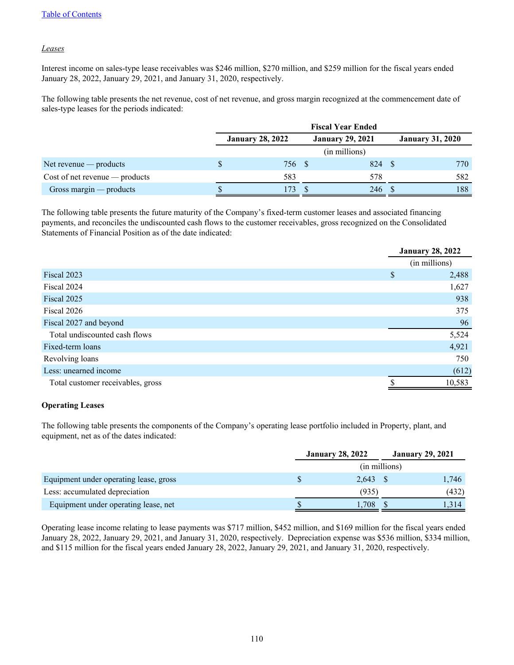### *Leases*

Interest income on sales-type lease receivables was \$246 million, \$270 million, and \$259 million for the fiscal years ended January 28, 2022, January 29, 2021, and January 31, 2020, respectively.

The following table presents the net revenue, cost of net revenue, and gross margin recognized at the commencement date of sales-type leases for the periods indicated:

|                                  | <b>Fiscal Year Ended</b> |  |                         |                         |     |  |
|----------------------------------|--------------------------|--|-------------------------|-------------------------|-----|--|
|                                  | <b>January 28, 2022</b>  |  | <b>January 29, 2021</b> | <b>January 31, 2020</b> |     |  |
|                                  |                          |  | (in millions)           |                         |     |  |
| Net revenue $-$ products         | 756 \$                   |  | 824                     |                         | 770 |  |
| $Cost of net revenue - products$ | 583                      |  | 578                     |                         | 582 |  |
| Gross margin $-$ products        | 173                      |  | 246                     |                         | 188 |  |

The following table presents the future maturity of the Company's fixed-term customer leases and associated financing payments, and reconciles the undiscounted cash flows to the customer receivables, gross recognized on the Consolidated Statements of Financial Position as of the date indicated:

|                                   | <b>January 28, 2022</b> |               |  |
|-----------------------------------|-------------------------|---------------|--|
|                                   |                         | (in millions) |  |
| Fiscal 2023                       | \$                      | 2,488         |  |
| Fiscal 2024                       |                         | 1,627         |  |
| Fiscal 2025                       |                         | 938           |  |
| Fiscal 2026                       |                         | 375           |  |
| Fiscal 2027 and beyond            |                         | 96            |  |
| Total undiscounted cash flows     |                         | 5,524         |  |
| Fixed-term loans                  |                         | 4,921         |  |
| Revolving loans                   |                         | 750           |  |
| Less: unearned income             |                         | (612)         |  |
| Total customer receivables, gross |                         | 10,583        |  |

### **Operating Leases**

The following table presents the components of the Company's operating lease portfolio included in Property, plant, and equipment, net as of the dates indicated:

|                                        | <b>January 28, 2022</b> |  | <b>January 29, 2021</b> |  |
|----------------------------------------|-------------------------|--|-------------------------|--|
|                                        | (in millions)           |  |                         |  |
| Equipment under operating lease, gross | $2,643$ \$              |  | 1,746                   |  |
| Less: accumulated depreciation         | (935)                   |  | (432)                   |  |
| Equipment under operating lease, net   | 1,708                   |  | 1.314                   |  |

Operating lease income relating to lease payments was \$717 million, \$452 million, and \$169 million for the fiscal years ended January 28, 2022, January 29, 2021, and January 31, 2020, respectively. Depreciation expense was \$536 million, \$334 million, and \$115 million for the fiscal years ended January 28, 2022, January 29, 2021, and January 31, 2020, respectively.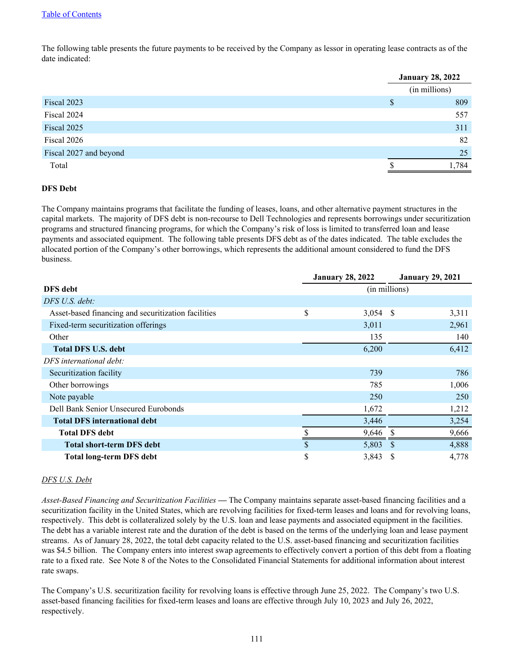The following table presents the future payments to be received by the Company as lessor in operating lease contracts as of the date indicated:

|                        | <b>January 28, 2022</b> |               |  |
|------------------------|-------------------------|---------------|--|
|                        |                         | (in millions) |  |
| Fiscal 2023            | S                       | 809           |  |
| Fiscal 2024            |                         | 557           |  |
| Fiscal 2025            |                         | 311           |  |
| Fiscal 2026            |                         | 82            |  |
| Fiscal 2027 and beyond |                         | 25            |  |
| Total                  |                         | ,784          |  |

### **DFS Debt**

The Company maintains programs that facilitate the funding of leases, loans, and other alternative payment structures in the capital markets. The majority of DFS debt is non-recourse to Dell Technologies and represents borrowings under securitization programs and structured financing programs, for which the Company's risk of loss is limited to transferred loan and lease payments and associated equipment. The following table presents DFS debt as of the dates indicated. The table excludes the allocated portion of the Company's other borrowings, which represents the additional amount considered to fund the DFS business.

|                                                     | <b>January 28, 2022</b> |            |               | <b>January 29, 2021</b> |
|-----------------------------------------------------|-------------------------|------------|---------------|-------------------------|
| <b>DFS</b> debt                                     |                         |            | (in millions) |                         |
| DFS U.S. debt:                                      |                         |            |               |                         |
| Asset-based financing and securitization facilities | \$                      | $3,054$ \$ |               | 3,311                   |
| Fixed-term securitization offerings                 |                         | 3,011      |               | 2,961                   |
| Other                                               |                         | 135        |               | 140                     |
| <b>Total DFS U.S. debt</b>                          |                         | 6,200      |               | 6,412                   |
| DFS international debt:                             |                         |            |               |                         |
| Securitization facility                             |                         | 739        |               | 786                     |
| Other borrowings                                    |                         | 785        |               | 1,006                   |
| Note payable                                        |                         | 250        |               | 250                     |
| Dell Bank Senior Unsecured Eurobonds                |                         | 1,672      |               | 1,212                   |
| <b>Total DFS international debt</b>                 |                         | 3,446      |               | 3,254                   |
| <b>Total DFS debt</b>                               |                         | 9,646      |               | 9,666                   |
| <b>Total short-term DFS debt</b>                    | \$                      | 5,803      | <sup>S</sup>  | 4,888                   |
| <b>Total long-term DFS debt</b>                     | \$                      | 3,843      | -S            | 4,778                   |

### *DFS U.S. Debt*

*Asset-Based Financing and Securitization Facilities* **—** The Company maintains separate asset-based financing facilities and a securitization facility in the United States, which are revolving facilities for fixed-term leases and loans and for revolving loans, respectively. This debt is collateralized solely by the U.S. loan and lease payments and associated equipment in the facilities. The debt has a variable interest rate and the duration of the debt is based on the terms of the underlying loan and lease payment streams. As of January 28, 2022, the total debt capacity related to the U.S. asset-based financing and securitization facilities was \$4.5 billion. The Company enters into interest swap agreements to effectively convert a portion of this debt from a floating rate to a fixed rate. See Note 8 of the Notes to the Consolidated Financial Statements for additional information about interest rate swaps.

The Company's U.S. securitization facility for revolving loans is effective through June 25, 2022. The Company's two U.S. asset-based financing facilities for fixed-term leases and loans are effective through July 10, 2023 and July 26, 2022, respectively.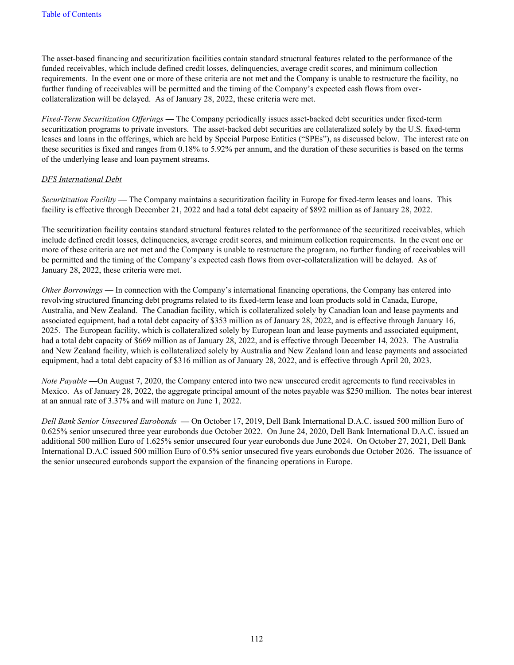The asset-based financing and securitization facilities contain standard structural features related to the performance of the funded receivables, which include defined credit losses, delinquencies, average credit scores, and minimum collection requirements. In the event one or more of these criteria are not met and the Company is unable to restructure the facility, no further funding of receivables will be permitted and the timing of the Company's expected cash flows from overcollateralization will be delayed. As of January 28, 2022, these criteria were met.

*Fixed-Term Securitization Offerings* **—** The Company periodically issues asset-backed debt securities under fixed-term securitization programs to private investors. The asset-backed debt securities are collateralized solely by the U.S. fixed-term leases and loans in the offerings, which are held by Special Purpose Entities ("SPEs"), as discussed below. The interest rate on these securities is fixed and ranges from 0.18% to 5.92% per annum, and the duration of these securities is based on the terms of the underlying lease and loan payment streams.

#### *DFS International Debt*

*Securitization Facility* **—** The Company maintains a securitization facility in Europe for fixed-term leases and loans. This facility is effective through December 21, 2022 and had a total debt capacity of \$892 million as of January 28, 2022.

The securitization facility contains standard structural features related to the performance of the securitized receivables, which include defined credit losses, delinquencies, average credit scores, and minimum collection requirements. In the event one or more of these criteria are not met and the Company is unable to restructure the program, no further funding of receivables will be permitted and the timing of the Company's expected cash flows from over-collateralization will be delayed. As of January 28, 2022, these criteria were met.

*Other Borrowings* **—** In connection with the Company's international financing operations, the Company has entered into revolving structured financing debt programs related to its fixed-term lease and loan products sold in Canada, Europe, Australia, and New Zealand. The Canadian facility, which is collateralized solely by Canadian loan and lease payments and associated equipment, had a total debt capacity of \$353 million as of January 28, 2022, and is effective through January 16, 2025. The European facility, which is collateralized solely by European loan and lease payments and associated equipment, had a total debt capacity of \$669 million as of January 28, 2022, and is effective through December 14, 2023. The Australia and New Zealand facility, which is collateralized solely by Australia and New Zealand loan and lease payments and associated equipment, had a total debt capacity of \$316 million as of January 28, 2022, and is effective through April 20, 2023.

*Note Payable* —On August 7, 2020, the Company entered into two new unsecured credit agreements to fund receivables in Mexico. As of January 28, 2022, the aggregate principal amount of the notes payable was \$250 million. The notes bear interest at an annual rate of 3.37% and will mature on June 1, 2022.

*Dell Bank Senior Unsecured Eurobonds* **—** On October 17, 2019, Dell Bank International D.A.C. issued 500 million Euro of 0.625% senior unsecured three year eurobonds due October 2022. On June 24, 2020, Dell Bank International D.A.C. issued an additional 500 million Euro of 1.625% senior unsecured four year eurobonds due June 2024. On October 27, 2021, Dell Bank International D.A.C issued 500 million Euro of 0.5% senior unsecured five years eurobonds due October 2026. The issuance of the senior unsecured eurobonds support the expansion of the financing operations in Europe.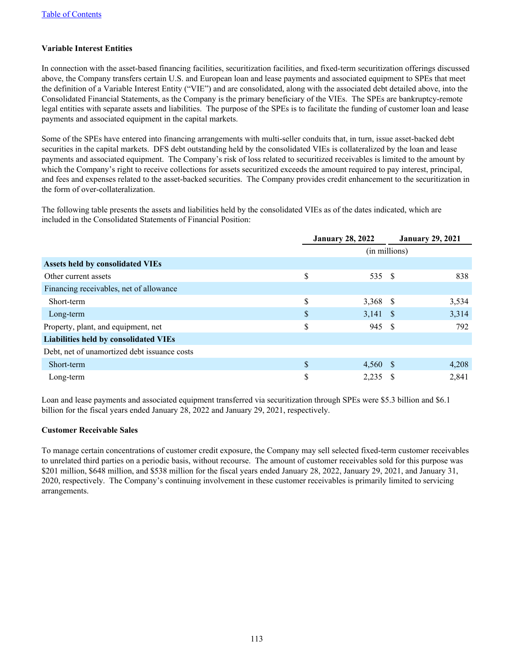### **Variable Interest Entities**

In connection with the asset-based financing facilities, securitization facilities, and fixed-term securitization offerings discussed above, the Company transfers certain U.S. and European loan and lease payments and associated equipment to SPEs that meet the definition of a Variable Interest Entity ("VIE") and are consolidated, along with the associated debt detailed above, into the Consolidated Financial Statements, as the Company is the primary beneficiary of the VIEs. The SPEs are bankruptcy-remote legal entities with separate assets and liabilities. The purpose of the SPEs is to facilitate the funding of customer loan and lease payments and associated equipment in the capital markets.

Some of the SPEs have entered into financing arrangements with multi-seller conduits that, in turn, issue asset-backed debt securities in the capital markets. DFS debt outstanding held by the consolidated VIEs is collateralized by the loan and lease payments and associated equipment. The Company's risk of loss related to securitized receivables is limited to the amount by which the Company's right to receive collections for assets securitized exceeds the amount required to pay interest, principal, and fees and expenses related to the asset-backed securities. The Company provides credit enhancement to the securitization in the form of over-collateralization.

The following table presents the assets and liabilities held by the consolidated VIEs as of the dates indicated, which are included in the Consolidated Statements of Financial Position:

|                                              | <b>January 28, 2022</b> |               |  | <b>January 29, 2021</b> |
|----------------------------------------------|-------------------------|---------------|--|-------------------------|
|                                              |                         | (in millions) |  |                         |
| <b>Assets held by consolidated VIEs</b>      |                         |               |  |                         |
| Other current assets                         | \$                      | 535 \$        |  | 838                     |
| Financing receivables, net of allowance      |                         |               |  |                         |
| Short-term                                   | \$                      | 3,368 \$      |  | 3,534                   |
| Long-term                                    | \$                      | $3,141$ \$    |  | 3,314                   |
| Property, plant, and equipment, net          | \$                      | 945 \$        |  | 792                     |
| <b>Liabilities held by consolidated VIEs</b> |                         |               |  |                         |
| Debt, net of unamortized debt issuance costs |                         |               |  |                         |
| Short-term                                   | \$                      | 4,560 \$      |  | 4,208                   |
| Long-term                                    | \$                      | 2,235         |  | 2,841                   |

Loan and lease payments and associated equipment transferred via securitization through SPEs were \$5.3 billion and \$6.1 billion for the fiscal years ended January 28, 2022 and January 29, 2021, respectively.

### **Customer Receivable Sales**

To manage certain concentrations of customer credit exposure, the Company may sell selected fixed-term customer receivables to unrelated third parties on a periodic basis, without recourse. The amount of customer receivables sold for this purpose was \$201 million, \$648 million, and \$538 million for the fiscal years ended January 28, 2022, January 29, 2021, and January 31, 2020, respectively. The Company's continuing involvement in these customer receivables is primarily limited to servicing arrangements.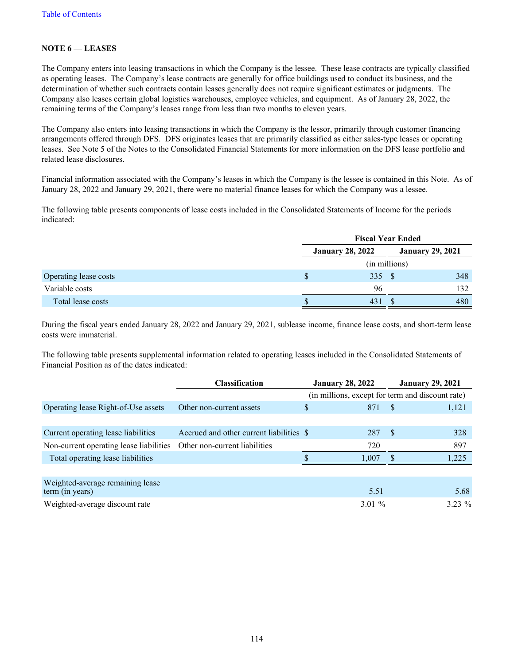## **NOTE 6 — LEASES**

The Company enters into leasing transactions in which the Company is the lessee. These lease contracts are typically classified as operating leases. The Company's lease contracts are generally for office buildings used to conduct its business, and the determination of whether such contracts contain leases generally does not require significant estimates or judgments. The Company also leases certain global logistics warehouses, employee vehicles, and equipment. As of January 28, 2022, the remaining terms of the Company's leases range from less than two months to eleven years.

The Company also enters into leasing transactions in which the Company is the lessor, primarily through customer financing arrangements offered through DFS. DFS originates leases that are primarily classified as either sales-type leases or operating leases. See Note 5 of the Notes to the Consolidated Financial Statements for more information on the DFS lease portfolio and related lease disclosures.

Financial information associated with the Company's leases in which the Company is the lessee is contained in this Note. As of January 28, 2022 and January 29, 2021, there were no material finance leases for which the Company was a lessee.

The following table presents components of lease costs included in the Consolidated Statements of Income for the periods indicated:

|                       |    | <b>Fiscal Year Ended</b> |                         |  |  |
|-----------------------|----|--------------------------|-------------------------|--|--|
|                       |    | <b>January 28, 2022</b>  | <b>January 29, 2021</b> |  |  |
|                       |    | (in millions)            |                         |  |  |
| Operating lease costs | S. | 335 \$                   | 348                     |  |  |
| Variable costs        |    | 96                       | 132                     |  |  |
| Total lease costs     |    | 431                      | 480                     |  |  |

During the fiscal years ended January 28, 2022 and January 29, 2021, sublease income, finance lease costs, and short-term lease costs were immaterial.

The following table presents supplemental information related to operating leases included in the Consolidated Statements of Financial Position as of the dates indicated:

|                                                     | <b>Classification</b>                    | <b>January 28, 2022</b> | <b>January 29, 2021</b>                          |
|-----------------------------------------------------|------------------------------------------|-------------------------|--------------------------------------------------|
|                                                     |                                          |                         | (in millions, except for term and discount rate) |
| Operating lease Right-of-Use assets                 | Other non-current assets                 | \$<br>871               | 1,121<br><sup>S</sup>                            |
|                                                     |                                          |                         |                                                  |
| Current operating lease liabilities                 | Accrued and other current liabilities \$ | 287                     | - \$<br>328                                      |
| Non-current operating lease liabilities             | Other non-current liabilities            | 720                     | 897                                              |
| Total operating lease liabilities                   |                                          | 1.007                   | 1.225                                            |
|                                                     |                                          |                         |                                                  |
| Weighted-average remaining lease<br>term (in years) |                                          | 5.51                    | 5.68                                             |
| Weighted-average discount rate                      |                                          | $3.01\%$                | $3.23 \%$                                        |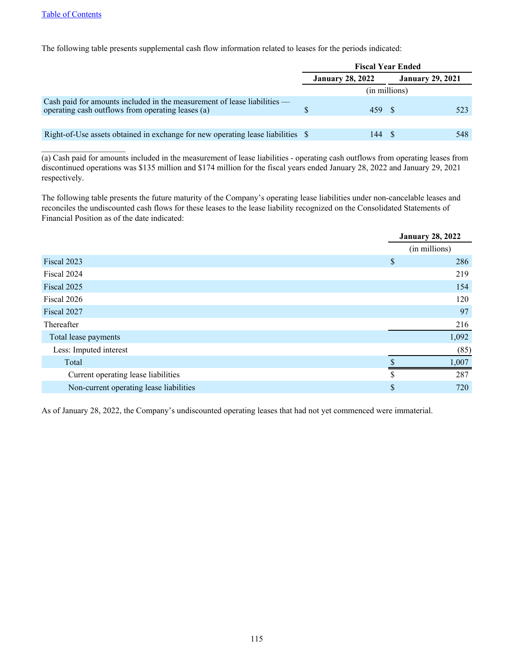$\mathcal{L}_\text{max}$  , where  $\mathcal{L}_\text{max}$  , we have the set of  $\mathcal{L}_\text{max}$ 

The following table presents supplemental cash flow information related to leases for the periods indicated:

|                                                                                                                               | <b>Fiscal Year Ended</b> |       |                         |     |  |
|-------------------------------------------------------------------------------------------------------------------------------|--------------------------|-------|-------------------------|-----|--|
|                                                                                                                               | <b>January 28, 2022</b>  |       | <b>January 29, 2021</b> |     |  |
|                                                                                                                               |                          |       | (in millions)           |     |  |
| Cash paid for amounts included in the measurement of lease liabilities —<br>operating cash outflows from operating leases (a) |                          | 459 S |                         | 523 |  |
|                                                                                                                               |                          |       |                         |     |  |
| Right-of-Use assets obtained in exchange for new operating lease liabilities \$                                               |                          | 144.  |                         | 548 |  |

(a) Cash paid for amounts included in the measurement of lease liabilities - operating cash outflows from operating leases from discontinued operations was \$135 million and \$174 million for the fiscal years ended January 28, 2022 and January 29, 2021 respectively.

The following table presents the future maturity of the Company's operating lease liabilities under non-cancelable leases and reconciles the undiscounted cash flows for these leases to the lease liability recognized on the Consolidated Statements of Financial Position as of the date indicated:

|                                         |    | <b>January 28, 2022</b> |
|-----------------------------------------|----|-------------------------|
|                                         |    | (in millions)           |
| Fiscal 2023                             | \$ | 286                     |
| Fiscal 2024                             |    | 219                     |
| Fiscal 2025                             |    | 154                     |
| Fiscal 2026                             |    | 120                     |
| Fiscal 2027                             |    | 97                      |
| Thereafter                              |    | 216                     |
| Total lease payments                    |    | 1,092                   |
| Less: Imputed interest                  |    | (85)                    |
| Total                                   |    | 1,007                   |
| Current operating lease liabilities     | -S | 287                     |
| Non-current operating lease liabilities | \$ | 720                     |

As of January 28, 2022, the Company's undiscounted operating leases that had not yet commenced were immaterial.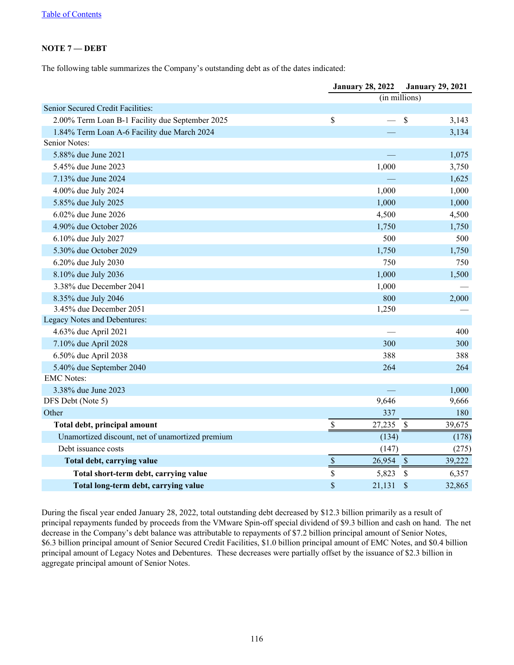### **NOTE 7 — DEBT**

The following table summarizes the Company's outstanding debt as of the dates indicated:

|                                                  |                           | <b>January 28, 2022</b> |                           | <b>January 29, 2021</b> |
|--------------------------------------------------|---------------------------|-------------------------|---------------------------|-------------------------|
|                                                  |                           | $(in$ millions)         |                           |                         |
| Senior Secured Credit Facilities:                |                           |                         |                           |                         |
| 2.00% Term Loan B-1 Facility due September 2025  | \$                        | $\frac{1}{1}$           | $\mathcal{S}$             | 3,143                   |
| 1.84% Term Loan A-6 Facility due March 2024      |                           |                         |                           | 3,134                   |
| Senior Notes:                                    |                           |                         |                           |                         |
| 5.88% due June 2021                              |                           |                         |                           | 1,075                   |
| 5.45% due June 2023                              |                           | 1,000                   |                           | 3,750                   |
| 7.13% due June 2024                              |                           |                         |                           | 1,625                   |
| 4.00% due July 2024                              |                           | 1,000                   |                           | 1,000                   |
| 5.85% due July 2025                              |                           | 1,000                   |                           | 1,000                   |
| 6.02% due June 2026                              |                           | 4,500                   |                           | 4,500                   |
| 4.90% due October 2026                           |                           | 1,750                   |                           | 1,750                   |
| 6.10% due July 2027                              |                           | 500                     |                           | 500                     |
| 5.30% due October 2029                           |                           | 1,750                   |                           | 1,750                   |
| 6.20% due July 2030                              |                           | 750                     |                           | 750                     |
| 8.10% due July 2036                              |                           | 1,000                   |                           | 1,500                   |
| 3.38% due December 2041                          |                           | 1,000                   |                           |                         |
| 8.35% due July 2046                              |                           | 800                     |                           | 2,000                   |
| 3.45% due December 2051                          |                           | 1,250                   |                           |                         |
| Legacy Notes and Debentures:                     |                           |                         |                           |                         |
| 4.63% due April 2021                             |                           |                         |                           | 400                     |
| 7.10% due April 2028                             |                           | 300                     |                           | 300                     |
| 6.50% due April 2038                             |                           | 388                     |                           | 388                     |
| 5.40% due September 2040                         |                           | 264                     |                           | 264                     |
| <b>EMC</b> Notes:                                |                           |                         |                           |                         |
| 3.38% due June 2023                              |                           |                         |                           | 1,000                   |
| DFS Debt (Note 5)                                |                           | 9,646                   |                           | 9,666                   |
| Other                                            |                           | 337                     |                           | 180                     |
| Total debt, principal amount                     | $\boldsymbol{\mathsf{S}}$ | 27,235                  | $\mathcal{S}$             | 39,675                  |
| Unamortized discount, net of unamortized premium |                           | (134)                   |                           | (178)                   |
| Debt issuance costs                              |                           | (147)                   |                           | (275)                   |
| Total debt, carrying value                       | $\mathbb S$               | 26,954                  | $\sqrt{S}$                | 39,222                  |
| Total short-term debt, carrying value            | \$                        | 5,823                   | $\boldsymbol{\mathsf{S}}$ | 6,357                   |
| Total long-term debt, carrying value             | \$                        | 21,131                  | $\mathcal{S}$             | 32,865                  |

During the fiscal year ended January 28, 2022, total outstanding debt decreased by \$12.3 billion primarily as a result of principal repayments funded by proceeds from the VMware Spin-off special dividend of \$9.3 billion and cash on hand. The net decrease in the Company's debt balance was attributable to repayments of \$7.2 billion principal amount of Senior Notes, \$6.3 billion principal amount of Senior Secured Credit Facilities, \$1.0 billion principal amount of EMC Notes, and \$0.4 billion principal amount of Legacy Notes and Debentures. These decreases were partially offset by the issuance of \$2.3 billion in aggregate principal amount of Senior Notes.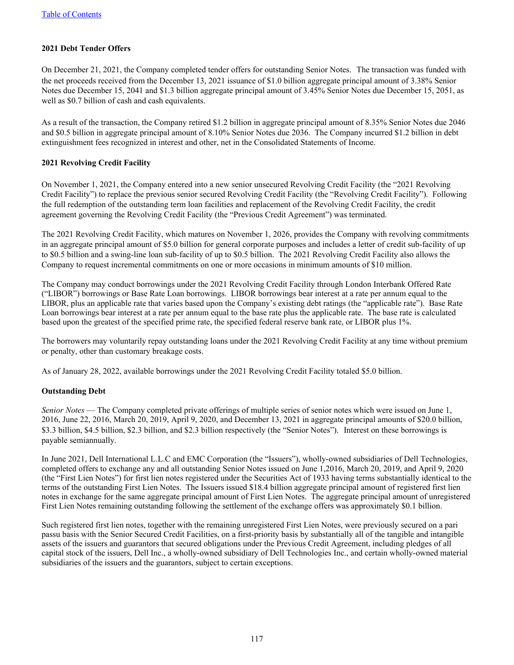### **2021 Debt Tender Offers**

On December 21, 2021, the Company completed tender offers for outstanding Senior Notes. The transaction was funded with the net proceeds received from the December 13, 2021 issuance of \$1.0 billion aggregate principal amount of 3.38% Senior Notes due December 15, 2041 and \$1.3 billion aggregate principal amount of 3.45% Senior Notes due December 15, 2051, as well as \$0.7 billion of cash and cash equivalents.

As a result of the transaction, the Company retired \$1.2 billion in aggregate principal amount of 8.35% Senior Notes due 2046 and \$0.5 billion in aggregate principal amount of 8.10% Senior Notes due 2036. The Company incurred \$1.2 billion in debt extinguishment fees recognized in interest and other, net in the Consolidated Statements of Income.

#### **2021 Revolving Credit Facility**

On November 1, 2021, the Company entered into a new senior unsecured Revolving Credit Facility (the "2021 Revolving Credit Facility") to replace the previous senior secured Revolving Credit Facility (the "Revolving Credit Facility"). Following the full redemption of the outstanding term loan facilities and replacement of the Revolving Credit Facility, the credit agreement governing the Revolving Credit Facility (the "Previous Credit Agreement") was terminated.

The 2021 Revolving Credit Facility, which matures on November 1, 2026, provides the Company with revolving commitments in an aggregate principal amount of \$5.0 billion for general corporate purposes and includes a letter of credit sub-facility of up to \$0.5 billion and a swing-line loan sub-facility of up to \$0.5 billion. The 2021 Revolving Credit Facility also allows the Company to request incremental commitments on one or more occasions in minimum amounts of \$10 million.

The Company may conduct borrowings under the 2021 Revolving Credit Facility through London Interbank Offered Rate ("LIBOR") borrowings or Base Rate Loan borrowings. LIBOR borrowings bear interest at a rate per annum equal to the LIBOR, plus an applicable rate that varies based upon the Company's existing debt ratings (the "applicable rate"). Base Rate Loan borrowings bear interest at a rate per annum equal to the base rate plus the applicable rate. The base rate is calculated based upon the greatest of the specified prime rate, the specified federal reserve bank rate, or LIBOR plus 1%.

The borrowers may voluntarily repay outstanding loans under the 2021 Revolving Credit Facility at any time without premium or penalty, other than customary breakage costs.

As of January 28, 2022, available borrowings under the 2021 Revolving Credit Facility totaled \$5.0 billion.

### **Outstanding Debt**

*Senior Notes* — The Company completed private offerings of multiple series of senior notes which were issued on June 1, 2016, June 22, 2016, March 20, 2019, April 9, 2020, and December 13, 2021 in aggregate principal amounts of \$20.0 billion, \$3.3 billion, \$4.5 billion, \$2.3 billion, and \$2.3 billion respectively (the "Senior Notes"). Interest on these borrowings is payable semiannually.

In June 2021, Dell International L.L.C and EMC Corporation (the "Issuers"), wholly-owned subsidiaries of Dell Technologies, completed offers to exchange any and all outstanding Senior Notes issued on June 1,2016, March 20, 2019, and April 9, 2020 (the "First Lien Notes") for first lien notes registered under the Securities Act of 1933 having terms substantially identical to the terms of the outstanding First Lien Notes. The Issuers issued \$18.4 billion aggregate principal amount of registered first lien notes in exchange for the same aggregate principal amount of First Lien Notes. The aggregate principal amount of unregistered First Lien Notes remaining outstanding following the settlement of the exchange offers was approximately \$0.1 billion.

Such registered first lien notes, together with the remaining unregistered First Lien Notes, were previously secured on a pari passu basis with the Senior Secured Credit Facilities, on a first-priority basis by substantially all of the tangible and intangible assets of the issuers and guarantors that secured obligations under the Previous Credit Agreement, including pledges of all capital stock of the issuers, Dell Inc., a wholly-owned subsidiary of Dell Technologies Inc., and certain wholly-owned material subsidiaries of the issuers and the guarantors, subject to certain exceptions.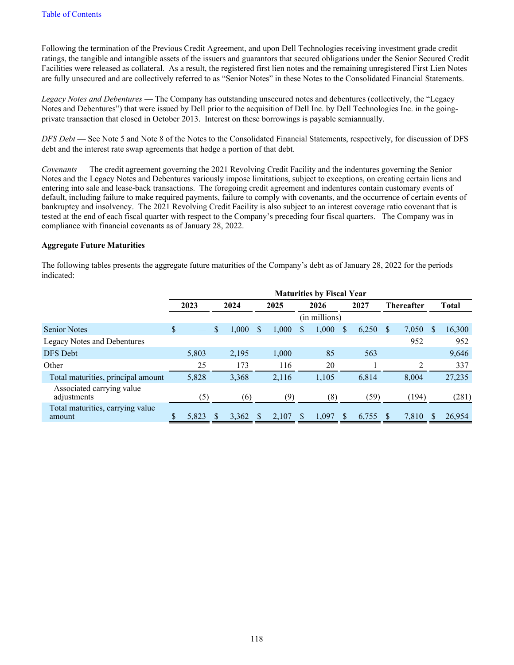Following the termination of the Previous Credit Agreement, and upon Dell Technologies receiving investment grade credit ratings, the tangible and intangible assets of the issuers and guarantors that secured obligations under the Senior Secured Credit Facilities were released as collateral. As a result, the registered first lien notes and the remaining unregistered First Lien Notes are fully unsecured and are collectively referred to as "Senior Notes" in these Notes to the Consolidated Financial Statements.

*Legacy Notes and Debentures* — The Company has outstanding unsecured notes and debentures (collectively, the "Legacy Notes and Debentures") that were issued by Dell prior to the acquisition of Dell Inc. by Dell Technologies Inc. in the goingprivate transaction that closed in October 2013. Interest on these borrowings is payable semiannually.

*DFS Debt* — See Note 5 and Note 8 of the Notes to the Consolidated Financial Statements, respectively, for discussion of DFS debt and the interest rate swap agreements that hedge a portion of that debt.

*Covenants* — The credit agreement governing the 2021 Revolving Credit Facility and the indentures governing the Senior Notes and the Legacy Notes and Debentures variously impose limitations, subject to exceptions, on creating certain liens and entering into sale and lease-back transactions. The foregoing credit agreement and indentures contain customary events of default, including failure to make required payments, failure to comply with covenants, and the occurrence of certain events of bankruptcy and insolvency. The 2021 Revolving Credit Facility is also subject to an interest coverage ratio covenant that is tested at the end of each fiscal quarter with respect to the Company's preceding four fiscal quarters. The Company was in compliance with financial covenants as of January 28, 2022.

### **Aggregate Future Maturities**

The following tables presents the aggregate future maturities of the Company's debt as of January 28, 2022 for the periods indicated:

|                                            | <b>Maturities by Fiscal Year</b> |      |       |      |       |    |                  |   |       |                   |       |   |              |  |
|--------------------------------------------|----------------------------------|------|-------|------|-------|----|------------------|---|-------|-------------------|-------|---|--------------|--|
|                                            | 2023                             | 2024 |       | 2025 |       |    | 2026             |   | 2027  | <b>Thereafter</b> |       |   | <b>Total</b> |  |
|                                            |                                  |      |       |      |       |    | (in millions)    |   |       |                   |       |   |              |  |
| <b>Senior Notes</b>                        | \$                               | \$   | 1,000 | \$.  | 1,000 | S. | 1,000            | S | 6,250 | <sup>\$</sup>     | 7,050 | S | 16,300       |  |
| <b>Legacy Notes and Debentures</b>         |                                  |      |       |      |       |    |                  |   |       |                   | 952   |   | 952          |  |
| DFS Debt                                   | 5,803                            |      | 2,195 |      | 1,000 |    | 85               |   | 563   |                   |       |   | 9,646        |  |
| Other                                      | 25                               |      | 173   |      | 116   |    | 20               |   |       |                   | 2     |   | 337          |  |
| Total maturities, principal amount         | 5,828                            |      | 3,368 |      | 2,116 |    | 1,105            |   | 6,814 |                   | 8.004 |   | 27,235       |  |
| Associated carrying value<br>adjustments   | (5)                              |      | (6)   |      | (9)   |    | $\left(8\right)$ |   | (59)  |                   | (194) |   | (281)        |  |
| Total maturities, carrying value<br>amount | 5,823                            |      | 3,362 |      | 2,107 |    | 1,097            |   | 6,755 |                   | 7,810 |   | 26,954       |  |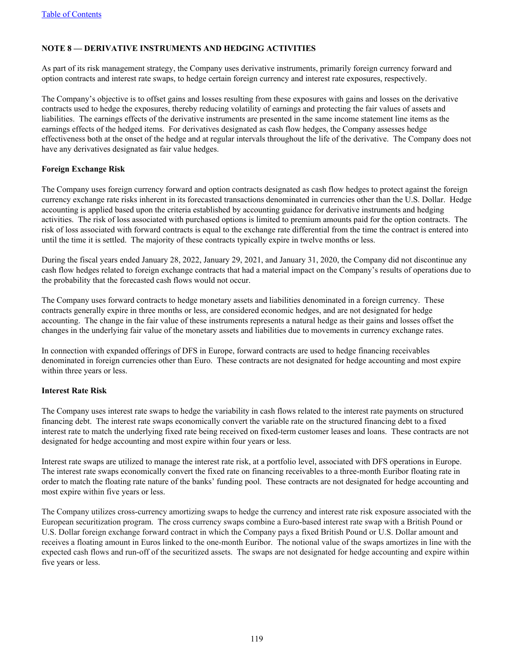## **NOTE 8 — DERIVATIVE INSTRUMENTS AND HEDGING ACTIVITIES**

As part of its risk management strategy, the Company uses derivative instruments, primarily foreign currency forward and option contracts and interest rate swaps, to hedge certain foreign currency and interest rate exposures, respectively.

The Company's objective is to offset gains and losses resulting from these exposures with gains and losses on the derivative contracts used to hedge the exposures, thereby reducing volatility of earnings and protecting the fair values of assets and liabilities. The earnings effects of the derivative instruments are presented in the same income statement line items as the earnings effects of the hedged items. For derivatives designated as cash flow hedges, the Company assesses hedge effectiveness both at the onset of the hedge and at regular intervals throughout the life of the derivative. The Company does not have any derivatives designated as fair value hedges.

### **Foreign Exchange Risk**

The Company uses foreign currency forward and option contracts designated as cash flow hedges to protect against the foreign currency exchange rate risks inherent in its forecasted transactions denominated in currencies other than the U.S. Dollar. Hedge accounting is applied based upon the criteria established by accounting guidance for derivative instruments and hedging activities. The risk of loss associated with purchased options is limited to premium amounts paid for the option contracts. The risk of loss associated with forward contracts is equal to the exchange rate differential from the time the contract is entered into until the time it is settled. The majority of these contracts typically expire in twelve months or less.

During the fiscal years ended January 28, 2022, January 29, 2021, and January 31, 2020, the Company did not discontinue any cash flow hedges related to foreign exchange contracts that had a material impact on the Company's results of operations due to the probability that the forecasted cash flows would not occur.

The Company uses forward contracts to hedge monetary assets and liabilities denominated in a foreign currency. These contracts generally expire in three months or less, are considered economic hedges, and are not designated for hedge accounting. The change in the fair value of these instruments represents a natural hedge as their gains and losses offset the changes in the underlying fair value of the monetary assets and liabilities due to movements in currency exchange rates.

In connection with expanded offerings of DFS in Europe, forward contracts are used to hedge financing receivables denominated in foreign currencies other than Euro. These contracts are not designated for hedge accounting and most expire within three years or less.

### **Interest Rate Risk**

The Company uses interest rate swaps to hedge the variability in cash flows related to the interest rate payments on structured financing debt. The interest rate swaps economically convert the variable rate on the structured financing debt to a fixed interest rate to match the underlying fixed rate being received on fixed-term customer leases and loans. These contracts are not designated for hedge accounting and most expire within four years or less.

Interest rate swaps are utilized to manage the interest rate risk, at a portfolio level, associated with DFS operations in Europe. The interest rate swaps economically convert the fixed rate on financing receivables to a three-month Euribor floating rate in order to match the floating rate nature of the banks' funding pool. These contracts are not designated for hedge accounting and most expire within five years or less.

The Company utilizes cross-currency amortizing swaps to hedge the currency and interest rate risk exposure associated with the European securitization program. The cross currency swaps combine a Euro-based interest rate swap with a British Pound or U.S. Dollar foreign exchange forward contract in which the Company pays a fixed British Pound or U.S. Dollar amount and receives a floating amount in Euros linked to the one-month Euribor. The notional value of the swaps amortizes in line with the expected cash flows and run-off of the securitized assets. The swaps are not designated for hedge accounting and expire within five years or less.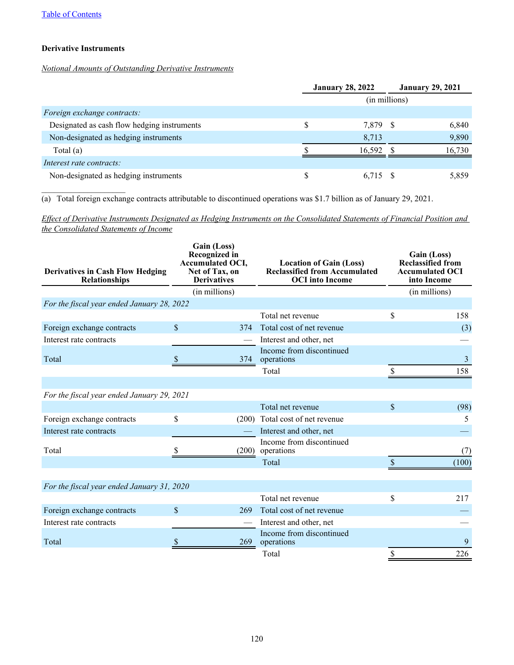## **Derivative Instruments**

 $\mathcal{L}_\text{max}$  , where  $\mathcal{L}_\text{max}$  , we have the set of  $\mathcal{L}_\text{max}$ 

# *Notional Amounts of Outstanding Derivative Instruments*

|                                             |   | <b>January 28, 2022</b> |  | <b>January 29, 2021</b> |  |  |  |  |  |
|---------------------------------------------|---|-------------------------|--|-------------------------|--|--|--|--|--|
|                                             |   | (in millions)           |  |                         |  |  |  |  |  |
| Foreign exchange contracts:                 |   |                         |  |                         |  |  |  |  |  |
| Designated as cash flow hedging instruments | S | 7,879 \$                |  | 6,840                   |  |  |  |  |  |
| Non-designated as hedging instruments       |   | 8,713                   |  | 9,890                   |  |  |  |  |  |
| Total $(a)$                                 |   | 16.592                  |  | 16.730                  |  |  |  |  |  |
| Interest rate contracts:                    |   |                         |  |                         |  |  |  |  |  |
| Non-designated as hedging instruments       | S | 6.715 \$                |  | 5,859                   |  |  |  |  |  |

(a) Total foreign exchange contracts attributable to discontinued operations was \$1.7 billion as of January 29, 2021.

*Effect of Derivative Instruments Designated as Hedging Instruments on the Consolidated Statements of Financial Position and the Consolidated Statements of Income*

| <b>Derivatives in Cash Flow Hedging</b><br>Relationships | Gain (Loss)<br><b>Recognized in</b><br><b>Accumulated OCI,</b><br>Net of Tax, on<br><b>Derivatives</b> | <b>Location of Gain (Loss)</b><br><b>Reclassified from Accumulated</b><br><b>OCI</b> into Income | Gain (Loss)<br><b>Reclassified from</b><br><b>Accumulated OCI</b><br>into Income |                |  |  |  |
|----------------------------------------------------------|--------------------------------------------------------------------------------------------------------|--------------------------------------------------------------------------------------------------|----------------------------------------------------------------------------------|----------------|--|--|--|
| (in millions)                                            |                                                                                                        |                                                                                                  |                                                                                  | (in millions)  |  |  |  |
| For the fiscal year ended January 28, 2022               |                                                                                                        |                                                                                                  |                                                                                  |                |  |  |  |
|                                                          |                                                                                                        | Total net revenue                                                                                | \$                                                                               | 158            |  |  |  |
| Foreign exchange contracts                               | $\mathsf{\$}$<br>374                                                                                   | Total cost of net revenue                                                                        |                                                                                  | (3)            |  |  |  |
| Interest rate contracts                                  |                                                                                                        | Interest and other, net                                                                          |                                                                                  |                |  |  |  |
| Total                                                    | 374                                                                                                    | Income from discontinued<br>operations                                                           |                                                                                  | $\overline{3}$ |  |  |  |
|                                                          |                                                                                                        | Total                                                                                            |                                                                                  | 158            |  |  |  |
|                                                          |                                                                                                        |                                                                                                  |                                                                                  |                |  |  |  |
| For the fiscal year ended January 29, 2021               |                                                                                                        |                                                                                                  |                                                                                  |                |  |  |  |
|                                                          |                                                                                                        | Total net revenue                                                                                | $\mathsf{\$}$                                                                    | (98)           |  |  |  |
| Foreign exchange contracts                               | \$<br>(200)                                                                                            | Total cost of net revenue                                                                        |                                                                                  | 5              |  |  |  |
| Interest rate contracts                                  |                                                                                                        | Interest and other, net                                                                          |                                                                                  |                |  |  |  |
| Total                                                    | (200)                                                                                                  | Income from discontinued<br>operations                                                           |                                                                                  | (7)            |  |  |  |
|                                                          |                                                                                                        | Total                                                                                            |                                                                                  | (100)          |  |  |  |
|                                                          |                                                                                                        |                                                                                                  |                                                                                  |                |  |  |  |
| For the fiscal year ended January 31, 2020               |                                                                                                        |                                                                                                  |                                                                                  |                |  |  |  |
|                                                          |                                                                                                        | Total net revenue                                                                                | \$                                                                               | 217            |  |  |  |
| Foreign exchange contracts                               | $\mathsf{\$}$<br>269                                                                                   | Total cost of net revenue                                                                        |                                                                                  |                |  |  |  |
| Interest rate contracts                                  |                                                                                                        | Interest and other, net                                                                          |                                                                                  |                |  |  |  |
| Total                                                    | 269                                                                                                    | Income from discontinued<br>operations                                                           |                                                                                  | 9              |  |  |  |
|                                                          |                                                                                                        | Total                                                                                            | \$                                                                               | 226            |  |  |  |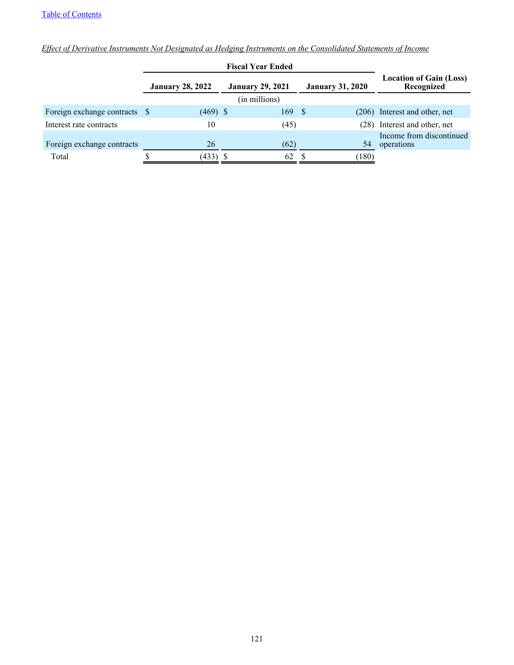|                               |                         | <b>Fiscal Year Ended</b> |                         |                                              |
|-------------------------------|-------------------------|--------------------------|-------------------------|----------------------------------------------|
|                               | <b>January 28, 2022</b> | <b>January 29, 2021</b>  | <b>January 31, 2020</b> | <b>Location of Gain (Loss)</b><br>Recognized |
|                               |                         | (in millions)            |                         |                                              |
| Foreign exchange contracts \$ | $(469)$ \$              | 169                      | - S<br>(206)            | Interest and other, net                      |
| Interest rate contracts       | 10                      | (45)                     | (28)                    | Interest and other, net                      |
| Foreign exchange contracts    | 26                      | (62)                     | 54                      | Income from discontinued<br>operations       |
| Total                         | (433) \$                | 62                       | 180)                    |                                              |

*Effect of Derivative Instruments Not Designated as Hedging Instruments on the Consolidated Statements of Income*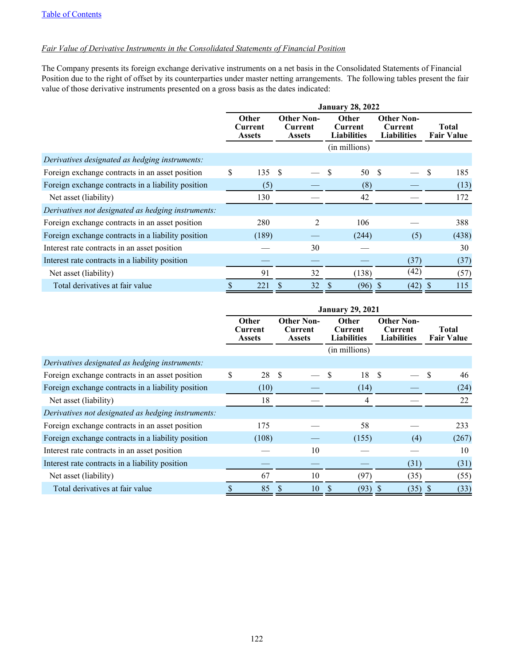## *Fair Value of Derivative Instruments in the Consolidated Statements of Financial Position*

The Company presents its foreign exchange derivative instruments on a net basis in the Consolidated Statements of Financial Position due to the right of offset by its counterparties under master netting arrangements. The following tables present the fair value of those derivative instruments presented on a gross basis as the dates indicated:

|                                                    | <b>January 28, 2022</b>                  |       |                                               |                |                                               |               |                                                           |      |  |                                   |
|----------------------------------------------------|------------------------------------------|-------|-----------------------------------------------|----------------|-----------------------------------------------|---------------|-----------------------------------------------------------|------|--|-----------------------------------|
|                                                    | <b>Other</b><br>Current<br><b>Assets</b> |       | <b>Other Non-</b><br>Current<br><b>Assets</b> |                | <b>Other</b><br>Current<br><b>Liabilities</b> |               | <b>Other Non-</b><br><b>Current</b><br><b>Liabilities</b> |      |  | <b>Total</b><br><b>Fair Value</b> |
|                                                    |                                          |       |                                               |                |                                               | (in millions) |                                                           |      |  |                                   |
| Derivatives designated as hedging instruments:     |                                          |       |                                               |                |                                               |               |                                                           |      |  |                                   |
| Foreign exchange contracts in an asset position    | \$                                       | 135   | -\$                                           |                | \$                                            | 50            | -S                                                        |      |  | 185                               |
| Foreign exchange contracts in a liability position |                                          | (5)   |                                               |                |                                               | (8)           |                                                           |      |  | (13)                              |
| Net asset (liability)                              |                                          | 130   |                                               |                |                                               | 42            |                                                           |      |  | 172                               |
| Derivatives not designated as hedging instruments: |                                          |       |                                               |                |                                               |               |                                                           |      |  |                                   |
| Foreign exchange contracts in an asset position    |                                          | 280   |                                               | $\mathfrak{D}$ |                                               | 106           |                                                           |      |  | 388                               |
| Foreign exchange contracts in a liability position |                                          | (189) |                                               |                |                                               | (244)         |                                                           | (5)  |  | (438)                             |
| Interest rate contracts in an asset position       |                                          |       |                                               | 30             |                                               |               |                                                           |      |  | 30                                |
| Interest rate contracts in a liability position    |                                          |       |                                               |                |                                               |               |                                                           | (37) |  | (37)                              |
| Net asset (liability)                              |                                          | 91    |                                               | 32             |                                               | (138)         |                                                           | (42) |  | (57)                              |
| Total derivatives at fair value                    |                                          | 221   |                                               | 32             |                                               | (96)          |                                                           | (42) |  | 115                               |

|                                                    | <b>January 29, 2021</b>                  |       |                                               |    |                                                                |       |                                                    |      |              |                                   |
|----------------------------------------------------|------------------------------------------|-------|-----------------------------------------------|----|----------------------------------------------------------------|-------|----------------------------------------------------|------|--------------|-----------------------------------|
|                                                    | <b>Other</b><br>Current<br><b>Assets</b> |       | <b>Other Non-</b><br>Current<br><b>Assets</b> |    | <b>Other</b><br>Current<br><b>Liabilities</b><br>(in millions) |       | <b>Other Non-</b><br>Current<br><b>Liabilities</b> |      |              | <b>Total</b><br><b>Fair Value</b> |
| Derivatives designated as hedging instruments:     |                                          |       |                                               |    |                                                                |       |                                                    |      |              |                                   |
| Foreign exchange contracts in an asset position    | \$                                       | 28    | S                                             |    | \$                                                             | 18    | \$                                                 |      |              | 46                                |
| Foreign exchange contracts in a liability position |                                          | (10)  |                                               |    |                                                                | (14)  |                                                    |      |              | (24)                              |
| Net asset (liability)                              |                                          | 18    |                                               |    |                                                                | 4     |                                                    |      |              | 22                                |
| Derivatives not designated as hedging instruments: |                                          |       |                                               |    |                                                                |       |                                                    |      |              |                                   |
| Foreign exchange contracts in an asset position    |                                          | 175   |                                               |    |                                                                | 58    |                                                    |      |              | 233                               |
| Foreign exchange contracts in a liability position |                                          | (108) |                                               |    |                                                                | (155) |                                                    | (4)  |              | (267)                             |
| Interest rate contracts in an asset position       |                                          |       |                                               | 10 |                                                                |       |                                                    |      |              | 10                                |
| Interest rate contracts in a liability position    |                                          |       |                                               |    |                                                                |       |                                                    | (31) |              | (31)                              |
| Net asset (liability)                              |                                          | 67    |                                               | 10 |                                                                | (97)  |                                                    | (35) |              | (55)                              |
| Total derivatives at fair value                    |                                          | 85    |                                               | 10 |                                                                | (93)  |                                                    | (35) | <sup>8</sup> | (33)                              |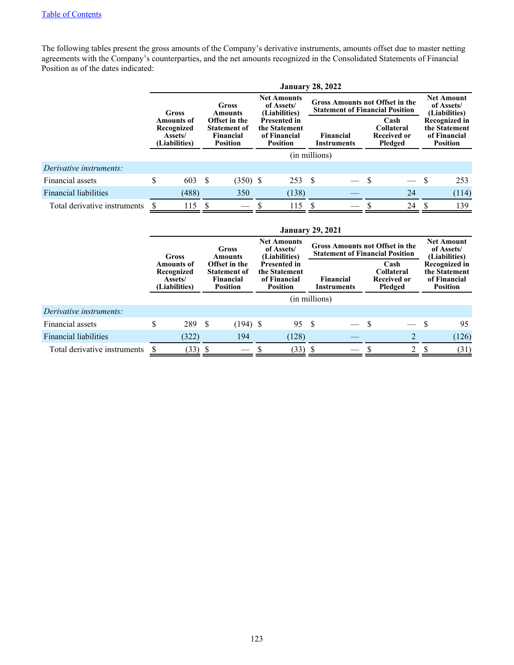The following tables present the gross amounts of the Company's derivative instruments, amounts offset due to master netting agreements with the Company's counterparties, and the net amounts recognized in the Consolidated Statements of Financial Position as of the dates indicated:

|                              |                           |                                                             |      |                                                                             | <b>January 28, 2022</b>                                                 |                          |                                                                                  |                                                            |                                                  |          |                                                                   |
|------------------------------|---------------------------|-------------------------------------------------------------|------|-----------------------------------------------------------------------------|-------------------------------------------------------------------------|--------------------------|----------------------------------------------------------------------------------|------------------------------------------------------------|--------------------------------------------------|----------|-------------------------------------------------------------------|
|                              | Gross<br>Gross<br>Amounts |                                                             |      |                                                                             | <b>Net Amounts</b><br>of Assets/<br>(Liabilities)                       |                          | <b>Gross Amounts not Offset in the</b><br><b>Statement of Financial Position</b> |                                                            | <b>Net Amount</b><br>of Assets/<br>(Liabilities) |          |                                                                   |
|                              |                           | <b>Amounts of</b><br>Recognized<br>Assets/<br>(Liabilities) |      | Offset in the<br><b>Statement of</b><br><b>Financial</b><br><b>Position</b> | <b>Presented in</b><br>the Statement<br>of Financial<br><b>Position</b> | Financial<br>Instruments |                                                                                  | Cash<br><b>Collateral</b><br><b>Received or</b><br>Pledged |                                                  |          | Recognized in<br>the Statement<br>of Financial<br><b>Position</b> |
|                              |                           |                                                             |      |                                                                             |                                                                         |                          | (in millions)                                                                    |                                                            |                                                  |          |                                                                   |
| Derivative instruments:      |                           |                                                             |      |                                                                             |                                                                         |                          |                                                                                  |                                                            |                                                  |          |                                                                   |
| Financial assets             | \$                        | 603                                                         | - \$ | $(350)$ \$                                                                  | 253S                                                                    |                          |                                                                                  |                                                            |                                                  | <b>S</b> | 253                                                               |
| <b>Financial liabilities</b> |                           | (488)                                                       |      | 350                                                                         | (138)                                                                   |                          |                                                                                  |                                                            | 24                                               |          | (114)                                                             |
| Total derivative instruments |                           | 115                                                         |      |                                                                             | 115                                                                     |                          |                                                                                  |                                                            | 24                                               |          | 139                                                               |

|                              | <b>January 29, 2021</b>                                                                                                                                            |  |                                                      |  |                     |               |  |  |                                                                         |   |                                                  |  |                                                            |  |                                                                          |
|------------------------------|--------------------------------------------------------------------------------------------------------------------------------------------------------------------|--|------------------------------------------------------|--|---------------------|---------------|--|--|-------------------------------------------------------------------------|---|--------------------------------------------------|--|------------------------------------------------------------|--|--------------------------------------------------------------------------|
|                              | <b>Net Amounts</b><br><b>Gross Amounts not Offset in the</b><br>of Assets/<br>Gross<br><b>Statement of Financial Position</b><br>(Liabilities)<br>Gross<br>Amounts |  |                                                      |  |                     |               |  |  |                                                                         |   | <b>Net Amount</b><br>of Assets/<br>(Liabilities) |  |                                                            |  |                                                                          |
|                              | <b>Amounts of</b><br>Recognized<br>Assets/<br>(Liabilities)                                                                                                        |  | Offset in the<br><b>Financial</b><br><b>Position</b> |  | <b>Statement of</b> |               |  |  | <b>Presented in</b><br>the Statement<br>of Financial<br><b>Position</b> |   | Financial<br><b>Instruments</b>                  |  | Cash<br><b>Collateral</b><br><b>Received or</b><br>Pledged |  | <b>Recognized in</b><br>the Statement<br>of Financial<br><b>Position</b> |
|                              |                                                                                                                                                                    |  |                                                      |  |                     | (in millions) |  |  |                                                                         |   |                                                  |  |                                                            |  |                                                                          |
| Derivative instruments:      |                                                                                                                                                                    |  |                                                      |  |                     |               |  |  |                                                                         |   |                                                  |  |                                                            |  |                                                                          |
| Financial assets             | \$<br>289 \$                                                                                                                                                       |  | $(194)$ \$                                           |  | 95 S                |               |  |  |                                                                         | S | 95                                               |  |                                                            |  |                                                                          |
| <b>Financial liabilities</b> | (322)                                                                                                                                                              |  | 194                                                  |  | (128)               |               |  |  | $\overline{2}$                                                          |   | (126)                                            |  |                                                            |  |                                                                          |
| Total derivative instruments | (33)                                                                                                                                                               |  |                                                      |  | (33)                |               |  |  | 2                                                                       |   | (31)                                             |  |                                                            |  |                                                                          |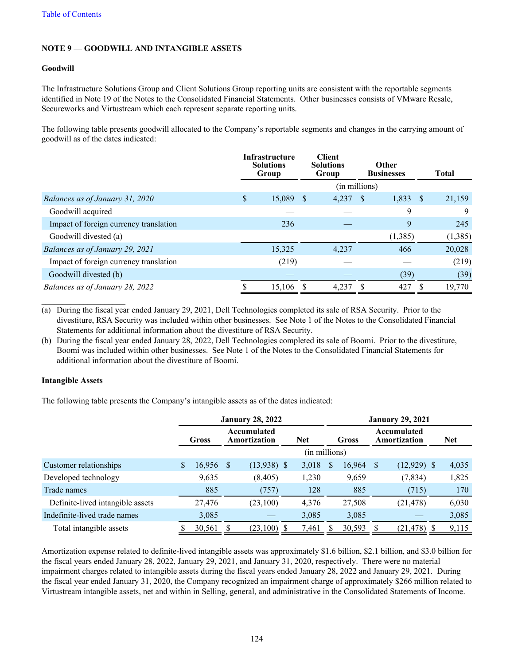## **NOTE 9 — GOODWILL AND INTANGIBLE ASSETS**

### **Goodwill**

The Infrastructure Solutions Group and Client Solutions Group reporting units are consistent with the reportable segments identified in Note 19 of the Notes to the Consolidated Financial Statements. Other businesses consists of VMware Resale, Secureworks and Virtustream which each represent separate reporting units.

The following table presents goodwill allocated to the Company's reportable segments and changes in the carrying amount of goodwill as of the dates indicated:

|                                        | Infrastructure<br><b>Solutions</b><br>Group |              | <b>Client</b><br><b>Solutions</b><br>Group |              | <b>Other</b><br><b>Businesses</b> |      | Total   |
|----------------------------------------|---------------------------------------------|--------------|--------------------------------------------|--------------|-----------------------------------|------|---------|
|                                        |                                             |              | (in millions)                              |              |                                   |      |         |
| Balances as of January 31, 2020        | \$<br>15,089                                | <sup>S</sup> | 4,237                                      | <sup>S</sup> | 1,833                             | - \$ | 21,159  |
| Goodwill acquired                      |                                             |              |                                            |              | 9                                 |      | 9       |
| Impact of foreign currency translation | 236                                         |              |                                            |              | 9                                 |      | 245     |
| Goodwill divested (a)                  |                                             |              |                                            |              | (1,385)                           |      | (1,385) |
| Balances as of January 29, 2021        | 15,325                                      |              | 4,237                                      |              | 466                               |      | 20,028  |
| Impact of foreign currency translation | (219)                                       |              |                                            |              |                                   |      | (219)   |
| Goodwill divested (b)                  |                                             |              |                                            |              | (39)                              |      | (39)    |
| Balances as of January 28, 2022        | 15,106                                      |              | 4,237                                      | S            | 427                               |      | 19,770  |

(a) During the fiscal year ended January 29, 2021, Dell Technologies completed its sale of RSA Security. Prior to the divestiture, RSA Security was included within other businesses. See Note 1 of the Notes to the Consolidated Financial Statements for additional information about the divestiture of RSA Security.

(b) During the fiscal year ended January 28, 2022, Dell Technologies completed its sale of Boomi. Prior to the divestiture, Boomi was included within other businesses. See Note 1 of the Notes to the Consolidated Financial Statements for additional information about the divestiture of Boomi.

### **Intangible Assets**

 $\mathcal{L}_\text{max}$  , where  $\mathcal{L}_\text{max}$  , we have the set of  $\mathcal{L}_\text{max}$ 

The following table presents the Company's intangible assets as of the dates indicated:

|                                  |              |      | <b>January 28, 2022</b>     |            |               | <b>January 29, 2021</b> |        |                             |               |  |            |  |
|----------------------------------|--------------|------|-----------------------------|------------|---------------|-------------------------|--------|-----------------------------|---------------|--|------------|--|
|                                  | <b>Gross</b> |      | Accumulated<br>Amortization | <b>Net</b> |               | Gross                   |        | Accumulated<br>Amortization |               |  | <b>Net</b> |  |
|                                  |              |      |                             |            | (in millions) |                         |        |                             |               |  |            |  |
| Customer relationships           | \$<br>16,956 | - \$ | $(13,938)$ \$               |            | 3,018         | S                       | 16,964 | - \$                        | $(12,929)$ \$ |  | 4,035      |  |
| Developed technology             | 9,635        |      | (8,405)                     |            | 1,230         |                         | 9,659  |                             | (7, 834)      |  | 1,825      |  |
| Trade names                      | 885          |      | (757)                       |            | 128           |                         | 885    |                             | (715)         |  | 170        |  |
| Definite-lived intangible assets | 27,476       |      | (23,100)                    |            | 4,376         |                         | 27,508 |                             | (21, 478)     |  | 6,030      |  |
| Indefinite-lived trade names     | 3,085        |      |                             |            | 3,085         |                         | 3,085  |                             |               |  | 3,085      |  |
| Total intangible assets          | 30,561       |      | (23,100)                    |            | 7,461         |                         | 30,593 |                             | (21, 478)     |  | 9,115      |  |

Amortization expense related to definite-lived intangible assets was approximately \$1.6 billion, \$2.1 billion, and \$3.0 billion for the fiscal years ended January 28, 2022, January 29, 2021, and January 31, 2020, respectively. There were no material impairment charges related to intangible assets during the fiscal years ended January 28, 2022 and January 29, 2021. During the fiscal year ended January 31, 2020, the Company recognized an impairment charge of approximately \$266 million related to Virtustream intangible assets, net and within in Selling, general, and administrative in the Consolidated Statements of Income.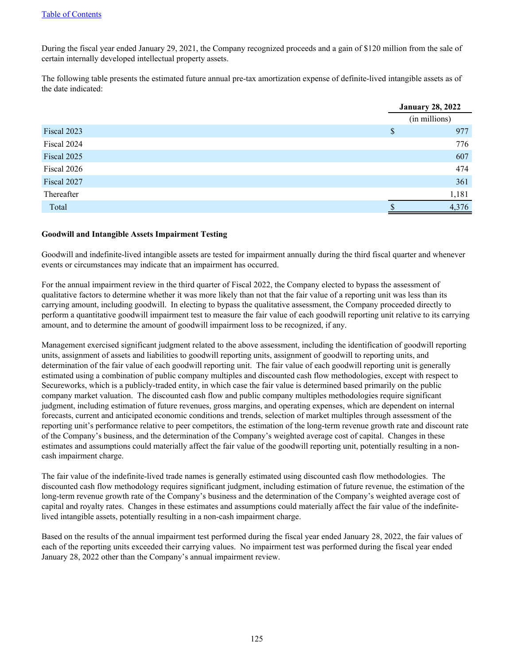During the fiscal year ended January 29, 2021, the Company recognized proceeds and a gain of \$120 million from the sale of certain internally developed intellectual property assets.

The following table presents the estimated future annual pre-tax amortization expense of definite-lived intangible assets as of the date indicated:

|             |    | <b>January 28, 2022</b> |
|-------------|----|-------------------------|
|             |    | (in millions)           |
| Fiscal 2023 | \$ | 977                     |
| Fiscal 2024 |    | 776                     |
| Fiscal 2025 |    | 607                     |
| Fiscal 2026 |    | 474                     |
| Fiscal 2027 |    | 361                     |
| Thereafter  |    | 1,181                   |
| Total       | ۰D | 4,376                   |

#### **Goodwill and Intangible Assets Impairment Testing**

Goodwill and indefinite-lived intangible assets are tested for impairment annually during the third fiscal quarter and whenever events or circumstances may indicate that an impairment has occurred.

For the annual impairment review in the third quarter of Fiscal 2022, the Company elected to bypass the assessment of qualitative factors to determine whether it was more likely than not that the fair value of a reporting unit was less than its carrying amount, including goodwill. In electing to bypass the qualitative assessment, the Company proceeded directly to perform a quantitative goodwill impairment test to measure the fair value of each goodwill reporting unit relative to its carrying amount, and to determine the amount of goodwill impairment loss to be recognized, if any.

Management exercised significant judgment related to the above assessment, including the identification of goodwill reporting units, assignment of assets and liabilities to goodwill reporting units, assignment of goodwill to reporting units, and determination of the fair value of each goodwill reporting unit. The fair value of each goodwill reporting unit is generally estimated using a combination of public company multiples and discounted cash flow methodologies, except with respect to Secureworks, which is a publicly-traded entity, in which case the fair value is determined based primarily on the public company market valuation. The discounted cash flow and public company multiples methodologies require significant judgment, including estimation of future revenues, gross margins, and operating expenses, which are dependent on internal forecasts, current and anticipated economic conditions and trends, selection of market multiples through assessment of the reporting unit's performance relative to peer competitors, the estimation of the long-term revenue growth rate and discount rate of the Company's business, and the determination of the Company's weighted average cost of capital. Changes in these estimates and assumptions could materially affect the fair value of the goodwill reporting unit, potentially resulting in a noncash impairment charge.

The fair value of the indefinite-lived trade names is generally estimated using discounted cash flow methodologies. The discounted cash flow methodology requires significant judgment, including estimation of future revenue, the estimation of the long-term revenue growth rate of the Company's business and the determination of the Company's weighted average cost of capital and royalty rates. Changes in these estimates and assumptions could materially affect the fair value of the indefinitelived intangible assets, potentially resulting in a non-cash impairment charge.

Based on the results of the annual impairment test performed during the fiscal year ended January 28, 2022, the fair values of each of the reporting units exceeded their carrying values. No impairment test was performed during the fiscal year ended January 28, 2022 other than the Company's annual impairment review.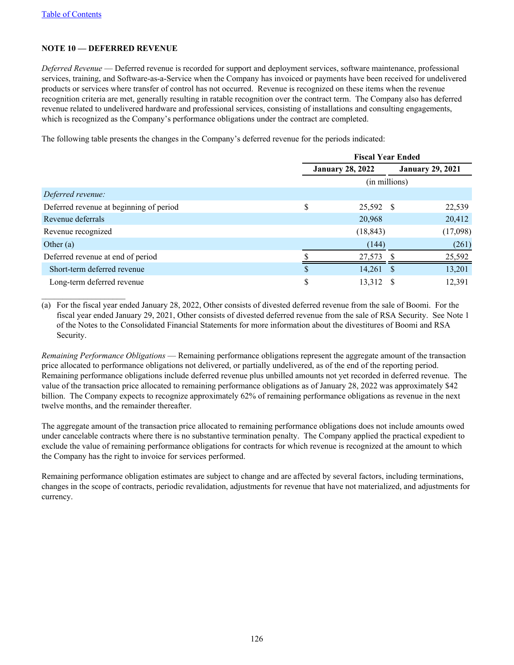$\mathcal{L}_\text{max}$  , where  $\mathcal{L}_\text{max}$  , we have the set of  $\mathcal{L}_\text{max}$ 

## **NOTE 10 — DEFERRED REVENUE**

*Deferred Revenue* — Deferred revenue is recorded for support and deployment services, software maintenance, professional services, training, and Software-as-a-Service when the Company has invoiced or payments have been received for undelivered products or services where transfer of control has not occurred. Revenue is recognized on these items when the revenue recognition criteria are met, generally resulting in ratable recognition over the contract term. The Company also has deferred revenue related to undelivered hardware and professional services, consisting of installations and consulting engagements, which is recognized as the Company's performance obligations under the contract are completed.

The following table presents the changes in the Company's deferred revenue for the periods indicated:

|                                         | <b>Fiscal Year Ended</b> |  |                         |  |  |
|-----------------------------------------|--------------------------|--|-------------------------|--|--|
|                                         | <b>January 28, 2022</b>  |  | <b>January 29, 2021</b> |  |  |
|                                         | (in millions)            |  |                         |  |  |
| Deferred revenue:                       |                          |  |                         |  |  |
| Deferred revenue at beginning of period | \$<br>25,592 \$          |  | 22,539                  |  |  |
| Revenue deferrals                       | 20,968                   |  | 20,412                  |  |  |
| Revenue recognized                      | (18, 843)                |  | (17,098)                |  |  |
| Other $(a)$                             | (144)                    |  | (261)                   |  |  |
| Deferred revenue at end of period       | 27.573                   |  | 25,592                  |  |  |
| Short-term deferred revenue             | \$<br>$14,261$ \$        |  | 13,201                  |  |  |
| Long-term deferred revenue              | \$<br>13,312             |  | 12,391                  |  |  |

(a) For the fiscal year ended January 28, 2022, Other consists of divested deferred revenue from the sale of Boomi. For the fiscal year ended January 29, 2021, Other consists of divested deferred revenue from the sale of RSA Security. See Note 1 of the Notes to the Consolidated Financial Statements for more information about the divestitures of Boomi and RSA Security.

*Remaining Performance Obligations* — Remaining performance obligations represent the aggregate amount of the transaction price allocated to performance obligations not delivered, or partially undelivered, as of the end of the reporting period. Remaining performance obligations include deferred revenue plus unbilled amounts not yet recorded in deferred revenue. The value of the transaction price allocated to remaining performance obligations as of January 28, 2022 was approximately \$42 billion. The Company expects to recognize approximately 62% of remaining performance obligations as revenue in the next twelve months, and the remainder thereafter.

The aggregate amount of the transaction price allocated to remaining performance obligations does not include amounts owed under cancelable contracts where there is no substantive termination penalty. The Company applied the practical expedient to exclude the value of remaining performance obligations for contracts for which revenue is recognized at the amount to which the Company has the right to invoice for services performed.

Remaining performance obligation estimates are subject to change and are affected by several factors, including terminations, changes in the scope of contracts, periodic revalidation, adjustments for revenue that have not materialized, and adjustments for currency.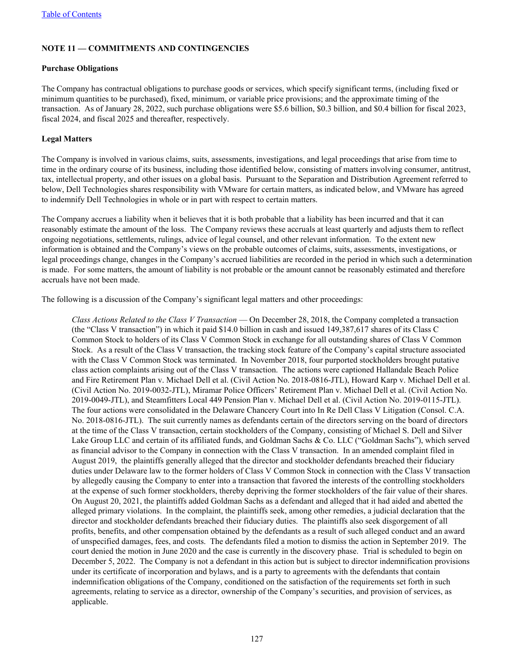## **NOTE 11 — COMMITMENTS AND CONTINGENCIES**

### **Purchase Obligations**

The Company has contractual obligations to purchase goods or services, which specify significant terms, (including fixed or minimum quantities to be purchased), fixed, minimum, or variable price provisions; and the approximate timing of the transaction. As of January 28, 2022, such purchase obligations were \$5.6 billion, \$0.3 billion, and \$0.4 billion for fiscal 2023, fiscal 2024, and fiscal 2025 and thereafter, respectively.

### **Legal Matters**

The Company is involved in various claims, suits, assessments, investigations, and legal proceedings that arise from time to time in the ordinary course of its business, including those identified below, consisting of matters involving consumer, antitrust, tax, intellectual property, and other issues on a global basis. Pursuant to the Separation and Distribution Agreement referred to below, Dell Technologies shares responsibility with VMware for certain matters, as indicated below, and VMware has agreed to indemnify Dell Technologies in whole or in part with respect to certain matters.

The Company accrues a liability when it believes that it is both probable that a liability has been incurred and that it can reasonably estimate the amount of the loss. The Company reviews these accruals at least quarterly and adjusts them to reflect ongoing negotiations, settlements, rulings, advice of legal counsel, and other relevant information. To the extent new information is obtained and the Company's views on the probable outcomes of claims, suits, assessments, investigations, or legal proceedings change, changes in the Company's accrued liabilities are recorded in the period in which such a determination is made. For some matters, the amount of liability is not probable or the amount cannot be reasonably estimated and therefore accruals have not been made.

The following is a discussion of the Company's significant legal matters and other proceedings:

*Class Actions Related to the Class V Transaction* — On December 28, 2018, the Company completed a transaction (the "Class V transaction") in which it paid \$14.0 billion in cash and issued 149,387,617 shares of its Class C Common Stock to holders of its Class V Common Stock in exchange for all outstanding shares of Class V Common Stock. As a result of the Class V transaction, the tracking stock feature of the Company's capital structure associated with the Class V Common Stock was terminated. In November 2018, four purported stockholders brought putative class action complaints arising out of the Class V transaction. The actions were captioned Hallandale Beach Police and Fire Retirement Plan v. Michael Dell et al. (Civil Action No. 2018-0816-JTL), Howard Karp v. Michael Dell et al. (Civil Action No. 2019-0032-JTL), Miramar Police Officers' Retirement Plan v. Michael Dell et al. (Civil Action No. 2019-0049-JTL), and Steamfitters Local 449 Pension Plan v. Michael Dell et al. (Civil Action No. 2019-0115-JTL). The four actions were consolidated in the Delaware Chancery Court into In Re Dell Class V Litigation (Consol. C.A. No. 2018-0816-JTL). The suit currently names as defendants certain of the directors serving on the board of directors at the time of the Class V transaction, certain stockholders of the Company, consisting of Michael S. Dell and Silver Lake Group LLC and certain of its affiliated funds, and Goldman Sachs & Co. LLC ("Goldman Sachs"), which served as financial advisor to the Company in connection with the Class V transaction. In an amended complaint filed in August 2019, the plaintiffs generally alleged that the director and stockholder defendants breached their fiduciary duties under Delaware law to the former holders of Class V Common Stock in connection with the Class V transaction by allegedly causing the Company to enter into a transaction that favored the interests of the controlling stockholders at the expense of such former stockholders, thereby depriving the former stockholders of the fair value of their shares. On August 20, 2021, the plaintiffs added Goldman Sachs as a defendant and alleged that it had aided and abetted the alleged primary violations. In the complaint, the plaintiffs seek, among other remedies, a judicial declaration that the director and stockholder defendants breached their fiduciary duties. The plaintiffs also seek disgorgement of all profits, benefits, and other compensation obtained by the defendants as a result of such alleged conduct and an award of unspecified damages, fees, and costs. The defendants filed a motion to dismiss the action in September 2019. The court denied the motion in June 2020 and the case is currently in the discovery phase. Trial is scheduled to begin on December 5, 2022. The Company is not a defendant in this action but is subject to director indemnification provisions under its certificate of incorporation and bylaws, and is a party to agreements with the defendants that contain indemnification obligations of the Company, conditioned on the satisfaction of the requirements set forth in such agreements, relating to service as a director, ownership of the Company's securities, and provision of services, as applicable.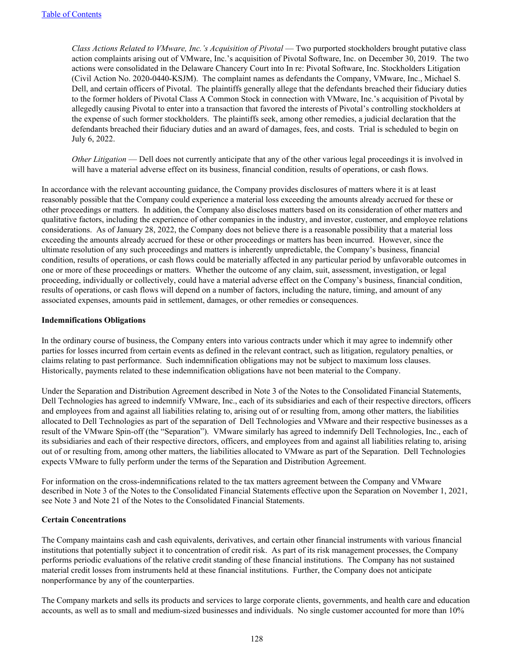*Class Actions Related to VMware, Inc.'s Acquisition of Pivotal* — Two purported stockholders brought putative class action complaints arising out of VMware, Inc.'s acquisition of Pivotal Software, Inc. on December 30, 2019. The two actions were consolidated in the Delaware Chancery Court into In re: Pivotal Software, Inc. Stockholders Litigation (Civil Action No. 2020-0440-KSJM). The complaint names as defendants the Company, VMware, Inc., Michael S. Dell, and certain officers of Pivotal. The plaintiffs generally allege that the defendants breached their fiduciary duties to the former holders of Pivotal Class A Common Stock in connection with VMware, Inc.'s acquisition of Pivotal by allegedly causing Pivotal to enter into a transaction that favored the interests of Pivotal's controlling stockholders at the expense of such former stockholders. The plaintiffs seek, among other remedies, a judicial declaration that the defendants breached their fiduciary duties and an award of damages, fees, and costs. Trial is scheduled to begin on July 6, 2022.

*Other Litigation* — Dell does not currently anticipate that any of the other various legal proceedings it is involved in will have a material adverse effect on its business, financial condition, results of operations, or cash flows.

In accordance with the relevant accounting guidance, the Company provides disclosures of matters where it is at least reasonably possible that the Company could experience a material loss exceeding the amounts already accrued for these or other proceedings or matters. In addition, the Company also discloses matters based on its consideration of other matters and qualitative factors, including the experience of other companies in the industry, and investor, customer, and employee relations considerations. As of January 28, 2022, the Company does not believe there is a reasonable possibility that a material loss exceeding the amounts already accrued for these or other proceedings or matters has been incurred. However, since the ultimate resolution of any such proceedings and matters is inherently unpredictable, the Company's business, financial condition, results of operations, or cash flows could be materially affected in any particular period by unfavorable outcomes in one or more of these proceedings or matters. Whether the outcome of any claim, suit, assessment, investigation, or legal proceeding, individually or collectively, could have a material adverse effect on the Company's business, financial condition, results of operations, or cash flows will depend on a number of factors, including the nature, timing, and amount of any associated expenses, amounts paid in settlement, damages, or other remedies or consequences.

#### **Indemnifications Obligations**

In the ordinary course of business, the Company enters into various contracts under which it may agree to indemnify other parties for losses incurred from certain events as defined in the relevant contract, such as litigation, regulatory penalties, or claims relating to past performance. Such indemnification obligations may not be subject to maximum loss clauses. Historically, payments related to these indemnification obligations have not been material to the Company.

Under the Separation and Distribution Agreement described in Note 3 of the Notes to the Consolidated Financial Statements, Dell Technologies has agreed to indemnify VMware, Inc., each of its subsidiaries and each of their respective directors, officers and employees from and against all liabilities relating to, arising out of or resulting from, among other matters, the liabilities allocated to Dell Technologies as part of the separation of Dell Technologies and VMware and their respective businesses as a result of the VMware Spin-off (the "Separation"). VMware similarly has agreed to indemnify Dell Technologies, Inc., each of its subsidiaries and each of their respective directors, officers, and employees from and against all liabilities relating to, arising out of or resulting from, among other matters, the liabilities allocated to VMware as part of the Separation. Dell Technologies expects VMware to fully perform under the terms of the Separation and Distribution Agreement.

For information on the cross-indemnifications related to the tax matters agreement between the Company and VMware described in Note 3 of the Notes to the Consolidated Financial Statements effective upon the Separation on November 1, 2021, see Note 3 and Note 21 of the Notes to the Consolidated Financial Statements.

### **Certain Concentrations**

The Company maintains cash and cash equivalents, derivatives, and certain other financial instruments with various financial institutions that potentially subject it to concentration of credit risk. As part of its risk management processes, the Company performs periodic evaluations of the relative credit standing of these financial institutions. The Company has not sustained material credit losses from instruments held at these financial institutions. Further, the Company does not anticipate nonperformance by any of the counterparties.

The Company markets and sells its products and services to large corporate clients, governments, and health care and education accounts, as well as to small and medium-sized businesses and individuals. No single customer accounted for more than 10%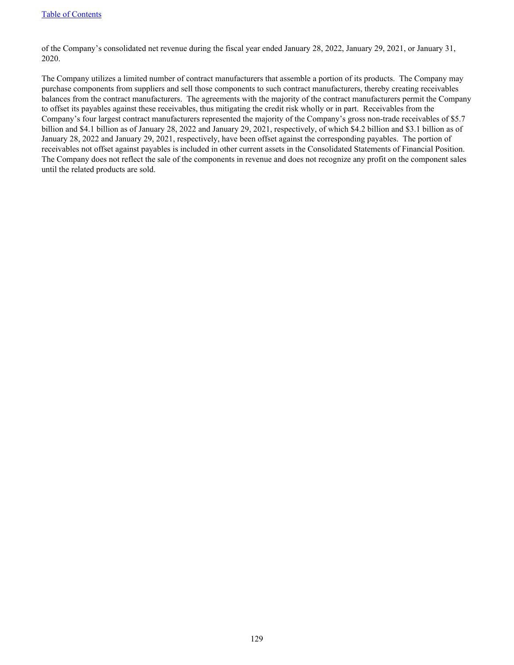of the Company's consolidated net revenue during the fiscal year ended January 28, 2022, January 29, 2021, or January 31, 2020.

The Company utilizes a limited number of contract manufacturers that assemble a portion of its products. The Company may purchase components from suppliers and sell those components to such contract manufacturers, thereby creating receivables balances from the contract manufacturers. The agreements with the majority of the contract manufacturers permit the Company to offset its payables against these receivables, thus mitigating the credit risk wholly or in part. Receivables from the Company's four largest contract manufacturers represented the majority of the Company's gross non-trade receivables of \$5.7 billion and \$4.1 billion as of January 28, 2022 and January 29, 2021, respectively, of which \$4.2 billion and \$3.1 billion as of January 28, 2022 and January 29, 2021, respectively, have been offset against the corresponding payables. The portion of receivables not offset against payables is included in other current assets in the Consolidated Statements of Financial Position. The Company does not reflect the sale of the components in revenue and does not recognize any profit on the component sales until the related products are sold.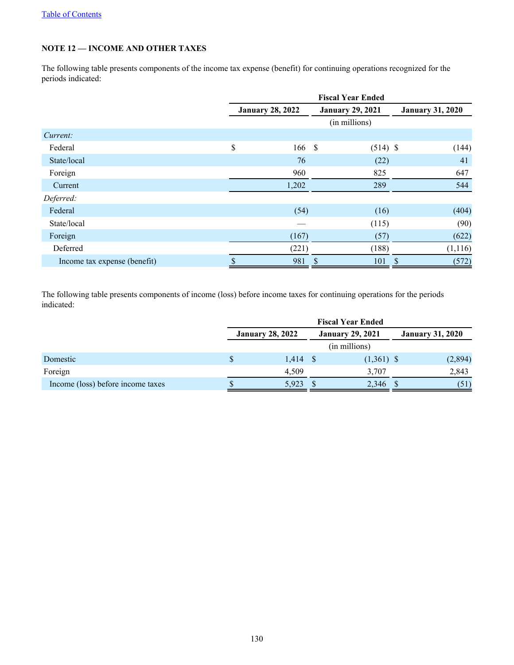# **NOTE 12 — INCOME AND OTHER TAXES**

The following table presents components of the income tax expense (benefit) for continuing operations recognized for the periods indicated:

|                              | <b>Fiscal Year Ended</b> |                         |               |    |                         |  |  |
|------------------------------|--------------------------|-------------------------|---------------|----|-------------------------|--|--|
|                              | <b>January 28, 2022</b>  | <b>January 29, 2021</b> |               |    | <b>January 31, 2020</b> |  |  |
|                              |                          |                         | (in millions) |    |                         |  |  |
| Current:                     |                          |                         |               |    |                         |  |  |
| Federal                      | \$<br>166                | - \$                    | $(514)$ \$    |    | (144)                   |  |  |
| State/local                  | 76                       |                         | (22)          |    | 41                      |  |  |
| Foreign                      | 960                      |                         | 825           |    | 647                     |  |  |
| Current                      | 1,202                    |                         | 289           |    | 544                     |  |  |
| Deferred:                    |                          |                         |               |    |                         |  |  |
| Federal                      | (54)                     |                         | (16)          |    | (404)                   |  |  |
| State/local                  |                          |                         | (115)         |    | (90)                    |  |  |
| Foreign                      | (167)                    |                         | (57)          |    | (622)                   |  |  |
| Deferred                     | (221)                    |                         | (188)         |    | (1,116)                 |  |  |
| Income tax expense (benefit) | 981                      | \$                      | 101           | \$ | (572)                   |  |  |

The following table presents components of income (loss) before income taxes for continuing operations for the periods indicated:

|                                   | <b>Fiscal Year Ended</b> |                         |  |              |  |         |  |
|-----------------------------------|--------------------------|-------------------------|--|--------------|--|---------|--|
|                                   | <b>January 28, 2022</b>  | <b>January 31, 2020</b> |  |              |  |         |  |
|                                   | (in millions)            |                         |  |              |  |         |  |
| Domestic                          |                          | $1,414$ \$              |  | $(1,361)$ \$ |  | (2,894) |  |
| Foreign                           |                          | 4,509                   |  | 3,707        |  | 2,843   |  |
| Income (loss) before income taxes |                          | 5.923                   |  | 2,346        |  | (51)    |  |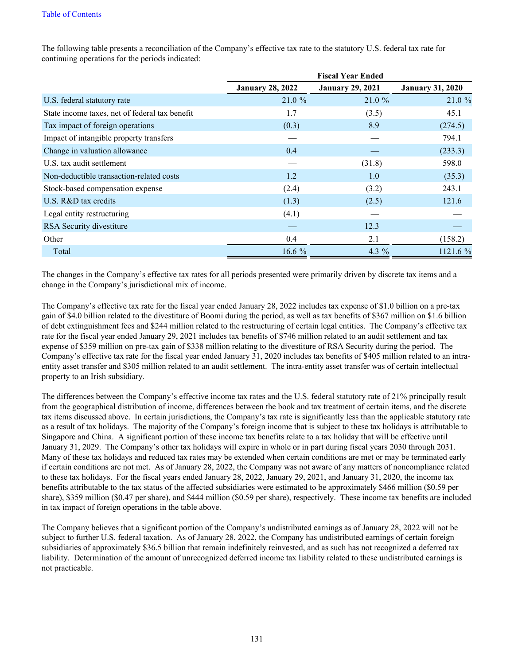|                                                |                         | <b>Fiscal Year Ended</b> |                         |
|------------------------------------------------|-------------------------|--------------------------|-------------------------|
|                                                | <b>January 28, 2022</b> | <b>January 29, 2021</b>  | <b>January 31, 2020</b> |
| U.S. federal statutory rate                    | 21.0%                   | 21.0%                    | 21.0 %                  |
| State income taxes, net of federal tax benefit | 1.7                     | (3.5)                    | 45.1                    |
| Tax impact of foreign operations               | (0.3)                   | 8.9                      | (274.5)                 |
| Impact of intangible property transfers        |                         |                          | 794.1                   |
| Change in valuation allowance                  | 0.4                     |                          | (233.3)                 |
| U.S. tax audit settlement                      |                         | (31.8)                   | 598.0                   |
| Non-deductible transaction-related costs       | 1.2                     | 1.0                      | (35.3)                  |
| Stock-based compensation expense               | (2.4)                   | (3.2)                    | 243.1                   |
| $U.S. R&D$ tax credits                         | (1.3)                   | (2.5)                    | 121.6                   |
| Legal entity restructuring                     | (4.1)                   |                          |                         |
| RSA Security divestiture                       |                         | 12.3                     |                         |
| Other                                          | 0.4                     | 2.1                      | (158.2)                 |
| Total                                          | 16.6 $%$                | 4.3 $%$                  | 1121.6%                 |

The following table presents a reconciliation of the Company's effective tax rate to the statutory U.S. federal tax rate for continuing operations for the periods indicated:

The changes in the Company's effective tax rates for all periods presented were primarily driven by discrete tax items and a change in the Company's jurisdictional mix of income.

The Company's effective tax rate for the fiscal year ended January 28, 2022 includes tax expense of \$1.0 billion on a pre-tax gain of \$4.0 billion related to the divestiture of Boomi during the period, as well as tax benefits of \$367 million on \$1.6 billion of debt extinguishment fees and \$244 million related to the restructuring of certain legal entities. The Company's effective tax rate for the fiscal year ended January 29, 2021 includes tax benefits of \$746 million related to an audit settlement and tax expense of \$359 million on pre-tax gain of \$338 million relating to the divestiture of RSA Security during the period. The Company's effective tax rate for the fiscal year ended January 31, 2020 includes tax benefits of \$405 million related to an intraentity asset transfer and \$305 million related to an audit settlement. The intra-entity asset transfer was of certain intellectual property to an Irish subsidiary.

The differences between the Company's effective income tax rates and the U.S. federal statutory rate of 21% principally result from the geographical distribution of income, differences between the book and tax treatment of certain items, and the discrete tax items discussed above. In certain jurisdictions, the Company's tax rate is significantly less than the applicable statutory rate as a result of tax holidays. The majority of the Company's foreign income that is subject to these tax holidays is attributable to Singapore and China. A significant portion of these income tax benefits relate to a tax holiday that will be effective until January 31, 2029. The Company's other tax holidays will expire in whole or in part during fiscal years 2030 through 2031. Many of these tax holidays and reduced tax rates may be extended when certain conditions are met or may be terminated early if certain conditions are not met. As of January 28, 2022, the Company was not aware of any matters of noncompliance related to these tax holidays. For the fiscal years ended January 28, 2022, January 29, 2021, and January 31, 2020, the income tax benefits attributable to the tax status of the affected subsidiaries were estimated to be approximately \$466 million (\$0.59 per share), \$359 million (\$0.47 per share), and \$444 million (\$0.59 per share), respectively. These income tax benefits are included in tax impact of foreign operations in the table above.

The Company believes that a significant portion of the Company's undistributed earnings as of January 28, 2022 will not be subject to further U.S. federal taxation. As of January 28, 2022, the Company has undistributed earnings of certain foreign subsidiaries of approximately \$36.5 billion that remain indefinitely reinvested, and as such has not recognized a deferred tax liability. Determination of the amount of unrecognized deferred income tax liability related to these undistributed earnings is not practicable.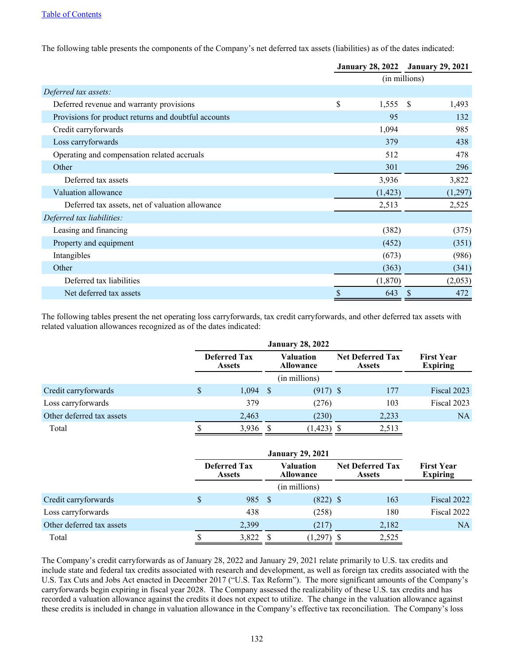The following table presents the components of the Company's net deferred tax assets (liabilities) as of the dates indicated:

|                                                      | <b>January 28, 2022</b> |          |               | <b>January 29, 2021</b> |  |
|------------------------------------------------------|-------------------------|----------|---------------|-------------------------|--|
|                                                      |                         |          | (in millions) |                         |  |
| Deferred tax assets:                                 |                         |          |               |                         |  |
| Deferred revenue and warranty provisions             | \$                      | 1,555    | -\$           | 1,493                   |  |
| Provisions for product returns and doubtful accounts |                         | 95       |               | 132                     |  |
| Credit carryforwards                                 |                         | 1,094    |               | 985                     |  |
| Loss carryforwards                                   |                         | 379      |               | 438                     |  |
| Operating and compensation related accruals          |                         | 512      |               | 478                     |  |
| Other                                                |                         | 301      |               | 296                     |  |
| Deferred tax assets                                  |                         | 3,936    |               | 3,822                   |  |
| Valuation allowance                                  |                         | (1, 423) |               | (1,297)                 |  |
| Deferred tax assets, net of valuation allowance      |                         | 2,513    |               | 2,525                   |  |
| Deferred tax liabilities:                            |                         |          |               |                         |  |
| Leasing and financing                                |                         | (382)    |               | (375)                   |  |
| Property and equipment                               |                         | (452)    |               | (351)                   |  |
| Intangibles                                          |                         | (673)    |               | (986)                   |  |
| Other                                                |                         | (363)    |               | (341)                   |  |
| Deferred tax liabilities                             |                         | (1,870)  |               | (2,053)                 |  |
| Net deferred tax assets                              | \$                      | 643      | <sup>S</sup>  | 472                     |  |

The following tables present the net operating loss carryforwards, tax credit carryforwards, and other deferred tax assets with related valuation allowances recognized as of the dates indicated:

|                           |   | <b>Deferred Tax</b><br><b>Assets</b> |      |            |  | Valuation<br><b>Allowance</b> | <b>Net Deferred Tax</b><br><b>Assets</b> |  | <b>First Year</b><br><b>Expiring</b> |
|---------------------------|---|--------------------------------------|------|------------|--|-------------------------------|------------------------------------------|--|--------------------------------------|
| (in millions)             |   |                                      |      |            |  |                               |                                          |  |                                      |
| Credit carryforwards      | S | 1,094                                | - \$ | $(917)$ \$ |  | 177                           | Fiscal 2023                              |  |                                      |
| Loss carryforwards        |   | 379                                  |      | (276)      |  | 103                           | Fiscal 2023                              |  |                                      |
| Other deferred tax assets |   | 2,463                                |      | (230)      |  | 2,233                         | NA                                       |  |                                      |
| Total                     |   | 3,936                                |      | 1,423)     |  | 2,513                         |                                          |  |                                      |

|                           | <b>Deferred Tax</b><br><b>Assets</b> |       |     |               |  | Valuation<br><b>Allowance</b> |             | <b>Net Deferred Tax</b><br><b>Assets</b> | <b>First Year</b><br><b>Expiring</b> |
|---------------------------|--------------------------------------|-------|-----|---------------|--|-------------------------------|-------------|------------------------------------------|--------------------------------------|
|                           |                                      |       |     | (in millions) |  |                               |             |                                          |                                      |
| Credit carryforwards      |                                      | 985   | - S | $(822)$ \$    |  | 163                           | Fiscal 2022 |                                          |                                      |
| Loss carryforwards        |                                      | 438   |     | (258)         |  | 180                           | Fiscal 2022 |                                          |                                      |
| Other deferred tax assets |                                      | 2,399 |     | (217)         |  | 2,182                         | NA          |                                          |                                      |
| Total                     |                                      | 3,822 |     | (1,297)       |  | 2,525                         |             |                                          |                                      |

The Company's credit carryforwards as of January 28, 2022 and January 29, 2021 relate primarily to U.S. tax credits and include state and federal tax credits associated with research and development, as well as foreign tax credits associated with the U.S. Tax Cuts and Jobs Act enacted in December 2017 ("U.S. Tax Reform"). The more significant amounts of the Company's carryforwards begin expiring in fiscal year 2028. The Company assessed the realizability of these U.S. tax credits and has recorded a valuation allowance against the credits it does not expect to utilize. The change in the valuation allowance against these credits is included in change in valuation allowance in the Company's effective tax reconciliation. The Company's loss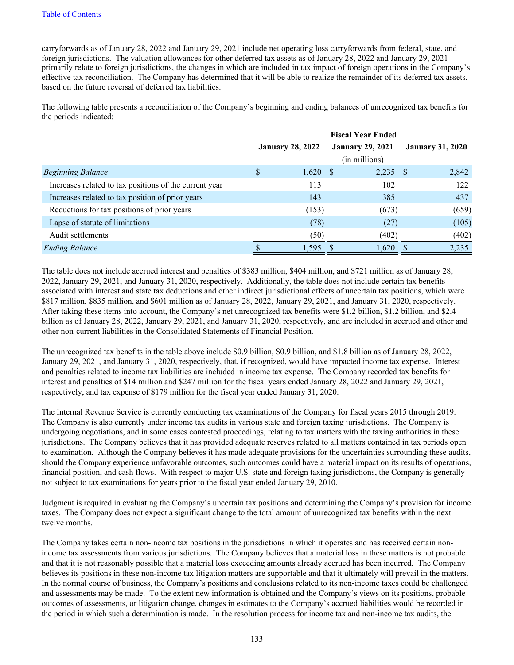carryforwards as of January 28, 2022 and January 29, 2021 include net operating loss carryforwards from federal, state, and foreign jurisdictions. The valuation allowances for other deferred tax assets as of January 28, 2022 and January 29, 2021 primarily relate to foreign jurisdictions, the changes in which are included in tax impact of foreign operations in the Company's effective tax reconciliation. The Company has determined that it will be able to realize the remainder of its deferred tax assets, based on the future reversal of deferred tax liabilities.

The following table presents a reconciliation of the Company's beginning and ending balances of unrecognized tax benefits for the periods indicated:

|                                                        | <b>Fiscal Year Ended</b> |                         |  |                         |                         |       |  |
|--------------------------------------------------------|--------------------------|-------------------------|--|-------------------------|-------------------------|-------|--|
|                                                        |                          | <b>January 28, 2022</b> |  | <b>January 29, 2021</b> | <b>January 31, 2020</b> |       |  |
|                                                        |                          |                         |  | (in millions)           |                         |       |  |
| <b>Beginning Balance</b>                               | S                        | $1,620$ \$              |  | $2,235$ \$              |                         | 2,842 |  |
| Increases related to tax positions of the current year |                          | 113                     |  | 102                     |                         | 122   |  |
| Increases related to tax position of prior years       |                          | 143                     |  | 385                     |                         | 437   |  |
| Reductions for tax positions of prior years            |                          | (153)                   |  | (673)                   |                         | (659) |  |
| Lapse of statute of limitations                        |                          | (78)                    |  | (27)                    |                         | (105) |  |
| Audit settlements                                      |                          | (50)                    |  | (402)                   |                         | (402) |  |
| <b>Ending Balance</b>                                  |                          | 1,595                   |  | 1,620                   |                         | 2,235 |  |

The table does not include accrued interest and penalties of \$383 million, \$404 million, and \$721 million as of January 28, 2022, January 29, 2021, and January 31, 2020, respectively. Additionally, the table does not include certain tax benefits associated with interest and state tax deductions and other indirect jurisdictional effects of uncertain tax positions, which were \$817 million, \$835 million, and \$601 million as of January 28, 2022, January 29, 2021, and January 31, 2020, respectively. After taking these items into account, the Company's net unrecognized tax benefits were \$1.2 billion, \$1.2 billion, and \$2.4 billion as of January 28, 2022, January 29, 2021, and January 31, 2020, respectively, and are included in accrued and other and other non-current liabilities in the Consolidated Statements of Financial Position.

The unrecognized tax benefits in the table above include \$0.9 billion, \$0.9 billion, and \$1.8 billion as of January 28, 2022, January 29, 2021, and January 31, 2020, respectively, that, if recognized, would have impacted income tax expense. Interest and penalties related to income tax liabilities are included in income tax expense. The Company recorded tax benefits for interest and penalties of \$14 million and \$247 million for the fiscal years ended January 28, 2022 and January 29, 2021, respectively, and tax expense of \$179 million for the fiscal year ended January 31, 2020.

The Internal Revenue Service is currently conducting tax examinations of the Company for fiscal years 2015 through 2019. The Company is also currently under income tax audits in various state and foreign taxing jurisdictions. The Company is undergoing negotiations, and in some cases contested proceedings, relating to tax matters with the taxing authorities in these jurisdictions. The Company believes that it has provided adequate reserves related to all matters contained in tax periods open to examination. Although the Company believes it has made adequate provisions for the uncertainties surrounding these audits, should the Company experience unfavorable outcomes, such outcomes could have a material impact on its results of operations, financial position, and cash flows. With respect to major U.S. state and foreign taxing jurisdictions, the Company is generally not subject to tax examinations for years prior to the fiscal year ended January 29, 2010.

Judgment is required in evaluating the Company's uncertain tax positions and determining the Company's provision for income taxes. The Company does not expect a significant change to the total amount of unrecognized tax benefits within the next twelve months.

The Company takes certain non-income tax positions in the jurisdictions in which it operates and has received certain nonincome tax assessments from various jurisdictions. The Company believes that a material loss in these matters is not probable and that it is not reasonably possible that a material loss exceeding amounts already accrued has been incurred. The Company believes its positions in these non-income tax litigation matters are supportable and that it ultimately will prevail in the matters. In the normal course of business, the Company's positions and conclusions related to its non-income taxes could be challenged and assessments may be made. To the extent new information is obtained and the Company's views on its positions, probable outcomes of assessments, or litigation change, changes in estimates to the Company's accrued liabilities would be recorded in the period in which such a determination is made. In the resolution process for income tax and non-income tax audits, the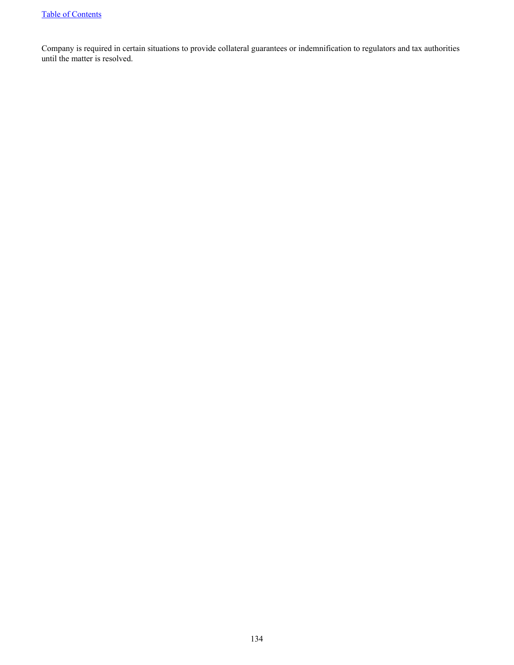Company is required in certain situations to provide collateral guarantees or indemnification to regulators and tax authorities until the matter is resolved.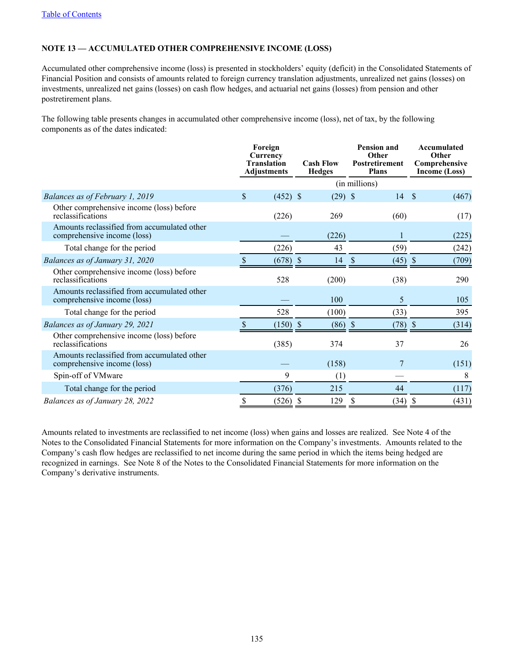### **NOTE 13 — ACCUMULATED OTHER COMPREHENSIVE INCOME (LOSS)**

Accumulated other comprehensive income (loss) is presented in stockholders' equity (deficit) in the Consolidated Statements of Financial Position and consists of amounts related to foreign currency translation adjustments, unrealized net gains (losses) on investments, unrealized net gains (losses) on cash flow hedges, and actuarial net gains (losses) from pension and other postretirement plans.

The following table presents changes in accumulated other comprehensive income (loss), net of tax, by the following components as of the dates indicated:

|                                                                            | Foreign<br>Currency<br><b>Translation</b><br><b>Adjustments</b> | <b>Cash Flow</b><br><b>Hedges</b> | <b>Pension and</b><br>Other<br><b>Postretirement</b><br><b>Plans</b> | Accumulated<br>Other<br>Comprehensive<br>Income (Loss) |
|----------------------------------------------------------------------------|-----------------------------------------------------------------|-----------------------------------|----------------------------------------------------------------------|--------------------------------------------------------|
|                                                                            |                                                                 |                                   | (in millions)                                                        |                                                        |
| Balances as of February 1, 2019                                            | \$<br>$(452)$ \$                                                | $(29)$ \$                         | 14                                                                   | <sup>\$</sup><br>(467)                                 |
| Other comprehensive income (loss) before<br>reclassifications              | (226)                                                           | 269                               | (60)                                                                 | (17)                                                   |
| Amounts reclassified from accumulated other<br>comprehensive income (loss) |                                                                 | (226)                             | $\mathbf{1}$                                                         | (225)                                                  |
| Total change for the period                                                | (226)                                                           | 43                                | (59)                                                                 | (242)                                                  |
| Balances as of January 31, 2020                                            | $(678)$ \$                                                      | 14                                | \$<br>$(45)$ \$                                                      | (709)                                                  |
| Other comprehensive income (loss) before<br>reclassifications              | 528                                                             | (200)                             | (38)                                                                 | 290                                                    |
| Amounts reclassified from accumulated other<br>comprehensive income (loss) |                                                                 | 100                               | 5                                                                    | 105                                                    |
| Total change for the period                                                | 528                                                             | (100)                             | (33)                                                                 | 395                                                    |
| Balances as of January 29, 2021                                            | $(150)$ \$                                                      | $(86)$ \$                         | (78)                                                                 | -\$<br>(314)                                           |
| Other comprehensive income (loss) before<br>reclassifications              | (385)                                                           | 374                               | 37                                                                   | 26                                                     |
| Amounts reclassified from accumulated other<br>comprehensive income (loss) |                                                                 | (158)                             | 7                                                                    | (151)                                                  |
| Spin-off of VMware                                                         | 9                                                               | (1)                               |                                                                      | 8                                                      |
| Total change for the period                                                | (376)                                                           | 215                               | 44                                                                   | (117)                                                  |
| Balances as of January 28, 2022                                            | \$<br>$(526)$ \$                                                | 129                               | \$<br>(34)                                                           | \$<br>(431)                                            |

Amounts related to investments are reclassified to net income (loss) when gains and losses are realized. See Note 4 of the Notes to the Consolidated Financial Statements for more information on the Company's investments. Amounts related to the Company's cash flow hedges are reclassified to net income during the same period in which the items being hedged are recognized in earnings. See Note 8 of the Notes to the Consolidated Financial Statements for more information on the Company's derivative instruments.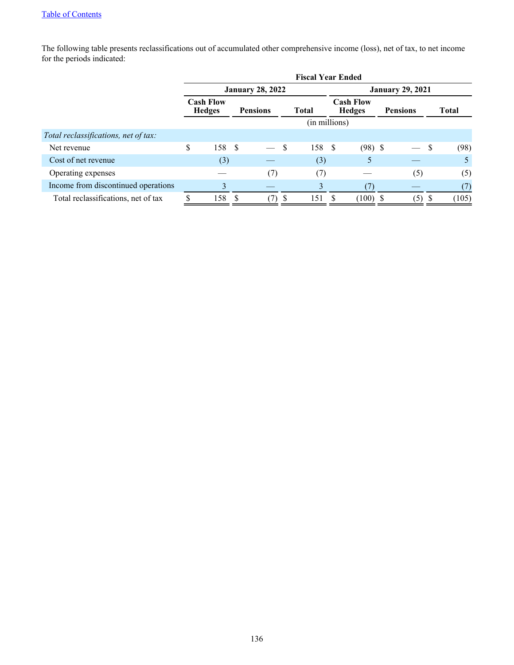The following table presents reclassifications out of accumulated other comprehensive income (loss), net of tax, to net income for the periods indicated:

|                                      | <b>Fiscal Year Ended</b> |                                   |      |                         |    |               |     |                                   |  |                 |   |              |
|--------------------------------------|--------------------------|-----------------------------------|------|-------------------------|----|---------------|-----|-----------------------------------|--|-----------------|---|--------------|
|                                      |                          |                                   |      | <b>January 28, 2022</b> |    |               |     | <b>January 29, 2021</b>           |  |                 |   |              |
|                                      |                          | <b>Cash Flow</b><br><b>Hedges</b> |      | <b>Pensions</b>         |    | <b>Total</b>  |     | <b>Cash Flow</b><br><b>Hedges</b> |  | <b>Pensions</b> |   | <b>Total</b> |
|                                      |                          |                                   |      |                         |    | (in millions) |     |                                   |  |                 |   |              |
| Total reclassifications, net of tax: |                          |                                   |      |                         |    |               |     |                                   |  |                 |   |              |
| Net revenue                          | \$                       | 158                               | - \$ |                         | \$ | 158           | - S | $(98)$ \$                         |  |                 | S | (98)         |
| Cost of net revenue                  |                          | (3)                               |      |                         |    | (3)           |     | 5                                 |  |                 |   | 5            |
| Operating expenses                   |                          |                                   |      | (7)                     |    | (7)           |     |                                   |  | (5)             |   | (5)          |
| Income from discontinued operations  |                          | 3                                 |      |                         |    | 3             |     | (7                                |  |                 |   | (7)          |
| Total reclassifications, net of tax  |                          | 158                               |      |                         |    | 151           |     | (100)                             |  | (5)             | ъ | (105)        |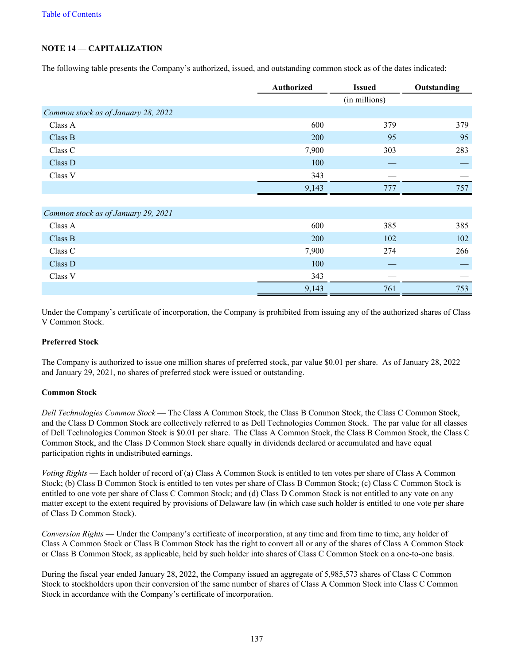# **NOTE 14 — CAPITALIZATION**

The following table presents the Company's authorized, issued, and outstanding common stock as of the dates indicated:

|                                     | <b>Authorized</b> | <b>Issued</b> | Outstanding |
|-------------------------------------|-------------------|---------------|-------------|
|                                     |                   | (in millions) |             |
| Common stock as of January 28, 2022 |                   |               |             |
| Class A                             | 600               | 379           | 379         |
| Class B                             | <b>200</b>        | 95            | 95          |
| Class C                             | 7,900             | 303           | 283         |
| Class D                             | 100               |               |             |
| Class V                             | 343               |               |             |
|                                     | 9,143             | 777           | 757         |
|                                     |                   |               |             |
| Common stock as of January 29, 2021 |                   |               |             |

| Class A | 600   | 385 | 385 |
|---------|-------|-----|-----|
| Class B | 200   | 102 | 102 |
| Class C | 7,900 | 274 | 266 |
| Class D | 100   |     |     |
| Class V | 343   |     |     |
|         | 9,143 | 761 | 753 |
|         |       |     |     |

Under the Company's certificate of incorporation, the Company is prohibited from issuing any of the authorized shares of Class V Common Stock.

## **Preferred Stock**

The Company is authorized to issue one million shares of preferred stock, par value \$0.01 per share. As of January 28, 2022 and January 29, 2021, no shares of preferred stock were issued or outstanding.

### **Common Stock**

*Dell Technologies Common Stock* — The Class A Common Stock, the Class B Common Stock, the Class C Common Stock, and the Class D Common Stock are collectively referred to as Dell Technologies Common Stock. The par value for all classes of Dell Technologies Common Stock is \$0.01 per share. The Class A Common Stock, the Class B Common Stock, the Class C Common Stock, and the Class D Common Stock share equally in dividends declared or accumulated and have equal participation rights in undistributed earnings.

*Voting Rights* — Each holder of record of (a) Class A Common Stock is entitled to ten votes per share of Class A Common Stock; (b) Class B Common Stock is entitled to ten votes per share of Class B Common Stock; (c) Class C Common Stock is entitled to one vote per share of Class C Common Stock; and (d) Class D Common Stock is not entitled to any vote on any matter except to the extent required by provisions of Delaware law (in which case such holder is entitled to one vote per share of Class D Common Stock).

*Conversion Rights* — Under the Company's certificate of incorporation, at any time and from time to time, any holder of Class A Common Stock or Class B Common Stock has the right to convert all or any of the shares of Class A Common Stock or Class B Common Stock, as applicable, held by such holder into shares of Class C Common Stock on a one-to-one basis.

During the fiscal year ended January 28, 2022, the Company issued an aggregate of 5,985,573 shares of Class C Common Stock to stockholders upon their conversion of the same number of shares of Class A Common Stock into Class C Common Stock in accordance with the Company's certificate of incorporation.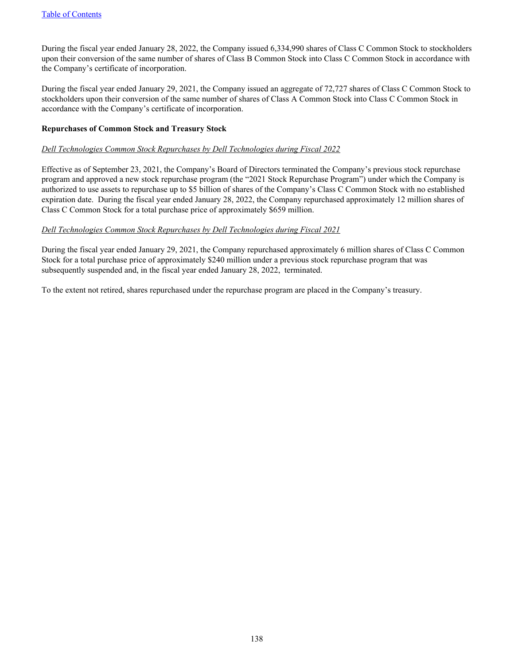During the fiscal year ended January 28, 2022, the Company issued 6,334,990 shares of Class C Common Stock to stockholders upon their conversion of the same number of shares of Class B Common Stock into Class C Common Stock in accordance with the Company's certificate of incorporation.

During the fiscal year ended January 29, 2021, the Company issued an aggregate of 72,727 shares of Class C Common Stock to stockholders upon their conversion of the same number of shares of Class A Common Stock into Class C Common Stock in accordance with the Company's certificate of incorporation.

### **Repurchases of Common Stock and Treasury Stock**

### *Dell Technologies Common Stock Repurchases by Dell Technologies during Fiscal 2022*

Effective as of September 23, 2021, the Company's Board of Directors terminated the Company's previous stock repurchase program and approved a new stock repurchase program (the "2021 Stock Repurchase Program") under which the Company is authorized to use assets to repurchase up to \$5 billion of shares of the Company's Class C Common Stock with no established expiration date. During the fiscal year ended January 28, 2022, the Company repurchased approximately 12 million shares of Class C Common Stock for a total purchase price of approximately \$659 million.

### *Dell Technologies Common Stock Repurchases by Dell Technologies during Fiscal 2021*

During the fiscal year ended January 29, 2021, the Company repurchased approximately 6 million shares of Class C Common Stock for a total purchase price of approximately \$240 million under a previous stock repurchase program that was subsequently suspended and, in the fiscal year ended January 28, 2022, terminated.

To the extent not retired, shares repurchased under the repurchase program are placed in the Company's treasury.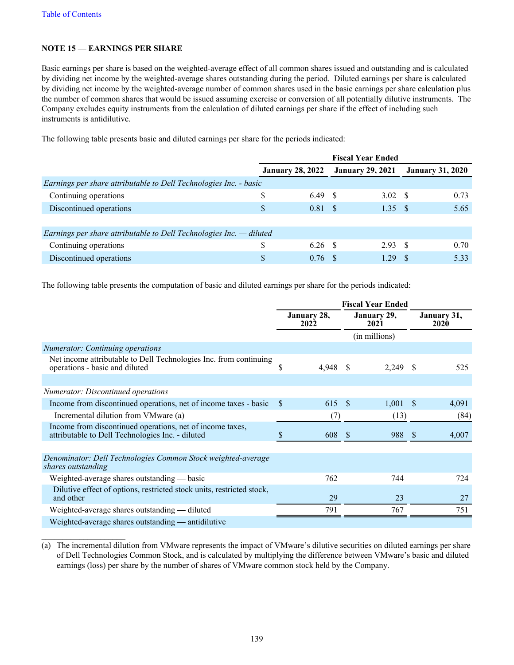$\mathcal{L}_\text{max}$  , where  $\mathcal{L}_\text{max}$  and  $\mathcal{L}_\text{max}$ 

## **NOTE 15 — EARNINGS PER SHARE**

Basic earnings per share is based on the weighted-average effect of all common shares issued and outstanding and is calculated by dividing net income by the weighted-average shares outstanding during the period. Diluted earnings per share is calculated by dividing net income by the weighted-average number of common shares used in the basic earnings per share calculation plus the number of common shares that would be issued assuming exercise or conversion of all potentially dilutive instruments. The Company excludes equity instruments from the calculation of diluted earnings per share if the effect of including such instruments is antidilutive.

The following table presents basic and diluted earnings per share for the periods indicated:

|                                                                       |                         |           | <b>Fiscal Year Ended</b> |        |                         |      |
|-----------------------------------------------------------------------|-------------------------|-----------|--------------------------|--------|-------------------------|------|
|                                                                       | <b>January 28, 2022</b> |           | <b>January 29, 2021</b>  |        | <b>January 31, 2020</b> |      |
| Earnings per share attributable to Dell Technologies Inc. - basic     |                         |           |                          |        |                         |      |
| Continuing operations                                                 | S                       | 6.49 \$   |                          | 3.02 S |                         | 0.73 |
| Discontinued operations                                               | S                       | 0.81 S    |                          | 1.35S  |                         | 5.65 |
|                                                                       |                         |           |                          |        |                         |      |
| Earnings per share attributable to Dell Technologies Inc. $-$ diluted |                         |           |                          |        |                         |      |
| Continuing operations                                                 | \$                      | 6.26 S    |                          | 2.93 S |                         | 0.70 |
| Discontinued operations                                               | S                       | $0.76$ \$ |                          | 1.29   |                         | 5.33 |

The following table presents the computation of basic and diluted earnings per share for the periods indicated:

|                                                                                                               | <b>Fiscal Year Ended</b> |          |                     |               |      |                            |
|---------------------------------------------------------------------------------------------------------------|--------------------------|----------|---------------------|---------------|------|----------------------------|
|                                                                                                               | January 28,<br>2022      |          | January 29,<br>2021 |               |      | January 31,<br><b>2020</b> |
|                                                                                                               |                          |          |                     | (in millions) |      |                            |
| <b>Numerator:</b> Continuing operations                                                                       |                          |          |                     |               |      |                            |
| Net income attributable to Dell Technologies Inc. from continuing<br>operations - basic and diluted           | \$                       | 4,948 \$ |                     | $2,249$ \$    |      | 525                        |
|                                                                                                               |                          |          |                     |               |      |                            |
| Numerator: Discontinued operations                                                                            |                          |          |                     |               |      |                            |
| Income from discontinued operations, net of income taxes - basic                                              | -S                       | 615 \$   |                     | 1,001         | - \$ | 4,091                      |
| Incremental dilution from VMware (a)                                                                          |                          | (7)      |                     | (13)          |      | (84)                       |
| Income from discontinued operations, net of income taxes,<br>attributable to Dell Technologies Inc. - diluted | S                        | 608 \$   |                     | 988 \$        |      | 4,007                      |
|                                                                                                               |                          |          |                     |               |      |                            |
| Denominator: Dell Technologies Common Stock weighted-average<br>shares outstanding                            |                          |          |                     |               |      |                            |
| Weighted-average shares outstanding — basic                                                                   |                          | 762      |                     | 744           |      | 724                        |
| Dilutive effect of options, restricted stock units, restricted stock,<br>and other                            |                          | 29       |                     | 23            |      | 27                         |
| Weighted-average shares outstanding — diluted                                                                 |                          | 791      |                     | 767           |      | 751                        |
| Weighted-average shares outstanding — antidilutive                                                            |                          |          |                     |               |      |                            |

(a) The incremental dilution from VMware represents the impact of VMware's dilutive securities on diluted earnings per share of Dell Technologies Common Stock, and is calculated by multiplying the difference between VMware's basic and diluted earnings (loss) per share by the number of shares of VMware common stock held by the Company.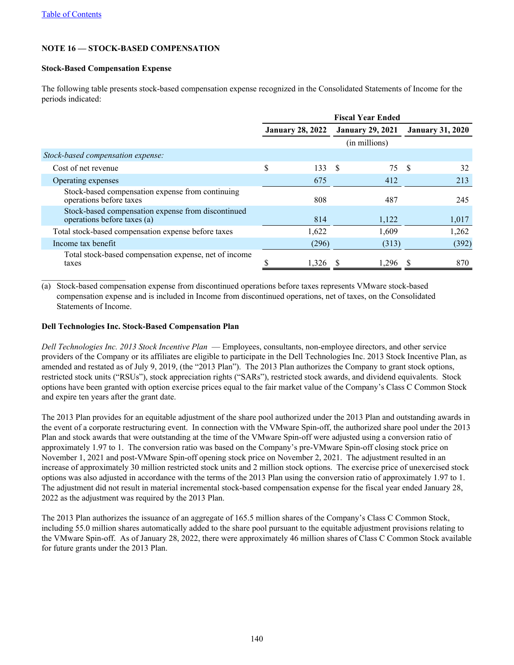$\mathcal{L}_\text{max}$  , where  $\mathcal{L}_\text{max}$  , we have the set of  $\mathcal{L}_\text{max}$ 

## **NOTE 16 — STOCK-BASED COMPENSATION**

### **Stock-Based Compensation Expense**

The following table presents stock-based compensation expense recognized in the Consolidated Statements of Income for the periods indicated:

|                                                                                   | <b>Fiscal Year Ended</b> |                         |    |                         |    |                         |
|-----------------------------------------------------------------------------------|--------------------------|-------------------------|----|-------------------------|----|-------------------------|
|                                                                                   |                          | <b>January 28, 2022</b> |    | <b>January 29, 2021</b> |    | <b>January 31, 2020</b> |
|                                                                                   |                          |                         |    | (in millions)           |    |                         |
| Stock-based compensation expense:                                                 |                          |                         |    |                         |    |                         |
| Cost of net revenue                                                               | \$                       | 133                     | -S | 75                      | -S | 32                      |
| Operating expenses                                                                |                          | 675                     |    | 412                     |    | 213                     |
| Stock-based compensation expense from continuing<br>operations before taxes       |                          | 808                     |    | 487                     |    | 245                     |
| Stock-based compensation expense from discontinued<br>operations before taxes (a) |                          | 814                     |    | 1,122                   |    | 1,017                   |
| Total stock-based compensation expense before taxes                               |                          | 1,622                   |    | 1,609                   |    | 1,262                   |
| Income tax benefit                                                                |                          | (296)                   |    | (313)                   |    | (392)                   |
| Total stock-based compensation expense, net of income<br>taxes                    |                          | 1,326                   |    | 1,296                   |    | 870                     |

(a) Stock-based compensation expense from discontinued operations before taxes represents VMware stock-based compensation expense and is included in Income from discontinued operations, net of taxes, on the Consolidated Statements of Income.

### **Dell Technologies Inc. Stock-Based Compensation Plan**

*Dell Technologies Inc. 2013 Stock Incentive Plan* — Employees, consultants, non-employee directors, and other service providers of the Company or its affiliates are eligible to participate in the Dell Technologies Inc. 2013 Stock Incentive Plan, as amended and restated as of July 9, 2019, (the "2013 Plan"). The 2013 Plan authorizes the Company to grant stock options, restricted stock units ("RSUs"), stock appreciation rights ("SARs"), restricted stock awards, and dividend equivalents. Stock options have been granted with option exercise prices equal to the fair market value of the Company's Class C Common Stock and expire ten years after the grant date.

The 2013 Plan provides for an equitable adjustment of the share pool authorized under the 2013 Plan and outstanding awards in the event of a corporate restructuring event. In connection with the VMware Spin-off, the authorized share pool under the 2013 Plan and stock awards that were outstanding at the time of the VMware Spin-off were adjusted using a conversion ratio of approximately 1.97 to 1. The conversion ratio was based on the Company's pre-VMware Spin-off closing stock price on November 1, 2021 and post-VMware Spin-off opening stock price on November 2, 2021. The adjustment resulted in an increase of approximately 30 million restricted stock units and 2 million stock options. The exercise price of unexercised stock options was also adjusted in accordance with the terms of the 2013 Plan using the conversion ratio of approximately 1.97 to 1. The adjustment did not result in material incremental stock-based compensation expense for the fiscal year ended January 28, 2022 as the adjustment was required by the 2013 Plan.

The 2013 Plan authorizes the issuance of an aggregate of 165.5 million shares of the Company's Class C Common Stock, including 55.0 million shares automatically added to the share pool pursuant to the equitable adjustment provisions relating to the VMware Spin-off. As of January 28, 2022, there were approximately 46 million shares of Class C Common Stock available for future grants under the 2013 Plan.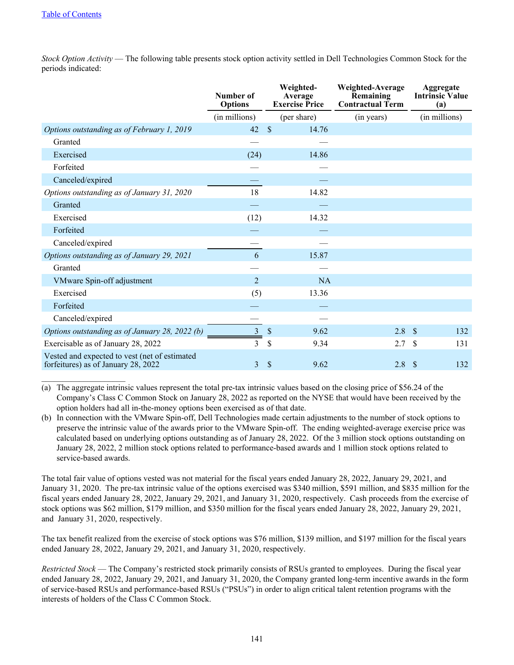$\mathcal{L}_\text{max}$  , where  $\mathcal{L}_\text{max}$  , we have the set of  $\mathcal{L}_\text{max}$ 

*Stock Option Activity* — The following table presents stock option activity settled in Dell Technologies Common Stock for the periods indicated:

|                                                                                      | Number of<br><b>Options</b> | Weighted-<br>Average<br><b>Exercise Price</b> |             | Weighted-Average<br>Remaining<br><b>Contractual Term</b> | Aggregate<br><b>Intrinsic Value</b><br>(a) |     |
|--------------------------------------------------------------------------------------|-----------------------------|-----------------------------------------------|-------------|----------------------------------------------------------|--------------------------------------------|-----|
|                                                                                      | (in millions)               |                                               | (per share) | (in years)                                               | (in millions)                              |     |
| Options outstanding as of February 1, 2019                                           | 42                          | $\mathcal{S}$                                 | 14.76       |                                                          |                                            |     |
| Granted                                                                              |                             |                                               |             |                                                          |                                            |     |
| Exercised                                                                            | (24)                        |                                               | 14.86       |                                                          |                                            |     |
| Forfeited                                                                            |                             |                                               |             |                                                          |                                            |     |
| Canceled/expired                                                                     |                             |                                               |             |                                                          |                                            |     |
| Options outstanding as of January 31, 2020                                           | 18                          |                                               | 14.82       |                                                          |                                            |     |
| Granted                                                                              |                             |                                               |             |                                                          |                                            |     |
| Exercised                                                                            | (12)                        |                                               | 14.32       |                                                          |                                            |     |
| Forfeited                                                                            |                             |                                               |             |                                                          |                                            |     |
| Canceled/expired                                                                     |                             |                                               |             |                                                          |                                            |     |
| Options outstanding as of January 29, 2021                                           | 6                           |                                               | 15.87       |                                                          |                                            |     |
| Granted                                                                              |                             |                                               |             |                                                          |                                            |     |
| VMware Spin-off adjustment                                                           | $\overline{2}$              |                                               | <b>NA</b>   |                                                          |                                            |     |
| Exercised                                                                            | (5)                         |                                               | 13.36       |                                                          |                                            |     |
| Forfeited                                                                            |                             |                                               |             |                                                          |                                            |     |
| Canceled/expired                                                                     |                             |                                               |             |                                                          |                                            |     |
| Options outstanding as of January 28, 2022 (b)                                       | $\overline{3}$              | $\mathcal{S}$                                 | 9.62        | 2.8 <sup>°</sup>                                         |                                            | 132 |
| Exercisable as of January 28, 2022                                                   | $\overline{3}$              | \$                                            | 9.34        | 2.7                                                      | <sup>\$</sup>                              | 131 |
| Vested and expected to vest (net of estimated<br>forfeitures) as of January 28, 2022 | 3                           | \$                                            | 9.62        | 2.8                                                      | $\mathcal{S}$                              | 132 |

(a) The aggregate intrinsic values represent the total pre-tax intrinsic values based on the closing price of \$56.24 of the Company's Class C Common Stock on January 28, 2022 as reported on the NYSE that would have been received by the option holders had all in-the-money options been exercised as of that date.

(b) In connection with the VMware Spin-off, Dell Technologies made certain adjustments to the number of stock options to preserve the intrinsic value of the awards prior to the VMware Spin-off. The ending weighted-average exercise price was calculated based on underlying options outstanding as of January 28, 2022. Of the 3 million stock options outstanding on January 28, 2022, 2 million stock options related to performance-based awards and 1 million stock options related to service-based awards.

The total fair value of options vested was not material for the fiscal years ended January 28, 2022, January 29, 2021, and January 31, 2020. The pre-tax intrinsic value of the options exercised was \$340 million, \$591 million, and \$835 million for the fiscal years ended January 28, 2022, January 29, 2021, and January 31, 2020, respectively. Cash proceeds from the exercise of stock options was \$62 million, \$179 million, and \$350 million for the fiscal years ended January 28, 2022, January 29, 2021, and January 31, 2020, respectively.

The tax benefit realized from the exercise of stock options was \$76 million, \$139 million, and \$197 million for the fiscal years ended January 28, 2022, January 29, 2021, and January 31, 2020, respectively.

*Restricted Stock* — The Company's restricted stock primarily consists of RSUs granted to employees. During the fiscal year ended January 28, 2022, January 29, 2021, and January 31, 2020, the Company granted long-term incentive awards in the form of service-based RSUs and performance-based RSUs ("PSUs") in order to align critical talent retention programs with the interests of holders of the Class C Common Stock.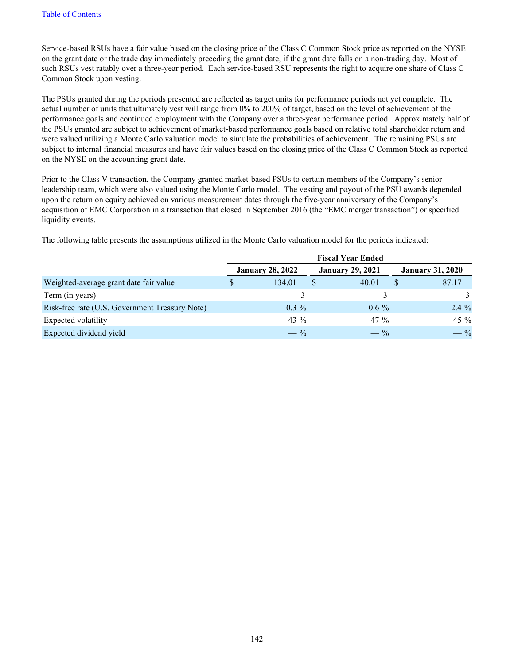Service-based RSUs have a fair value based on the closing price of the Class C Common Stock price as reported on the NYSE on the grant date or the trade day immediately preceding the grant date, if the grant date falls on a non-trading day. Most of such RSUs vest ratably over a three-year period. Each service-based RSU represents the right to acquire one share of Class C Common Stock upon vesting.

The PSUs granted during the periods presented are reflected as target units for performance periods not yet complete. The actual number of units that ultimately vest will range from 0% to 200% of target, based on the level of achievement of the performance goals and continued employment with the Company over a three-year performance period. Approximately half of the PSUs granted are subject to achievement of market-based performance goals based on relative total shareholder return and were valued utilizing a Monte Carlo valuation model to simulate the probabilities of achievement. The remaining PSUs are subject to internal financial measures and have fair values based on the closing price of the Class C Common Stock as reported on the NYSE on the accounting grant date.

Prior to the Class V transaction, the Company granted market-based PSUs to certain members of the Company's senior leadership team, which were also valued using the Monte Carlo model. The vesting and payout of the PSU awards depended upon the return on equity achieved on various measurement dates through the five-year anniversary of the Company's acquisition of EMC Corporation in a transaction that closed in September 2016 (the "EMC merger transaction") or specified liquidity events.

The following table presents the assumptions utilized in the Monte Carlo valuation model for the periods indicated:

|                                                | <b>Fiscal Year Ended</b> |                         |  |                         |                         |         |  |
|------------------------------------------------|--------------------------|-------------------------|--|-------------------------|-------------------------|---------|--|
|                                                |                          | <b>January 28, 2022</b> |  | <b>January 29, 2021</b> | <b>January 31, 2020</b> |         |  |
| Weighted-average grant date fair value         |                          | 134.01                  |  | 40.01                   |                         | 87.17   |  |
| Term (in years)                                |                          |                         |  |                         |                         |         |  |
| Risk-free rate (U.S. Government Treasury Note) |                          | $0.3 \%$                |  | $0.6\%$                 |                         | $2.4\%$ |  |
| Expected volatility                            |                          | 43 $\%$                 |  | $47\%$                  |                         | 45 %    |  |
| Expected dividend yield                        |                          | $- \frac{9}{6}$         |  | $- \frac{9}{6}$         |                         | $-$ %   |  |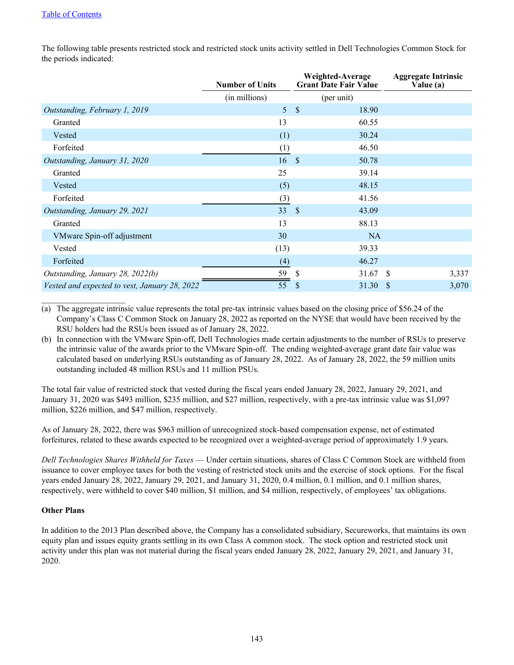The following table presents restricted stock and restricted stock units activity settled in Dell Technologies Common Stock for the periods indicated:

|                                               | <b>Number of Units</b> | Weighted-Average<br><b>Grant Date Fair Value</b> | <b>Aggregate Intrinsic</b><br>Value (a) |
|-----------------------------------------------|------------------------|--------------------------------------------------|-----------------------------------------|
|                                               | (in millions)          | (per unit)                                       |                                         |
| Outstanding, February 1, 2019                 | 5                      | $\mathcal{S}$<br>18.90                           |                                         |
| Granted                                       | 13                     | 60.55                                            |                                         |
| Vested                                        | (1)                    | 30.24                                            |                                         |
| Forfeited                                     | (1)                    | 46.50                                            |                                         |
| Outstanding, January 31, 2020                 | 16                     | <sup>S</sup><br>50.78                            |                                         |
| Granted                                       | 25                     | 39.14                                            |                                         |
| Vested                                        | (5)                    | 48.15                                            |                                         |
| Forfeited                                     | (3)                    | 41.56                                            |                                         |
| Outstanding, January 29, 2021                 | 33                     | -S<br>43.09                                      |                                         |
| Granted                                       | 13                     | 88.13                                            |                                         |
| VMware Spin-off adjustment                    | 30                     | <b>NA</b>                                        |                                         |
| Vested                                        | (13)                   | 39.33                                            |                                         |
| Forfeited                                     | (4)                    | 46.27                                            |                                         |
| Outstanding, January 28, 2022(b)              | 59                     | <sup>\$</sup><br>31.67                           | -\$<br>3,337                            |
| Vested and expected to vest, January 28, 2022 | 55                     | <sup>\$</sup><br>31.30                           | -\$<br>3,070                            |

(a) The aggregate intrinsic value represents the total pre-tax intrinsic values based on the closing price of \$56.24 of the Company's Class C Common Stock on January 28, 2022 as reported on the NYSE that would have been received by the RSU holders had the RSUs been issued as of January 28, 2022.

(b) In connection with the VMware Spin-off, Dell Technologies made certain adjustments to the number of RSUs to preserve the intrinsic value of the awards prior to the VMware Spin-off. The ending weighted-average grant date fair value was calculated based on underlying RSUs outstanding as of January 28, 2022. As of January 28, 2022, the 59 million units outstanding included 48 million RSUs and 11 million PSUs.

The total fair value of restricted stock that vested during the fiscal years ended January 28, 2022, January 29, 2021, and January 31, 2020 was \$493 million, \$235 million, and \$27 million, respectively, with a pre-tax intrinsic value was \$1,097 million, \$226 million, and \$47 million, respectively.

As of January 28, 2022, there was \$963 million of unrecognized stock-based compensation expense, net of estimated forfeitures, related to these awards expected to be recognized over a weighted-average period of approximately 1.9 years.

*Dell Technologies Shares Withheld for Taxes* — Under certain situations, shares of Class C Common Stock are withheld from issuance to cover employee taxes for both the vesting of restricted stock units and the exercise of stock options. For the fiscal years ended January 28, 2022, January 29, 2021, and January 31, 2020, 0.4 million, 0.1 million, and 0.1 million shares, respectively, were withheld to cover \$40 million, \$1 million, and \$4 million, respectively, of employees' tax obligations.

## **Other Plans**

 $\mathcal{L}_\text{max}$  , where  $\mathcal{L}_\text{max}$  , we have the set of  $\mathcal{L}_\text{max}$ 

In addition to the 2013 Plan described above, the Company has a consolidated subsidiary, Secureworks, that maintains its own equity plan and issues equity grants settling in its own Class A common stock. The stock option and restricted stock unit activity under this plan was not material during the fiscal years ended January 28, 2022, January 29, 2021, and January 31, 2020.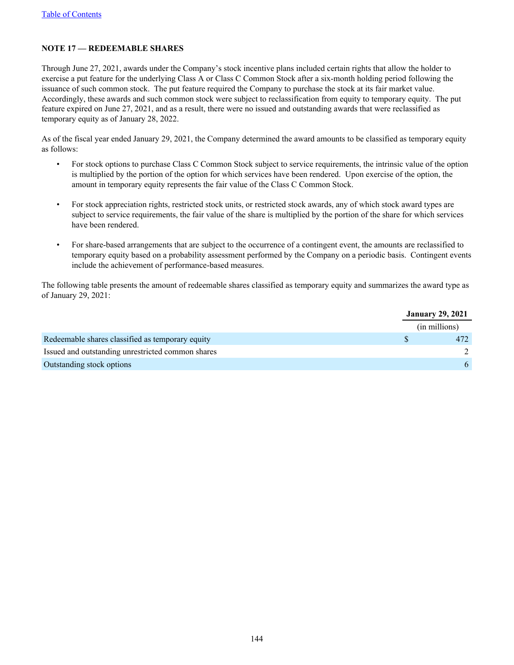## **NOTE 17 — REDEEMABLE SHARES**

Through June 27, 2021, awards under the Company's stock incentive plans included certain rights that allow the holder to exercise a put feature for the underlying Class A or Class C Common Stock after a six-month holding period following the issuance of such common stock. The put feature required the Company to purchase the stock at its fair market value. Accordingly, these awards and such common stock were subject to reclassification from equity to temporary equity. The put feature expired on June 27, 2021, and as a result, there were no issued and outstanding awards that were reclassified as temporary equity as of January 28, 2022.

As of the fiscal year ended January 29, 2021, the Company determined the award amounts to be classified as temporary equity as follows:

- For stock options to purchase Class C Common Stock subject to service requirements, the intrinsic value of the option is multiplied by the portion of the option for which services have been rendered. Upon exercise of the option, the amount in temporary equity represents the fair value of the Class C Common Stock.
- For stock appreciation rights, restricted stock units, or restricted stock awards, any of which stock award types are subject to service requirements, the fair value of the share is multiplied by the portion of the share for which services have been rendered.
- For share-based arrangements that are subject to the occurrence of a contingent event, the amounts are reclassified to temporary equity based on a probability assessment performed by the Company on a periodic basis. Contingent events include the achievement of performance-based measures.

The following table presents the amount of redeemable shares classified as temporary equity and summarizes the award type as of January 29, 2021:

|                                                   | <b>January 29, 2021</b> |  |
|---------------------------------------------------|-------------------------|--|
|                                                   | (in millions)           |  |
| Redeemable shares classified as temporary equity  | 472                     |  |
| Issued and outstanding unrestricted common shares |                         |  |
| Outstanding stock options                         | 6                       |  |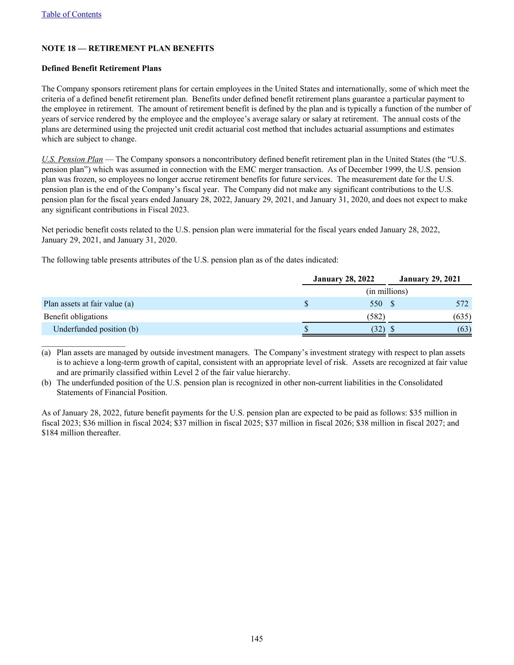## **NOTE 18 — RETIREMENT PLAN BENEFITS**

#### **Defined Benefit Retirement Plans**

 $\mathcal{L}_\text{max}$  , where  $\mathcal{L}_\text{max}$  , we have the set of  $\mathcal{L}_\text{max}$ 

The Company sponsors retirement plans for certain employees in the United States and internationally, some of which meet the criteria of a defined benefit retirement plan. Benefits under defined benefit retirement plans guarantee a particular payment to the employee in retirement. The amount of retirement benefit is defined by the plan and is typically a function of the number of years of service rendered by the employee and the employee's average salary or salary at retirement. The annual costs of the plans are determined using the projected unit credit actuarial cost method that includes actuarial assumptions and estimates which are subject to change.

*U.S. Pension Plan* — The Company sponsors a noncontributory defined benefit retirement plan in the United States (the "U.S. pension plan") which was assumed in connection with the EMC merger transaction. As of December 1999, the U.S. pension plan was frozen, so employees no longer accrue retirement benefits for future services. The measurement date for the U.S. pension plan is the end of the Company's fiscal year. The Company did not make any significant contributions to the U.S. pension plan for the fiscal years ended January 28, 2022, January 29, 2021, and January 31, 2020, and does not expect to make any significant contributions in Fiscal 2023.

Net periodic benefit costs related to the U.S. pension plan were immaterial for the fiscal years ended January 28, 2022, January 29, 2021, and January 31, 2020.

The following table presents attributes of the U.S. pension plan as of the dates indicated:

|                               | <b>January 28, 2022</b> | <b>January 29, 2021</b> |
|-------------------------------|-------------------------|-------------------------|
|                               | (in millions)           |                         |
| Plan assets at fair value (a) | 550 \$                  | 572                     |
| Benefit obligations           | (582)                   | (635)                   |
| Underfunded position (b)      | (32)                    | (63)                    |

(a) Plan assets are managed by outside investment managers. The Company's investment strategy with respect to plan assets is to achieve a long-term growth of capital, consistent with an appropriate level of risk. Assets are recognized at fair value and are primarily classified within Level 2 of the fair value hierarchy.

(b) The underfunded position of the U.S. pension plan is recognized in other non-current liabilities in the Consolidated Statements of Financial Position.

As of January 28, 2022, future benefit payments for the U.S. pension plan are expected to be paid as follows: \$35 million in fiscal 2023; \$36 million in fiscal 2024; \$37 million in fiscal 2025; \$37 million in fiscal 2026; \$38 million in fiscal 2027; and \$184 million thereafter.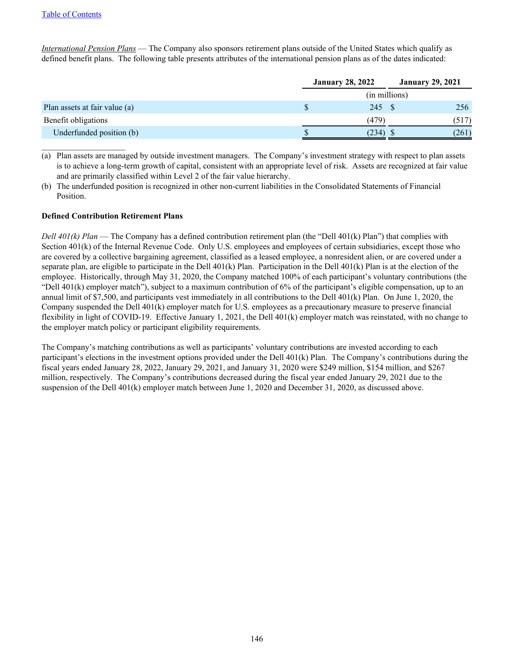$\mathcal{L}_\text{max}$  , where  $\mathcal{L}_\text{max}$  , we have the set of  $\mathcal{L}_\text{max}$ 

*International Pension Plans* — The Company also sponsors retirement plans outside of the United States which qualify as defined benefit plans. The following table presents attributes of the international pension plans as of the dates indicated:

|                               | <b>January 28, 2022</b> |               | <b>January 29, 2021</b> |
|-------------------------------|-------------------------|---------------|-------------------------|
|                               |                         | (in millions) |                         |
| Plan assets at fair value (a) |                         | 245 \$        | 256                     |
| Benefit obligations           |                         | (479)         | (517)                   |
| Underfunded position (b)      |                         | (234)         | (261)                   |

(a) Plan assets are managed by outside investment managers. The Company's investment strategy with respect to plan assets is to achieve a long-term growth of capital, consistent with an appropriate level of risk. Assets are recognized at fair value and are primarily classified within Level 2 of the fair value hierarchy.

(b) The underfunded position is recognized in other non-current liabilities in the Consolidated Statements of Financial Position.

#### **Defined Contribution Retirement Plans**

*Dell 401(k) Plan* — The Company has a defined contribution retirement plan (the "Dell 401(k) Plan") that complies with Section 401(k) of the Internal Revenue Code. Only U.S. employees and employees of certain subsidiaries, except those who are covered by a collective bargaining agreement, classified as a leased employee, a nonresident alien, or are covered under a separate plan, are eligible to participate in the Dell  $401(k)$  Plan. Participation in the Dell  $401(k)$  Plan is at the election of the employee. Historically, through May 31, 2020, the Company matched 100% of each participant's voluntary contributions (the "Dell  $401(k)$  employer match"), subject to a maximum contribution of  $6\%$  of the participant's eligible compensation, up to an annual limit of \$7,500, and participants vest immediately in all contributions to the Dell 401(k) Plan. On June 1, 2020, the Company suspended the Dell 401(k) employer match for U.S. employees as a precautionary measure to preserve financial flexibility in light of COVID-19. Effective January 1, 2021, the Dell 401(k) employer match was reinstated, with no change to the employer match policy or participant eligibility requirements.

The Company's matching contributions as well as participants' voluntary contributions are invested according to each participant's elections in the investment options provided under the Dell 401(k) Plan. The Company's contributions during the fiscal years ended January 28, 2022, January 29, 2021, and January 31, 2020 were \$249 million, \$154 million, and \$267 million, respectively. The Company's contributions decreased during the fiscal year ended January 29, 2021 due to the suspension of the Dell 401(k) employer match between June 1, 2020 and December 31, 2020, as discussed above.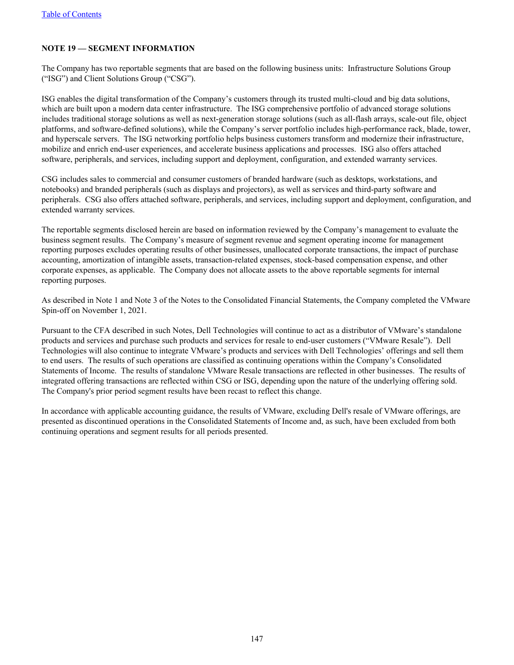## **NOTE 19 — SEGMENT INFORMATION**

The Company has two reportable segments that are based on the following business units: Infrastructure Solutions Group ("ISG") and Client Solutions Group ("CSG").

ISG enables the digital transformation of the Company's customers through its trusted multi-cloud and big data solutions, which are built upon a modern data center infrastructure. The ISG comprehensive portfolio of advanced storage solutions includes traditional storage solutions as well as next-generation storage solutions (such as all-flash arrays, scale-out file, object platforms, and software-defined solutions), while the Company's server portfolio includes high-performance rack, blade, tower, and hyperscale servers. The ISG networking portfolio helps business customers transform and modernize their infrastructure, mobilize and enrich end-user experiences, and accelerate business applications and processes. ISG also offers attached software, peripherals, and services, including support and deployment, configuration, and extended warranty services.

CSG includes sales to commercial and consumer customers of branded hardware (such as desktops, workstations, and notebooks) and branded peripherals (such as displays and projectors), as well as services and third-party software and peripherals. CSG also offers attached software, peripherals, and services, including support and deployment, configuration, and extended warranty services.

The reportable segments disclosed herein are based on information reviewed by the Company's management to evaluate the business segment results. The Company's measure of segment revenue and segment operating income for management reporting purposes excludes operating results of other businesses, unallocated corporate transactions, the impact of purchase accounting, amortization of intangible assets, transaction-related expenses, stock-based compensation expense, and other corporate expenses, as applicable. The Company does not allocate assets to the above reportable segments for internal reporting purposes.

As described in Note 1 and Note 3 of the Notes to the Consolidated Financial Statements, the Company completed the VMware Spin-off on November 1, 2021.

Pursuant to the CFA described in such Notes, Dell Technologies will continue to act as a distributor of VMware's standalone products and services and purchase such products and services for resale to end-user customers ("VMware Resale"). Dell Technologies will also continue to integrate VMware's products and services with Dell Technologies' offerings and sell them to end users. The results of such operations are classified as continuing operations within the Company's Consolidated Statements of Income. The results of standalone VMware Resale transactions are reflected in other businesses. The results of integrated offering transactions are reflected within CSG or ISG, depending upon the nature of the underlying offering sold. The Company's prior period segment results have been recast to reflect this change.

In accordance with applicable accounting guidance, the results of VMware, excluding Dell's resale of VMware offerings, are presented as discontinued operations in the Consolidated Statements of Income and, as such, have been excluded from both continuing operations and segment results for all periods presented.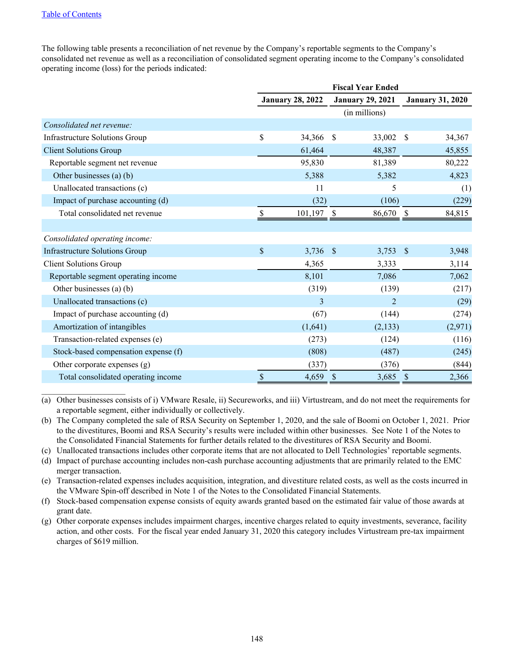#### [Table of Contents](#page-3-0)

 $\mathcal{L}_\text{max}$  , where  $\mathcal{L}_\text{max}$  , we have the set of  $\mathcal{L}_\text{max}$ 

The following table presents a reconciliation of net revenue by the Company's reportable segments to the Company's consolidated net revenue as well as a reconciliation of consolidated segment operating income to the Company's consolidated operating income (loss) for the periods indicated:

|                                       | <b>Fiscal Year Ended</b>          |                         |            |                         |               |                         |
|---------------------------------------|-----------------------------------|-------------------------|------------|-------------------------|---------------|-------------------------|
|                                       |                                   | <b>January 28, 2022</b> |            | <b>January 29, 2021</b> |               | <b>January 31, 2020</b> |
|                                       |                                   |                         |            | (in millions)           |               |                         |
| Consolidated net revenue:             |                                   |                         |            |                         |               |                         |
| <b>Infrastructure Solutions Group</b> | \$                                | 34,366                  | -\$        | 33,002                  | \$            | 34,367                  |
| <b>Client Solutions Group</b>         |                                   | 61,464                  |            | 48,387                  |               | 45,855                  |
| Reportable segment net revenue        |                                   | 95,830                  |            | 81,389                  |               | 80,222                  |
| Other businesses (a) (b)              |                                   | 5,388                   |            | 5,382                   |               | 4,823                   |
| Unallocated transactions (c)          |                                   | 11                      |            | 5                       |               | (1)                     |
| Impact of purchase accounting (d)     |                                   | (32)                    |            | (106)                   |               | (229)                   |
| Total consolidated net revenue        | S                                 | $101, 197$ \$           |            | 86,670                  | -S            | 84,815                  |
|                                       |                                   |                         |            |                         |               |                         |
| Consolidated operating income:        |                                   |                         |            |                         |               |                         |
| <b>Infrastructure Solutions Group</b> | \$                                | $3,736$ \$              |            | 3,753                   | $\mathcal{S}$ | 3,948                   |
| <b>Client Solutions Group</b>         |                                   | 4,365                   |            | 3,333                   |               | 3,114                   |
| Reportable segment operating income   |                                   | 8,101                   |            | 7,086                   |               | 7,062                   |
| Other businesses (a) (b)              |                                   | (319)                   |            | (139)                   |               | (217)                   |
| Unallocated transactions (c)          |                                   | 3                       |            | $\overline{2}$          |               | (29)                    |
| Impact of purchase accounting (d)     |                                   | (67)                    |            | (144)                   |               | (274)                   |
| Amortization of intangibles           |                                   | (1,641)                 |            | (2,133)                 |               | (2,971)                 |
| Transaction-related expenses (e)      |                                   | (273)                   |            | (124)                   |               | (116)                   |
| Stock-based compensation expense (f)  |                                   | (808)                   |            | (487)                   |               | (245)                   |
| Other corporate expenses $(g)$        |                                   | (337)                   |            | (376)                   |               | (844)                   |
| Total consolidated operating income   | $\mathbb{S}% _{t}\left( t\right)$ | 4,659                   | $\sqrt{3}$ | 3,685                   | $\mathcal{S}$ | 2,366                   |

(a) Other businesses consists of i) VMware Resale, ii) Secureworks, and iii) Virtustream, and do not meet the requirements for a reportable segment, either individually or collectively.

(b) The Company completed the sale of RSA Security on September 1, 2020, and the sale of Boomi on October 1, 2021. Prior to the divestitures, Boomi and RSA Security's results were included within other businesses. See Note 1 of the Notes to the Consolidated Financial Statements for further details related to the divestitures of RSA Security and Boomi.

(c) Unallocated transactions includes other corporate items that are not allocated to Dell Technologies' reportable segments.

(d) Impact of purchase accounting includes non-cash purchase accounting adjustments that are primarily related to the EMC merger transaction.

(e) Transaction-related expenses includes acquisition, integration, and divestiture related costs, as well as the costs incurred in the VMware Spin-off described in Note 1 of the Notes to the Consolidated Financial Statements.

(f) Stock-based compensation expense consists of equity awards granted based on the estimated fair value of those awards at grant date.

(g) Other corporate expenses includes impairment charges, incentive charges related to equity investments, severance, facility action, and other costs. For the fiscal year ended January 31, 2020 this category includes Virtustream pre-tax impairment charges of \$619 million.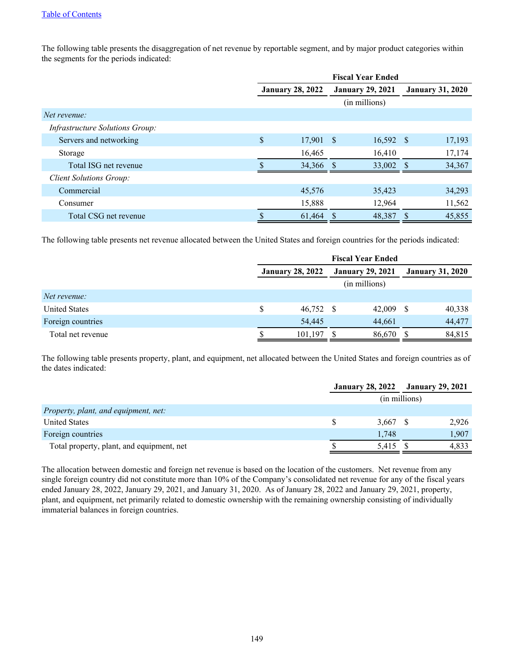The following table presents the disaggregation of net revenue by reportable segment, and by major product categories within the segments for the periods indicated:

|                                        | <b>Fiscal Year Ended</b> |      |                         |          |                         |  |  |
|----------------------------------------|--------------------------|------|-------------------------|----------|-------------------------|--|--|
|                                        | <b>January 28, 2022</b>  |      | <b>January 29, 2021</b> |          | <b>January 31, 2020</b> |  |  |
|                                        |                          |      | (in millions)           |          |                         |  |  |
| Net revenue:                           |                          |      |                         |          |                         |  |  |
| <i>Infrastructure Solutions Group:</i> |                          |      |                         |          |                         |  |  |
| Servers and networking                 | \$<br>17,901             | - \$ | $16,592$ \$             |          | 17,193                  |  |  |
| Storage                                | 16,465                   |      | 16,410                  |          | 17,174                  |  |  |
| Total ISG net revenue                  | 34,366                   |      | 33,002                  |          | 34,367                  |  |  |
| <b>Client Solutions Group:</b>         |                          |      |                         |          |                         |  |  |
| Commercial                             | 45,576                   |      | 35,423                  |          | 34,293                  |  |  |
| Consumer                               | 15,888                   |      | 12,964                  |          | 11,562                  |  |  |
| Total CSG net revenue                  | 61,464                   |      | 48,387                  | <b>S</b> | 45,855                  |  |  |

The following table presents net revenue allocated between the United States and foreign countries for the periods indicated:

|                      |   |                         | <b>Fiscal Year Ended</b> |                         |        |
|----------------------|---|-------------------------|--------------------------|-------------------------|--------|
|                      |   | <b>January 28, 2022</b> | <b>January 29, 2021</b>  | <b>January 31, 2020</b> |        |
|                      |   |                         | (in millions)            |                         |        |
| Net revenue:         |   |                         |                          |                         |        |
| <b>United States</b> | S | 46,752 \$               | 42,009                   | \$.                     | 40,338 |
| Foreign countries    |   | 54,445                  | 44.661                   |                         | 44,477 |
| Total net revenue    |   | 101.197                 | 86,670                   | S                       | 84,815 |

The following table presents property, plant, and equipment, net allocated between the United States and foreign countries as of the dates indicated:

|                                           | <b>January 28, 2022</b> January 29, 2021 |       |               |       |
|-------------------------------------------|------------------------------------------|-------|---------------|-------|
|                                           |                                          |       | (in millions) |       |
| Property, plant, and equipment, net:      |                                          |       |               |       |
| <b>United States</b>                      |                                          | 3.667 |               | 2.926 |
| Foreign countries                         |                                          | 1.748 |               | 1.907 |
| Total property, plant, and equipment, net |                                          | 5,415 |               | 4.833 |

The allocation between domestic and foreign net revenue is based on the location of the customers. Net revenue from any single foreign country did not constitute more than 10% of the Company's consolidated net revenue for any of the fiscal years ended January 28, 2022, January 29, 2021, and January 31, 2020. As of January 28, 2022 and January 29, 2021, property, plant, and equipment, net primarily related to domestic ownership with the remaining ownership consisting of individually immaterial balances in foreign countries.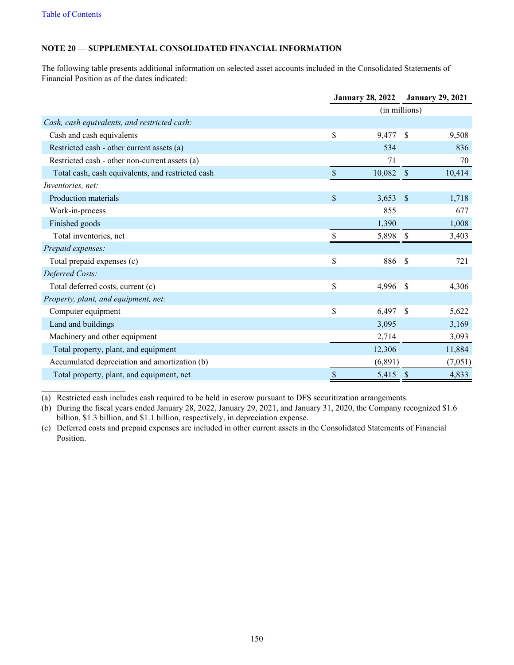$\mathcal{L}_\text{max}$  , where  $\mathcal{L}_\text{max}$  , we have the set of  $\mathcal{L}_\text{max}$ 

# **NOTE 20 — SUPPLEMENTAL CONSOLIDATED FINANCIAL INFORMATION**

The following table presents additional information on selected asset accounts included in the Consolidated Statements of Financial Position as of the dates indicated:

|                                                   |                           | <b>January 28, 2022</b> | <b>January 29, 2021</b> |         |  |
|---------------------------------------------------|---------------------------|-------------------------|-------------------------|---------|--|
|                                                   |                           |                         | (in millions)           |         |  |
| Cash, cash equivalents, and restricted cash:      |                           |                         |                         |         |  |
| Cash and cash equivalents                         | \$                        | 9,477                   | <sup>\$</sup>           | 9,508   |  |
| Restricted cash - other current assets (a)        |                           | 534                     |                         | 836     |  |
| Restricted cash - other non-current assets (a)    |                           | 71                      |                         | 70      |  |
| Total cash, cash equivalents, and restricted cash |                           | 10,082                  | -\$                     | 10,414  |  |
| Inventories, net:                                 |                           |                         |                         |         |  |
| Production materials                              | $\mathbb{S}$              | 3,653                   | <sup>S</sup>            | 1,718   |  |
| Work-in-process                                   |                           | 855                     |                         | 677     |  |
| Finished goods                                    |                           | 1,390                   |                         | 1,008   |  |
| Total inventories, net                            |                           | 5,898                   | S                       | 3,403   |  |
| Prepaid expenses:                                 |                           |                         |                         |         |  |
| Total prepaid expenses (c)                        | $\mathbb{S}$              | 886                     | \$                      | 721     |  |
| Deferred Costs:                                   |                           |                         |                         |         |  |
| Total deferred costs, current (c)                 | \$                        | 4,996                   | \$                      | 4,306   |  |
| Property, plant, and equipment, net:              |                           |                         |                         |         |  |
| Computer equipment                                | $\mathbf S$               | 6,497                   | \$                      | 5,622   |  |
| Land and buildings                                |                           | 3,095                   |                         | 3,169   |  |
| Machinery and other equipment                     |                           | 2,714                   |                         | 3,093   |  |
| Total property, plant, and equipment              |                           | 12,306                  |                         | 11,884  |  |
| Accumulated depreciation and amortization (b)     |                           | (6,891)                 |                         | (7,051) |  |
| Total property, plant, and equipment, net         | $\boldsymbol{\mathsf{S}}$ | 5,415                   | $\mathcal{S}$           | 4,833   |  |

(a) Restricted cash includes cash required to be held in escrow pursuant to DFS securitization arrangements.

(b) During the fiscal years ended January 28, 2022, January 29, 2021, and January 31, 2020, the Company recognized \$1.6 billion, \$1.3 billion, and \$1.1 billion, respectively, in depreciation expense.

(c) Deferred costs and prepaid expenses are included in other current assets in the Consolidated Statements of Financial Position.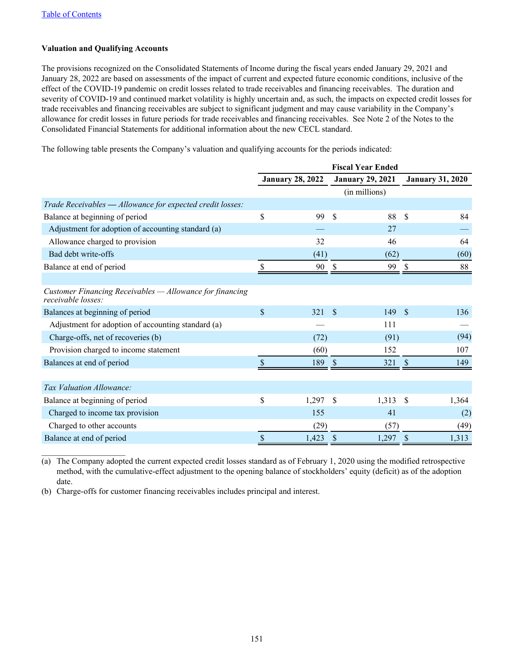## **Valuation and Qualifying Accounts**

The provisions recognized on the Consolidated Statements of Income during the fiscal years ended January 29, 2021 and January 28, 2022 are based on assessments of the impact of current and expected future economic conditions, inclusive of the effect of the COVID-19 pandemic on credit losses related to trade receivables and financing receivables. The duration and severity of COVID-19 and continued market volatility is highly uncertain and, as such, the impacts on expected credit losses for trade receivables and financing receivables are subject to significant judgment and may cause variability in the Company's allowance for credit losses in future periods for trade receivables and financing receivables. See Note 2 of the Notes to the Consolidated Financial Statements for additional information about the new CECL standard.

The following table presents the Company's valuation and qualifying accounts for the periods indicated:

|                                                                                | <b>Fiscal Year Ended</b> |                         |              |                         |               |                         |
|--------------------------------------------------------------------------------|--------------------------|-------------------------|--------------|-------------------------|---------------|-------------------------|
|                                                                                |                          | <b>January 28, 2022</b> |              | <b>January 29, 2021</b> |               | <b>January 31, 2020</b> |
|                                                                                |                          |                         |              | (in millions)           |               |                         |
| Trade Receivables - Allowance for expected credit losses:                      |                          |                         |              |                         |               |                         |
| Balance at beginning of period                                                 | \$                       | 99                      | \$           | 88                      | \$            | 84                      |
| Adjustment for adoption of accounting standard (a)                             |                          |                         |              | 27                      |               |                         |
| Allowance charged to provision                                                 |                          | 32                      |              | 46                      |               | 64                      |
| Bad debt write-offs                                                            |                          | (41)                    |              | (62)                    |               | (60)                    |
| Balance at end of period                                                       |                          | 90                      |              | 99                      | <sup>\$</sup> | 88                      |
| Customer Financing Receivables - Allowance for financing<br>receivable losses: |                          |                         |              |                         |               |                         |
| Balances at beginning of period                                                | \$                       | 321                     | $\mathbf{s}$ | 149                     | $\mathcal{S}$ | 136                     |
| Adjustment for adoption of accounting standard (a)                             |                          |                         |              | 111                     |               |                         |
| Charge-offs, net of recoveries (b)                                             |                          | (72)                    |              | (91)                    |               | (94)                    |
| Provision charged to income statement                                          |                          | (60)                    |              | 152                     |               | 107                     |
| Balances at end of period                                                      | \$                       | 189                     | \$           | 321                     | $\mathcal{S}$ | 149                     |
| Tax Valuation Allowance:                                                       |                          |                         |              |                         |               |                         |
| Balance at beginning of period                                                 | \$                       | 1,297                   | S            | 1,313                   | <sup>\$</sup> | 1,364                   |
| Charged to income tax provision                                                |                          | 155                     |              | 41                      |               | (2)                     |
| Charged to other accounts                                                      |                          | (29)                    |              | (57)                    |               | (49)                    |
| Balance at end of period                                                       | \$                       | 1,423                   | S            | 1,297                   | <sup>\$</sup> | 1,313                   |

 $\mathcal{L}_\text{max}$  , where  $\mathcal{L}_\text{max}$  , we have the set of  $\mathcal{L}_\text{max}$ (a) The Company adopted the current expected credit losses standard as of February 1, 2020 using the modified retrospective method, with the cumulative-effect adjustment to the opening balance of stockholders' equity (deficit) as of the adoption date.

(b) Charge-offs for customer financing receivables includes principal and interest.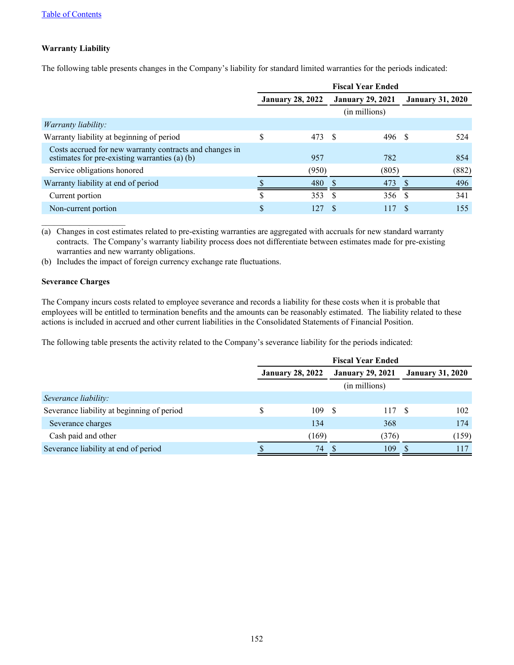# **Warranty Liability**

The following table presents changes in the Company's liability for standard limited warranties for the periods indicated:

|                                                                                                          | <b>Fiscal Year Ended</b> |                         |      |                         |          |                         |  |  |
|----------------------------------------------------------------------------------------------------------|--------------------------|-------------------------|------|-------------------------|----------|-------------------------|--|--|
|                                                                                                          |                          | <b>January 28, 2022</b> |      | <b>January 29, 2021</b> |          | <b>January 31, 2020</b> |  |  |
|                                                                                                          |                          |                         |      | (in millions)           |          |                         |  |  |
| <i>Warranty liability:</i>                                                                               |                          |                         |      |                         |          |                         |  |  |
| Warranty liability at beginning of period                                                                | \$                       | 473 \$                  |      | 496 \$                  |          | 524                     |  |  |
| Costs accrued for new warranty contracts and changes in<br>estimates for pre-existing warranties (a) (b) |                          | 957                     |      | 782                     |          | 854                     |  |  |
| Service obligations honored                                                                              |                          | (950)                   |      | (805)                   |          | (882)                   |  |  |
| Warranty liability at end of period                                                                      |                          | 480                     |      | 473                     |          | 496                     |  |  |
| Current portion                                                                                          |                          | 353                     | - \$ | 356 \$                  |          | 341                     |  |  |
| Non-current portion                                                                                      | \$                       | 127                     |      | 117                     | <b>S</b> | 155                     |  |  |

(a) Changes in cost estimates related to pre-existing warranties are aggregated with accruals for new standard warranty contracts. The Company's warranty liability process does not differentiate between estimates made for pre-existing warranties and new warranty obligations.

(b) Includes the impact of foreign currency exchange rate fluctuations.

#### **Severance Charges**

 $\mathcal{L}_\text{max}$  , where  $\mathcal{L}_\text{max}$  , we have the set of  $\mathcal{L}_\text{max}$ 

The Company incurs costs related to employee severance and records a liability for these costs when it is probable that employees will be entitled to termination benefits and the amounts can be reasonably estimated. The liability related to these actions is included in accrued and other current liabilities in the Consolidated Statements of Financial Position.

The following table presents the activity related to the Company's severance liability for the periods indicated:

|                                            | <b>Fiscal Year Ended</b> |                         |     |                         |                         |       |  |  |
|--------------------------------------------|--------------------------|-------------------------|-----|-------------------------|-------------------------|-------|--|--|
|                                            |                          | <b>January 28, 2022</b> |     | <b>January 29, 2021</b> | <b>January 31, 2020</b> |       |  |  |
|                                            |                          |                         |     | (in millions)           |                         |       |  |  |
| Severance liability:                       |                          |                         |     |                         |                         |       |  |  |
| Severance liability at beginning of period |                          | 109                     | - S | 117 \$                  |                         | 102   |  |  |
| Severance charges                          |                          | 134                     |     | 368                     |                         | 174   |  |  |
| Cash paid and other                        |                          | (169)                   |     | (376)                   |                         | (159) |  |  |
| Severance liability at end of period       |                          | 74                      |     | 109                     |                         | 117   |  |  |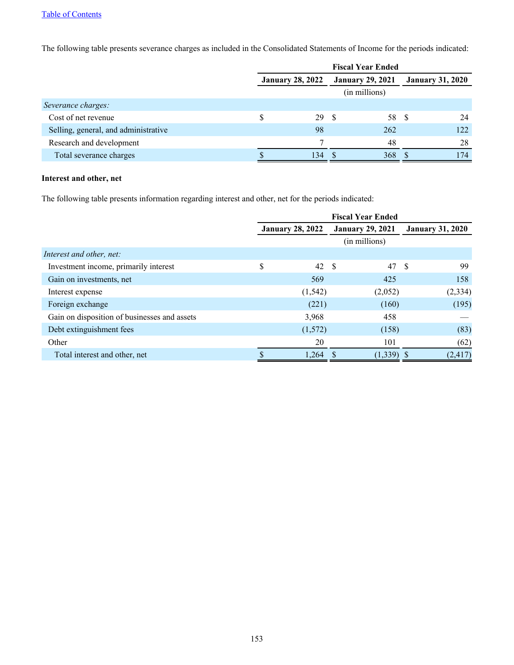## [Table of Contents](#page-3-0)

The following table presents severance charges as included in the Consolidated Statements of Income for the periods indicated:

|                                      | <b>Fiscal Year Ended</b> |                         |      |                         |     |                         |  |
|--------------------------------------|--------------------------|-------------------------|------|-------------------------|-----|-------------------------|--|
|                                      |                          | <b>January 28, 2022</b> |      | <b>January 29, 2021</b> |     | <b>January 31, 2020</b> |  |
|                                      |                          |                         |      | (in millions)           |     |                         |  |
| Severance charges:                   |                          |                         |      |                         |     |                         |  |
| Cost of net revenue                  | S                        | 29                      | - \$ | 58                      | - S | 24                      |  |
| Selling, general, and administrative |                          | 98                      |      | 262                     |     | 122                     |  |
| Research and development             |                          | $\mathbf{r}$            |      | 48                      |     | 28                      |  |
| Total severance charges              |                          | 134                     |      | 368                     |     | 174                     |  |

## **Interest and other, net**

The following table presents information regarding interest and other, net for the periods indicated:

|                                              | <b>Fiscal Year Ended</b> |                         |      |                         |      |                         |  |
|----------------------------------------------|--------------------------|-------------------------|------|-------------------------|------|-------------------------|--|
|                                              |                          | <b>January 28, 2022</b> |      | <b>January 29, 2021</b> |      | <b>January 31, 2020</b> |  |
|                                              |                          |                         |      | (in millions)           |      |                         |  |
| Interest and other, net:                     |                          |                         |      |                         |      |                         |  |
| Investment income, primarily interest        | \$                       | 42                      | - \$ | 47                      | - \$ | 99                      |  |
| Gain on investments, net                     |                          | 569                     |      | 425                     |      | 158                     |  |
| Interest expense                             |                          | (1, 542)                |      | (2,052)                 |      | (2, 334)                |  |
| Foreign exchange                             |                          | (221)                   |      | (160)                   |      | (195)                   |  |
| Gain on disposition of businesses and assets |                          | 3,968                   |      | 458                     |      |                         |  |
| Debt extinguishment fees                     |                          | (1,572)                 |      | (158)                   |      | (83)                    |  |
| Other                                        |                          | 20                      |      | 101                     |      | (62)                    |  |
| Total interest and other, net                |                          | 1,264                   |      | $(1,339)$ \$            |      | (2, 417)                |  |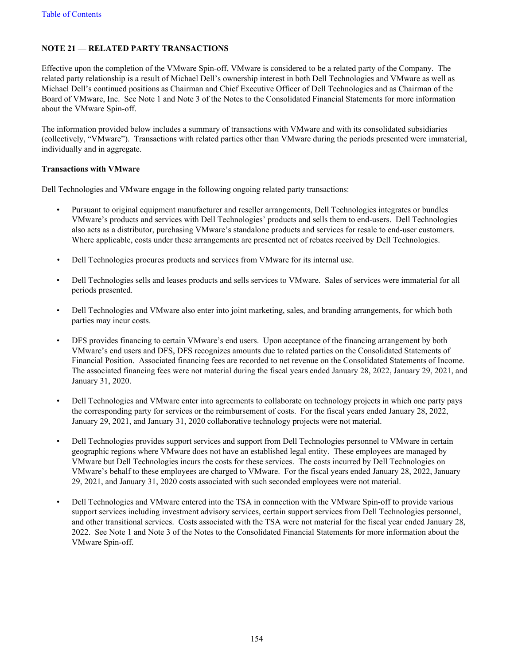# **NOTE 21 — RELATED PARTY TRANSACTIONS**

Effective upon the completion of the VMware Spin-off, VMware is considered to be a related party of the Company. The related party relationship is a result of Michael Dell's ownership interest in both Dell Technologies and VMware as well as Michael Dell's continued positions as Chairman and Chief Executive Officer of Dell Technologies and as Chairman of the Board of VMware, Inc. See Note 1 and Note 3 of the Notes to the Consolidated Financial Statements for more information about the VMware Spin-off.

The information provided below includes a summary of transactions with VMware and with its consolidated subsidiaries (collectively, "VMware"). Transactions with related parties other than VMware during the periods presented were immaterial, individually and in aggregate.

## **Transactions with VMware**

Dell Technologies and VMware engage in the following ongoing related party transactions:

- Pursuant to original equipment manufacturer and reseller arrangements, Dell Technologies integrates or bundles VMware's products and services with Dell Technologies' products and sells them to end-users. Dell Technologies also acts as a distributor, purchasing VMware's standalone products and services for resale to end-user customers. Where applicable, costs under these arrangements are presented net of rebates received by Dell Technologies.
- Dell Technologies procures products and services from VMware for its internal use.
- Dell Technologies sells and leases products and sells services to VMware. Sales of services were immaterial for all periods presented.
- Dell Technologies and VMware also enter into joint marketing, sales, and branding arrangements, for which both parties may incur costs.
- DFS provides financing to certain VMware's end users. Upon acceptance of the financing arrangement by both VMware's end users and DFS, DFS recognizes amounts due to related parties on the Consolidated Statements of Financial Position. Associated financing fees are recorded to net revenue on the Consolidated Statements of Income. The associated financing fees were not material during the fiscal years ended January 28, 2022, January 29, 2021, and January 31, 2020.
- Dell Technologies and VMware enter into agreements to collaborate on technology projects in which one party pays the corresponding party for services or the reimbursement of costs. For the fiscal years ended January 28, 2022, January 29, 2021, and January 31, 2020 collaborative technology projects were not material.
- Dell Technologies provides support services and support from Dell Technologies personnel to VMware in certain geographic regions where VMware does not have an established legal entity. These employees are managed by VMware but Dell Technologies incurs the costs for these services. The costs incurred by Dell Technologies on VMware's behalf to these employees are charged to VMware. For the fiscal years ended January 28, 2022, January 29, 2021, and January 31, 2020 costs associated with such seconded employees were not material.
- Dell Technologies and VMware entered into the TSA in connection with the VMware Spin-off to provide various support services including investment advisory services, certain support services from Dell Technologies personnel, and other transitional services. Costs associated with the TSA were not material for the fiscal year ended January 28, 2022. See Note 1 and Note 3 of the Notes to the Consolidated Financial Statements for more information about the VMware Spin-off.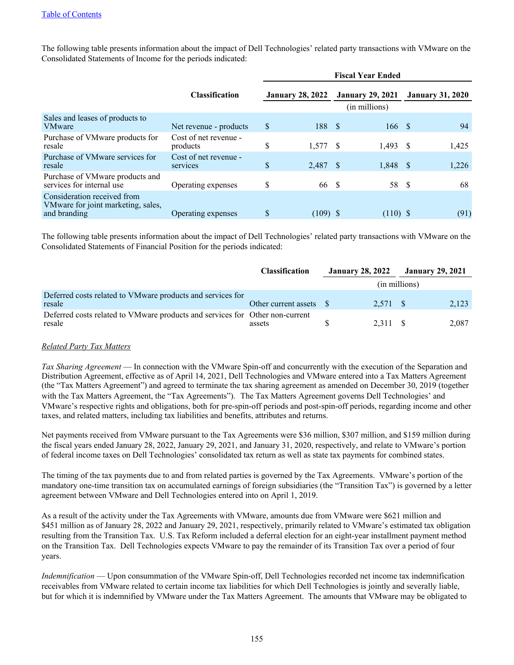The following table presents information about the impact of Dell Technologies' related party transactions with VMware on the Consolidated Statements of Income for the periods indicated:

|                                                                                   |                                   | <b>Fiscal Year Ended</b> |                         |  |                                          |      |                         |  |  |  |  |
|-----------------------------------------------------------------------------------|-----------------------------------|--------------------------|-------------------------|--|------------------------------------------|------|-------------------------|--|--|--|--|
|                                                                                   | <b>Classification</b>             |                          | <b>January 28, 2022</b> |  | <b>January 29, 2021</b><br>(in millions) |      | <b>January 31, 2020</b> |  |  |  |  |
| Sales and leases of products to<br><b>VMware</b>                                  | Net revenue - products            | \$                       | 188 \$                  |  | 166                                      | - S  | 94                      |  |  |  |  |
| Purchase of VMware products for<br>resale                                         | Cost of net revenue -<br>products | \$                       | $1,577$ \$              |  | 1,493                                    | -S   | 1,425                   |  |  |  |  |
| Purchase of VMware services for<br>resale                                         | Cost of net revenue -<br>services | \$                       | 2,487 \$                |  | 1,848                                    | - S  | 1,226                   |  |  |  |  |
| Purchase of VMware products and<br>services for internal use                      | Operating expenses                | \$                       | 66 \$                   |  | 58                                       | - \$ | 68                      |  |  |  |  |
| Consideration received from<br>VMware for joint marketing, sales,<br>and branding | Operating expenses                | S                        | $(109)$ \$              |  | $(110)$ \$                               |      | (91)                    |  |  |  |  |

The following table presents information about the impact of Dell Technologies' related party transactions with VMware on the Consolidated Statements of Financial Position for the periods indicated:

|                                                                                        | <b>Classification</b>   | <b>January 28, 2022</b> |          | <b>January 29, 2021</b> |       |
|----------------------------------------------------------------------------------------|-------------------------|-------------------------|----------|-------------------------|-------|
|                                                                                        |                         |                         |          | (in millions)           |       |
| Deferred costs related to VMware products and services for<br>resale                   | Other current assets \$ |                         | 2.571 \$ |                         | 2,123 |
| Deferred costs related to VMware products and services for Other non-current<br>resale | assets                  |                         | 2.311 \$ |                         | 2.087 |

#### *Related Party Tax Matters*

*Tax Sharing Agreement* — In connection with the VMware Spin-off and concurrently with the execution of the Separation and Distribution Agreement, effective as of April 14, 2021, Dell Technologies and VMware entered into a Tax Matters Agreement (the "Tax Matters Agreement") and agreed to terminate the tax sharing agreement as amended on December 30, 2019 (together with the Tax Matters Agreement, the "Tax Agreements"). The Tax Matters Agreement governs Dell Technologies' and VMware's respective rights and obligations, both for pre-spin-off periods and post-spin-off periods, regarding income and other taxes, and related matters, including tax liabilities and benefits, attributes and returns.

Net payments received from VMware pursuant to the Tax Agreements were \$36 million, \$307 million, and \$159 million during the fiscal years ended January 28, 2022, January 29, 2021, and January 31, 2020, respectively, and relate to VMware's portion of federal income taxes on Dell Technologies' consolidated tax return as well as state tax payments for combined states.

The timing of the tax payments due to and from related parties is governed by the Tax Agreements. VMware's portion of the mandatory one-time transition tax on accumulated earnings of foreign subsidiaries (the "Transition Tax") is governed by a letter agreement between VMware and Dell Technologies entered into on April 1, 2019.

As a result of the activity under the Tax Agreements with VMware, amounts due from VMware were \$621 million and \$451 million as of January 28, 2022 and January 29, 2021, respectively, primarily related to VMware's estimated tax obligation resulting from the Transition Tax. U.S. Tax Reform included a deferral election for an eight-year installment payment method on the Transition Tax. Dell Technologies expects VMware to pay the remainder of its Transition Tax over a period of four years.

*Indemnification* — Upon consummation of the VMware Spin-off, Dell Technologies recorded net income tax indemnification receivables from VMware related to certain income tax liabilities for which Dell Technologies is jointly and severally liable, but for which it is indemnified by VMware under the Tax Matters Agreement. The amounts that VMware may be obligated to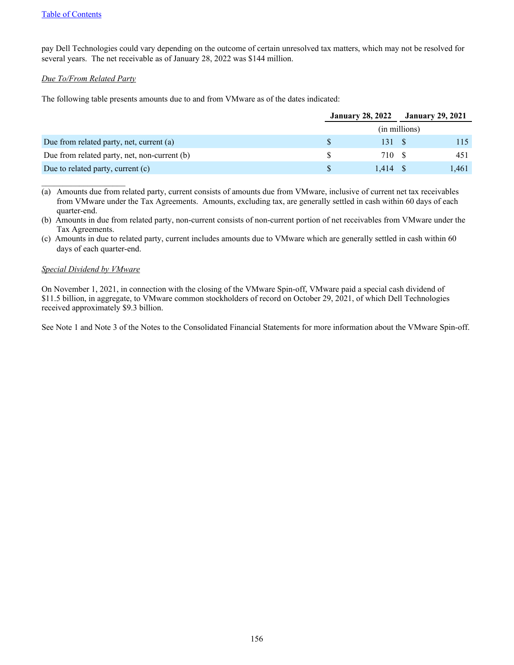pay Dell Technologies could vary depending on the outcome of certain unresolved tax matters, which may not be resolved for several years. The net receivable as of January 28, 2022 was \$144 million.

## *Due To/From Related Party*

The following table presents amounts due to and from VMware as of the dates indicated:

|                                              | <b>January 28, 2022</b> |               |  | <b>January 29, 2021</b> |
|----------------------------------------------|-------------------------|---------------|--|-------------------------|
|                                              |                         | (in millions) |  |                         |
| Due from related party, net, current (a)     | S.                      | 131 \$        |  |                         |
| Due from related party, net, non-current (b) | S.                      | 710 \$        |  | 451                     |
| Due to related party, current (c)            | S.                      | 1.414S        |  | 1,461                   |

(a) Amounts due from related party, current consists of amounts due from VMware, inclusive of current net tax receivables from VMware under the Tax Agreements. Amounts, excluding tax, are generally settled in cash within 60 days of each quarter-end.

(b) Amounts in due from related party, non-current consists of non-current portion of net receivables from VMware under the Tax Agreements.

(c) Amounts in due to related party, current includes amounts due to VMware which are generally settled in cash within 60 days of each quarter-end.

#### *Special Dividend by VMware*

 $\mathcal{L}_\text{max}$  , where  $\mathcal{L}_\text{max}$  , we have the set of  $\mathcal{L}_\text{max}$ 

On November 1, 2021, in connection with the closing of the VMware Spin-off, VMware paid a special cash dividend of \$11.5 billion, in aggregate, to VMware common stockholders of record on October 29, 2021, of which Dell Technologies received approximately \$9.3 billion.

See Note 1 and Note 3 of the Notes to the Consolidated Financial Statements for more information about the VMware Spin-off.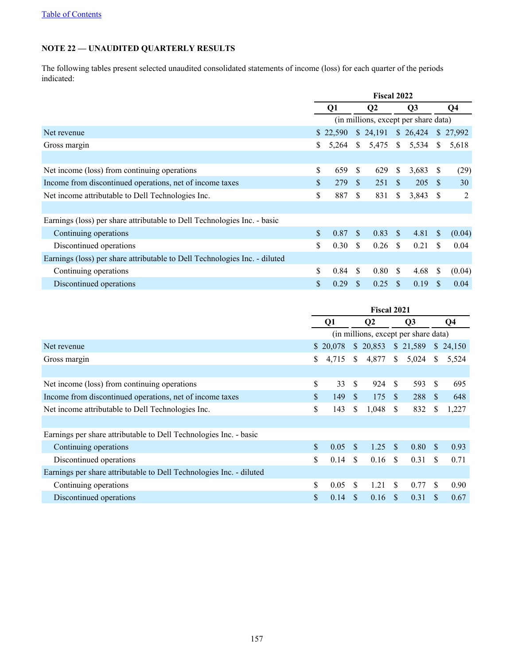# **NOTE 22 — UNAUDITED QUARTERLY RESULTS**

The following tables present selected unaudited consolidated statements of income (loss) for each quarter of the periods indicated:

|                                                                            | Fiscal 2022                          |          |               |                |               |            |              |           |
|----------------------------------------------------------------------------|--------------------------------------|----------|---------------|----------------|---------------|------------|--------------|-----------|
|                                                                            |                                      | Q1       |               | Q <sub>2</sub> |               | Q3         |              | Q4        |
|                                                                            | (in millions, except per share data) |          |               |                |               |            |              |           |
| Net revenue                                                                |                                      | \$22,590 |               | \$24,191       |               | \$26,424   |              | \$ 27,992 |
| Gross margin                                                               | S                                    | 5,264    | <sup>S</sup>  | 5,475          | $\mathbb{S}$  | 5,534      | <sup>S</sup> | 5,618     |
|                                                                            |                                      |          |               |                |               |            |              |           |
| Net income (loss) from continuing operations                               | \$                                   | 659      | <sup>\$</sup> | 629            | S             | 3,683      | <sup>S</sup> | (29)      |
| Income from discontinued operations, net of income taxes                   | \$.                                  | 279      | <sup>\$</sup> | 251            | <sup>\$</sup> | 205        | -S           | 30        |
| Net income attributable to Dell Technologies Inc.                          | \$                                   | 887      | <sup>\$</sup> | 831            | \$            | $3,843$ \$ |              | 2         |
|                                                                            |                                      |          |               |                |               |            |              |           |
| Earnings (loss) per share attributable to Dell Technologies Inc. - basic   |                                      |          |               |                |               |            |              |           |
| Continuing operations                                                      | \$                                   | 0.87     | <sup>\$</sup> | 0.83           | S             | 4.81       | <sup>S</sup> | (0.04)    |
| Discontinued operations                                                    | \$                                   | 0.30     | -S            | 0.26           | - \$          | 0.21       | \$.          | 0.04      |
| Earnings (loss) per share attributable to Dell Technologies Inc. - diluted |                                      |          |               |                |               |            |              |           |
| Continuing operations                                                      | \$                                   | 0.84     | <sup>\$</sup> | 0.80           | \$.           | 4.68       | S            | (0.04)    |
| Discontinued operations                                                    | \$                                   | 0.29     | \$.           | 0.25           | <b>S</b>      | 0.19       |              | 0.04      |

|                                                                     | <b>Fiscal 2021</b>                   |          |               |                |                |                |               |          |
|---------------------------------------------------------------------|--------------------------------------|----------|---------------|----------------|----------------|----------------|---------------|----------|
|                                                                     | Q1                                   |          |               | Q <sub>2</sub> |                | Q <sub>3</sub> |               | Q4       |
|                                                                     | (in millions, except per share data) |          |               |                |                |                |               |          |
| Net revenue                                                         |                                      | \$20,078 |               | \$20,853       |                | \$21,589       |               | \$24,150 |
| Gross margin                                                        | \$                                   | 4,715    | <sup>\$</sup> | 4,877          | $\mathbb{S}^-$ | 5,024          | S.            | 5,524    |
|                                                                     |                                      |          |               |                |                |                |               |          |
| Net income (loss) from continuing operations                        | \$                                   | 33       | <sup>\$</sup> | 924            | $\mathcal{S}$  | 593            | \$.           | 695      |
| Income from discontinued operations, net of income taxes            | \$                                   | 149      | <sup>\$</sup> | 175            | $\mathcal{S}$  | 288            | <sup>\$</sup> | 648      |
| Net income attributable to Dell Technologies Inc.                   |                                      |          | S.            | 1,048          | <sup>\$</sup>  | 832            | \$            | 1,227    |
|                                                                     |                                      |          |               |                |                |                |               |          |
| Earnings per share attributable to Dell Technologies Inc. - basic   |                                      |          |               |                |                |                |               |          |
| Continuing operations                                               | \$                                   | 0.05     | <sup>\$</sup> | 1.25           | - \$           | 0.80           | -S            | 0.93     |
| Discontinued operations                                             |                                      |          | <sup>\$</sup> | 0.16           | -S             | 0.31           | S.            | 0.71     |
| Earnings per share attributable to Dell Technologies Inc. - diluted |                                      |          |               |                |                |                |               |          |
| Continuing operations                                               | \$                                   | 0.05     | -S            | 1.21           | <sup>\$</sup>  | 0.77           | S.            | 0.90     |
| Discontinued operations                                             | \$                                   | 0.14     | \$.           | 0.16           | -S             | 0.31           | S             | 0.67     |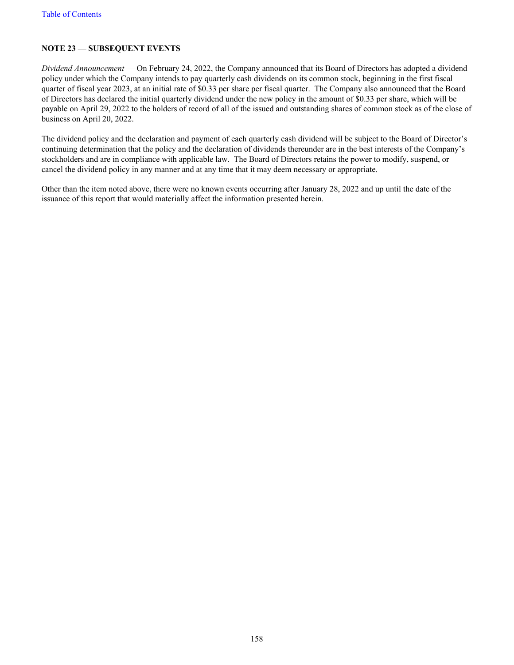# **NOTE 23 — SUBSEQUENT EVENTS**

*Dividend Announcement* — On February 24, 2022, the Company announced that its Board of Directors has adopted a dividend policy under which the Company intends to pay quarterly cash dividends on its common stock, beginning in the first fiscal quarter of fiscal year 2023, at an initial rate of \$0.33 per share per fiscal quarter. The Company also announced that the Board of Directors has declared the initial quarterly dividend under the new policy in the amount of \$0.33 per share, which will be payable on April 29, 2022 to the holders of record of all of the issued and outstanding shares of common stock as of the close of business on April 20, 2022.

The dividend policy and the declaration and payment of each quarterly cash dividend will be subject to the Board of Director's continuing determination that the policy and the declaration of dividends thereunder are in the best interests of the Company's stockholders and are in compliance with applicable law. The Board of Directors retains the power to modify, suspend, or cancel the dividend policy in any manner and at any time that it may deem necessary or appropriate.

Other than the item noted above, there were no known events occurring after January 28, 2022 and up until the date of the issuance of this report that would materially affect the information presented herein.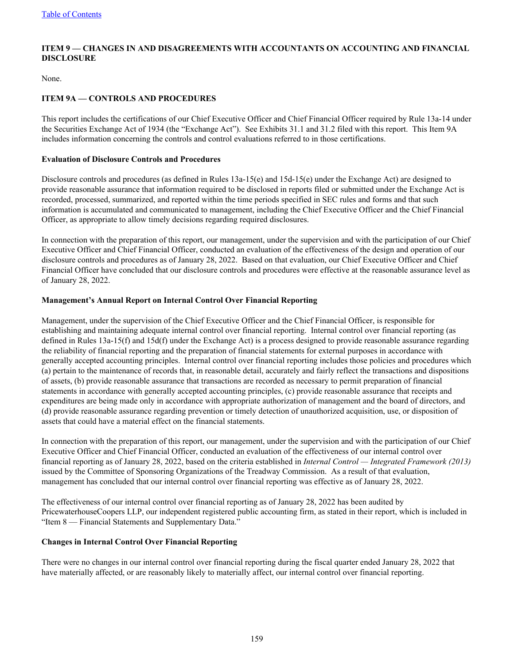# **ITEM 9 — CHANGES IN AND DISAGREEMENTS WITH ACCOUNTANTS ON ACCOUNTING AND FINANCIAL DISCLOSURE**

None.

# **ITEM 9A — CONTROLS AND PROCEDURES**

This report includes the certifications of our Chief Executive Officer and Chief Financial Officer required by Rule 13a-14 under the Securities Exchange Act of 1934 (the "Exchange Act"). See Exhibits 31.1 and 31.2 filed with this report. This Item 9A includes information concerning the controls and control evaluations referred to in those certifications.

#### **Evaluation of Disclosure Controls and Procedures**

Disclosure controls and procedures (as defined in Rules 13a-15(e) and 15d-15(e) under the Exchange Act) are designed to provide reasonable assurance that information required to be disclosed in reports filed or submitted under the Exchange Act is recorded, processed, summarized, and reported within the time periods specified in SEC rules and forms and that such information is accumulated and communicated to management, including the Chief Executive Officer and the Chief Financial Officer, as appropriate to allow timely decisions regarding required disclosures.

In connection with the preparation of this report, our management, under the supervision and with the participation of our Chief Executive Officer and Chief Financial Officer, conducted an evaluation of the effectiveness of the design and operation of our disclosure controls and procedures as of January 28, 2022. Based on that evaluation, our Chief Executive Officer and Chief Financial Officer have concluded that our disclosure controls and procedures were effective at the reasonable assurance level as of January 28, 2022.

## **Management's Annual Report on Internal Control Over Financial Reporting**

Management, under the supervision of the Chief Executive Officer and the Chief Financial Officer, is responsible for establishing and maintaining adequate internal control over financial reporting. Internal control over financial reporting (as defined in Rules 13a-15(f) and 15d(f) under the Exchange Act) is a process designed to provide reasonable assurance regarding the reliability of financial reporting and the preparation of financial statements for external purposes in accordance with generally accepted accounting principles. Internal control over financial reporting includes those policies and procedures which (a) pertain to the maintenance of records that, in reasonable detail, accurately and fairly reflect the transactions and dispositions of assets, (b) provide reasonable assurance that transactions are recorded as necessary to permit preparation of financial statements in accordance with generally accepted accounting principles, (c) provide reasonable assurance that receipts and expenditures are being made only in accordance with appropriate authorization of management and the board of directors, and (d) provide reasonable assurance regarding prevention or timely detection of unauthorized acquisition, use, or disposition of assets that could have a material effect on the financial statements.

In connection with the preparation of this report, our management, under the supervision and with the participation of our Chief Executive Officer and Chief Financial Officer, conducted an evaluation of the effectiveness of our internal control over financial reporting as of January 28, 2022, based on the criteria established in *Internal Control — Integrated Framework (2013)* issued by the Committee of Sponsoring Organizations of the Treadway Commission. As a result of that evaluation, management has concluded that our internal control over financial reporting was effective as of January 28, 2022.

The effectiveness of our internal control over financial reporting as of January 28, 2022 has been audited by PricewaterhouseCoopers LLP, our independent registered public accounting firm, as stated in their report, which is included in "Item 8 — Financial Statements and Supplementary Data."

#### **Changes in Internal Control Over Financial Reporting**

There were no changes in our internal control over financial reporting during the fiscal quarter ended January 28, 2022 that have materially affected, or are reasonably likely to materially affect, our internal control over financial reporting.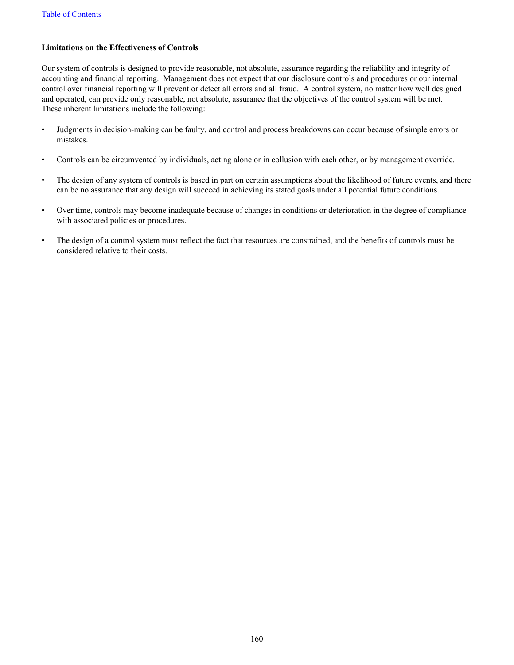## **Limitations on the Effectiveness of Controls**

Our system of controls is designed to provide reasonable, not absolute, assurance regarding the reliability and integrity of accounting and financial reporting. Management does not expect that our disclosure controls and procedures or our internal control over financial reporting will prevent or detect all errors and all fraud. A control system, no matter how well designed and operated, can provide only reasonable, not absolute, assurance that the objectives of the control system will be met. These inherent limitations include the following:

- Judgments in decision-making can be faulty, and control and process breakdowns can occur because of simple errors or mistakes.
- Controls can be circumvented by individuals, acting alone or in collusion with each other, or by management override.
- The design of any system of controls is based in part on certain assumptions about the likelihood of future events, and there can be no assurance that any design will succeed in achieving its stated goals under all potential future conditions.
- Over time, controls may become inadequate because of changes in conditions or deterioration in the degree of compliance with associated policies or procedures.
- The design of a control system must reflect the fact that resources are constrained, and the benefits of controls must be considered relative to their costs.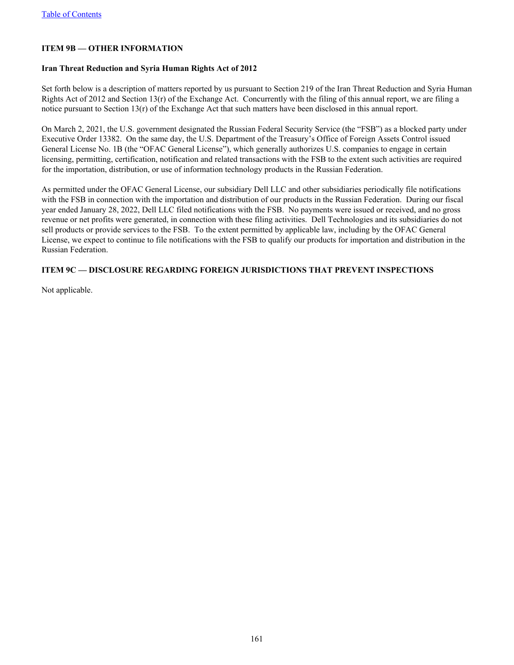# **ITEM 9B — OTHER INFORMATION**

## **Iran Threat Reduction and Syria Human Rights Act of 2012**

Set forth below is a description of matters reported by us pursuant to Section 219 of the Iran Threat Reduction and Syria Human Rights Act of 2012 and Section 13(r) of the Exchange Act. Concurrently with the filing of this annual report, we are filing a notice pursuant to Section  $13(r)$  of the Exchange Act that such matters have been disclosed in this annual report.

On March 2, 2021, the U.S. government designated the Russian Federal Security Service (the "FSB") as a blocked party under Executive Order 13382. On the same day, the U.S. Department of the Treasury's Office of Foreign Assets Control issued General License No. 1B (the "OFAC General License"), which generally authorizes U.S. companies to engage in certain licensing, permitting, certification, notification and related transactions with the FSB to the extent such activities are required for the importation, distribution, or use of information technology products in the Russian Federation.

As permitted under the OFAC General License, our subsidiary Dell LLC and other subsidiaries periodically file notifications with the FSB in connection with the importation and distribution of our products in the Russian Federation. During our fiscal year ended January 28, 2022, Dell LLC filed notifications with the FSB. No payments were issued or received, and no gross revenue or net profits were generated, in connection with these filing activities. Dell Technologies and its subsidiaries do not sell products or provide services to the FSB. To the extent permitted by applicable law, including by the OFAC General License, we expect to continue to file notifications with the FSB to qualify our products for importation and distribution in the Russian Federation.

## **ITEM 9C — DISCLOSURE REGARDING FOREIGN JURISDICTIONS THAT PREVENT INSPECTIONS**

Not applicable.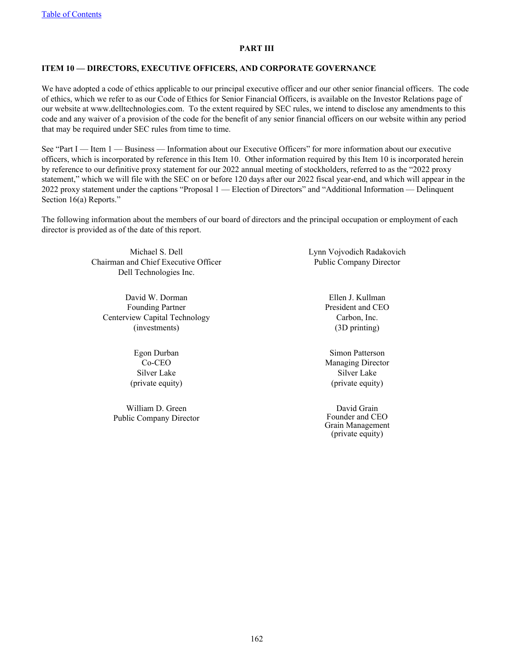#### **PART III**

## **ITEM 10 — DIRECTORS, EXECUTIVE OFFICERS, AND CORPORATE GOVERNANCE**

We have adopted a code of ethics applicable to our principal executive officer and our other senior financial officers. The code of ethics, which we refer to as our Code of Ethics for Senior Financial Officers, is available on the Investor Relations page of our website at www.delltechnologies.com. To the extent required by SEC rules, we intend to disclose any amendments to this code and any waiver of a provision of the code for the benefit of any senior financial officers on our website within any period that may be required under SEC rules from time to time.

See "Part I — Item 1 — Business — Information about our Executive Officers" for more information about our executive officers, which is incorporated by reference in this Item 10. Other information required by this Item 10 is incorporated herein by reference to our definitive proxy statement for our 2022 annual meeting of stockholders, referred to as the "2022 proxy statement," which we will file with the SEC on or before 120 days after our 2022 fiscal year-end, and which will appear in the 2022 proxy statement under the captions "Proposal 1 — Election of Directors" and "Additional Information — Delinquent Section 16(a) Reports."

The following information about the members of our board of directors and the principal occupation or employment of each director is provided as of the date of this report.

> Michael S. Dell Chairman and Chief Executive Officer Dell Technologies Inc.

David W. Dorman Founding Partner Centerview Capital Technology (investments)

> Egon Durban Co-CEO Silver Lake (private equity)

William D. Green Public Company Director Lynn Vojvodich Radakovich Public Company Director

> Ellen J. Kullman President and CEO Carbon, Inc. (3D printing)

> Simon Patterson Managing Director Silver Lake (private equity)

David Grain Founder and CEO Grain Management (private equity)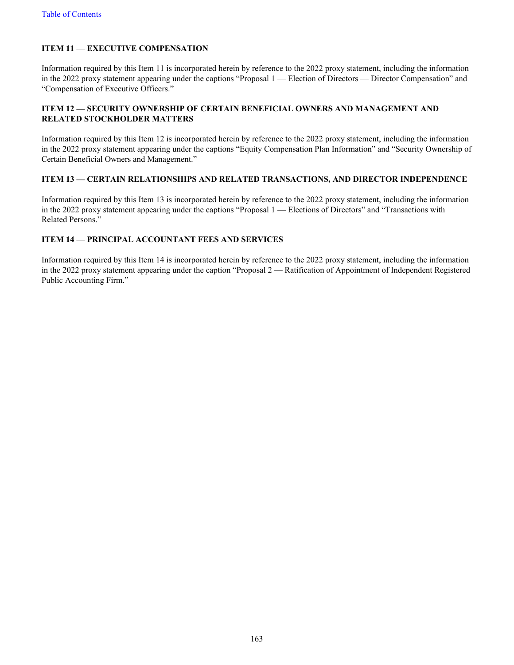# **ITEM 11 — EXECUTIVE COMPENSATION**

Information required by this Item 11 is incorporated herein by reference to the 2022 proxy statement, including the information in the 2022 proxy statement appearing under the captions "Proposal 1 — Election of Directors — Director Compensation" and "Compensation of Executive Officers."

## **ITEM 12 — SECURITY OWNERSHIP OF CERTAIN BENEFICIAL OWNERS AND MANAGEMENT AND RELATED STOCKHOLDER MATTERS**

Information required by this Item 12 is incorporated herein by reference to the 2022 proxy statement, including the information in the 2022 proxy statement appearing under the captions "Equity Compensation Plan Information" and "Security Ownership of Certain Beneficial Owners and Management."

#### **ITEM 13 — CERTAIN RELATIONSHIPS AND RELATED TRANSACTIONS, AND DIRECTOR INDEPENDENCE**

Information required by this Item 13 is incorporated herein by reference to the 2022 proxy statement, including the information in the 2022 proxy statement appearing under the captions "Proposal 1 — Elections of Directors" and "Transactions with Related Persons."

## **ITEM 14 — PRINCIPAL ACCOUNTANT FEES AND SERVICES**

Information required by this Item 14 is incorporated herein by reference to the 2022 proxy statement, including the information in the 2022 proxy statement appearing under the caption "Proposal 2 — Ratification of Appointment of Independent Registered Public Accounting Firm."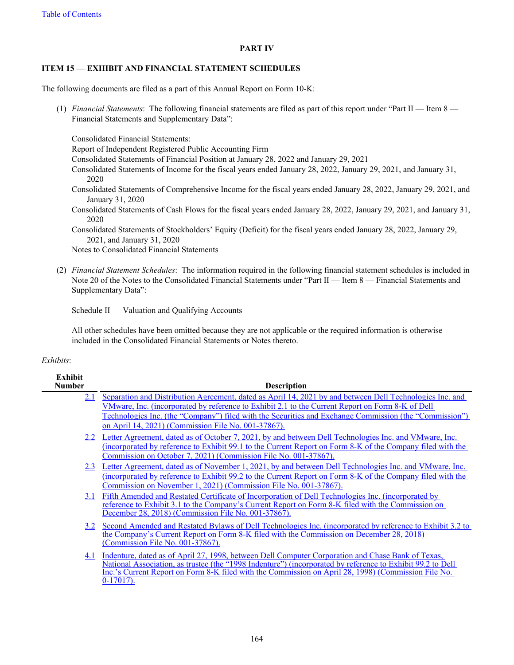## **PART IV**

# **ITEM 15 — EXHIBIT AND FINANCIAL STATEMENT SCHEDULES**

The following documents are filed as a part of this Annual Report on Form 10-K:

(1) *Financial Statements*: The following financial statements are filed as part of this report under "Part II — Item 8 — Financial Statements and Supplementary Data":

Consolidated Financial Statements:

Report of Independent Registered Public Accounting Firm

Consolidated Statements of Financial Position at January 28, 2022 and January 29, 2021

- Consolidated Statements of Income for the fiscal years ended January 28, 2022, January 29, 2021, and January 31, 2020
- Consolidated Statements of Comprehensive Income for the fiscal years ended January 28, 2022, January 29, 2021, and January 31, 2020
- Consolidated Statements of Cash Flows for the fiscal years ended January 28, 2022, January 29, 2021, and January 31, 2020
- Consolidated Statements of Stockholders' Equity (Deficit) for the fiscal years ended January 28, 2022, January 29, 2021, and January 31, 2020

Notes to Consolidated Financial Statements

(2) *Financial Statement Schedules*: The information required in the following financial statement schedules is included in Note 20 of the Notes to the Consolidated Financial Statements under "Part II — Item 8 — Financial Statements and Supplementary Data":

Schedule II — Valuation and Qualifying Accounts

All other schedules have been omitted because they are not applicable or the required information is otherwise included in the Consolidated Financial Statements or Notes thereto.

# *Exhibits*:

| <b>Exhibit</b><br><b>Number</b> | <b>Description</b>                                                                                                                                                                                                |
|---------------------------------|-------------------------------------------------------------------------------------------------------------------------------------------------------------------------------------------------------------------|
| 2.1                             | Separation and Distribution Agreement, dated as April 14, 2021 by and between Dell Technologies Inc. and                                                                                                          |
|                                 | VMware, Inc. (incorporated by reference to Exhibit 2.1 to the Current Report on Form 8-K of Dell                                                                                                                  |
|                                 | Technologies Inc. (the "Company") filed with the Securities and Exchange Commission (the "Commission")                                                                                                            |
|                                 | on April 14, 2021) (Commission File No. 001-37867).                                                                                                                                                               |
|                                 | 2.2 Letter Agreement, dated as of October 7, 2021, by and between Dell Technologies Inc. and VMware, Inc.                                                                                                         |
|                                 | (incorporated by reference to Exhibit 99.1 to the Current Report on Form 8-K of the Company filed with the                                                                                                        |
|                                 | Commission on October 7, 2021) (Commission File No. 001-37867).                                                                                                                                                   |
|                                 | 2.3 Letter Agreement, dated as of November 1, 2021, by and between Dell Technologies Inc. and VMware, Inc.                                                                                                        |
|                                 | <u>(incorporated by reference to Exhibit 99.2 to the Current Report on Form 8-K of the Company filed with the </u>                                                                                                |
|                                 | Commission on November 1, 2021) (Commission File No. 001-37867).                                                                                                                                                  |
|                                 | 3.1 Fifth Amended and Restated Certificate of Incorporation of Dell Technologies Inc. (incorporated by                                                                                                            |
|                                 | reference to Exhibit 3.1 to the Company's Current Report on Form 8-K filed with the Commission on                                                                                                                 |
|                                 | December 28, 2018) (Commission File No. 001-37867).                                                                                                                                                               |
| 3.2                             | Second Amended and Restated Bylaws of Dell Technologies Inc. (incorporated by reference to Exhibit 3.2 to                                                                                                         |
|                                 | the Company's Current Report on Form 8-K filed with the Commission on December 28, 2018)<br>(Commission File No. 001-37867).                                                                                      |
|                                 |                                                                                                                                                                                                                   |
| 4.1                             | Indenture, dated as of April 27, 1998, between Dell Computer Corporation and Chase Bank of Texas,                                                                                                                 |
|                                 | National Association, as trustee (the "1998 Indenture") (incorporated by reference to Exhibit 99.2 to Dell<br>Inc.'s Current Report on Form 8-K filed with the Commission on April 28, 1998) (Commission File No. |
|                                 | $0-17017$ ).                                                                                                                                                                                                      |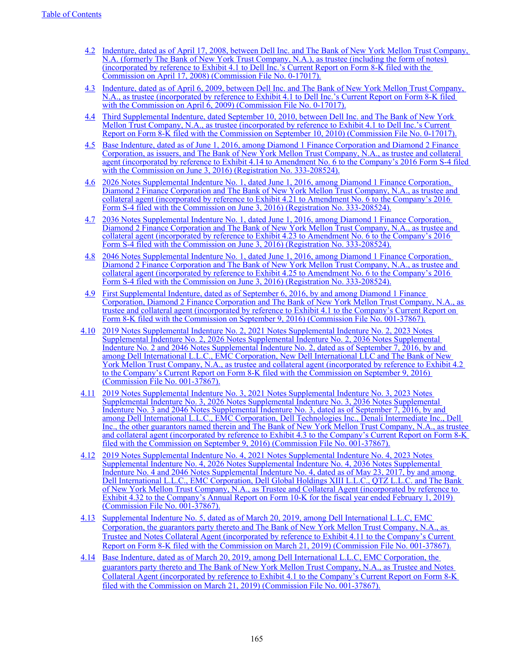- [4.2](http://www.sec.gov/Archives/edgar/data/826083/000095013408006801/d55879exv4w1.htm) [Indenture, dated as of April 17, 2008, between Dell Inc. and The Bank of New York Mellon Trust Company,](http://www.sec.gov/Archives/edgar/data/826083/000095013408006801/d55879exv4w1.htm)  [N.A. \(formerly The Bank of New York Trust Company, N.A.\), as trustee \(including the form of notes\)](http://www.sec.gov/Archives/edgar/data/826083/000095013408006801/d55879exv4w1.htm)  [\(incorporated by reference to Exhibit 4.1 to Dell Inc.'s Current Report on Form 8-K filed with the](http://www.sec.gov/Archives/edgar/data/826083/000095013408006801/d55879exv4w1.htm)  [Commission on April 17, 2008\) \(Commission File No. 0-17017\).](http://www.sec.gov/Archives/edgar/data/826083/000095013408006801/d55879exv4w1.htm)
- [4.3](https://www.sec.gov/Archives/edgar/data/826083/000119312509073812/dex41.htm) [Indenture, dated as of April 6, 2009, between Dell Inc. and The Bank of New York Mellon Trust Company,](http://www.sec.gov/Archives/edgar/data/826083/000119312509073812/dex41.htm)  [N.A., as trustee \(incorporated by reference to Exhibit 4.1 to Dell Inc.'s Current Report on Form 8-K filed](http://www.sec.gov/Archives/edgar/data/826083/000119312509073812/dex41.htm)  [with the Commission on April 6, 2009\) \(Commission File No. 0-17017\).](http://www.sec.gov/Archives/edgar/data/826083/000119312509073812/dex41.htm)
- [4.4](http://www.sec.gov/Archives/edgar/data/826083/000095012310085135/d75835exv4w1.htm) [Third Supplemental Indenture, dated September 10, 2010, between Dell Inc. and The Bank of New York](http://www.sec.gov/Archives/edgar/data/826083/000095012310085135/d75835exv4w1.htm)  [Mellon Trust Company, N.A., as trustee \(incorporated by reference to Exhibit 4.1 to Dell Inc.'s Current](http://www.sec.gov/Archives/edgar/data/826083/000095012310085135/d75835exv4w1.htm)  [Report on Form 8-K filed with the Commission on September 10, 2010\) \(Commission File No. 0-17017\).](http://www.sec.gov/Archives/edgar/data/826083/000095012310085135/d75835exv4w1.htm)
- [4.5](https://www.sec.gov/Archives/edgar/data/1571996/000119312516611855/d73946dex414.htm) [Base Indenture, dated as of June 1, 2016, among Diamond 1 Finance Corporation and Diamond 2 Finance](http://www.sec.gov/Archives/edgar/data/1571996/000119312516611855/d73946dex414.htm)  [Corporation, as issuers, and The Bank of New York Mellon Trust Company, N.A., as trustee and collateral](http://www.sec.gov/Archives/edgar/data/1571996/000119312516611855/d73946dex414.htm)  [agent \(incorporated by reference to Exhibit 4.14 to Amendment No. 6 to the Company's 2016 Form S-4 filed](http://www.sec.gov/Archives/edgar/data/1571996/000119312516611855/d73946dex414.htm)  [with the Commission on June 3, 2016\) \(Registration No. 333-208524\).](http://www.sec.gov/Archives/edgar/data/1571996/000119312516611855/d73946dex414.htm)
- [4.6](https://www.sec.gov/Archives/edgar/data/1571996/000119312516611855/d73946dex421.htm) [2026 Notes Supplemental Indenture No. 1, dated June 1, 2016, among Diamond 1 Finance Corporation,](http://www.sec.gov/Archives/edgar/data/1571996/000119312516611855/d73946dex421.htm)  [Diamond 2 Finance Corporation and The Bank of New York Mellon Trust Company, N.A., as trustee and](http://www.sec.gov/Archives/edgar/data/1571996/000119312516611855/d73946dex421.htm)  [collateral agent \(incorporated by reference to Exhibit 4.21 to Amendment No. 6 to the Company's 2016](http://www.sec.gov/Archives/edgar/data/1571996/000119312516611855/d73946dex421.htm)  [Form S-4 filed with the Commission on June 3, 2016\) \(Registration No. 333-208524\).](http://www.sec.gov/Archives/edgar/data/1571996/000119312516611855/d73946dex421.htm)
- [4.7](https://www.sec.gov/Archives/edgar/data/1571996/000119312516611855/d73946dex423.htm) [2036 Notes Supplemental Indenture No. 1, dated June 1, 2016, among Diamond 1 Finance Corporation,](http://www.sec.gov/Archives/edgar/data/1571996/000119312516611855/d73946dex423.htm)  [Diamond 2 Finance Corporation and The Bank of New York Mellon Trust Company, N.A., as trustee and](http://www.sec.gov/Archives/edgar/data/1571996/000119312516611855/d73946dex423.htm)  [collateral agent \(incorporated by reference to Exhibit 4.23 to Amendment No. 6 to the Company's 2016](http://www.sec.gov/Archives/edgar/data/1571996/000119312516611855/d73946dex423.htm)  [Form S-4 filed with the Commission on June 3, 2016\) \(Registration No. 333-208524\).](http://www.sec.gov/Archives/edgar/data/1571996/000119312516611855/d73946dex423.htm)
- [4.8](http://www.sec.gov/Archives/edgar/data/1571996/000119312516611855/d73946dex425.htm) [2046 Notes Supplemental Indenture No. 1, dated June 1, 2016, among Diamond 1 Finance Corporation,](http://www.sec.gov/Archives/edgar/data/1571996/000119312516611855/d73946dex425.htm)  Diamond 2 Finance Corporation and The Bank of New York Mellon Trust Company, N.A., as trustee and [collateral agent \(incorporated by reference to Exhibit 4.25 to Amendment No. 6 to the Company's 2016](http://www.sec.gov/Archives/edgar/data/1571996/000119312516611855/d73946dex425.htm)  [Form S-4 filed with the Commission on June 3, 2016\) \(Registration No. 333-208524\).](http://www.sec.gov/Archives/edgar/data/1571996/000119312516611855/d73946dex425.htm)
- [4.9](http://www.sec.gov/Archives/edgar/data/1571996/000119312516706567/d238698dex41.htm) [First Supplemental Indenture, dated as of September 6, 2016, by and among Diamond 1 Finance](http://www.sec.gov/Archives/edgar/data/1571996/000119312516706567/d238698dex41.htm)  [Corporation, Diamond 2 Finance Corporation and The Bank of New York Mellon Trust Company, N.A., as](http://www.sec.gov/Archives/edgar/data/1571996/000119312516706567/d238698dex41.htm)  [trustee and collateral agent \(incorporated by reference to Exhibit 4.1 to the Company's Current Report on](http://www.sec.gov/Archives/edgar/data/1571996/000119312516706567/d238698dex41.htm)  [Form 8-K filed with the Commission on September 9, 2016\) \(Commission File No. 001-37867\).](http://www.sec.gov/Archives/edgar/data/1571996/000119312516706567/d238698dex41.htm)
- [4.10](http://www.sec.gov/Archives/edgar/data/1571996/000119312516706567/d238698dex42.htm) [2019 Notes Supplemental Indenture No. 2, 2021 Notes Supplemental Indenture No. 2, 2023 Notes](http://www.sec.gov/Archives/edgar/data/1571996/000119312516706567/d238698dex42.htm)  [Supplemental Indenture No. 2, 2026 Notes Supplemental Indenture No. 2, 2036 Notes Supplemental](http://www.sec.gov/Archives/edgar/data/1571996/000119312516706567/d238698dex42.htm)  [Indenture No. 2 and 2046 Notes Supplemental Indenture No. 2, dated as of September 7, 2016, by and](http://www.sec.gov/Archives/edgar/data/1571996/000119312516706567/d238698dex42.htm)  [among Dell International L.L.C., EMC Corporation, New Dell International LLC and The Bank of New](http://www.sec.gov/Archives/edgar/data/1571996/000119312516706567/d238698dex42.htm)  [York Mellon Trust Company, N.A., as trustee and collateral agent \(incorporated by reference to Exhibit 4.2](http://www.sec.gov/Archives/edgar/data/1571996/000119312516706567/d238698dex42.htm)  [to the Company's Current Report on Form 8-K filed with the Commission on September 9, 2016\)](http://www.sec.gov/Archives/edgar/data/1571996/000119312516706567/d238698dex42.htm)  [\(Commission File No. 001-37867\).](http://www.sec.gov/Archives/edgar/data/1571996/000119312516706567/d238698dex42.htm)
- [4.11](http://www.sec.gov/Archives/edgar/data/1571996/000119312516706567/d238698dex43.htm) [2019 Notes Supplemental Indenture No. 3, 2021 Notes Supplemental Indenture No. 3, 2023 Notes](http://www.sec.gov/Archives/edgar/data/1571996/000119312516706567/d238698dex43.htm)  [Supplemental Indenture No. 3, 2026 Notes Supplemental Indenture No. 3, 2036 Notes Supplemental](http://www.sec.gov/Archives/edgar/data/1571996/000119312516706567/d238698dex43.htm)  [Indenture No. 3 and 2046 Notes Supplemental Indenture No. 3, dated as of September 7, 2016, by and](http://www.sec.gov/Archives/edgar/data/1571996/000119312516706567/d238698dex43.htm)  [among Dell International L.L.C., EMC Corporation, Dell Technologies Inc., Denali Intermediate Inc., Dell](http://www.sec.gov/Archives/edgar/data/1571996/000119312516706567/d238698dex43.htm)  [Inc., the other guarantors named therein and The Bank of New York Mellon Trust Company, N.A., as trustee](http://www.sec.gov/Archives/edgar/data/1571996/000119312516706567/d238698dex43.htm)  [and collateral agent \(incorporated by reference to Exhibit 4.3 to the Company's Current Report on Form 8-K](http://www.sec.gov/Archives/edgar/data/1571996/000119312516706567/d238698dex43.htm)  [filed with the Commission on September 9, 2016\) \(Commission File No. 001-37867\).](http://www.sec.gov/Archives/edgar/data/1571996/000119312516706567/d238698dex43.htm)
- [4.12](http://www.sec.gov/Archives/edgar/data/1571996/000157199619000008/exhibit432_020119.htm) [2019 Notes Supplemental Indenture No. 4, 2021 Notes Supplemental Indenture No. 4, 2023 Notes](http://www.sec.gov/Archives/edgar/data/1571996/000157199619000008/exhibit432_020119.htm)  [Supplemental Indenture No. 4, 2026 Notes Supplemental Indenture No. 4, 2036 Notes Supplemental](http://www.sec.gov/Archives/edgar/data/1571996/000157199619000008/exhibit432_020119.htm)  [Indenture No. 4 and 2046 Notes Supplemental Indenture No. 4, dated as of May 23, 2017, by and among](http://www.sec.gov/Archives/edgar/data/1571996/000157199619000008/exhibit432_020119.htm)  Dell International L.L.C., EMC Corporation, Dell Global Holdings XIII L.L.C., QTZ L.L.C. and The Bank [of New York Mellon Trust Company, N.A., as Trustee and Collateral Agent \(incorporated by reference to](http://www.sec.gov/Archives/edgar/data/1571996/000157199619000008/exhibit432_020119.htm)  Exhibit 4.32 to the Company's Annual Report on Form 10-K for the fiscal year ended February 1, 2019) [\(Commission File No. 001-37867\).](http://www.sec.gov/Archives/edgar/data/1571996/000157199619000008/exhibit432_020119.htm)
- [4.13](https://www.sec.gov/Archives/edgar/data/1571996/000119312519082281/d708174dex411.htm) [Supplemental Indenture No. 5, dated as of March 20, 2019, among Dell International L.L.C, EMC](https://www.sec.gov/Archives/edgar/data/1571996/000119312519082281/d708174dex411.htm)  [Corporation, the guarantors party thereto and The Bank of New York Mellon Trust Company, N.A., as](https://www.sec.gov/Archives/edgar/data/1571996/000119312519082281/d708174dex411.htm)  [Trustee and Notes Collateral Agent \(incorporated by reference to Exhibit 4.11 to the Company's Current](https://www.sec.gov/Archives/edgar/data/1571996/000119312519082281/d708174dex411.htm)  [Report on Form 8-K filed with the Commission on March 21, 2019\) \(Commission File No. 001-37867\).](https://www.sec.gov/Archives/edgar/data/1571996/000119312519082281/d708174dex411.htm)
- [4.14](https://www.sec.gov/Archives/edgar/data/1571996/000119312519082281/d708174dex41.htm) [Base Indenture, dated as of March 20, 2019, among Dell International L.L.C, EMC Corporation, the](https://www.sec.gov/Archives/edgar/data/1571996/000119312519082281/d708174dex41.htm)  [guarantors party thereto and The Bank of New York Mellon Trust Company, N.A., as Trustee and Notes](https://www.sec.gov/Archives/edgar/data/1571996/000119312519082281/d708174dex41.htm)  [Collateral Agent \(incorporated by reference to Exhibit 4.1 to the Company's Current Report on Form 8-K](https://www.sec.gov/Archives/edgar/data/1571996/000119312519082281/d708174dex41.htm)  [filed with the Commission on March 21, 2019\) \(Commission File No. 001-37867\).](https://www.sec.gov/Archives/edgar/data/1571996/000119312519082281/d708174dex41.htm)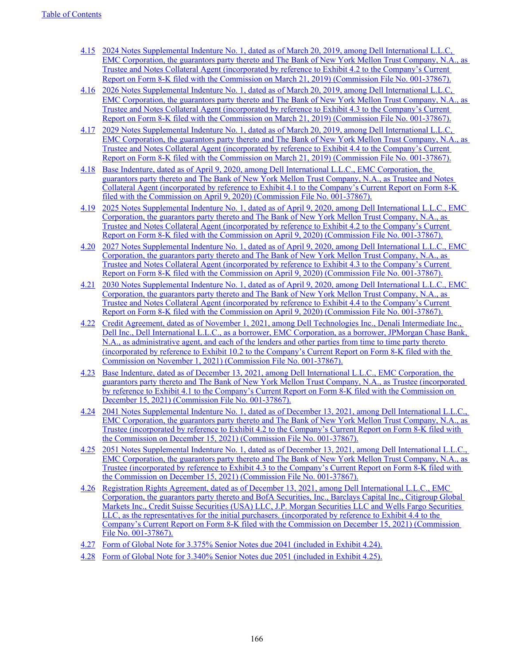- [4.15](https://www.sec.gov/Archives/edgar/data/1571996/000119312519082281/d708174dex42.htm) [2024 Notes Supplemental Indenture No. 1, dated as of March 20, 2019, among Dell International L.L.C,](https://www.sec.gov/Archives/edgar/data/1571996/000119312519082281/d708174dex42.htm)  [EMC Corporation, the guarantors party thereto and The Bank of New York Mellon Trust Company, N.A., as](https://www.sec.gov/Archives/edgar/data/1571996/000119312519082281/d708174dex42.htm)  [Trustee and Notes Collateral Agent \(incorporated by reference to Exhibit 4.2 to the Company's Current](https://www.sec.gov/Archives/edgar/data/1571996/000119312519082281/d708174dex42.htm)  [Report on Form 8-K filed with the Commission on March 21, 2019\) \(Commission File No. 001-37867\).](https://www.sec.gov/Archives/edgar/data/1571996/000119312519082281/d708174dex42.htm)
- [4.16](https://www.sec.gov/Archives/edgar/data/1571996/000119312519082281/d708174dex43.htm) [2026 Notes Supplemental Indenture No. 1, dated as of March 20, 2019, among Dell International L.L.C,](https://www.sec.gov/Archives/edgar/data/1571996/000119312519082281/d708174dex43.htm)  [EMC Corporation, the guarantors party thereto and The Bank of New York Mellon Trust Company, N.A., as](https://www.sec.gov/Archives/edgar/data/1571996/000119312519082281/d708174dex43.htm)  [Trustee and Notes Collateral Agent \(incorporated by reference to Exhibit 4.3 to the Company's Current](https://www.sec.gov/Archives/edgar/data/1571996/000119312519082281/d708174dex43.htm)  [Report on Form 8-K filed with the Commission on March 21, 2019\) \(Commission File No. 001-37867\).](https://www.sec.gov/Archives/edgar/data/1571996/000119312519082281/d708174dex43.htm)
- [4.17](https://www.sec.gov/Archives/edgar/data/1571996/000119312519082281/d708174dex44.htm) [2029 Notes Supplemental Indenture No. 1, dated as of March 20, 2019, among Dell International L.L.C,](https://www.sec.gov/Archives/edgar/data/1571996/000119312519082281/d708174dex44.htm)  [EMC Corporation, the guarantors party thereto and The Bank of New York Mellon Trust Company, N.A., as](https://www.sec.gov/Archives/edgar/data/1571996/000119312519082281/d708174dex44.htm)  [Trustee and Notes Collateral Agent \(incorporated by reference to Exhibit 4.4 to the Company's Current](https://www.sec.gov/Archives/edgar/data/1571996/000119312519082281/d708174dex44.htm)  [Report on Form 8-K filed with the Commission on March 21, 2019\) \(Commission File No. 001-37867\).](https://www.sec.gov/Archives/edgar/data/1571996/000119312519082281/d708174dex44.htm)
- [4.18](https://www.sec.gov/Archives/edgar/data/1571996/000119312520102602/d912603dex41.htm) [Base Indenture, dated as of April 9, 2020, among Dell International L.L.C., EMC Corporation, the](https://www.sec.gov/Archives/edgar/data/1571996/000119312520102602/d912603dex41.htm)  [guarantors party thereto and The Bank of New York Mellon Trust Company, N.A., as Trustee and Notes](https://www.sec.gov/Archives/edgar/data/1571996/000119312520102602/d912603dex41.htm)  [Collateral Agent \(incorporated by reference to Exhibit 4.1 to the Company's Current Report on Form 8-K](https://www.sec.gov/Archives/edgar/data/1571996/000119312520102602/d912603dex41.htm)  [filed with the Commission on April 9, 2020\) \(Commission File No. 001-37867\).](https://www.sec.gov/Archives/edgar/data/1571996/000119312520102602/d912603dex41.htm)
- [4.19](https://www.sec.gov/Archives/edgar/data/1571996/000119312520102602/d912603dex42.htm) [2025 Notes Supplemental Indenture No. 1, dated as of April 9, 2020, among Dell International L.L.C., EMC](https://www.sec.gov/Archives/edgar/data/1571996/000119312520102602/d912603dex42.htm)  [Corporation, the guarantors party thereto and The Bank of New York Mellon Trust Company, N.A., as](https://www.sec.gov/Archives/edgar/data/1571996/000119312520102602/d912603dex42.htm)  [Trustee and Notes Collateral Agent \(incorporated by reference to Exhibit 4.2 to the Company's Current](https://www.sec.gov/Archives/edgar/data/1571996/000119312520102602/d912603dex42.htm)  [Report on Form](https://www.sec.gov/Archives/edgar/data/1571996/000119312520102602/d912603dex42.htm) [8-K filed with the Commission on April 9, 2020](https://www.sec.gov/Archives/edgar/data/1571996/000119312520102602/d912603dex41.htm)[\) \(Commission File No. 001-37867\).](https://www.sec.gov/Archives/edgar/data/1571996/000119312520102602/d912603dex42.htm)
- [4.20](https://www.sec.gov/Archives/edgar/data/1571996/000119312520102602/d912603dex43.htm) [2027 Notes Supplemental Indenture No. 1, dated as of April 9, 2020, among Dell International L.L.C., EMC](https://www.sec.gov/Archives/edgar/data/1571996/000119312520102602/d912603dex43.htm)  [Corporation, the guarantors party thereto and The Bank of New York Mellon Trust Company, N.A., as](https://www.sec.gov/Archives/edgar/data/1571996/000119312520102602/d912603dex43.htm)  [Trustee and Notes Collateral Agent \(incorporated by reference to Exhibit 4.3 to the Company's Current](https://www.sec.gov/Archives/edgar/data/1571996/000119312520102602/d912603dex43.htm)  [Report on Form](https://www.sec.gov/Archives/edgar/data/1571996/000119312520102602/d912603dex43.htm) [8-K filed with the Commission on April 9, 2020](https://www.sec.gov/Archives/edgar/data/1571996/000119312520102602/d912603dex41.htm)[\) \(Commission File No. 001-37867\).](https://www.sec.gov/Archives/edgar/data/1571996/000119312520102602/d912603dex43.htm)
- [4.21](https://www.sec.gov/Archives/edgar/data/1571996/000119312520102602/d912603dex44.htm) [2030 Notes Supplemental Indenture No. 1, dated as of April 9, 2020, among Dell International L.L.C., EMC](https://www.sec.gov/Archives/edgar/data/1571996/000119312520102602/d912603dex44.htm)  [Corporation, the guarantors party thereto and The Bank of New York Mellon Trust Company, N.A., as](https://www.sec.gov/Archives/edgar/data/1571996/000119312520102602/d912603dex44.htm)  [Trustee and Notes Collateral Agent \(incorporated by reference to Exhibit 4.4 to the Company's Current](https://www.sec.gov/Archives/edgar/data/1571996/000119312520102602/d912603dex44.htm)  [Report on Form](https://www.sec.gov/Archives/edgar/data/1571996/000119312520102602/d912603dex44.htm) [8-K filed with the Commission on April 9, 2020](https://www.sec.gov/Archives/edgar/data/1571996/000119312520102602/d912603dex41.htm)[\) \(Commission File No. 001-37867\).](https://www.sec.gov/Archives/edgar/data/1571996/000119312520102602/d912603dex44.htm)
- [4.22](https://www.sec.gov/Archives/edgar/data/0001571996/000119312521315488/d146470dex102.htm) [Credit Agreement, dated as of November 1, 2021, among Dell Technologies Inc., Denali Intermediate Inc.,](https://www.sec.gov/Archives/edgar/data/0001571996/000119312521315488/d146470dex102.htm)  [Dell Inc., Dell International L.L.C., as a borrower, EMC Corporation, as a borrower, JPMorgan Chase Bank,](https://www.sec.gov/Archives/edgar/data/0001571996/000119312521315488/d146470dex102.htm)  [N.A., as administrative agent, and each of the lenders and other parties from time to time party thereto](https://www.sec.gov/Archives/edgar/data/0001571996/000119312521315488/d146470dex102.htm)  [\(incorporated by reference to Exhibit 10.2 to the Company's Current Report on Form 8-K filed with the](https://www.sec.gov/Archives/edgar/data/0001571996/000119312521315488/d146470dex102.htm)  [Commission on November 1, 2021\) \(Commission File No. 001-37867\).](https://www.sec.gov/Archives/edgar/data/0001571996/000119312521315488/d146470dex102.htm)
- [4.23](https://www.sec.gov/Archives/edgar/data/0001571996/000119312521357927/d146295dex41.htm) [Base Indenture, dated as of December 13, 2021, among Dell International L.L.C., EMC Corporation, the](https://www.sec.gov/Archives/edgar/data/0001571996/000119312521357927/d146295dex41.htm)  [guarantors party thereto and The Bank of New York Mellon Trust Company, N.A., as Trustee \(incorporated](https://www.sec.gov/Archives/edgar/data/0001571996/000119312521357927/d146295dex41.htm)  by reference to Exhibit 4.1 to the Company's Current Report on Form 8-K filed with the Commission on [December 15, 2021\) \(Commission File No. 001-37867\).](https://www.sec.gov/Archives/edgar/data/0001571996/000119312521357927/d146295dex41.htm)
- [4.24](https://www.sec.gov/Archives/edgar/data/0001571996/000119312521357927/d146295dex42.htm) [2041 Notes Supplemental Indenture No. 1, dated as of December 13, 2021, among Dell International L.L.C.,](https://www.sec.gov/Archives/edgar/data/0001571996/000119312521357927/d146295dex42.htm)  [EMC Corporation, the guarantors party thereto and The Bank of New York Mellon Trust Company, N.A., as](https://www.sec.gov/Archives/edgar/data/0001571996/000119312521357927/d146295dex42.htm)  [Trustee \(incorporated by reference to Exhibit 4.2 to the Company's Current Report on Form 8-K filed with](https://www.sec.gov/Archives/edgar/data/0001571996/000119312521357927/d146295dex42.htm)  [the Commission on December 15, 2021\) \(Commission File No. 001-37867\).](https://www.sec.gov/Archives/edgar/data/0001571996/000119312521357927/d146295dex42.htm)
- [4.25](https://www.sec.gov/Archives/edgar/data/0001571996/000119312521357927/d146295dex43.htm) [2051 Notes Supplemental Indenture No. 1, dated as of December 13, 2021, among Dell International L.L.C.,](https://www.sec.gov/Archives/edgar/data/0001571996/000119312521357927/d146295dex43.htm)  [EMC Corporation, the guarantors party thereto and The Bank of New York Mellon Trust Company, N.A., as](https://www.sec.gov/Archives/edgar/data/0001571996/000119312521357927/d146295dex43.htm)  [Trustee \(incorporated by reference to Exhibit 4.3 to the Company's Current Report on Form 8-K filed with](https://www.sec.gov/Archives/edgar/data/0001571996/000119312521357927/d146295dex43.htm)  [the Commission on December 15, 2021\) \(Commission File No. 001-37867\).](https://www.sec.gov/Archives/edgar/data/0001571996/000119312521357927/d146295dex43.htm)
- [4.26](https://www.sec.gov/Archives/edgar/data/0001571996/000119312521357927/d146295dex44.htm) [Registration Rights Agreement, dated as of December 13, 2021, among Dell International L.L.C., EMC](https://www.sec.gov/Archives/edgar/data/0001571996/000119312521357927/d146295dex44.htm)  [Corporation, the guarantors party thereto and BofA Securities, Inc., Barclays Capital Inc., Citigroup Global](https://www.sec.gov/Archives/edgar/data/0001571996/000119312521357927/d146295dex44.htm)  [Markets Inc., Credit Suisse Securities \(USA\) LLC, J.P. Morgan Securities LLC and Wells Fargo Securities](https://www.sec.gov/Archives/edgar/data/0001571996/000119312521357927/d146295dex44.htm)  [LLC, as the representatives for the initial purchasers. \(incorporated by reference to Exhibit 4.4 to the](https://www.sec.gov/Archives/edgar/data/0001571996/000119312521357927/d146295dex44.htm)  [Company's Current Report on Form 8-K filed with the Commission on December 15, 2021\) \(Commission](https://www.sec.gov/Archives/edgar/data/0001571996/000119312521357927/d146295dex44.htm)  [File No. 001-37867\).](https://www.sec.gov/Archives/edgar/data/0001571996/000119312521357927/d146295dex44.htm)
- [4.27](https://www.sec.gov/Archives/edgar/data/0001571996/000119312521357927/d146295dex42.htm) [Form of Global Note for 3.375% Senior Notes due 2041 \(included in Exhibit 4.24\).](https://www.sec.gov/Archives/edgar/data/0001571996/000119312521357927/d146295dex42.htm)
- [4.28](https://www.sec.gov/Archives/edgar/data/0001571996/000119312521357927/d146295dex43.htm) [Form of Global Note for 3.340% Senior Notes due 2051 \(included in Exhibit 4.25\).](https://www.sec.gov/Archives/edgar/data/0001571996/000119312521357927/d146295dex43.htm)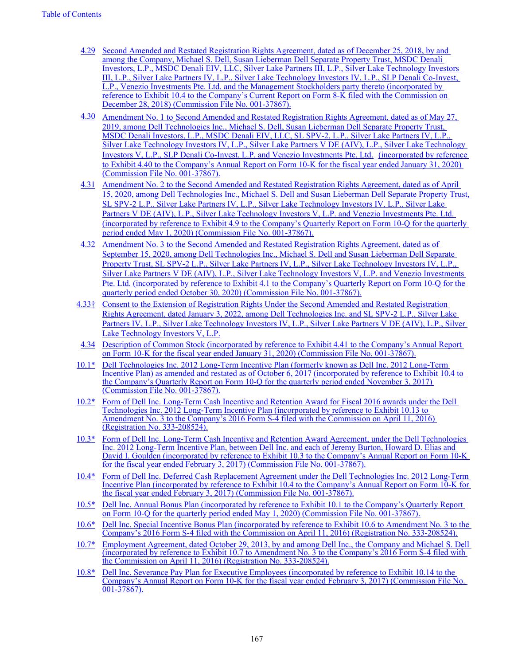- [4.29](https://www.sec.gov/Archives/edgar/data/1571996/000119312518360943/d673794dex104.htm) [Second Amended and Restated Registration Rights Agreement, dated as of December 25, 2018, by and](https://www.sec.gov/Archives/edgar/data/1571996/000119312518360943/d673794dex104.htm)  [among the Company, Michael S. Dell, Susan Lieberman Dell Separate Property Trust, MSDC Denali](https://www.sec.gov/Archives/edgar/data/1571996/000119312518360943/d673794dex104.htm)  [Investors, L.P., MSDC Denali EIV, LLC, Silver Lake Partners III, L.P., Silver Lake Technology Investors](https://www.sec.gov/Archives/edgar/data/1571996/000119312518360943/d673794dex104.htm)  [III, L.P., Silver Lake Partners IV, L.P., Silver Lake Technology Investors IV, L.P., SLP Denali Co-Invest,](https://www.sec.gov/Archives/edgar/data/1571996/000119312518360943/d673794dex104.htm)  [L.P., Venezio Investments Pte. Ltd. and the Management Stockholders party thereto \(incorporated by](https://www.sec.gov/Archives/edgar/data/1571996/000119312518360943/d673794dex104.htm)  [reference to Exhibit 10.4 to the Company's Current Report on Form 8-K filed with the Commission on](https://www.sec.gov/Archives/edgar/data/1571996/000119312518360943/d673794dex104.htm)  [December 28, 2018\) \(Commission File No. 001-37867\).](https://www.sec.gov/Archives/edgar/data/1571996/000119312518360943/d673794dex104.htm)
- [4.30](https://www.sec.gov/Archives/edgar/data/1571996/000157199620000017/exhibit440fy20.htm) [Amendment No. 1 to](https://www.sec.gov/Archives/edgar/data/1571996/000157199620000017/exhibit440fy20.htm) Second Amended and Restated Registration Rights Agreement, dated as of May 27, [2019, among Dell Technologies Inc., Michael S. Dell, Susan Lieberman Dell Separate Property Trust,](https://www.sec.gov/Archives/edgar/data/1571996/000157199620000017/exhibit440fy20.htm)  [MSDC Denali Investors, L.P., MSDC Denali EIV, LLC, SL SPV-2, L.P., Silver Lake Partners IV, L.P.,](https://www.sec.gov/Archives/edgar/data/1571996/000157199620000017/exhibit440fy20.htm)  [Silver Lake Technology Investors IV, L.P., Silver Lake Partners V DE \(AIV\), L.P., Silver Lake Technology](https://www.sec.gov/Archives/edgar/data/1571996/000157199620000017/exhibit440fy20.htm)  [Investors V, L.P., SLP Denali Co-Invest, L.P. and Venezio Investments Pte. Ltd.](https://www.sec.gov/Archives/edgar/data/1571996/000157199620000017/exhibit440fy20.htm)[\(incorporated by reference](https://www.sec.gov/Archives/edgar/data/1571996/000157199620000017/exhibit440fy20.htm)  [to Exhibit 4.40 to the Company's Annual Report on Form 10-K for the fiscal year ended January 31, 2020\)](https://www.sec.gov/Archives/edgar/data/1571996/000157199620000017/exhibit440fy20.htm)  [\(Commission File No. 001-37867\).](https://www.sec.gov/Archives/edgar/data/1571996/000157199620000017/exhibit440fy20.htm)
- [4.31](https://www.sec.gov/Archives/edgar/data/1571996/000157199620000034/exhibit49q1fy21.htm) [Amendment No. 2 to the Second Amended and Restated Registration Rights Agreement, dated as of April](https://www.sec.gov/Archives/edgar/data/1571996/000157199620000034/exhibit49q1fy21.htm)  [15, 2020, among Dell Technologies Inc., Michael S. Dell and Susan Lieberman Dell Separate Property Trust,](https://www.sec.gov/Archives/edgar/data/1571996/000157199620000034/exhibit49q1fy21.htm)  [SL SPV-2 L.P., Silver Lake Partners IV, L.P., Silver Lake Technology Investors IV, L.P., Silver Lake](https://www.sec.gov/Archives/edgar/data/1571996/000157199620000034/exhibit49q1fy21.htm)  [Partners V DE \(AIV\), L.P., Silver Lake Technology Investors V, L.P. and Venezio Investments Pte. Ltd.](https://www.sec.gov/Archives/edgar/data/1571996/000157199620000034/exhibit49q1fy21.htm)  [\(incorporated by reference to Exhibit 4.9 to the Company's Quarterly Report on Form 10-Q for the quarterly](https://www.sec.gov/Archives/edgar/data/1571996/000157199620000034/exhibit49q1fy21.htm)  [period ended May 1, 2020\) \(Commission File No. 001-37867\).](https://www.sec.gov/Archives/edgar/data/1571996/000157199620000034/exhibit49q1fy21.htm)
- [4.32](https://www.sec.gov/Archives/edgar/data/1571996/000157199620000051/exhibit41q3fy21.htm) [Amendment No. 3 to the Second Amended and Restated Registration Rights Agreement, dated as of](https://www.sec.gov/Archives/edgar/data/1571996/000157199620000051/exhibit41q3fy21.htm)  September 15, 2020, among Dell Technologies Inc., Michael S. Dell and Susan Lieberman Dell Separate [Property Trust, SL SPV-2 L.P., Silver Lake Partners IV, L.P., Silver Lake Technology Investors IV, L.P.,](https://www.sec.gov/Archives/edgar/data/1571996/000157199620000051/exhibit41q3fy21.htm)  [Silver Lake Partners V DE \(AIV\), L.P., Silver Lake Technology Investors V, L.P. and Venezio Investments](https://www.sec.gov/Archives/edgar/data/1571996/000157199620000051/exhibit41q3fy21.htm)  [Pte. Ltd. \(incorporated by reference to Exhibit 4.1 to the Company's Quarterly Report on Form 10-Q for the](https://www.sec.gov/Archives/edgar/data/1571996/000157199620000051/exhibit41q3fy21.htm)  [quarterly period ended October 30, 2020\) \(Commission File No. 001-37867\).](https://www.sec.gov/Archives/edgar/data/1571996/000157199620000051/exhibit41q3fy21.htm)
- 4.33† Consent to the Extension of Registration Rights Under the Second Amended and Restated Registration Rights Agreement, dated January 3, 2022, among Dell Technologies Inc. and SL SPV-2 L.P., Silver Lake Partners IV, L.P., Silver Lake Technology Investors IV, L.P., Silver Lake Partners V DE (AIV), L.P., Silver Lake Technology Investors V, L.P.
- [4.34](https://www.sec.gov/Archives/edgar/data/1571996/000157199620000017/exhibit441fy20.htm) [Description of Common Stock \(incorporated by reference to Exhibit 4.41 to the Company's Annual Report](https://www.sec.gov/Archives/edgar/data/1571996/000157199620000017/exhibit441fy20.htm)  [on Form 10-K for the fiscal year ended January 31, 2020\) \(Commission File No. 001-37867\).](https://www.sec.gov/Archives/edgar/data/1571996/000157199620000017/exhibit441fy20.htm)
- [10.1\\*](http://www.sec.gov/Archives/edgar/data/1571996/000157199617000045/exhibit104_110317.htm) [Dell Technologies Inc. 2012 Long-Term Incentive Plan \(formerly known as Dell Inc. 2012 Long-Term](http://www.sec.gov/Archives/edgar/data/1571996/000157199617000045/exhibit104_110317.htm)  [Incentive Plan\) as amended and restated as of October 6, 2017 \(incorporated by reference to Exhibit 10.4 to](http://www.sec.gov/Archives/edgar/data/1571996/000157199617000045/exhibit104_110317.htm)  [the Company's Quarterly Report on Form 10-Q for the quarterly period ended November 3, 2017\)](http://www.sec.gov/Archives/edgar/data/1571996/000157199617000045/exhibit104_110317.htm)  [\(Commission File No. 001-37867\).](http://www.sec.gov/Archives/edgar/data/1571996/000157199617000045/exhibit104_110317.htm)
- [10.2\\*](http://www.sec.gov/Archives/edgar/data/1571996/000119312516537298/d73946dex1013.htm) [Form of Dell Inc. Long-Term Cash Incentive and Retention Award for Fiscal 2016 awards under the Dell](http://www.sec.gov/Archives/edgar/data/1571996/000119312516537298/d73946dex1013.htm)  [Technologies Inc. 2012 Long-Term Incentive Plan \(incorporated by reference to Exhibit 10.13 to](http://www.sec.gov/Archives/edgar/data/1571996/000119312516537298/d73946dex1013.htm)  [Amendment No. 3 to the Company's 2016 Form S-4 filed with the Commission on April 11, 2016\)](http://www.sec.gov/Archives/edgar/data/1571996/000119312516537298/d73946dex1013.htm)  [\(Registration No. 333-208524\).](http://www.sec.gov/Archives/edgar/data/1571996/000119312516537298/d73946dex1013.htm)
- [10.3\\*](http://www.sec.gov/Archives/edgar/data/1571996/000157199617000004/exhibit103_020317.htm) [Form of Dell Inc. Long-Term Cash Incentive and Retention Award Agreement, under the Dell Technologies](http://www.sec.gov/Archives/edgar/data/1571996/000157199617000004/exhibit103_020317.htm)  [Inc. 2012 Long-Term Incentive Plan, between Dell Inc. and each of Jeremy Burton, Howard D. Elias and](http://www.sec.gov/Archives/edgar/data/1571996/000157199617000004/exhibit103_020317.htm)  [David I. Goulden \(incorporated by reference to Exhibit 10.3 to the Company's Annual Report on Form 10-K](http://www.sec.gov/Archives/edgar/data/1571996/000157199617000004/exhibit103_020317.htm)  [for the fiscal year ended February 3, 2017\) \(Commission File No. 001-37867\).](http://www.sec.gov/Archives/edgar/data/1571996/000157199617000004/exhibit103_020317.htm)
- [10.4\\*](http://www.sec.gov/Archives/edgar/data/1571996/000157199617000004/exhibit104_020317.htm) [Form of Dell Inc. Deferred Cash Replacement Agreement under the Dell Technologies Inc. 2012 Long-Term](http://www.sec.gov/Archives/edgar/data/1571996/000157199617000004/exhibit104_020317.htm)  [Incentive Plan \(incorporated by reference to Exhibit 10.4 to the Company's Annual Report on Form 10-K for](http://www.sec.gov/Archives/edgar/data/1571996/000157199617000004/exhibit104_020317.htm)  [the fiscal year ended February 3, 2017\) \(Commission File No. 001-37867\).](http://www.sec.gov/Archives/edgar/data/1571996/000157199617000004/exhibit104_020317.htm)
- [10.5\\*](https://www.sec.gov/Archives/edgar/data/1571996/000157199620000034/exhibit101q1fy21.htm) [Dell Inc. Annual Bonus Plan \(incorporated by reference to Exhibit 10.1 to the Company's Quarterly Report](https://www.sec.gov/Archives/edgar/data/1571996/000157199620000034/exhibit101q1fy21.htm)  [on Form 10-Q for the quarterly period ended May 1, 2020\) \(Commission File No. 001-37867\).](https://www.sec.gov/Archives/edgar/data/1571996/000157199620000034/exhibit101q1fy21.htm)
- [10.6\\*](http://www.sec.gov/Archives/edgar/data/1571996/000119312516537298/d73946dex106.htm) [Dell Inc. Special Incentive Bonus Plan \(incorporated by reference to Exhibit 10.6 to Amendment No. 3 to the](http://www.sec.gov/Archives/edgar/data/1571996/000119312516537298/d73946dex106.htm)  [Company's 2016 Form S-4 filed with the Commission on April 11, 2016\) \(Registration No. 333-208524\).](http://www.sec.gov/Archives/edgar/data/1571996/000119312516537298/d73946dex106.htm)
- [10.7\\*](http://www.sec.gov/Archives/edgar/data/1571996/000119312516537298/d73946dex107.htm) [Employment Agreement, dated October 29, 2013, by and among Dell Inc., the Company and Michael S. Dell](http://www.sec.gov/Archives/edgar/data/1571996/000119312516537298/d73946dex107.htm)  [\(incorporated by reference to Exhibit 10.7 to Amendment No. 3 to the Company's 2016 Form S-4 filed with](http://www.sec.gov/Archives/edgar/data/1571996/000119312516537298/d73946dex107.htm)  [the Commission on April 11, 2016\) \(Registration No. 333-208524\).](http://www.sec.gov/Archives/edgar/data/1571996/000119312516537298/d73946dex107.htm)
- [10.8\\*](http://www.sec.gov/Archives/edgar/data/1571996/000157199617000004/exhibit1014_020317.htm) [Dell Inc. Severance Pay Plan for Executive Employees \(incorporated by reference to Exhibit 10.14 to the](http://www.sec.gov/Archives/edgar/data/1571996/000157199617000004/exhibit1014_020317.htm)  [Company's Annual Report on Form 10-K for the fiscal year ended February 3, 2017\) \(Commission File No.](http://www.sec.gov/Archives/edgar/data/1571996/000157199617000004/exhibit1014_020317.htm)  [001-37867\).](http://www.sec.gov/Archives/edgar/data/1571996/000157199617000004/exhibit1014_020317.htm)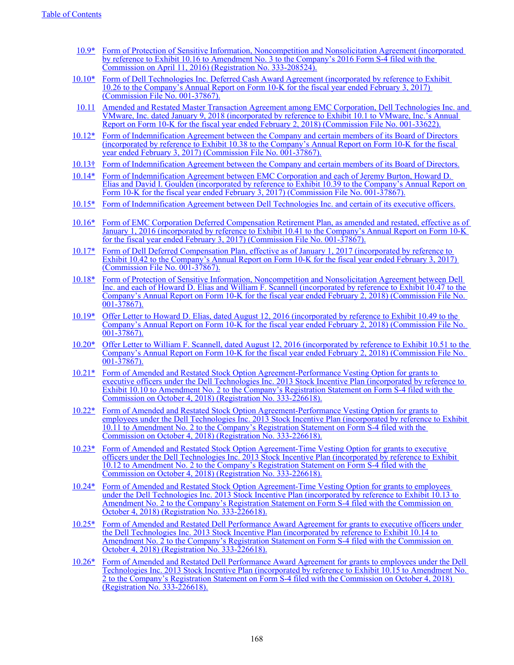- [10.9\\*](http://www.sec.gov/Archives/edgar/data/1571996/000119312516537298/d73946dex1016.htm) [Form of Protection of Sensitive Information, Noncompetition and Nonsolicitation Agreement \(incorporated](http://www.sec.gov/Archives/edgar/data/1571996/000119312516537298/d73946dex1016.htm)  [by reference to Exhibit 10.16 to Amendment No. 3 to the Company's 2016 Form S-4 filed with the](http://www.sec.gov/Archives/edgar/data/1571996/000119312516537298/d73946dex1016.htm)  [Commission on April 11, 2016\) \(Registration No. 333-208524\).](http://www.sec.gov/Archives/edgar/data/1571996/000119312516537298/d73946dex1016.htm)
- [10.10\\*](http://www.sec.gov/Archives/edgar/data/1571996/000157199617000004/exhibit1026_020317.htm) Form of Dell Technologies Inc. Deferred Cash Award Agreement (incorporated by reference to Exhibit [10.26 to the Company's Annual Report on Form 10-K for the fiscal year ended February 3, 2017\)](http://www.sec.gov/Archives/edgar/data/1571996/000157199617000004/exhibit1026_020317.htm)  [\(Commission File No. 001-37867\).](http://www.sec.gov/Archives/edgar/data/1571996/000157199617000004/exhibit1026_020317.htm)
- [10.11](http://www.sec.gov/Archives/edgar/data/1124610/000112461018000012/vmw-222018x10kex101.htm) [Amended and Restated Master Transaction Agreement among EMC Corporation, Dell Technologies Inc. and](http://www.sec.gov/Archives/edgar/data/1124610/000112461018000012/vmw-222018x10kex101.htm)  [VMware, Inc. dated January 9, 2018 \(incorporated by reference to Exhibit 10.1 to VMware, Inc.'s Annual](http://www.sec.gov/Archives/edgar/data/1124610/000112461018000012/vmw-222018x10kex101.htm)  [Report on Form 10-K for the fiscal year ended February 2, 2018\) \(Commission File No. 001-33622\).](http://www.sec.gov/Archives/edgar/data/1124610/000112461018000012/vmw-222018x10kex101.htm)
- [10.12\\*](http://www.sec.gov/Archives/edgar/data/1571996/000157199617000004/exhibit1038_020317.htm) [Form of Indemnification Agreement between the Company and certain members of its Board of Directors](http://www.sec.gov/Archives/edgar/data/1571996/000157199617000004/exhibit1038_020317.htm)  [\(incorporated by reference to Exhibit 10.38 to the Company's Annual Report on Form 10-K for the fiscal](http://www.sec.gov/Archives/edgar/data/1571996/000157199617000004/exhibit1038_020317.htm)  [year ended February 3, 2017\) \(Commission File No. 001-37867\).](http://www.sec.gov/Archives/edgar/data/1571996/000157199617000004/exhibit1038_020317.htm)
- 10.13† Form of Indemnification Agreement between the Company and certain members of its Board of Directors.
- [10.14\\*](http://www.sec.gov/Archives/edgar/data/1571996/000157199617000004/exhibit1039_020317.htm) [Form of Indemnification Agreement between EMC Corporation and each of Jeremy Burton, Howard D.](http://www.sec.gov/Archives/edgar/data/1571996/000157199617000004/exhibit1039_020317.htm)  [Elias and David I. Goulden \(incorporated by reference to Exhibit 10.39 to the Company's Annual Report on](http://www.sec.gov/Archives/edgar/data/1571996/000157199617000004/exhibit1039_020317.htm)  [Form 10-K for the fiscal year ended February 3, 2017\) \(Commission File No. 001-37867\).](http://www.sec.gov/Archives/edgar/data/1571996/000157199617000004/exhibit1039_020317.htm)
- [10.15\\*](http://www.sec.gov/Archives/edgar/data/1571996/000157199617000004/exhibit1040_020317.htm) [Form of Indemnification Agreement between Dell Technologies Inc. and certain of its executive officers.](http://www.sec.gov/Archives/edgar/data/1571996/000157199617000004/exhibit1040_020317.htm)
- [10.16\\*](http://www.sec.gov/Archives/edgar/data/1571996/000157199617000004/exhibit1041_020317.htm) [Form of EMC Corporation Deferred Compensation Retirement Plan, as amended and restated, effective as of](http://www.sec.gov/Archives/edgar/data/1571996/000157199617000004/exhibit1041_020317.htm)  [January 1, 2016 \(incorporated by reference to Exhibit 10.41 to the Company's Annual Report on Form 10-K](http://www.sec.gov/Archives/edgar/data/1571996/000157199617000004/exhibit1041_020317.htm)  [for the fiscal year ended February 3, 2017\) \(Commission File No. 001-37867\).](http://www.sec.gov/Archives/edgar/data/1571996/000157199617000004/exhibit1041_020317.htm)
- [10.17\\*](http://www.sec.gov/Archives/edgar/data/1571996/000157199617000004/exhibit1042_020317.htm) [Form of Dell Deferred Compensation Plan, effective as of January 1, 2017 \(incorporated by reference to](http://www.sec.gov/Archives/edgar/data/1571996/000157199617000004/exhibit1042_020317.htm)  [Exhibit 10.42 to the Company's Annual Report on Form 10-K for the fiscal year ended February 3, 2017\)](http://www.sec.gov/Archives/edgar/data/1571996/000157199617000004/exhibit1042_020317.htm)  [\(Commission File No. 001-37867\).](http://www.sec.gov/Archives/edgar/data/1571996/000157199617000004/exhibit1042_020317.htm)
- [10.18\\*](http://www.sec.gov/Archives/edgar/data/1571996/000157199618000004/exhibit1047_020218.htm) [Form of Protection of Sensitive Information, Noncompetition and Nonsolicitation Agreement between Dell](http://www.sec.gov/Archives/edgar/data/1571996/000157199618000004/exhibit1047_020218.htm)  Inc. and each of Howard D. Elias and William F. Scannell (incorporated by reference to Exhibit 10.47 to the [Company's Annual Report on Form 10-K for the fiscal year ended February 2, 2018\) \(Commission File No.](http://www.sec.gov/Archives/edgar/data/1571996/000157199618000004/exhibit1047_020218.htm)   $001 - \frac{37867}{.}$
- [10.19\\*](http://www.sec.gov/Archives/edgar/data/1571996/000157199618000004/exhibit1049_020218.htm) [Offer Letter to Howard D. Elias, dated August 12, 2016 \(incorporated by reference to Exhibit 10.49 to the](http://www.sec.gov/Archives/edgar/data/1571996/000157199618000004/exhibit1049_020218.htm)  [Company's Annual Report on Form 10-K for the fiscal year ended February 2, 2018\) \(Commission File No.](http://www.sec.gov/Archives/edgar/data/1571996/000157199618000004/exhibit1049_020218.htm)   $001 - 37867$
- [10.20\\*](http://www.sec.gov/Archives/edgar/data/1571996/000157199618000004/exhibit1051_020218.htm) [Offer Letter to William F. Scannell, dated August 12, 2016 \(incorporated by reference to Exhibit 10.51 to the](http://www.sec.gov/Archives/edgar/data/1571996/000157199618000004/exhibit1051_020218.htm)  [Company's Annual Report on Form 10-K for the fiscal year ended February 2, 2018\) \(Commission File No.](http://www.sec.gov/Archives/edgar/data/1571996/000157199618000004/exhibit1051_020218.htm)  [001-37867\).](http://www.sec.gov/Archives/edgar/data/1571996/000157199618000004/exhibit1051_020218.htm)
- [10.21\\*](http://www.sec.gov/Archives/edgar/data/1571996/000119312518293366/d681091dex1010.htm) [Form of Amended and Restated Stock Option Agreement-Performance Vesting Option for grants to](http://www.sec.gov/Archives/edgar/data/1571996/000119312518293366/d681091dex1010.htm)  executive officers under the Dell Technologies Inc. 2013 Stock Incentive Plan (incorporated by reference to [Exhibit 10.10 to Amendment No. 2 to the Company's Registration Statement on Form S-4 filed with the](http://www.sec.gov/Archives/edgar/data/1571996/000119312518293366/d681091dex1010.htm)  [Commission on October 4, 2018\) \(Registration No. 333-226618\).](http://www.sec.gov/Archives/edgar/data/1571996/000119312518293366/d681091dex1010.htm)
- [10.22\\*](http://www.sec.gov/Archives/edgar/data/1571996/000119312518293366/d681091dex1011.htm) [Form of Amended and Restated Stock Option Agreement-Performance Vesting Option for grants to](http://www.sec.gov/Archives/edgar/data/1571996/000119312518293366/d681091dex1011.htm)  [employees under the Dell Technologies Inc. 2013 Stock Incentive Plan \(incorporated by reference to Exhibit](http://www.sec.gov/Archives/edgar/data/1571996/000119312518293366/d681091dex1011.htm)  [10.11 to Amendment No. 2 to the Company's Registration Statement on Form S-4 filed with the](http://www.sec.gov/Archives/edgar/data/1571996/000119312518293366/d681091dex1011.htm)  [Commission on October 4, 2018\) \(Registration No. 333-226618\).](http://www.sec.gov/Archives/edgar/data/1571996/000119312518293366/d681091dex1011.htm)
- [10.23\\*](http://www.sec.gov/Archives/edgar/data/1571996/000119312518293366/d681091dex1012.htm) [Form of Amended and Restated Stock Option Agreement-Time Vesting Option for grants to executive](http://www.sec.gov/Archives/edgar/data/1571996/000119312518293366/d681091dex1012.htm)  officers under the Dell Technologies Inc. 2013 Stock Incentive Plan (incorporated by reference to Exhibit [10.12 to Amendment No. 2 to the Company's Registration Statement on Form S-4 filed with the](http://www.sec.gov/Archives/edgar/data/1571996/000119312518293366/d681091dex1012.htm)  [Commission on October 4, 2018\) \(Registration No. 333-226618\).](http://www.sec.gov/Archives/edgar/data/1571996/000119312518293366/d681091dex1012.htm)
- [10.24\\*](http://www.sec.gov/Archives/edgar/data/1571996/000119312518293366/d681091dex1013.htm) [Form of Amended and Restated Stock Option Agreement-Time Vesting Option for grants to employees](http://www.sec.gov/Archives/edgar/data/1571996/000119312518293366/d681091dex1013.htm)  [under the Dell Technologies Inc. 2013 Stock Incentive Plan \(incorporated by reference to Exhibit 10.13 to](http://www.sec.gov/Archives/edgar/data/1571996/000119312518293366/d681091dex1013.htm)  [Amendment No. 2 to the Company's Registration Statement on Form S-4 filed with the Commission on](http://www.sec.gov/Archives/edgar/data/1571996/000119312518293366/d681091dex1013.htm)  [October 4, 2018\) \(Registration No. 333-226618\).](http://www.sec.gov/Archives/edgar/data/1571996/000119312518293366/d681091dex1013.htm)
- [10.25\\*](http://www.sec.gov/Archives/edgar/data/1571996/000119312518293366/d681091dex1014.htm) [Form of Amended and Restated Dell Performance Award Agreement for grants to executive officers under](http://www.sec.gov/Archives/edgar/data/1571996/000119312518293366/d681091dex1014.htm)  [the Dell Technologies Inc. 2013 Stock Incentive Plan \(incorporated by reference to Exhibit 10.14 to](http://www.sec.gov/Archives/edgar/data/1571996/000119312518293366/d681091dex1014.htm)  [Amendment No. 2 to the Company's Registration Statement on Form S-4 filed with the Commission on](http://www.sec.gov/Archives/edgar/data/1571996/000119312518293366/d681091dex1014.htm)  [October 4, 2018\) \(Registration No. 333-226618\).](http://www.sec.gov/Archives/edgar/data/1571996/000119312518293366/d681091dex1014.htm)
- [10.26\\*](http://www.sec.gov/Archives/edgar/data/1571996/000119312518293366/d681091dex1015.htm) [Form of Amended and Restated Dell Performance Award Agreement for grants to employees under the Dell](http://www.sec.gov/Archives/edgar/data/1571996/000119312518293366/d681091dex1015.htm)  [Technologies Inc. 2013 Stock Incentive Plan \(incorporated by reference to Exhibit 10.15 to Amendment No.](http://www.sec.gov/Archives/edgar/data/1571996/000119312518293366/d681091dex1015.htm)  [2 to the Company's Registration Statement on Form S-4 filed with the Commission on October 4, 2018\)](http://www.sec.gov/Archives/edgar/data/1571996/000119312518293366/d681091dex1015.htm)  [\(Registration No. 333-226618\).](http://www.sec.gov/Archives/edgar/data/1571996/000119312518293366/d681091dex1015.htm)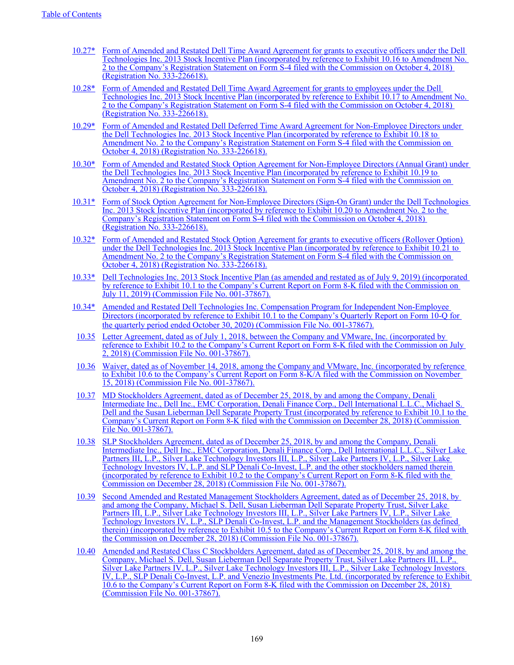- [10.27\\*](http://www.sec.gov/Archives/edgar/data/1571996/000119312518293366/d681091dex1016.htm) [Form of Amended and Restated Dell Time Award Agreement for grants to executive officers under the Dell](http://www.sec.gov/Archives/edgar/data/1571996/000119312518293366/d681091dex1016.htm)  [Technologies Inc. 2013 Stock Incentive Plan \(incorporated by reference to Exhibit 10.16 to Amendment No.](http://www.sec.gov/Archives/edgar/data/1571996/000119312518293366/d681091dex1016.htm)  [2 to the Company's Registration Statement on Form S-4 filed with the Commission on October 4, 2018\)](http://www.sec.gov/Archives/edgar/data/1571996/000119312518293366/d681091dex1016.htm)  [\(Registration No. 333-226618\).](http://www.sec.gov/Archives/edgar/data/1571996/000119312518293366/d681091dex1016.htm)
- [10.28\\*](http://www.sec.gov/Archives/edgar/data/1571996/000119312518293366/d681091dex1017.htm) [Form of Amended and Restated Dell Time Award Agreement for grants to employees under the Dell](http://www.sec.gov/Archives/edgar/data/1571996/000119312518293366/d681091dex1017.htm)  [Technologies Inc. 2013 Stock Incentive Plan \(incorporated by reference to Exhibit 10.17 to Amendment No.](http://www.sec.gov/Archives/edgar/data/1571996/000119312518293366/d681091dex1017.htm)  [2 to the Company's Registration Statement on Form S-4 filed with the Commission on October 4, 2018\)](http://www.sec.gov/Archives/edgar/data/1571996/000119312518293366/d681091dex1017.htm)  [\(Registration No. 333-226618\).](http://www.sec.gov/Archives/edgar/data/1571996/000119312518293366/d681091dex1017.htm)
- [10.29\\*](http://www.sec.gov/Archives/edgar/data/1571996/000119312518293366/d681091dex1018.htm) Form of Amended and Restated Dell Deferred Time Award Agreement for Non-Employee Directors under [the Dell Technologies Inc. 2013 Stock Incentive Plan \(incorporated by reference to Exhibit 10.18 to](http://www.sec.gov/Archives/edgar/data/1571996/000119312518293366/d681091dex1018.htm)  Amendment No. 2 to the Company's Registration Statement on Form S-4 filed with the Commission on [October 4, 2018\) \(Registration No. 333-226618\).](http://www.sec.gov/Archives/edgar/data/1571996/000119312518293366/d681091dex1018.htm)
- [10.30\\*](http://www.sec.gov/Archives/edgar/data/1571996/000119312518293366/d681091dex1019.htm) [Form of Amended and Restated Stock Option Agreement for Non-Employee Directors \(Annual Grant\) under](http://www.sec.gov/Archives/edgar/data/1571996/000119312518293366/d681091dex1019.htm)  [the Dell Technologies Inc. 2013 Stock Incentive Plan \(incorporated by reference to Exhibit 10.19 to](http://www.sec.gov/Archives/edgar/data/1571996/000119312518293366/d681091dex1019.htm)  [Amendment No. 2 to the Company's Registration Statement on Form S-4 filed with the Commission on](http://www.sec.gov/Archives/edgar/data/1571996/000119312518293366/d681091dex1019.htm)  [October 4, 2018\) \(Registration No. 333-226618\).](http://www.sec.gov/Archives/edgar/data/1571996/000119312518293366/d681091dex1019.htm)
- [10.31\\*](http://www.sec.gov/Archives/edgar/data/1571996/000119312518293366/d681091dex1020.htm) [Form of Stock Option Agreement for Non-Employee Directors \(Sign-On Grant\) under the Dell Technologies](http://www.sec.gov/Archives/edgar/data/1571996/000119312518293366/d681091dex1020.htm)  [Inc. 2013 Stock Incentive Plan \(incorporated by reference to Exhibit 10.20 to Amendment No. 2 to the](http://www.sec.gov/Archives/edgar/data/1571996/000119312518293366/d681091dex1020.htm)  [Company's Registration Statement on Form S-4 filed with the Commission on October 4, 2018\)](http://www.sec.gov/Archives/edgar/data/1571996/000119312518293366/d681091dex1020.htm)  [\(Registration No. 333-226618\).](http://www.sec.gov/Archives/edgar/data/1571996/000119312518293366/d681091dex1020.htm)
- [10.32\\*](http://www.sec.gov/Archives/edgar/data/1571996/000119312518293366/d681091dex1021.htm) [Form of Amended and Restated Stock Option Agreement for grants to executive officers \(Rollover Option\)](http://www.sec.gov/Archives/edgar/data/1571996/000119312518293366/d681091dex1021.htm)  [under the Dell Technologies Inc. 2013 Stock Incentive Plan \(incorporated by reference to Exhibit 10.21 to](http://www.sec.gov/Archives/edgar/data/1571996/000119312518293366/d681091dex1021.htm)  [Amendment No. 2 to the Company's Registration Statement on Form S-4 filed with the Commission on](http://www.sec.gov/Archives/edgar/data/1571996/000119312518293366/d681091dex1021.htm)  [October 4, 2018\) \(Registration No. 333-226618\).](http://www.sec.gov/Archives/edgar/data/1571996/000119312518293366/d681091dex1021.htm)
- [10.33\\*](http://www.sec.gov/Archives/edgar/data/1571996/000157199619000032/a2013stockincentiveplanjul.htm) [Dell Technologies Inc. 2013 Stock Incentive Plan \(as amended and restated as of July 9, 2019\) \(incorporated](http://www.sec.gov/Archives/edgar/data/1571996/000157199619000032/a2013stockincentiveplanjul.htm)  [by reference to Exhibit 10.1 to the Company's Current Report on Form 8-K filed with the Commission on](http://www.sec.gov/Archives/edgar/data/1571996/000157199619000032/a2013stockincentiveplanjul.htm)  [July 11, 2019\) \(Commission File No. 001-37867\).](http://www.sec.gov/Archives/edgar/data/1571996/000157199619000032/a2013stockincentiveplanjul.htm)
- [10.34\\*](https://www.sec.gov/Archives/edgar/data/1571996/000157199620000051/exhibit101q3fy21.htm) [Amended and Restated Dell Technologies Inc. Compensation Program for Independent Non-Employee](https://www.sec.gov/Archives/edgar/data/1571996/000157199620000051/exhibit101q3fy21.htm)  [Directors \(incorporated by reference to Exhibit 10.1 to the Company's Quarterly Report on Form 10-Q for](https://www.sec.gov/Archives/edgar/data/1571996/000157199620000051/exhibit101q3fy21.htm)  [the quarterly period ended October 30, 2020\) \(Commission File No. 001-37867\).](https://www.sec.gov/Archives/edgar/data/1571996/000157199620000051/exhibit101q3fy21.htm)
- [10.35](http://www.sec.gov/Archives/edgar/data/1571996/000119312518210339/d880259dex102.htm) [Letter Agreement, dated as of July 1, 2018, between the Company and VMware, Inc. \(incorporated by](http://www.sec.gov/Archives/edgar/data/1571996/000119312518210339/d880259dex102.htm)  [reference to Exhibit 10.2 to the Company's Current Report on Form 8-K filed with the Commission on July](http://www.sec.gov/Archives/edgar/data/1571996/000119312518210339/d880259dex102.htm)  [2, 2018\) \(Commission File No. 001-37867\).](http://www.sec.gov/Archives/edgar/data/1571996/000119312518210339/d880259dex102.htm)
- [10.36](http://www.sec.gov/Archives/edgar/data/1571996/000119312518328110/d655711dex106.htm) [Waiver, dated as of November 14, 2018, among the Company and VMware, Inc. \(incorporated by reference](http://www.sec.gov/Archives/edgar/data/1571996/000119312518328110/d655711dex106.htm)  [to Exhibit 10.6 to the Company's Current Report on Form 8-K/A filed with the Commission on November](http://www.sec.gov/Archives/edgar/data/1571996/000119312518328110/d655711dex106.htm)  [15, 2018\) \(Commission File No. 001-37867\).](http://www.sec.gov/Archives/edgar/data/1571996/000119312518328110/d655711dex106.htm)
- [10.37](https://www.sec.gov/Archives/edgar/data/1571996/000119312518360943/d673794dex101.htm) [MD Stockholders Agreement, dated as of December 25, 2018, by and among the Company, Denali](https://www.sec.gov/Archives/edgar/data/1571996/000119312518360943/d673794dex101.htm)  [Intermediate Inc., Dell Inc., EMC Corporation, Denali Finance Corp., Dell International L.L.C., Michael S.](https://www.sec.gov/Archives/edgar/data/1571996/000119312518360943/d673794dex101.htm)  [Dell and the Susan Lieberman Dell Separate Property Trust \(incorporated by reference to Exhibit 10.1 to the](https://www.sec.gov/Archives/edgar/data/1571996/000119312518360943/d673794dex101.htm)  [Company's Current Report on Form 8-K filed with the Commission on December 28, 2018\) \(Commission](https://www.sec.gov/Archives/edgar/data/1571996/000119312518360943/d673794dex101.htm)  [File No. 001-37867\).](https://www.sec.gov/Archives/edgar/data/1571996/000119312518360943/d673794dex101.htm)
- [10.38](https://www.sec.gov/Archives/edgar/data/1571996/000119312518360943/d673794dex102.htm) [SLP Stockholders Agreement, dated as of December 25, 2018, by and among the Company, Denali](https://www.sec.gov/Archives/edgar/data/1571996/000119312518360943/d673794dex102.htm)  [Intermediate Inc., Dell Inc., EMC Corporation, Denali Finance Corp., Dell International L.L.C., Silver Lake](https://www.sec.gov/Archives/edgar/data/1571996/000119312518360943/d673794dex102.htm)  [Partners III, L.P., Silver Lake Technology Investors III, L.P., Silver Lake Partners IV, L.P., Silver Lake](https://www.sec.gov/Archives/edgar/data/1571996/000119312518360943/d673794dex102.htm)  [Technology Investors IV, L.P. and SLP Denali Co-Invest, L.P. and the other stockholders named therein](https://www.sec.gov/Archives/edgar/data/1571996/000119312518360943/d673794dex102.htm)  [\(incorporated by reference to Exhibit 10.2 to the Company's Current Report on Form 8-K filed with the](https://www.sec.gov/Archives/edgar/data/1571996/000119312518360943/d673794dex102.htm)  [Commission on December 28, 2018\) \(Commission File No. 001-37867\).](https://www.sec.gov/Archives/edgar/data/1571996/000119312518360943/d673794dex102.htm)
- [10.39](https://www.sec.gov/Archives/edgar/data/1571996/000119312518360943/d673794dex105.htm) [Second Amended and Restated Management Stockholders Agreement, dated as of December 25, 2018, by](https://www.sec.gov/Archives/edgar/data/1571996/000119312518360943/d673794dex105.htm)  [and among the Company, Michael S. Dell, Susan Lieberman Dell Separate Property Trust, Silver Lake](https://www.sec.gov/Archives/edgar/data/1571996/000119312518360943/d673794dex105.htm)  [Partners III, L.P., Silver Lake Technology Investors III, L.P., Silver Lake Partners IV, L.P., Silver Lake](https://www.sec.gov/Archives/edgar/data/1571996/000119312518360943/d673794dex105.htm)  [Technology Investors IV, L.P., SLP Denali Co-Invest, L.P. and the Management Stockholders \(as defined](https://www.sec.gov/Archives/edgar/data/1571996/000119312518360943/d673794dex105.htm)  [therein\) \(incorporated by reference to Exhibit 10.5 to the Company's Current Report on Form 8-K filed with](https://www.sec.gov/Archives/edgar/data/1571996/000119312518360943/d673794dex105.htm)  [the Commission on December 28, 2018\) \(Commission File No. 001-37867\).](https://www.sec.gov/Archives/edgar/data/1571996/000119312518360943/d673794dex105.htm)
- [10.40](https://www.sec.gov/Archives/edgar/data/1571996/000119312518360943/d673794dex106.htm) [Amended and Restated Class C Stockholders Agreement, dated as of December 25, 2018, by and among the](https://www.sec.gov/Archives/edgar/data/1571996/000119312518360943/d673794dex106.htm)  [Company, Michael S. Dell, Susan Lieberman Dell Separate Property Trust, Silver Lake Partners III, L.P.,](https://www.sec.gov/Archives/edgar/data/1571996/000119312518360943/d673794dex106.htm)  [Silver Lake Partners IV, L.P., Silver Lake Technology Investors III, L.P., Silver Lake Technology Investors](https://www.sec.gov/Archives/edgar/data/1571996/000119312518360943/d673794dex106.htm)  [IV, L.P., SLP Denali Co-Invest, L.P. and Venezio Investments Pte. Ltd. \(incorporated by reference to Exhibit](https://www.sec.gov/Archives/edgar/data/1571996/000119312518360943/d673794dex106.htm)  [10.6 to the Company's Current Report on Form 8-K filed with the Commission on December 28, 2018\)](https://www.sec.gov/Archives/edgar/data/1571996/000119312518360943/d673794dex106.htm)  [\(Commission File No. 001-37867\).](https://www.sec.gov/Archives/edgar/data/1571996/000119312518360943/d673794dex106.htm)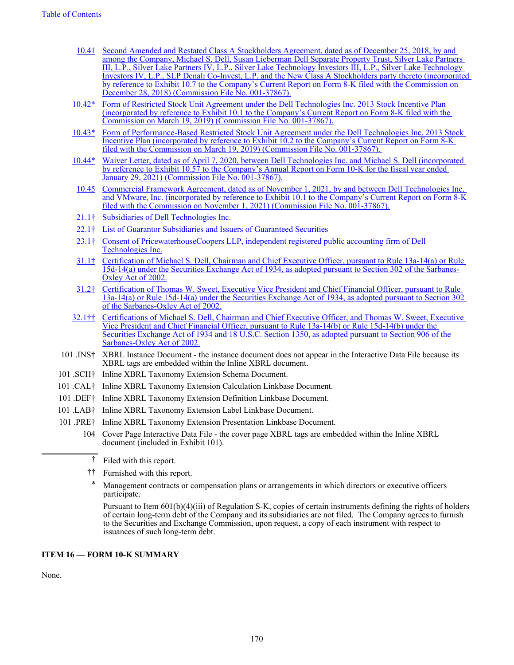- [10.41](https://www.sec.gov/Archives/edgar/data/1571996/000119312518360943/d673794dex107.htm) [Second Amended and Restated Class A Stockholders Agreement, dated as of December 25, 2018, by and](https://www.sec.gov/Archives/edgar/data/1571996/000119312518360943/d673794dex107.htm)  [among the Company, Michael S. Dell, Susan Lieberman Dell Separate Property Trust, Silver Lake Partners](https://www.sec.gov/Archives/edgar/data/1571996/000119312518360943/d673794dex107.htm)  [III, L.P., Silver Lake Partners IV, L.P., Silver Lake Technology Investors III, L.P., Silver Lake Technology](https://www.sec.gov/Archives/edgar/data/1571996/000119312518360943/d673794dex107.htm)  [Investors IV, L.P., SLP Denali Co-Invest, L.P. and the New Class A Stockholders party thereto \(incorporated](https://www.sec.gov/Archives/edgar/data/1571996/000119312518360943/d673794dex107.htm)  [by reference to Exhibit 10.7 to the Company's Current Report on Form 8-K filed with the Commission on](https://www.sec.gov/Archives/edgar/data/1571996/000119312518360943/d673794dex107.htm)  [December 28, 2018\) \(Commission File No. 001-37867\).](https://www.sec.gov/Archives/edgar/data/1571996/000119312518360943/d673794dex107.htm)
- [10.42\\*](https://www.sec.gov/Archives/edgar/data/1571996/000157199619000005/exhibit101formofrsu.htm) [Form of Restricted Stock Unit Agreement under the Dell Technologies Inc. 2013 Stock Incentive Plan](https://www.sec.gov/Archives/edgar/data/1571996/000157199619000005/exhibit101formofrsu.htm)  [\(incorporated by reference to Exhibit 10.1 to the Company's Current Report on Form 8-K filed with the](https://www.sec.gov/Archives/edgar/data/1571996/000157199619000005/exhibit101formofrsu.htm)  [Commission on March 19, 2019\) \(Commission File No. 001-37867\).](https://www.sec.gov/Archives/edgar/data/1571996/000157199619000005/exhibit101formofrsu.htm)
- [10.43\\*](https://www.sec.gov/Archives/edgar/data/1571996/000157199619000005/exhibit102formofprsu.htm) [Form of Performance-Based Restricted Stock Unit Agreement under the Dell Technologies Inc. 2013 Stock](https://www.sec.gov/Archives/edgar/data/1571996/000157199619000005/exhibit102formofprsu.htm)  [Incentive Plan \(incorporated by reference to Exhibit 10.2 to the Company's Current Report on Form 8-K](https://www.sec.gov/Archives/edgar/data/1571996/000157199619000005/exhibit102formofprsu.htm)  [filed with the Commission on March 19, 2019\) \(Commission File No. 001-37867\).](https://www.sec.gov/Archives/edgar/data/1571996/000157199619000005/exhibit102formofprsu.htm)
- [10.44\\*](https://www.sec.gov/Archives/edgar/data/1571996/000157199621000007/exhibit1057fy21.htm) [Waiver Letter, dated as of April 7, 2020, between Dell Technologies Inc. and Michael S. Dell \(incorporated](https://www.sec.gov/Archives/edgar/data/1571996/000157199621000007/exhibit1057fy21.htm)  by reference to Exhibit 10.57 to the Company's Annual Report on Form 10-K for the fiscal year ended [January 29, 2021\) \(Commission File No. 001-37867\).](https://www.sec.gov/Archives/edgar/data/1571996/000157199621000007/exhibit1057fy21.htm)
- [10.45](https://www.sec.gov/Archives/edgar/data/0001571996/000119312521315488/d146470dex101.htm) [Commercial Framework Agreement, dated as of November 1, 2021, by and between Dell Technologies Inc.](https://www.sec.gov/Archives/edgar/data/0001571996/000119312521315488/d146470dex101.htm)  [and VMware, Inc. \(incorporated by reference to Exhibit 10.1 to the Company's Current Report on Form 8-K](https://www.sec.gov/Archives/edgar/data/0001571996/000119312521315488/d146470dex101.htm)  [filed with the Commission on November 1, 2021\) \(Commission File No. 001-37867\).](https://www.sec.gov/Archives/edgar/data/0001571996/000119312521315488/d146470dex101.htm)
- 21.1† Subsidiaries of Dell Technologies Inc.
- 22.1† List of Guarantor Subsidiaries and Issuers of Guaranteed Securities
- 23.1† Consent of PricewaterhouseCoopers LLP, independent registered public accounting firm of Dell Technologies Inc.
- 31.1† Certification of Michael S. Dell, Chairman and Chief Executive Officer, pursuant to Rule 13a-14(a) or Rule 15d-14(a) under the Securities Exchange Act of 1934, as adopted pursuant to Section 302 of the Sarbanes-Oxley Act of 2002.
- 31.2† Certification of Thomas W. Sweet, Executive Vice President and Chief Financial Officer, pursuant to Rule 13a-14(a) or Rule 15d-14(a) under the Securities Exchange Act of 1934, as adopted pursuant to Section 302 of the Sarbanes-Oxley Act of 2002.
- 32.1†† Certifications of Michael S. Dell, Chairman and Chief Executive Officer, and Thomas W. Sweet, Executive Vice President and Chief Financial Officer, pursuant to Rule 13a-14(b) or Rule 15d-14(b) under the Securities Exchange Act of 1934 and 18 U.S.C. Section 1350, as adopted pursuant to Section 906 of the Sarbanes-Oxley Act of 2002.
- 101 .INS† XBRL Instance Document the instance document does not appear in the Interactive Data File because its XBRL tags are embedded within the Inline XBRL document.
- 101 .SCH† Inline XBRL Taxonomy Extension Schema Document.
- 101 .CAL† Inline XBRL Taxonomy Extension Calculation Linkbase Document.
- 101 .DEF† Inline XBRL Taxonomy Extension Definition Linkbase Document.
- 101 .LAB† Inline XBRL Taxonomy Extension Label Linkbase Document.
- 101 .PRE† Inline XBRL Taxonomy Extension Presentation Linkbase Document.
	- 104 Cover Page Interactive Data File the cover page XBRL tags are embedded within the Inline XBRL document (included in Exhibit 101).
		- † Filed with this report.
		- †† Furnished with this report.
		- Management contracts or compensation plans or arrangements in which directors or executive officers participate.

Pursuant to Item 601(b)(4)(iii) of Regulation S-K, copies of certain instruments defining the rights of holders of certain long-term debt of the Company and its subsidiaries are not filed. The Company agrees to furnish to the Securities and Exchange Commission, upon request, a copy of each instrument with respect to issuances of such long-term debt.

#### **ITEM 16 — FORM 10-K SUMMARY**

None.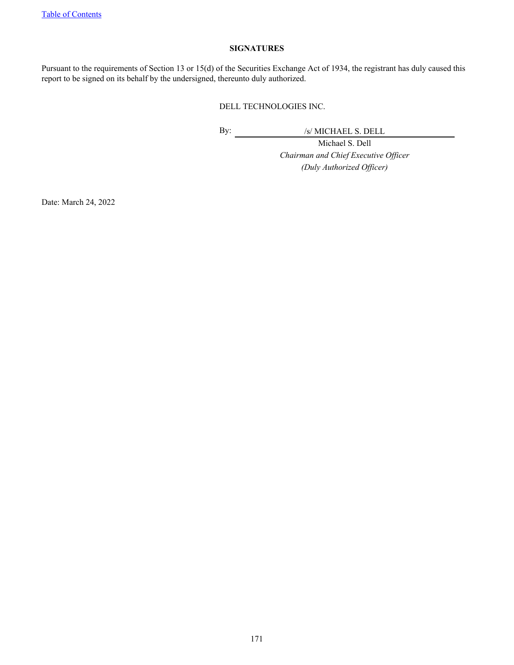## **SIGNATURES**

Pursuant to the requirements of Section 13 or 15(d) of the Securities Exchange Act of 1934, the registrant has duly caused this report to be signed on its behalf by the undersigned, thereunto duly authorized.

# DELL TECHNOLOGIES INC.

By: /s/ MICHAEL S. DELL

Michael S. Dell *Chairman and Chief Executive Officer (Duly Authorized Officer)*

Date: March 24, 2022